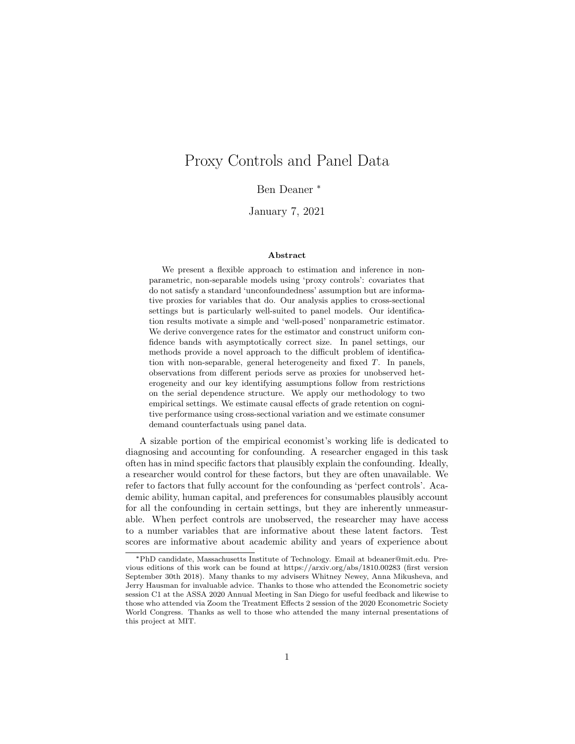# Proxy Controls and Panel Data

Ben Deaner \*

January 7, 2021

#### Abstract

We present a flexible approach to estimation and inference in nonparametric, non-separable models using 'proxy controls': covariates that do not satisfy a standard 'unconfoundedness' assumption but are informative proxies for variables that do. Our analysis applies to cross-sectional settings but is particularly well-suited to panel models. Our identification results motivate a simple and 'well-posed' nonparametric estimator. We derive convergence rates for the estimator and construct uniform confidence bands with asymptotically correct size. In panel settings, our methods provide a novel approach to the difficult problem of identification with non-separable, general heterogeneity and fixed  $T$ . In panels, observations from different periods serve as proxies for unobserved heterogeneity and our key identifying assumptions follow from restrictions on the serial dependence structure. We apply our methodology to two empirical settings. We estimate causal effects of grade retention on cognitive performance using cross-sectional variation and we estimate consumer demand counterfactuals using panel data.

A sizable portion of the empirical economist's working life is dedicated to diagnosing and accounting for confounding. A researcher engaged in this task often has in mind specific factors that plausibly explain the confounding. Ideally, a researcher would control for these factors, but they are often unavailable. We refer to factors that fully account for the confounding as 'perfect controls'. Academic ability, human capital, and preferences for consumables plausibly account for all the confounding in certain settings, but they are inherently unmeasurable. When perfect controls are unobserved, the researcher may have access to a number variables that are informative about these latent factors. Test scores are informative about academic ability and years of experience about

<sup>\*</sup>PhD candidate, Massachusetts Institute of Technology. Email at bdeaner@mit.edu. Previous editions of this work can be found at https://arxiv.org/abs/1810.00283 (first version September 30th 2018). Many thanks to my advisers Whitney Newey, Anna Mikusheva, and Jerry Hausman for invaluable advice. Thanks to those who attended the Econometric society session C1 at the ASSA 2020 Annual Meeting in San Diego for useful feedback and likewise to those who attended via Zoom the Treatment Effects 2 session of the 2020 Econometric Society World Congress. Thanks as well to those who attended the many internal presentations of this project at MIT.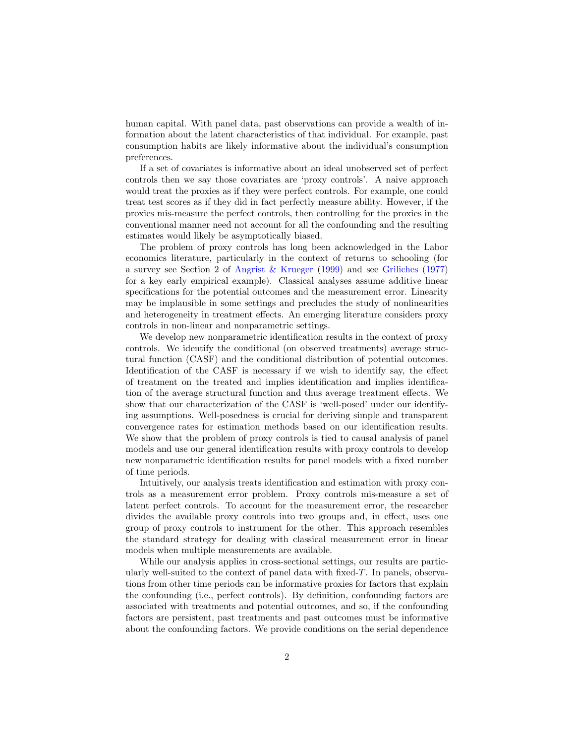human capital. With panel data, past observations can provide a wealth of information about the latent characteristics of that individual. For example, past consumption habits are likely informative about the individual's consumption preferences.

If a set of covariates is informative about an ideal unobserved set of perfect controls then we say those covariates are 'proxy controls'. A naive approach would treat the proxies as if they were perfect controls. For example, one could treat test scores as if they did in fact perfectly measure ability. However, if the proxies mis-measure the perfect controls, then controlling for the proxies in the conventional manner need not account for all the confounding and the resulting estimates would likely be asymptotically biased.

The problem of proxy controls has long been acknowledged in the Labor economics literature, particularly in the context of returns to schooling (for a survey see Section 2 of [Angrist & Krueger](#page-30-0) [\(1999\)](#page-30-0) and see [Griliches](#page-31-0) [\(1977\)](#page-31-0) for a key early empirical example). Classical analyses assume additive linear specifications for the potential outcomes and the measurement error. Linearity may be implausible in some settings and precludes the study of nonlinearities and heterogeneity in treatment effects. An emerging literature considers proxy controls in non-linear and nonparametric settings.

We develop new nonparametric identification results in the context of proxy controls. We identify the conditional (on observed treatments) average structural function (CASF) and the conditional distribution of potential outcomes. Identification of the CASF is necessary if we wish to identify say, the effect of treatment on the treated and implies identification and implies identification of the average structural function and thus average treatment effects. We show that our characterization of the CASF is 'well-posed' under our identifying assumptions. Well-posedness is crucial for deriving simple and transparent convergence rates for estimation methods based on our identification results. We show that the problem of proxy controls is tied to causal analysis of panel models and use our general identification results with proxy controls to develop new nonparametric identification results for panel models with a fixed number of time periods.

Intuitively, our analysis treats identification and estimation with proxy controls as a measurement error problem. Proxy controls mis-measure a set of latent perfect controls. To account for the measurement error, the researcher divides the available proxy controls into two groups and, in effect, uses one group of proxy controls to instrument for the other. This approach resembles the standard strategy for dealing with classical measurement error in linear models when multiple measurements are available.

While our analysis applies in cross-sectional settings, our results are particularly well-suited to the context of panel data with fixed-T. In panels, observations from other time periods can be informative proxies for factors that explain the confounding (i.e., perfect controls). By definition, confounding factors are associated with treatments and potential outcomes, and so, if the confounding factors are persistent, past treatments and past outcomes must be informative about the confounding factors. We provide conditions on the serial dependence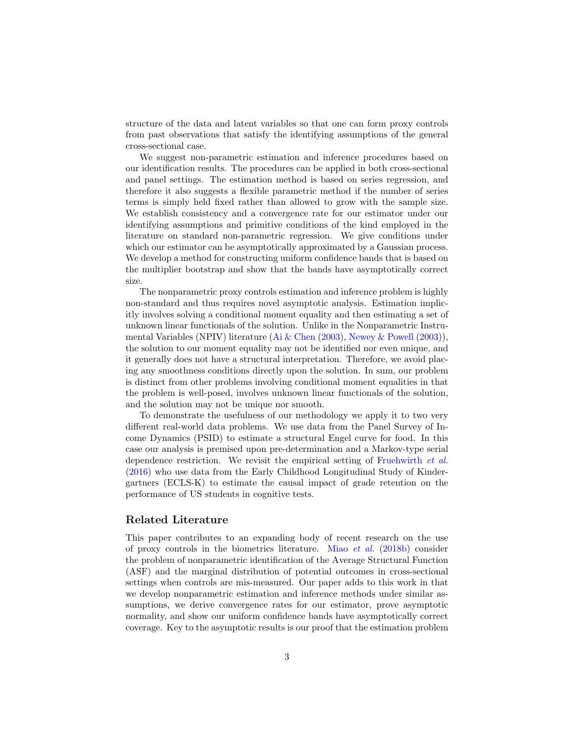structure of the data and latent variables so that one can form proxy controls from past observations that satisfy the identifying assumptions of the general cross-sectional case.

We suggest non-parametric estimation and inference procedures based on our identification results. The procedures can be applied in both cross-sectional and panel settings. The estimation method is based on series regression, and therefore it also suggests a flexible parametric method if the number of series terms is simply held fixed rather than allowed to grow with the sample size. We establish consistency and a convergence rate for our estimator under our identifying assumptions and primitive conditions of the kind employed in the literature on standard non-parametric regression. We give conditions under which our estimator can be asymptotically approximated by a Gaussian process. We develop a method for constructing uniform confidence bands that is based on the multiplier bootstrap and show that the bands have asymptotically correct size.

The nonparametric proxy controls estimation and inference problem is highly non-standard and thus requires novel asymptotic analysis. Estimation implicitly involves solving a conditional moment equality and then estimating a set of unknown linear functionals of the solution. Unlike in the Nonparametric Instrumental Variables (NPIV) literature [\(Ai & Chen](#page-30-1) [\(2003\)](#page-30-1), [Newey & Powell](#page-32-0) [\(2003\)](#page-32-0)), the solution to our moment equality may not be identified nor even unique, and it generally does not have a structural interpretation. Therefore, we avoid placing any smoothness conditions directly upon the solution. In sum, our problem is distinct from other problems involving conditional moment equalities in that the problem is well-posed, involves unknown linear functionals of the solution, and the solution may not be unique nor smooth.

To demonstrate the usefulness of our methodology we apply it to two very different real-world data problems. We use data from the Panel Survey of Income Dynamics (PSID) to estimate a structural Engel curve for food. In this case our analysis is premised upon pre-determination and a Markov-type serial dependence restriction. We revisit the empirical setting of [Fruehwirth](#page-31-1) et al. [\(2016\)](#page-31-1) who use data from the Early Childhood Longitudinal Study of Kindergartners (ECLS-K) to estimate the causal impact of grade retention on the performance of US students in cognitive tests.

#### Related Literature

This paper contributes to an expanding body of recent research on the use of proxy controls in the biometrics literature. Miao *[et al.](#page-32-1)* [\(2018b\)](#page-32-1) consider the problem of nonparametric identification of the Average Structural Function (ASF) and the marginal distribution of potential outcomes in cross-sectional settings when controls are mis-measured. Our paper adds to this work in that we develop nonparametric estimation and inference methods under similar assumptions, we derive convergence rates for our estimator, prove asymptotic normality, and show our uniform confidence bands have asymptotically correct coverage. Key to the asymptotic results is our proof that the estimation problem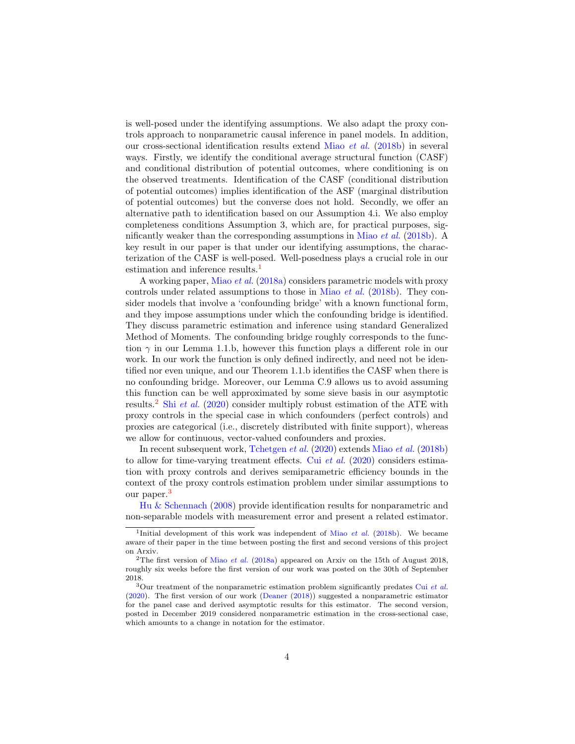is well-posed under the identifying assumptions. We also adapt the proxy controls approach to nonparametric causal inference in panel models. In addition, our cross-sectional identification results extend Miao [et al.](#page-32-1) [\(2018b\)](#page-32-1) in several ways. Firstly, we identify the conditional average structural function (CASF) and conditional distribution of potential outcomes, where conditioning is on the observed treatments. Identification of the CASF (conditional distribution of potential outcomes) implies identification of the ASF (marginal distribution of potential outcomes) but the converse does not hold. Secondly, we offer an alternative path to identification based on our Assumption 4.i. We also employ completeness conditions Assumption 3, which are, for practical purposes, sig-nificantly weaker than the corresponding assumptions in [Miao](#page-32-1) *et al.* [\(2018b\)](#page-32-1). A key result in our paper is that under our identifying assumptions, the characterization of the CASF is well-posed. Well-posedness plays a crucial role in our estimation and inference results.<sup>[1](#page-3-0)</sup>

A working paper, [Miao](#page-32-2) et al. [\(2018a\)](#page-32-2) considers parametric models with proxy controls under related assumptions to those in Miao *[et al.](#page-32-1)* [\(2018b\)](#page-32-1). They consider models that involve a 'confounding bridge' with a known functional form, and they impose assumptions under which the confounding bridge is identified. They discuss parametric estimation and inference using standard Generalized Method of Moments. The confounding bridge roughly corresponds to the function  $\gamma$  in our Lemma 1.1.b, however this function plays a different role in our work. In our work the function is only defined indirectly, and need not be identified nor even unique, and our Theorem 1.1.b identifies the CASF when there is no confounding bridge. Moreover, our Lemma C.9 allows us to avoid assuming this function can be well approximated by some sieve basis in our asymptotic results.<sup>[2](#page-3-1)</sup> Shi *[et al.](#page-32-3)* [\(2020\)](#page-32-3) consider multiply robust estimation of the ATE with proxy controls in the special case in which confounders (perfect controls) and proxies are categorical (i.e., discretely distributed with finite support), whereas we allow for continuous, vector-valued confounders and proxies.

In recent subsequent work, [Tchetgen](#page-32-4) et al. [\(2020\)](#page-32-4) extends [Miao](#page-32-1) et al. [\(2018b\)](#page-32-1) to allow for time-varying treatment effects. Cui [et al.](#page-30-2) [\(2020\)](#page-30-2) considers estimation with proxy controls and derives semiparametric efficiency bounds in the context of the proxy controls estimation problem under similar assumptions to our paper.[3](#page-3-2)

[Hu & Schennach](#page-31-2) [\(2008\)](#page-31-2) provide identification results for nonparametric and non-separable models with measurement error and present a related estimator.

<span id="page-3-0"></span><sup>&</sup>lt;sup>1</sup>Initial development of this work was independent of Miao *[et al.](#page-32-1)* [\(2018b\)](#page-32-1). We became aware of their paper in the time between posting the first and second versions of this project on Arxiv.

<span id="page-3-1"></span><sup>&</sup>lt;sup>2</sup>The first version of Miao *[et al.](#page-32-2)* [\(2018a\)](#page-32-2) appeared on Arxiv on the 15th of August 2018, roughly six weeks before the first version of our work was posted on the 30th of September 2018.

<span id="page-3-2"></span> $3$ Our treatment of the nonparametric estimation problem significantly predates Cui [et al.](#page-30-2) [\(2020\)](#page-30-2). The first version of our work [\(Deaner](#page-31-3) [\(2018\)](#page-31-3)) suggested a nonparametric estimator for the panel case and derived asymptotic results for this estimator. The second version, posted in December 2019 considered nonparametric estimation in the cross-sectional case, which amounts to a change in notation for the estimator.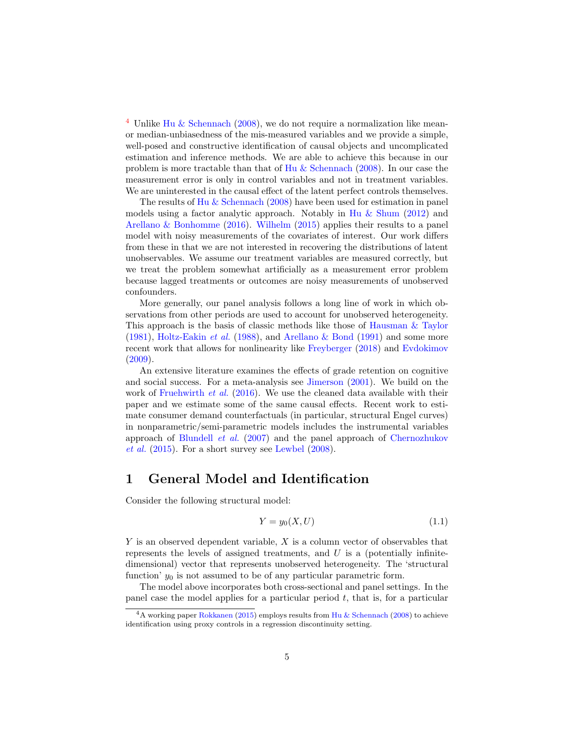<sup>[4](#page-4-0)</sup> Unlike [Hu & Schennach](#page-31-2) [\(2008\)](#page-31-2), we do not require a normalization like meanor median-unbiasedness of the mis-measured variables and we provide a simple, well-posed and constructive identification of causal objects and uncomplicated estimation and inference methods. We are able to achieve this because in our problem is more tractable than that of [Hu & Schennach](#page-31-2) [\(2008\)](#page-31-2). In our case the measurement error is only in control variables and not in treatment variables. We are uninterested in the causal effect of the latent perfect controls themselves.

The results of [Hu & Schennach](#page-31-2) [\(2008\)](#page-31-2) have been used for estimation in panel models using a factor analytic approach. Notably in [Hu & Shum](#page-31-4) [\(2012\)](#page-31-4) and [Arellano & Bonhomme](#page-30-3) [\(2016\)](#page-30-3). [Wilhelm](#page-32-5) [\(2015\)](#page-32-5) applies their results to a panel model with noisy measurements of the covariates of interest. Our work differs from these in that we are not interested in recovering the distributions of latent unobservables. We assume our treatment variables are measured correctly, but we treat the problem somewhat artificially as a measurement error problem because lagged treatments or outcomes are noisy measurements of unobserved confounders.

More generally, our panel analysis follows a long line of work in which observations from other periods are used to account for unobserved heterogeneity. This approach is the basis of classic methods like those of [Hausman & Taylor](#page-31-5) [\(1981\)](#page-31-5), [Holtz-Eakin](#page-31-6) *et al.* [\(1988\)](#page-31-6), and [Arellano & Bond](#page-30-4) [\(1991\)](#page-30-4) and some more recent work that allows for nonlinearity like [Freyberger](#page-31-7) [\(2018\)](#page-31-7) and [Evdokimov](#page-31-8)  $(2009).$  $(2009).$ 

An extensive literature examines the effects of grade retention on cognitive and social success. For a meta-analysis see [Jimerson](#page-31-9) [\(2001\)](#page-31-9). We build on the work of [Fruehwirth](#page-31-1) et al. [\(2016\)](#page-31-1). We use the cleaned data available with their paper and we estimate some of the same causal effects. Recent work to estimate consumer demand counterfactuals (in particular, structural Engel curves) in nonparametric/semi-parametric models includes the instrumental variables approach of [Blundell](#page-30-5) et al. [\(2007\)](#page-30-5) and the panel approach of [Chernozhukov](#page-30-6)  $et \ al.$  [\(2015\)](#page-30-6). For a short survey see [Lewbel](#page-32-6) [\(2008\)](#page-32-6).

## 1 General Model and Identification

Consider the following structural model:

<span id="page-4-1"></span>
$$
Y = y_0(X, U) \tag{1.1}
$$

 $Y$  is an observed dependent variable,  $X$  is a column vector of observables that represents the levels of assigned treatments, and  $U$  is a (potentially infinitedimensional) vector that represents unobserved heterogeneity. The 'structural function'  $y_0$  is not assumed to be of any particular parametric form.

The model above incorporates both cross-sectional and panel settings. In the panel case the model applies for a particular period  $t$ , that is, for a particular

<span id="page-4-0"></span> $4A$  working paper [Rokkanen](#page-32-7) [\(2015\)](#page-32-7) employs results from [Hu & Schennach](#page-31-2) [\(2008\)](#page-31-2) to achieve identification using proxy controls in a regression discontinuity setting.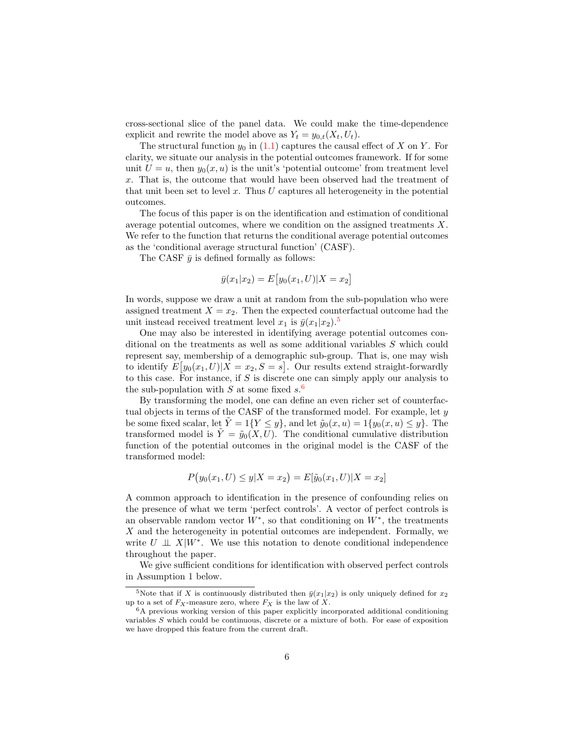cross-sectional slice of the panel data. We could make the time-dependence explicit and rewrite the model above as  $Y_t = y_{0,t}(X_t, U_t)$ .

The structural function  $y_0$  in [\(1.1\)](#page-4-1) captures the causal effect of X on Y. For clarity, we situate our analysis in the potential outcomes framework. If for some unit  $U = u$ , then  $y_0(x, u)$  is the unit's 'potential outcome' from treatment level x. That is, the outcome that would have been observed had the treatment of that unit been set to level  $x$ . Thus  $U$  captures all heterogeneity in the potential outcomes.

The focus of this paper is on the identification and estimation of conditional average potential outcomes, where we condition on the assigned treatments X. We refer to the function that returns the conditional average potential outcomes as the 'conditional average structural function' (CASF).

The CASF  $\bar{y}$  is defined formally as follows:

$$
\bar{y}(x_1|x_2) = E[y_0(x_1, U)|X = x_2]
$$

In words, suppose we draw a unit at random from the sub-population who were assigned treatment  $X = x_2$ . Then the expected counterfactual outcome had the unit instead received treatment level  $x_1$  is  $\bar{y}(x_1|x_2)$ .<sup>[5](#page-5-0)</sup>

One may also be interested in identifying average potential outcomes conditional on the treatments as well as some additional variables S which could represent say, membership of a demographic sub-group. That is, one may wish to identify  $E[y_0(x_1, U)|X = x_2, S = s]$ . Our results extend straight-forwardly to this case. For instance, if  $S$  is discrete one can simply apply our analysis to the sub-population with S at some fixed  $s^6$  $s^6$ .

By transforming the model, one can define an even richer set of counterfactual objects in terms of the CASF of the transformed model. For example, let y be some fixed scalar, let  $\tilde{Y} = 1\{Y \leq y\}$ , and let  $\tilde{y}_0(x, u) = 1\{y_0(x, u) \leq y\}$ . The transformed model is  $\tilde{Y} = \tilde{y}_0(X, U)$ . The conditional cumulative distribution function of the potential outcomes in the original model is the CASF of the transformed model:

$$
P(y_0(x_1, U) \le y | X = x_2) = E[\tilde{y}_0(x_1, U) | X = x_2]
$$

A common approach to identification in the presence of confounding relies on the presence of what we term 'perfect controls'. A vector of perfect controls is an observable random vector  $W^*$ , so that conditioning on  $W^*$ , the treatments  $X$  and the heterogeneity in potential outcomes are independent. Formally, we write  $U \perp \!\!\! \perp X|W^*$ . We use this notation to denote conditional independence throughout the paper.

We give sufficient conditions for identification with observed perfect controls in Assumption 1 below.

<span id="page-5-0"></span><sup>&</sup>lt;sup>5</sup>Note that if X is continuously distributed then  $\bar{y}(x_1|x_2)$  is only uniquely defined for  $x_2$ up to a set of  $F_X$ -measure zero, where  $F_X$  is the law of X.

<span id="page-5-1"></span><sup>6</sup>A previous working version of this paper explicitly incorporated additional conditioning variables S which could be continuous, discrete or a mixture of both. For ease of exposition we have dropped this feature from the current draft.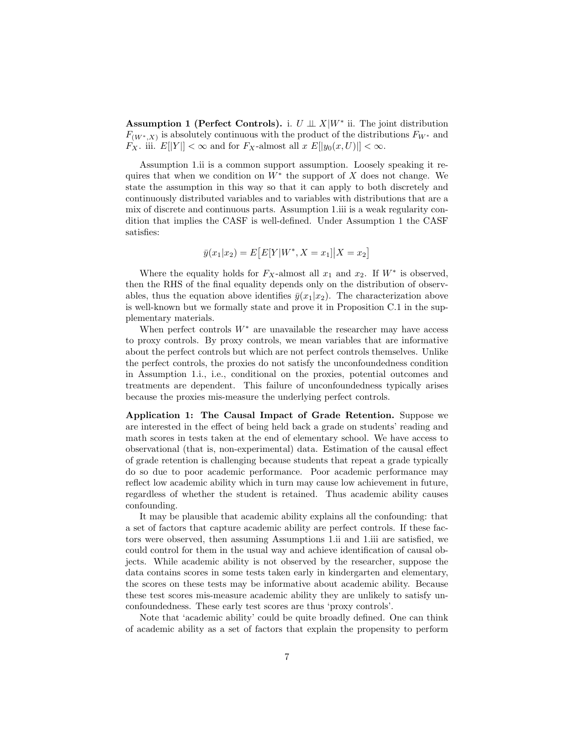Assumption 1 (Perfect Controls). i.  $U \perp \!\!\! \perp X|W^*$  ii. The joint distribution  $F_{(W^*,X)}$  is absolutely continuous with the product of the distributions  $F_{W^*}$  and  $F_X$ . iii.  $E[|Y|] < \infty$  and for  $F_X$ -almost all  $x E[|y_0(x, U)|] < \infty$ .

Assumption 1.ii is a common support assumption. Loosely speaking it requires that when we condition on  $W^*$  the support of X does not change. We state the assumption in this way so that it can apply to both discretely and continuously distributed variables and to variables with distributions that are a mix of discrete and continuous parts. Assumption 1.iii is a weak regularity condition that implies the CASF is well-defined. Under Assumption 1 the CASF satisfies:

$$
\bar{y}(x_1|x_2) = E[E[Y|W^*, X = x_1]|X = x_2]
$$

Where the equality holds for  $F_X$ -almost all  $x_1$  and  $x_2$ . If  $W^*$  is observed, then the RHS of the final equality depends only on the distribution of observables, thus the equation above identifies  $\bar{y}(x_1|x_2)$ . The characterization above is well-known but we formally state and prove it in Proposition C.1 in the supplementary materials.

When perfect controls  $W^*$  are unavailable the researcher may have access to proxy controls. By proxy controls, we mean variables that are informative about the perfect controls but which are not perfect controls themselves. Unlike the perfect controls, the proxies do not satisfy the unconfoundedness condition in Assumption 1.i., i.e., conditional on the proxies, potential outcomes and treatments are dependent. This failure of unconfoundedness typically arises because the proxies mis-measure the underlying perfect controls.

Application 1: The Causal Impact of Grade Retention. Suppose we are interested in the effect of being held back a grade on students' reading and math scores in tests taken at the end of elementary school. We have access to observational (that is, non-experimental) data. Estimation of the causal effect of grade retention is challenging because students that repeat a grade typically do so due to poor academic performance. Poor academic performance may reflect low academic ability which in turn may cause low achievement in future, regardless of whether the student is retained. Thus academic ability causes confounding.

It may be plausible that academic ability explains all the confounding: that a set of factors that capture academic ability are perfect controls. If these factors were observed, then assuming Assumptions 1.ii and 1.iii are satisfied, we could control for them in the usual way and achieve identification of causal objects. While academic ability is not observed by the researcher, suppose the data contains scores in some tests taken early in kindergarten and elementary, the scores on these tests may be informative about academic ability. Because these test scores mis-measure academic ability they are unlikely to satisfy unconfoundedness. These early test scores are thus 'proxy controls'.

Note that 'academic ability' could be quite broadly defined. One can think of academic ability as a set of factors that explain the propensity to perform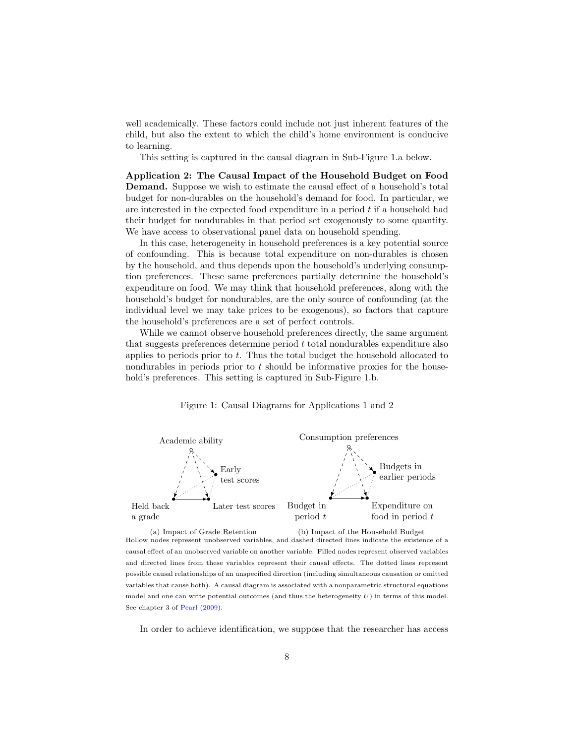well academically. These factors could include not just inherent features of the child, but also the extent to which the child's home environment is conducive to learning.

This setting is captured in the causal diagram in Sub-Figure 1.a below.

Application 2: The Causal Impact of the Household Budget on Food Demand. Suppose we wish to estimate the causal effect of a household's total budget for non-durables on the household's demand for food. In particular, we are interested in the expected food expenditure in a period  $t$  if a household had their budget for nondurables in that period set exogenously to some quantity. We have access to observational panel data on household spending.

In this case, heterogeneity in household preferences is a key potential source of confounding. This is because total expenditure on non-durables is chosen by the household, and thus depends upon the household's underlying consumption preferences. These same preferences partially determine the household's expenditure on food. We may think that household preferences, along with the household's budget for nondurables, are the only source of confounding (at the individual level we may take prices to be exogenous), so factors that capture the household's preferences are a set of perfect controls.

While we cannot observe household preferences directly, the same argument that suggests preferences determine period t total nondurables expenditure also applies to periods prior to t. Thus the total budget the household allocated to nondurables in periods prior to t should be informative proxies for the household's preferences. This setting is captured in Sub-Figure 1.b.





(a) Impact of Grade Retention (b) Impact of the Household Budget Hollow nodes represent unobserved variables, and dashed directed lines indicate the existence of a causal effect of an unobserved variable on another variable. Filled nodes represent observed variables and directed lines from these variables represent their causal effects. The dotted lines represent possible causal relationships of an unspecified direction (including simultaneous causation or omitted variables that cause both). A causal diagram is associated with a nonparametric structural equations model and one can write potential outcomes (and thus the heterogeneity  $U$ ) in terms of this model. See chapter 3 of [Pearl](#page-32-8) [\(2009\)](#page-32-8).

In order to achieve identification, we suppose that the researcher has access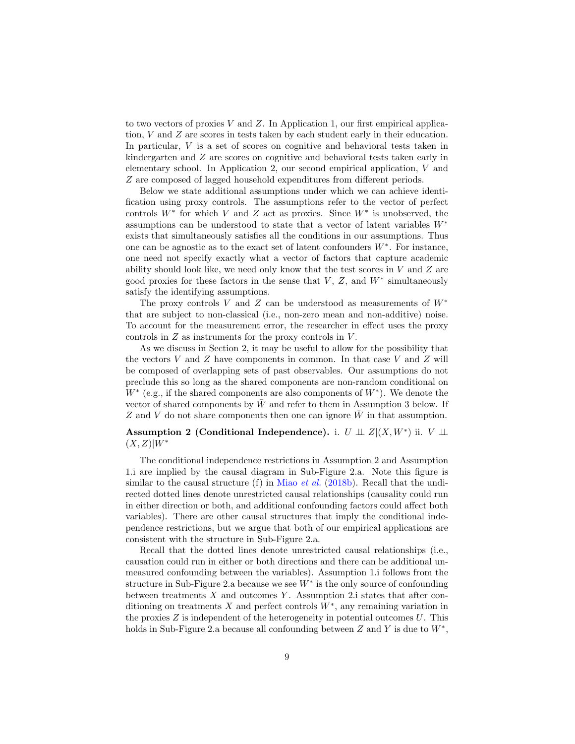to two vectors of proxies V and  $Z$ . In Application 1, our first empirical application, V and Z are scores in tests taken by each student early in their education. In particular, V is a set of scores on cognitive and behavioral tests taken in kindergarten and Z are scores on cognitive and behavioral tests taken early in elementary school. In Application 2, our second empirical application, V and Z are composed of lagged household expenditures from different periods.

Below we state additional assumptions under which we can achieve identification using proxy controls. The assumptions refer to the vector of perfect controls  $W^*$  for which V and Z act as proxies. Since  $W^*$  is unobserved, the assumptions can be understood to state that a vector of latent variables W<sup>∗</sup> exists that simultaneously satisfies all the conditions in our assumptions. Thus one can be agnostic as to the exact set of latent confounders  $W^*$ . For instance, one need not specify exactly what a vector of factors that capture academic ability should look like, we need only know that the test scores in  $V$  and  $Z$  are good proxies for these factors in the sense that  $V, Z$ , and  $W^*$  simultaneously satisfy the identifying assumptions.

The proxy controls V and Z can be understood as measurements of  $W^*$ that are subject to non-classical (i.e., non-zero mean and non-additive) noise. To account for the measurement error, the researcher in effect uses the proxy controls in  $Z$  as instruments for the proxy controls in  $V$ .

As we discuss in Section 2, it may be useful to allow for the possibility that the vectors  $V$  and  $Z$  have components in common. In that case  $V$  and  $Z$  will be composed of overlapping sets of past observables. Our assumptions do not preclude this so long as the shared components are non-random conditional on  $W^*$  (e.g., if the shared components are also components of  $W^*$ ). We denote the vector of shared components by  $\bar{W}$  and refer to them in Assumption 3 below. If Z and V do not share components then one can ignore  $\bar{W}$  in that assumption.

Assumption 2 (Conditional Independence). i.  $U \perp\!\!\!\perp Z | (X, W^*)$  ii.  $V \perp\!\!\!\perp$  $(X, Z)|W^*$ 

The conditional independence restrictions in Assumption 2 and Assumption 1.i are implied by the causal diagram in Sub-Figure 2.a. Note this figure is similar to the causal structure (f) in Miao *[et al.](#page-32-1)* [\(2018b\)](#page-32-1). Recall that the undirected dotted lines denote unrestricted causal relationships (causality could run in either direction or both, and additional confounding factors could affect both variables). There are other causal structures that imply the conditional independence restrictions, but we argue that both of our empirical applications are consistent with the structure in Sub-Figure 2.a.

Recall that the dotted lines denote unrestricted causal relationships (i.e., causation could run in either or both directions and there can be additional unmeasured confounding between the variables). Assumption 1.i follows from the structure in Sub-Figure 2.a because we see  $W^*$  is the only source of confounding between treatments  $X$  and outcomes  $Y$ . Assumption 2.i states that after conditioning on treatments  $X$  and perfect controls  $W^*$ , any remaining variation in the proxies  $Z$  is independent of the heterogeneity in potential outcomes  $U$ . This holds in Sub-Figure 2.a because all confounding between  $Z$  and  $Y$  is due to  $W^*$ ,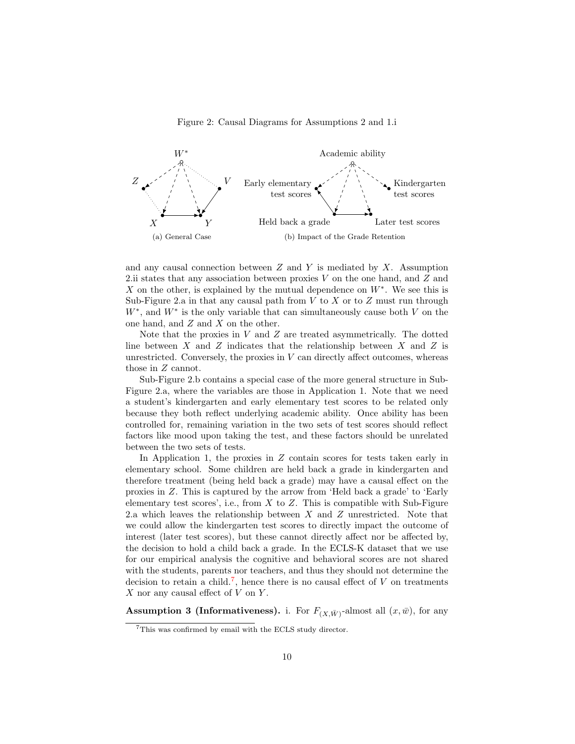#### Figure 2: Causal Diagrams for Assumptions 2 and 1.i



and any causal connection between  $Z$  and  $Y$  is mediated by  $X$ . Assumption 2.ii states that any association between proxies  $V$  on the one hand, and  $Z$  and X on the other, is explained by the mutual dependence on  $W^*$ . We see this is Sub-Figure 2.a in that any causal path from  $V$  to  $X$  or to  $Z$  must run through  $W^*$ , and  $W^*$  is the only variable that can simultaneously cause both V on the one hand, and Z and X on the other.

Note that the proxies in  $V$  and  $Z$  are treated asymmetrically. The dotted line between  $X$  and  $Z$  indicates that the relationship between  $X$  and  $Z$  is unrestricted. Conversely, the proxies in  $V$  can directly affect outcomes, whereas those in Z cannot.

Sub-Figure 2.b contains a special case of the more general structure in Sub-Figure 2.a, where the variables are those in Application 1. Note that we need a student's kindergarten and early elementary test scores to be related only because they both reflect underlying academic ability. Once ability has been controlled for, remaining variation in the two sets of test scores should reflect factors like mood upon taking the test, and these factors should be unrelated between the two sets of tests.

In Application 1, the proxies in  $Z$  contain scores for tests taken early in elementary school. Some children are held back a grade in kindergarten and therefore treatment (being held back a grade) may have a causal effect on the proxies in Z. This is captured by the arrow from 'Held back a grade' to 'Early elementary test scores', i.e., from  $X$  to  $Z$ . This is compatible with Sub-Figure 2.a which leaves the relationship between  $X$  and  $Z$  unrestricted. Note that we could allow the kindergarten test scores to directly impact the outcome of interest (later test scores), but these cannot directly affect nor be affected by, the decision to hold a child back a grade. In the ECLS-K dataset that we use for our empirical analysis the cognitive and behavioral scores are not shared with the students, parents nor teachers, and thus they should not determine the decision to retain a child.<sup>[7](#page-9-0)</sup>, hence there is no causal effect of  $V$  on treatments X nor any causal effect of  $V$  on  $Y$ .

**Assumption 3 (Informativeness).** i. For  $F_{(X,\bar{W})}$ -almost all  $(x,\bar{w})$ , for any

<span id="page-9-0"></span><sup>7</sup>This was confirmed by email with the ECLS study director.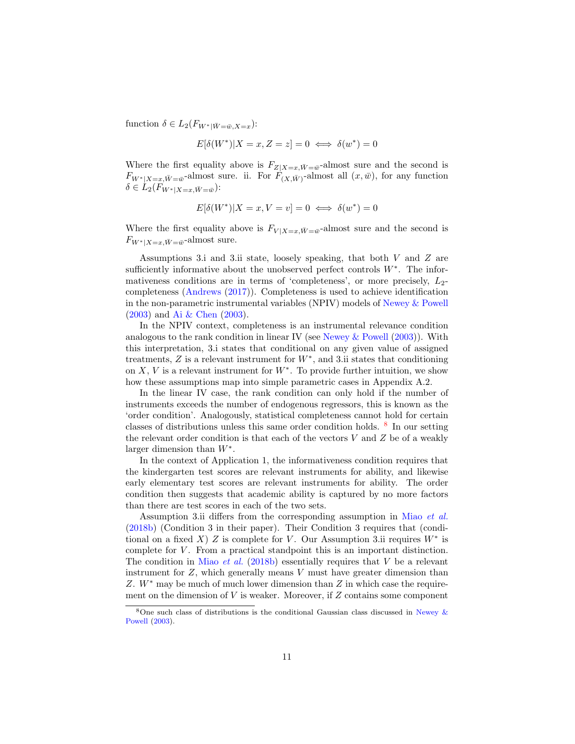function  $\delta \in L_2(F_{W^*|\bar{W}=\bar{w},X=x})$ :

$$
E[\delta(W^*)|X=x, Z=z] = 0 \iff \delta(w^*) = 0
$$

Where the first equality above is  $F_{Z|X=x,\bar{W}=\bar{w}}$ -almost sure and the second is  $F_{W^*|X=x,\bar{W}=\bar{w}}$ -almost sure. ii. For  $F_{(X,\bar{W})}$ -almost all  $(x,\bar{w})$ , for any function  $\delta \in L_2(F_{W^*|X=x,\bar{W}=\bar{w}})$ :

$$
E[\delta(W^*)|X=x, V=v] = 0 \iff \delta(w^*) = 0
$$

Where the first equality above is  $F_{V|X=x,\bar{W}=\bar{w}}$ -almost sure and the second is  $F_{W^*|X=x,\bar{W}=\bar{w}}$ -almost sure.

Assumptions 3.i and 3.ii state, loosely speaking, that both V and Z are sufficiently informative about the unobserved perfect controls  $W^*$ . The informativeness conditions are in terms of 'completeness', or more precisely,  $L_2$ completeness [\(Andrews](#page-30-7) [\(2017\)](#page-30-7)). Completeness is used to achieve identification in the non-parametric instrumental variables (NPIV) models of [Newey & Powell](#page-32-0) [\(2003\)](#page-32-0) and [Ai & Chen](#page-30-1) [\(2003\)](#page-30-1).

In the NPIV context, completeness is an instrumental relevance condition analogous to the rank condition in linear IV (see [Newey & Powell](#page-32-0) [\(2003\)](#page-32-0)). With this interpretation, 3.i states that conditional on any given value of assigned treatments,  $Z$  is a relevant instrument for  $W^*$ , and 3.ii states that conditioning on  $X, V$  is a relevant instrument for  $W^*$ . To provide further intuition, we show how these assumptions map into simple parametric cases in Appendix A.2.

In the linear IV case, the rank condition can only hold if the number of instruments exceeds the number of endogenous regressors, this is known as the 'order condition'. Analogously, statistical completeness cannot hold for certain classes of distributions unless this same order condition holds. [8](#page-10-0) In our setting the relevant order condition is that each of the vectors  $V$  and  $Z$  be of a weakly larger dimension than  $W^*$ .

In the context of Application 1, the informativeness condition requires that the kindergarten test scores are relevant instruments for ability, and likewise early elementary test scores are relevant instruments for ability. The order condition then suggests that academic ability is captured by no more factors than there are test scores in each of the two sets.

Assumption 3.ii differs from the corresponding assumption in Miao [et al.](#page-32-1) [\(2018b\)](#page-32-1) (Condition 3 in their paper). Their Condition 3 requires that (conditional on a fixed X) Z is complete for V. Our Assumption 3.ii requires  $W^*$  is complete for V. From a practical standpoint this is an important distinction. The condition in Miao *[et al.](#page-32-1)* [\(2018b\)](#page-32-1) essentially requires that  $V$  be a relevant instrument for  $Z$ , which generally means  $V$  must have greater dimension than Z. W<sup>∗</sup> may be much of much lower dimension than Z in which case the requirement on the dimension of  $V$  is weaker. Moreover, if  $Z$  contains some component

<span id="page-10-0"></span><sup>&</sup>lt;sup>8</sup>One such class of distributions is the conditional Gaussian class discussed in Newey  $\&$ [Powell](#page-32-0) [\(2003\)](#page-32-0).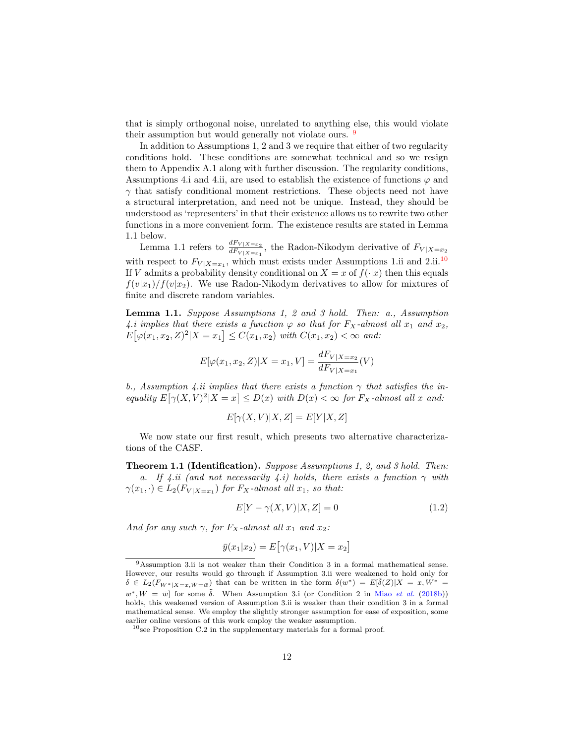that is simply orthogonal noise, unrelated to anything else, this would violate their assumption but would generally not violate ours. [9](#page-11-0)

In addition to Assumptions 1, 2 and 3 we require that either of two regularity conditions hold. These conditions are somewhat technical and so we resign them to Appendix A.1 along with further discussion. The regularity conditions, Assumptions 4.i and 4.ii, are used to establish the existence of functions  $\varphi$  and  $\gamma$  that satisfy conditional moment restrictions. These objects need not have a structural interpretation, and need not be unique. Instead, they should be understood as 'representers' in that their existence allows us to rewrite two other functions in a more convenient form. The existence results are stated in Lemma 1.1 below.

Lemma 1.1 refers to  $\frac{dF_{V|X=x_2}}{dF_{V|X=x_1}}$ , the Radon-Nikodym derivative of  $F_{V|X=x_2}$ with respect to  $F_{V|X=x_1}$ , which must exists under Assumptions 1.ii and 2.ii.<sup>[10](#page-11-1)</sup> If V admits a probability density conditional on  $X = x$  of  $f(\cdot|x)$  then this equals  $f(v|x_1)/f(v|x_2)$ . We use Radon-Nikodym derivatives to allow for mixtures of finite and discrete random variables.

Lemma 1.1. Suppose Assumptions 1, 2 and 3 hold. Then: a., Assumption 4.i implies that there exists a function  $\varphi$  so that for  $F_X$ -almost all  $x_1$  and  $x_2$ ,  $E[\varphi(x_1, x_2, Z)^2 | X = x_1] \leq C(x_1, x_2)$  with  $C(x_1, x_2) < \infty$  and:

$$
E[\varphi(x_1, x_2, Z)|X = x_1, V] = \frac{dF_{V|X=x_2}}{dF_{V|X=x_1}}(V)
$$

b., Assumption 4.ii implies that there exists a function  $\gamma$  that satisfies the inequality  $E[\gamma(X, V)^2 | X = x] \leq D(x)$  with  $D(x) < \infty$  for  $F_X$ -almost all x and:

$$
E[\gamma(X, V)|X, Z] = E[Y|X, Z]
$$

We now state our first result, which presents two alternative characterizations of the CASF.

**Theorem 1.1 (Identification).** Suppose Assumptions 1, 2, and 3 hold. Then: a. If 4.ii (and not necessarily 4.i) holds, there exists a function  $\gamma$  with  $\gamma(x_1, \cdot) \in L_2(F_{V|X=x_1})$  for  $F_X$ -almost all  $x_1$ , so that:

$$
E[Y - \gamma(X, V)|X, Z] = 0\tag{1.2}
$$

And for any such  $\gamma$ , for  $F_X$ -almost all  $x_1$  and  $x_2$ :

$$
\bar{y}(x_1|x_2) = E\big[\gamma(x_1, V)|X = x_2\big]
$$

<span id="page-11-0"></span><sup>9</sup>Assumption 3.ii is not weaker than their Condition 3 in a formal mathematical sense. However, our results would go through if Assumption 3.ii were weakened to hold only for  $\delta \in L_2(F_{W^*|X=x,\bar{W}=\bar{w}})$  that can be written in the form  $\delta(w^*)=E[\tilde{\delta}(Z)|X=x,\tilde{W^*}=$  $w^*, \bar{W} = \bar{w}$  for some  $\tilde{\delta}$ . When Assumption 3.i (or Condition 2 in Miao *[et al.](#page-32-1)* [\(2018b\)](#page-32-1)) holds, this weakened version of Assumption 3.ii is weaker than their condition 3 in a formal mathematical sense. We employ the slightly stronger assumption for ease of exposition, some earlier online versions of this work employ the weaker assumption.

<span id="page-11-1"></span> $10$ see Proposition C.2 in the supplementary materials for a formal proof.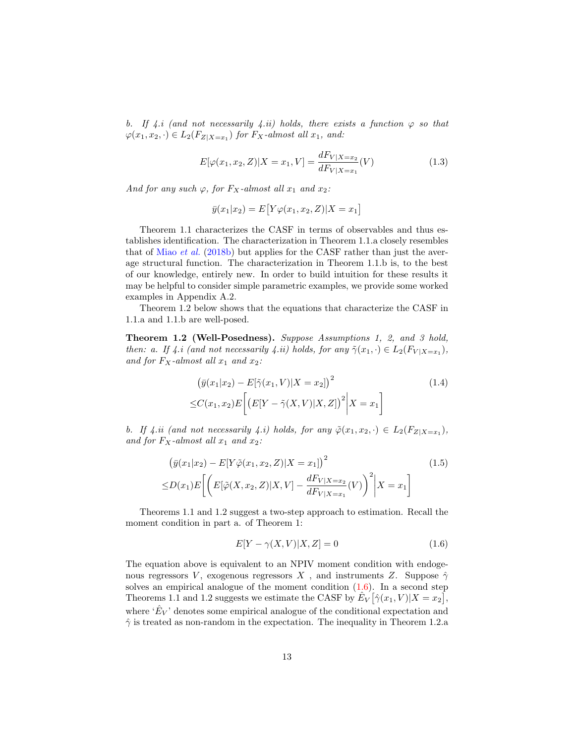b. If 4.i (and not necessarily 4.ii) holds, there exists a function  $\varphi$  so that  $\varphi(x_1, x_2, \cdot) \in L_2(F_{Z|X=x_1})$  for  $F_X$ -almost all  $x_1$ , and:

<span id="page-12-1"></span>
$$
E[\varphi(x_1, x_2, Z)|X = x_1, V] = \frac{dF_{V|X=x_2}}{dF_{V|X=x_1}}(V)
$$
\n(1.3)

And for any such  $\varphi$ , for  $F_X$ -almost all  $x_1$  and  $x_2$ :

$$
\bar{y}(x_1|x_2) = E[Y\varphi(x_1, x_2, Z)|X = x_1]
$$

Theorem 1.1 characterizes the CASF in terms of observables and thus establishes identification. The characterization in Theorem 1.1.a closely resembles that of Miao [et al.](#page-32-1) [\(2018b\)](#page-32-1) but applies for the CASF rather than just the average structural function. The characterization in Theorem 1.1.b is, to the best of our knowledge, entirely new. In order to build intuition for these results it may be helpful to consider simple parametric examples, we provide some worked examples in Appendix A.2.

Theorem 1.2 below shows that the equations that characterize the CASF in 1.1.a and 1.1.b are well-posed.

Theorem 1.2 (Well-Posedness). Suppose Assumptions 1, 2, and 3 hold, then: a. If 4.i (and not necessarily 4.ii) holds, for any  $\tilde{\gamma}(x_1, \cdot) \in L_2(F_{V|X=x_1}),$ and for  $F_X$ -almost all  $x_1$  and  $x_2$ :

$$
(\bar{y}(x_1|x_2) - E[\tilde{\gamma}(x_1, V)|X = x_2])^{2}
$$
  
\n
$$
\leq C(x_1, x_2) E\left[\left(E[Y - \tilde{\gamma}(X, V)|X, Z]\right)^{2} \middle| X = x_1\right]
$$
\n(1.4)

b. If 4.ii (and not necessarily 4.i) holds, for any  $\tilde{\varphi}(x_1, x_2, \cdot) \in L_2(F_{Z|X=x_1}),$ and for  $F_X$ -almost all  $x_1$  and  $x_2$ :

$$
\left(\bar{y}(x_1|x_2) - E[Y\tilde{\varphi}(x_1, x_2, Z)|X = x_1]\right)^2
$$
\n
$$
\leq D(x_1)E\left[\left(E[\tilde{\varphi}(X, x_2, Z)|X, V] - \frac{dF_{V|X=x_2}}{dF_{V|X=x_1}}(V)\right)^2\middle|X = x_1\right]
$$
\n(1.5)

Theorems 1.1 and 1.2 suggest a two-step approach to estimation. Recall the moment condition in part a. of Theorem 1:

<span id="page-12-0"></span>
$$
E[Y - \gamma(X, V)|X, Z] = 0\tag{1.6}
$$

The equation above is equivalent to an NPIV moment condition with endogenous regressors V, exogenous regressors X, and instruments Z. Suppose  $\hat{\gamma}$ solves an empirical analogue of the moment condition  $(1.6)$ . In a second step Theorems 1.1 and 1.2 suggests we estimate the CASF by  $\hat{E}_V[\hat{\gamma}(x_1, V)|X = x_2],$ where  $\hat{E}_V$  denotes some empirical analogue of the conditional expectation and  $\hat{\gamma}$  is treated as non-random in the expectation. The inequality in Theorem 1.2.a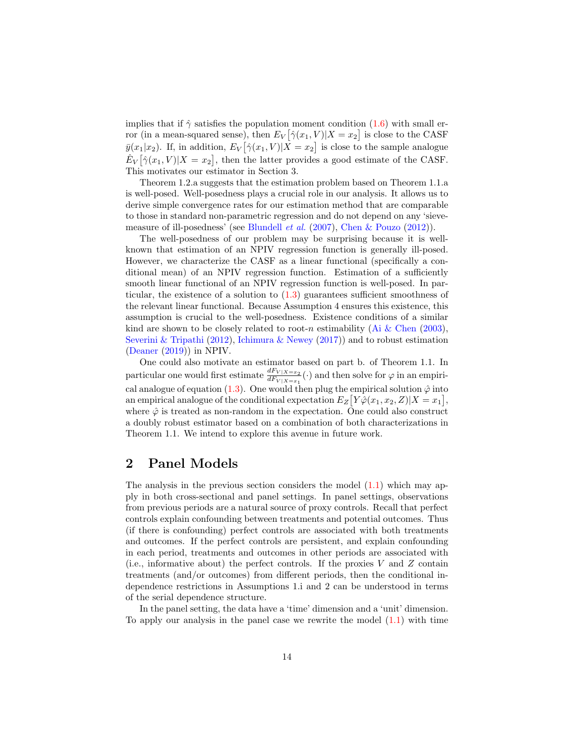implies that if  $\hat{\gamma}$  satisfies the population moment condition [\(1.6\)](#page-12-0) with small error (in a mean-squared sense), then  $E_V[\hat{\gamma}(x_1, V)|X = x_2]$  is close to the CASF  $\bar{y}(x_1|x_2)$ . If, in addition,  $E_V[\hat{\gamma}(x_1, V)|X = x_2]$  is close to the sample analogue  $\hat{E}_V[\hat{\gamma}(x_1, V)|X = x_2],$  then the latter provides a good estimate of the CASF. This motivates our estimator in Section 3.

Theorem 1.2.a suggests that the estimation problem based on Theorem 1.1.a is well-posed. Well-posedness plays a crucial role in our analysis. It allows us to derive simple convergence rates for our estimation method that are comparable to those in standard non-parametric regression and do not depend on any 'sievemeasure of ill-posedness' (see [Blundell](#page-30-5) et al. [\(2007\)](#page-30-5), [Chen & Pouzo](#page-30-8) [\(2012\)](#page-30-8)).

The well-posedness of our problem may be surprising because it is wellknown that estimation of an NPIV regression function is generally ill-posed. However, we characterize the CASF as a linear functional (specifically a conditional mean) of an NPIV regression function. Estimation of a sufficiently smooth linear functional of an NPIV regression function is well-posed. In particular, the existence of a solution to  $(1.3)$  guarantees sufficient smoothness of the relevant linear functional. Because Assumption 4 ensures this existence, this assumption is crucial to the well-posedness. Existence conditions of a similar kind are shown to be closely related to root-n estimability [\(Ai & Chen](#page-30-1) [\(2003\)](#page-30-1), [Severini & Tripathi](#page-32-9) [\(2012\)](#page-32-9), [Ichimura & Newey](#page-31-10) [\(2017\)](#page-31-10)) and to robust estimation [\(Deaner](#page-31-11) [\(2019\)](#page-31-11)) in NPIV.

One could also motivate an estimator based on part b. of Theorem 1.1. In particular one would first estimate  $\frac{dF_{V|X=x_2}}{dF_{V|X=x_1}}(\cdot)$  and then solve for  $\varphi$  in an empiri-cal analogue of equation [\(1.3\)](#page-12-1). One would then plug the empirical solution  $\hat{\varphi}$  into an empirical analogue of the conditional expectation  $E_Z[Y\hat{\varphi}(x_1,x_2,Z)|X=x_1],$ where  $\hat{\varphi}$  is treated as non-random in the expectation. One could also construct a doubly robust estimator based on a combination of both characterizations in Theorem 1.1. We intend to explore this avenue in future work.

## 2 Panel Models

The analysis in the previous section considers the model  $(1.1)$  which may apply in both cross-sectional and panel settings. In panel settings, observations from previous periods are a natural source of proxy controls. Recall that perfect controls explain confounding between treatments and potential outcomes. Thus (if there is confounding) perfect controls are associated with both treatments and outcomes. If the perfect controls are persistent, and explain confounding in each period, treatments and outcomes in other periods are associated with (i.e., informative about) the perfect controls. If the proxies  $V$  and  $Z$  contain treatments (and/or outcomes) from different periods, then the conditional independence restrictions in Assumptions 1.i and 2 can be understood in terms of the serial dependence structure.

In the panel setting, the data have a 'time' dimension and a 'unit' dimension. To apply our analysis in the panel case we rewrite the model [\(1.1\)](#page-4-1) with time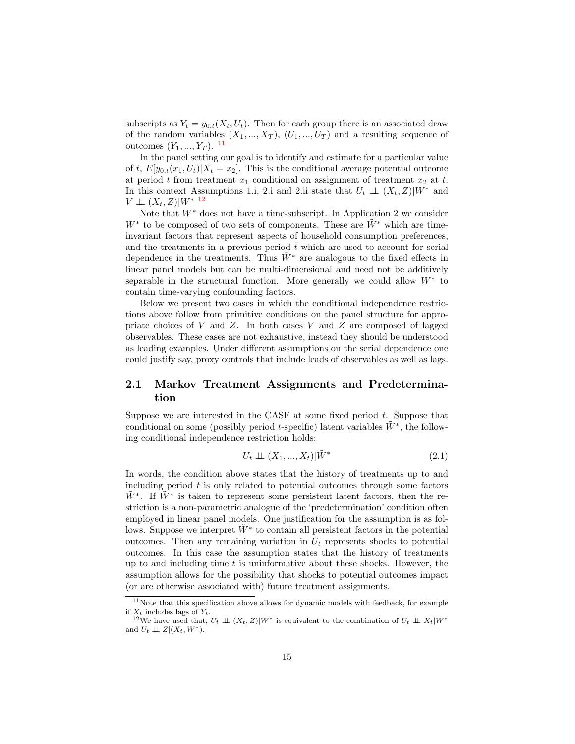subscripts as  $Y_t = y_{0,t}(X_t, U_t)$ . Then for each group there is an associated draw of the random variables  $(X_1, ..., X_T)$ ,  $(U_1, ..., U_T)$  and a resulting sequence of outcomes  $(Y_1, ..., Y_T)$ . <sup>[11](#page-14-0)</sup>

In the panel setting our goal is to identify and estimate for a particular value of t,  $E[y_{0,t}(x_1, U_t)|X_t = x_2]$ . This is the conditional average potential outcome at period t from treatment  $x_1$  conditional on assignment of treatment  $x_2$  at t. In this context Assumptions 1.i, 2.i and 2.ii state that  $U_t \perp (X_t, Z)|W^*$  and  $V \perp\!\!\!\perp (X_t, Z)|W^{*}$  [12](#page-14-1)

Note that  $W^*$  does not have a time-subscript. In Application 2 we consider  $W^*$  to be composed of two sets of components. These are  $\tilde{W}^*$  which are timeinvariant factors that represent aspects of household consumption preferences, and the treatments in a previous period  $\bar{t}$  which are used to account for serial dependence in the treatments. Thus  $\tilde{W}^*$  are analogous to the fixed effects in linear panel models but can be multi-dimensional and need not be additively separable in the structural function. More generally we could allow  $W^*$  to contain time-varying confounding factors.

Below we present two cases in which the conditional independence restrictions above follow from primitive conditions on the panel structure for appropriate choices of  $V$  and  $Z$ . In both cases  $V$  and  $Z$  are composed of lagged observables. These cases are not exhaustive, instead they should be understood as leading examples. Under different assumptions on the serial dependence one could justify say, proxy controls that include leads of observables as well as lags.

### 2.1 Markov Treatment Assignments and Predetermination

Suppose we are interested in the CASF at some fixed period  $t$ . Suppose that conditional on some (possibly period t-specific) latent variables  $\tilde{W}^*$ , the following conditional independence restriction holds:

<span id="page-14-2"></span>
$$
U_t \perp \!\!\!\perp (X_1, \ldots, X_t) | \tilde{W}^* \tag{2.1}
$$

In words, the condition above states that the history of treatments up to and including period  $t$  is only related to potential outcomes through some factors  $\tilde{W}^*$ . If  $\tilde{W}^*$  is taken to represent some persistent latent factors, then the restriction is a non-parametric analogue of the 'predetermination' condition often employed in linear panel models. One justification for the assumption is as follows. Suppose we interpret  $\tilde{W}^*$  to contain all persistent factors in the potential outcomes. Then any remaining variation in  $U_t$  represents shocks to potential outcomes. In this case the assumption states that the history of treatments up to and including time  $t$  is uninformative about these shocks. However, the assumption allows for the possibility that shocks to potential outcomes impact (or are otherwise associated with) future treatment assignments.

<span id="page-14-0"></span> $11$ Note that this specification above allows for dynamic models with feedback, for example if  $X_t$  includes lags of  $Y_t$ .

<span id="page-14-1"></span><sup>&</sup>lt;sup>12</sup>We have used that,  $U_t \perp\!\!\!\perp (X_t, Z)|W^*$  is equivalent to the combination of  $U_t \perp\!\!\!\perp X_t|W^*$ and  $U_t \perp \!\!\! \perp Z | (X_t, W^*)$ .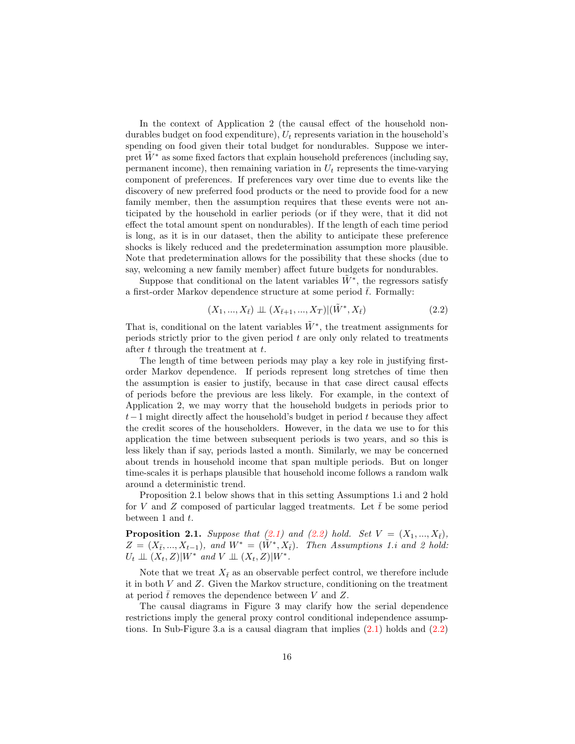In the context of Application 2 (the causal effect of the household nondurables budget on food expenditure),  $U_t$  represents variation in the household's spending on food given their total budget for nondurables. Suppose we interpret  $W^*$  as some fixed factors that explain household preferences (including say, permanent income), then remaining variation in  $U_t$  represents the time-varying component of preferences. If preferences vary over time due to events like the discovery of new preferred food products or the need to provide food for a new family member, then the assumption requires that these events were not anticipated by the household in earlier periods (or if they were, that it did not effect the total amount spent on nondurables). If the length of each time period is long, as it is in our dataset, then the ability to anticipate these preference shocks is likely reduced and the predetermination assumption more plausible. Note that predetermination allows for the possibility that these shocks (due to say, welcoming a new family member) affect future budgets for nondurables.

Suppose that conditional on the latent variables  $\tilde{W}^*$ , the regressors satisfy a first-order Markov dependence structure at some period  $\bar{t}$ . Formally:

<span id="page-15-0"></span>
$$
(X_1, ..., X_{\bar{t}}) \perp \!\!\!\perp (X_{\bar{t}+1}, ..., X_T) | (\tilde{W}^*, X_{\bar{t}})
$$
\n
$$
(2.2)
$$

That is, conditional on the latent variables  $\tilde{W}^*$ , the treatment assignments for periods strictly prior to the given period  $t$  are only only related to treatments after  $t$  through the treatment at  $t$ .

The length of time between periods may play a key role in justifying firstorder Markov dependence. If periods represent long stretches of time then the assumption is easier to justify, because in that case direct causal effects of periods before the previous are less likely. For example, in the context of Application 2, we may worry that the household budgets in periods prior to  $t-1$  might directly affect the household's budget in period t because they affect the credit scores of the householders. However, in the data we use to for this application the time between subsequent periods is two years, and so this is less likely than if say, periods lasted a month. Similarly, we may be concerned about trends in household income that span multiple periods. But on longer time-scales it is perhaps plausible that household income follows a random walk around a deterministic trend.

Proposition 2.1 below shows that in this setting Assumptions 1.i and 2 hold for V and Z composed of particular lagged treatments. Let  $\bar{t}$  be some period between 1 and  $t$ .

**Proposition 2.1.** Suppose that  $(2.1)$  and  $(2.2)$  hold. Set  $V = (X_1, ..., X_{\overline{t}})$ ,  $Z = (X_{\bar{t}},...,X_{t-1}),$  and  $W^* = (\tilde{W}^*,X_{\bar{t}}).$  Then Assumptions 1.i and 2 hold:  $U_t \perp \!\!\! \perp (X_t, Z)|W^*$  and  $V \perp \!\!\! \perp (X_t, Z)|W^*$ .

Note that we treat  $X_{\bar{t}}$  as an observable perfect control, we therefore include it in both V and Z. Given the Markov structure, conditioning on the treatment at period  $\bar{t}$  removes the dependence between V and Z.

The causal diagrams in Figure 3 may clarify how the serial dependence restrictions imply the general proxy control conditional independence assumptions. In Sub-Figure 3.a is a causal diagram that implies  $(2.1)$  holds and  $(2.2)$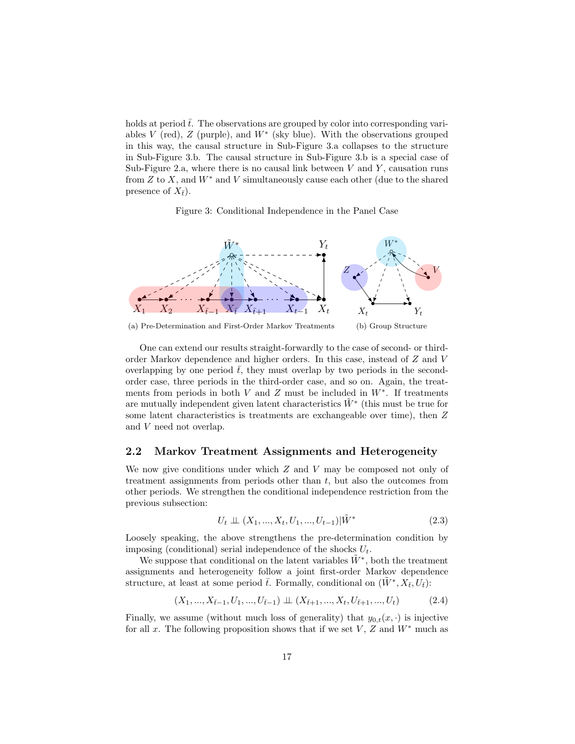holds at period  $\bar{t}$ . The observations are grouped by color into corresponding variables  $V$  (red),  $Z$  (purple), and  $W^*$  (sky blue). With the observations grouped in this way, the causal structure in Sub-Figure 3.a collapses to the structure in Sub-Figure 3.b. The causal structure in Sub-Figure 3.b is a special case of Sub-Figure 2.a, where there is no causal link between  $V$  and  $Y$ , causation runs from  $Z$  to  $X$ , and  $W^*$  and  $V$  simultaneously cause each other (due to the shared presence of  $X_{\bar{t}}$ ).

Figure 3: Conditional Independence in the Panel Case



(a) Pre-Determination and First-Order Markov Treatments (b) Group Structure

One can extend our results straight-forwardly to the case of second- or thirdorder Markov dependence and higher orders. In this case, instead of Z and V overlapping by one period  $\bar{t}$ , they must overlap by two periods in the secondorder case, three periods in the third-order case, and so on. Again, the treatments from periods in both V and Z must be included in  $W^*$ . If treatments are mutually independent given latent characteristics  $\tilde{W}^*$  (this must be true for some latent characteristics is treatments are exchangeable over time), then Z and V need not overlap.

### 2.2 Markov Treatment Assignments and Heterogeneity

We now give conditions under which  $Z$  and  $V$  may be composed not only of treatment assignments from periods other than  $t$ , but also the outcomes from other periods. We strengthen the conditional independence restriction from the previous subsection:

<span id="page-16-0"></span>
$$
U_t \perp \!\!\!\perp (X_1, ..., X_t, U_1, ..., U_{t-1}) | \tilde{W}^* \tag{2.3}
$$

Loosely speaking, the above strengthens the pre-determination condition by imposing (conditional) serial independence of the shocks  $U_t$ .

We suppose that conditional on the latent variables  $\tilde{W}^*$ , both the treatment assignments and heterogeneity follow a joint first-order Markov dependence structure, at least at some period  $\bar{t}$ . Formally, conditional on  $(\tilde{W}^*, X_{\bar{t}}, U_{\bar{t}})$ :

<span id="page-16-1"></span>
$$
(X_1, ..., X_{\bar{t}-1}, U_1, ..., U_{\bar{t}-1}) \perp \!\!\!\perp (X_{\bar{t}+1}, ..., X_t, U_{\bar{t}+1}, ..., U_t) \tag{2.4}
$$

Finally, we assume (without much loss of generality) that  $y_{0,t}(x, \cdot)$  is injective for all x. The following proposition shows that if we set  $V, Z$  and  $W^*$  much as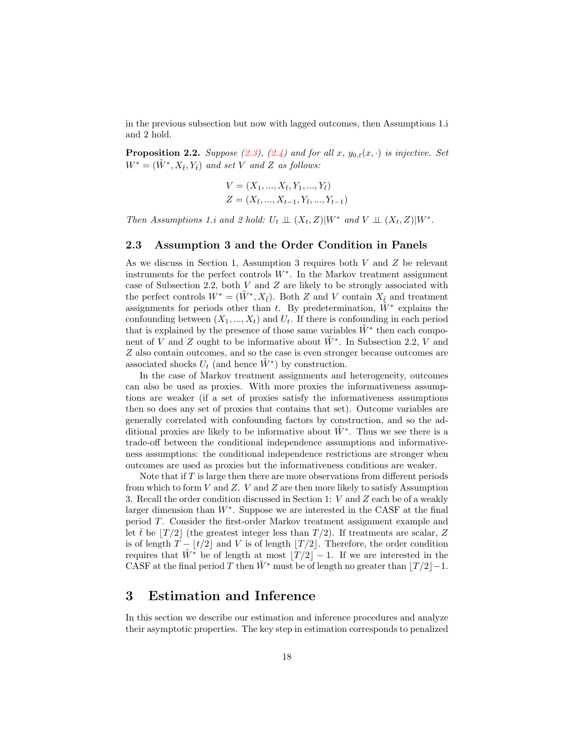in the previous subsection but now with lagged outcomes, then Assumptions 1.i and 2 hold.

**Proposition 2.2.** Suppose [\(2.3\)](#page-16-0), [\(2.4\)](#page-16-1) and for all x,  $y_{0,t}(x, \cdot)$  is injective. Set  $W^* = (\tilde{W}^*, X_{\bar{t}}, Y_{\bar{t}})$  and set V and Z as follows:

$$
V = (X_1, ..., X_{\bar{t}}, Y_1, ..., Y_{\bar{t}})
$$
  

$$
Z = (X_{\bar{t}}, ..., X_{t-1}, Y_{\bar{t}}, ..., Y_{t-1})
$$

Then Assumptions 1.i and 2 hold:  $U_t \perp \!\!\! \perp (X_t, Z)|W^*$  and  $V \perp \!\!\! \perp (X_t, Z)|W^*$ .

### 2.3 Assumption 3 and the Order Condition in Panels

As we discuss in Section 1, Assumption 3 requires both  $V$  and  $Z$  be relevant instruments for the perfect controls W<sup>∗</sup> . In the Markov treatment assignment case of Subsection 2.2, both  $V$  and  $Z$  are likely to be strongly associated with the perfect controls  $W^* = (\tilde{W}^*, X_{\bar{t}})$ . Both Z and V contain  $X_{\bar{t}}$  and treatment assignments for periods other than t. By predetermination,  $\tilde{W}^*$  explains the confounding between  $(X_1, ..., X_t)$  and  $U_t$ . If there is confounding in each period that is explained by the presence of those same variables  $\tilde{W}^*$  then each component of V and Z ought to be informative about  $\tilde{W}^*$ . In Subsection 2.2, V and Z also contain outcomes, and so the case is even stronger because outcomes are associated shocks  $U_t$  (and hence  $\tilde{W}^*$ ) by construction.

In the case of Markov treatment assignments and heterogeneity, outcomes can also be used as proxies. With more proxies the informativeness assumptions are weaker (if a set of proxies satisfy the informativeness assumptions then so does any set of proxies that contains that set). Outcome variables are generally correlated with confounding factors by construction, and so the additional proxies are likely to be informative about  $\tilde{W}^*$ . Thus we see there is a trade-off between the conditional independence assumptions and informativeness assumptions: the conditional independence restrictions are stronger when outcomes are used as proxies but the informativeness conditions are weaker.

Note that if  $T$  is large then there are more observations from different periods from which to form V and Z. V and Z are then more likely to satisfy Assumption 3. Recall the order condition discussed in Section 1: V and Z each be of a weakly larger dimension than  $W^*$ . Suppose we are interested in the CASF at the final period T. Consider the first-order Markov treatment assignment example and let  $\bar{t}$  be  $|T/2|$  (the greatest integer less than  $T/2$ ). If treatments are scalar, Z is of length  $T - |t/2|$  and V is of length  $|T/2|$ . Therefore, the order condition requires that  $\tilde{W}^*$  be of length at most  $|T/2|-1$ . If we are interested in the CASF at the final period T then  $\tilde{W}^*$  must be of length no greater than  $|T/2|-1$ .

### 3 Estimation and Inference

In this section we describe our estimation and inference procedures and analyze their asymptotic properties. The key step in estimation corresponds to penalized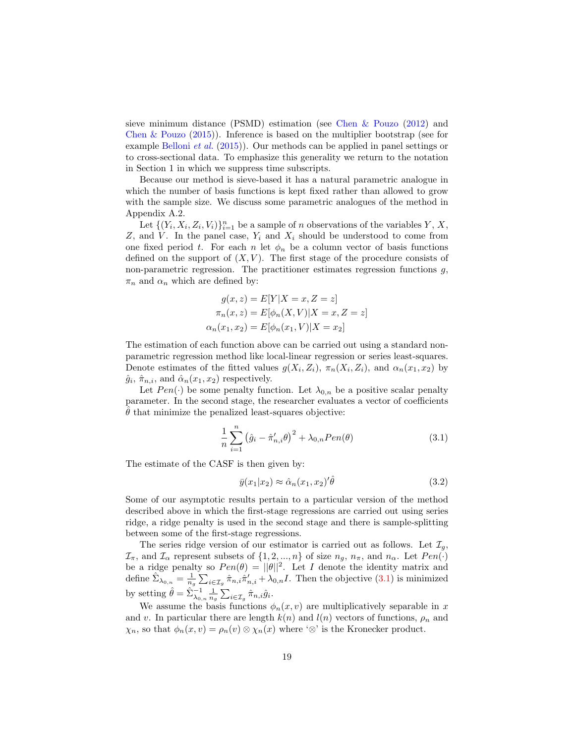sieve minimum distance (PSMD) estimation (see [Chen & Pouzo](#page-30-8) [\(2012\)](#page-30-8) and [Chen & Pouzo](#page-30-9) [\(2015\)](#page-30-9)). Inference is based on the multiplier bootstrap (see for example [Belloni](#page-30-10) et al. [\(2015\)](#page-30-10)). Our methods can be applied in panel settings or to cross-sectional data. To emphasize this generality we return to the notation in Section 1 in which we suppress time subscripts.

Because our method is sieve-based it has a natural parametric analogue in which the number of basis functions is kept fixed rather than allowed to grow with the sample size. We discuss some parametric analogues of the method in Appendix A.2.

Let  $\{(Y_i, X_i, Z_i, V_i)\}_{i=1}^n$  be a sample of n observations of the variables Y, X, Z, and V. In the panel case,  $Y_i$  and  $X_i$  should be understood to come from one fixed period t. For each n let  $\phi_n$  be a column vector of basis functions defined on the support of  $(X, V)$ . The first stage of the procedure consists of non-parametric regression. The practitioner estimates regression functions  $g$ ,  $\pi_n$  and  $\alpha_n$  which are defined by:

$$
g(x, z) = E[Y|X = x, Z = z]
$$

$$
\pi_n(x, z) = E[\phi_n(X, V)|X = x, Z = z]
$$

$$
\alpha_n(x_1, x_2) = E[\phi_n(x_1, V)|X = x_2]
$$

The estimation of each function above can be carried out using a standard nonparametric regression method like local-linear regression or series least-squares. Denote estimates of the fitted values  $g(X_i, Z_i)$ ,  $\pi_n(X_i, Z_i)$ , and  $\alpha_n(x_1, x_2)$  by  $\hat{g}_i$ ,  $\hat{\pi}_{n,i}$ , and  $\hat{\alpha}_n(x_1, x_2)$  respectively.

Let  $Pen(\cdot)$  be some penalty function. Let  $\lambda_{0,n}$  be a positive scalar penalty parameter. In the second stage, the researcher evaluates a vector of coefficients  $\theta$  that minimize the penalized least-squares objective:

<span id="page-18-0"></span>
$$
\frac{1}{n} \sum_{i=1}^{n} (\hat{g}_i - \hat{\pi}'_{n,i} \theta)^2 + \lambda_{0,n} Pen(\theta)
$$
\n(3.1)

The estimate of the CASF is then given by:

<span id="page-18-1"></span>
$$
\bar{y}(x_1|x_2) \approx \hat{\alpha}_n(x_1, x_2)'\hat{\theta}
$$
\n(3.2)

Some of our asymptotic results pertain to a particular version of the method described above in which the first-stage regressions are carried out using series ridge, a ridge penalty is used in the second stage and there is sample-splitting between some of the first-stage regressions.

The series ridge version of our estimator is carried out as follows. Let  $\mathcal{I}_q$ ,  $\mathcal{I}_{\pi}$ , and  $\mathcal{I}_{\alpha}$  represent subsets of  $\{1, 2, ..., n\}$  of size  $n_g$ ,  $n_{\pi}$ , and  $n_{\alpha}$ . Let  $Pen(\cdot)$ be a ridge penalty so  $Pen(\theta) = ||\theta||^2$ . Let I denote the identity matrix and define  $\sum_{\lambda_{0,n}} = \frac{1}{n_g} \sum_{i \in \mathcal{I}_g} \hat{\pi}_{n,i} \hat{\pi}'_{n,i} + \lambda_{0,n}I$ . Then the objective  $(3.1)$  is minimized by setting  $\hat{\theta} = \sum_{\lambda_{0,n}}^{-1} \frac{1}{n_g} \sum_{i \in \mathcal{I}_g} \hat{\pi}_{n,i} \hat{g}_i$ .

We assume the basis functions  $\phi_n(x, v)$  are multiplicatively separable in x and v. In particular there are length  $k(n)$  and  $l(n)$  vectors of functions,  $\rho_n$  and  $\chi_n$ , so that  $\phi_n(x, v) = \rho_n(v) \otimes \chi_n(x)$  where ' $\otimes$ ' is the Kronecker product.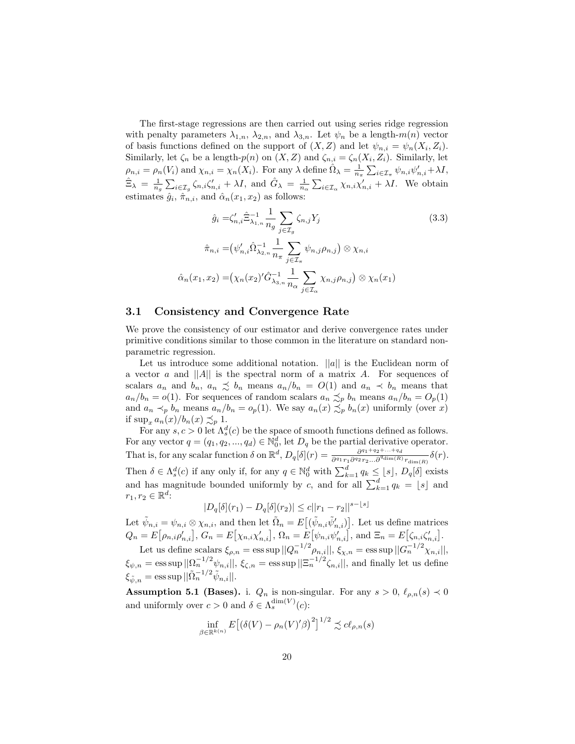The first-stage regressions are then carried out using series ridge regression with penalty parameters  $\lambda_{1,n}$ ,  $\lambda_{2,n}$ , and  $\lambda_{3,n}$ . Let  $\psi_n$  be a length-m(n) vector of basis functions defined on the support of  $(X, Z)$  and let  $\psi_{n,i} = \psi_n(X_i, Z_i)$ . Similarly, let  $\zeta_n$  be a length- $p(n)$  on  $(X, Z)$  and  $\zeta_{n,i} = \zeta_n(X_i, Z_i)$ . Similarly, let  $\rho_{n,i} = \rho_n(V_i)$  and  $\chi_{n,i} = \chi_n(X_i)$ . For any  $\lambda$  define  $\hat{\Omega}_{\lambda} = \frac{1}{n_{\pi}} \sum_{i \in \mathcal{I}_{\pi}} \psi_{n,i} \psi'_{n,i} + \lambda I$ ,  $\hat{\Xi}_{\lambda} = \frac{1}{n_g} \sum_{i \in \mathcal{I}_g} \zeta_{n,i} \zeta'_{n,i} + \lambda I$ , and  $\hat{G}_{\lambda} = \frac{1}{n_\alpha} \sum_{i \in \mathcal{I}_\alpha} \chi_{n,i} \chi'_{n,i} + \lambda I$ . We obtain estimates  $\hat{g}_i$ ,  $\hat{\pi}_{n,i}$ , and  $\hat{\alpha}_n(x_1, x_2)$  as follows:

<span id="page-19-0"></span>
$$
\hat{g}_i = \zeta'_{n,i} \hat{\Xi}_{\lambda_{1,n}}^{-1} \frac{1}{n_g} \sum_{j \in \mathcal{I}_g} \zeta_{n,j} Y_j
$$
\n
$$
\hat{\pi}_{n,i} = (\psi'_{n,i} \hat{\Omega}_{\lambda_{2,n}}^{-1} \frac{1}{n_\pi} \sum_{j \in \mathcal{I}_\pi} \psi_{n,j} \rho_{n,j}) \otimes \chi_{n,i}
$$
\n
$$
\hat{\alpha}_n(x_1, x_2) = (\chi_n(x_2)'\hat{G}_{\lambda_{3,n}}^{-1} \frac{1}{n_\alpha} \sum_{j \in \mathcal{I}_\alpha} \chi_{n,j} \rho_{n,j}) \otimes \chi_n(x_1)
$$
\n
$$
(3.3)
$$

#### 3.1 Consistency and Convergence Rate

We prove the consistency of our estimator and derive convergence rates under primitive conditions similar to those common in the literature on standard nonparametric regression.

Let us introduce some additional notation.  $||a||$  is the Euclidean norm of a vector a and  $||A||$  is the spectral norm of a matrix A. For sequences of scalars  $a_n$  and  $b_n$ ,  $a_n \precsim b_n$  means  $a_n/b_n = O(1)$  and  $a_n \prec b_n$  means that  $a_n/b_n = o(1)$ . For sequences of random scalars  $a_n \precsim_p b_n$  means  $a_n/b_n = O_p(1)$ and  $a_n \prec_p b_n$  means  $a_n/b_n = o_p(1)$ . We say  $a_n(x) \preceq_p b_n(x)$  uniformly (over x) if  $\sup_x a_n(x)/b_n(x) \preceq_p 1$ .

For any  $s, c > 0$  let  $\Lambda_s^d(c)$  be the space of smooth functions defined as follows. For any vector  $q = (q_1, q_2, ..., q_d) \in \mathbb{N}_0^d$ , let  $D_q$  be the partial derivative operator. That is, for any scalar function  $\delta$  on  $\mathbb{R}^d$ ,  $D_q[\delta](r) = \frac{\partial^{q_1+q_2+\ldots+q_d}}{\partial^{q_1}r, \partial^{q_2}r_0}$  $\frac{\partial^{q_1+q_2+\cdots+q_d}}{\partial^{q_1}r_1\partial^{q_2}r_2\ldots\partial^{q_{\dim}(R)}r_{\dim(R)}}\delta(r).$ Then  $\delta \in \Lambda_s^d(c)$  if any only if, for any  $q \in \mathbb{N}_0^d$  with  $\sum_{k=1}^d q_k \leq \lfloor s \rfloor$ ,  $D_q[\delta]$  exists and has magnitude bounded uniformly by c, and for all  $\sum_{k=1}^{d} q_k = \lfloor s \rfloor$  and  $r_1, r_2 \in \mathbb{R}^d$ :

$$
|D_q[\delta](r_1) - D_q[\delta](r_2)| \le c||r_1 - r_2||^{s - \lfloor s \rfloor}
$$

Let  $\tilde{\psi}_{n,i} = \psi_{n,i} \otimes \chi_{n,i}$ , and then let  $\tilde{\Omega}_n = E[(\tilde{\psi}_{n,i}\tilde{\psi}'_{n,i})]$ . Let us define matrices  $Q_n = E[\rho_{n,i}\rho'_{n,i}], G_n = E[\chi_{n,i}\chi'_{n,i}], \Omega_n = E[\psi_{n,i}\psi'_{n,i}], \text{ and } \Xi_n = E[\zeta_{n,i}\zeta'_{n,i}].$ 

Let us define scalars  $\xi_{\rho,n} = \text{ess}\sup ||Q_n^{-1/2}\rho_{n,i}||$ ,  $\xi_{\chi,n} = \text{ess}\sup ||G_n^{-1/2}\chi_{n,i}||$ ,  $\xi_{\psi,n} = \operatorname{ess} \operatorname{sup} ||\Omega_n^{-1/2} \psi_{n,i}||, \, \xi_{\zeta,n} = \operatorname{ess} \operatorname{sup} ||\Xi_n^{-1/2} \zeta_{n,i}||,$  and finally let us define  $\xi_{\tilde{\psi},n} = \operatorname{ess} \operatorname{sup} ||\tilde{\Omega}_n^{-1/2} \tilde{\psi}_{n,i}||.$ 

**Assumption 5.1 (Bases).** i.  $Q_n$  is non-singular. For any  $s > 0$ ,  $\ell_{\rho,n}(s) \prec 0$ and uniformly over  $c > 0$  and  $\delta \in \Lambda_s^{\dim(V)}(c)$ :

$$
\inf_{\beta \in \mathbb{R}^{k(n)}} E\big[ \big(\delta(V) - \rho_n(V)'\beta\big)^2 \big]^{1/2} \precsim c\ell_{\rho,n}(s)
$$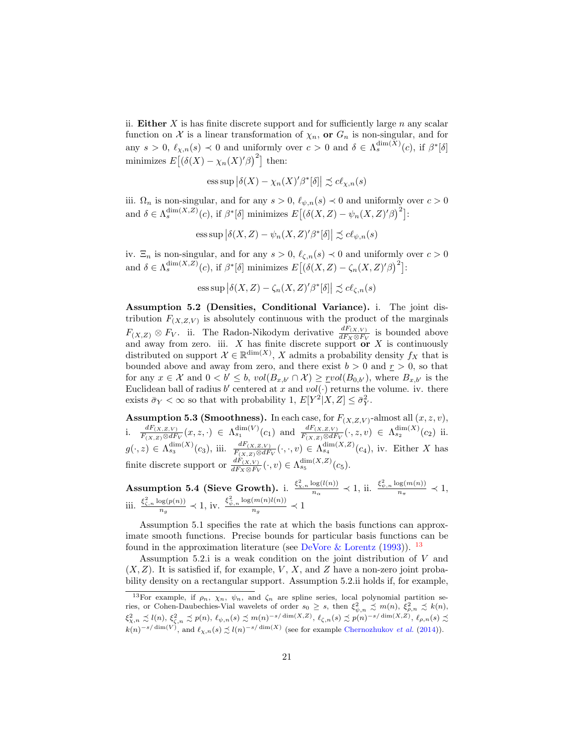ii. Either X is has finite discrete support and for sufficiently large  $n$  any scalar function on X is a linear transformation of  $\chi_n$ , or  $G_n$  is non-singular, and for any  $s > 0$ ,  $\ell_{\chi,n}(s) \prec 0$  and uniformly over  $c > 0$  and  $\delta \in \Lambda_s^{\dim(X)}(c)$ , if  $\beta^*[\delta]$ minimizes  $E[(\delta(X) - \chi_n(X)'\beta)^2]$  then:

ess sup 
$$
|\delta(X) - \chi_n(X)'\beta^*[\delta]| \precsim cl_{\chi,n}(s)
$$

iii.  $\Omega_n$  is non-singular, and for any  $s > 0$ ,  $\ell_{\psi,n}(s) \prec 0$  and uniformly over  $c > 0$ and  $\delta \in \Lambda_s^{\dim(X,Z)}(c)$ , if  $\beta^*[\delta]$  minimizes  $E[(\delta(X,Z) - \psi_n(X,Z)'\beta)^2]$ :

ess sup 
$$
|\delta(X, Z) - \psi_n(X, Z)'\beta^*[\delta]| \preceq cl_{\psi,n}(s)
$$

iv.  $\Xi_n$  is non-singular, and for any  $s > 0$ ,  $\ell_{\zeta,n}(s) \prec 0$  and uniformly over  $c > 0$ and  $\delta \in \Lambda_s^{\dim(X,Z)}(c)$ , if  $\beta^*[\delta]$  minimizes  $E[(\delta(X,Z) - \zeta_n(X,Z)'\beta)^2]$ :

ess sup 
$$
|\delta(X, Z) - \zeta_n(X, Z)'\beta^*[\delta]| \precsim cl_{\zeta, n}(s)
$$

Assumption 5.2 (Densities, Conditional Variance). i. The joint distribution  $F_{(X,Z,V)}$  is absolutely continuous with the product of the marginals  $F_{(X,Z)} \otimes F_V$ . ii. The Radon-Nikodym derivative  $\frac{dF_{(X,V)}}{dF_X \otimes F_V}$  is bounded above and away from zero. iii.  $X$  has finite discrete support or  $X$  is continuously distributed on support  $\mathcal{X} \in \mathbb{R}^{\dim(X)}$ , X admits a probability density  $f_X$  that is bounded above and away from zero, and there exist  $b > 0$  and  $r > 0$ , so that for any  $x \in \mathcal{X}$  and  $0 < b' \leq b$ ,  $vol(B_{x,b'} \cap \mathcal{X}) \geq \text{r}vol(B_{0,b'})$ , where  $B_{x,b'}$  is the Euclidean ball of radius b' centered at x and  $vol(\cdot)$  returns the volume. iv. there exists  $\bar{\sigma}_Y < \infty$  so that with probability 1,  $E[Y^2|X, Z] \leq \bar{\sigma}_Y^2$ .

**Assumption 5.3 (Smoothness).** In each case, for  $F_{(X,Z,V)}$ -almost all  $(x, z, v)$ , i.  $\frac{dF_{(X,Z,V)}}{F_{(X,Z)} \otimes dF_V}(x,z,\cdot) \in \Lambda_{s_1}^{\dim(V)}(c_1)$  and  $\frac{dF_{(X,Z,V)}}{F_{(X,Z)} \otimes dF_V}(\cdot,z,v) \in \Lambda_{s_2}^{\dim(X)}(c_2)$  ii.  $g(\cdot, z) \in \Lambda_{s_3}^{\dim(X)}(c_3)$ , iii.  $\frac{dF(x, z, v)}{F(x, z) \otimes dF_V}(\cdot, \cdot, v) \in \Lambda_{s_4}^{\dim(X, Z)}(c_4)$ , iv. Either X has finite discrete support or  $\frac{dF_{(X,V)}}{dF_X \otimes F_V}(\cdot, v) \in \Lambda_{s_5}^{\dim(X,Z)}(c_5)$ .

**Assumption 5.4 (Sieve Growth).** i.  $\frac{\xi_{\chi,n}^2 \log(l(n))}{n}$  $\frac{\log(l(n))}{n_{\alpha}} \prec 1$ , ii.  $\frac{\xi_{\psi,n}^2 \log(m(n))}{n_{\pi}}$  $\frac{n_{\pi}^{(m(n))}}{n_{\pi}} \prec 1,$ iii.  $\frac{\xi_{\zeta,n}^2 \log(p(n))}{n}$  $\frac{\log(p(n))}{n_g} \prec 1$ , iv.  $\frac{\xi_{\psi,n}^2 \log(m(n)l(n))}{n_g}$  $\frac{m(n)\epsilon(n)}{n_g} \prec 1$ 

Assumption 5.1 specifies the rate at which the basis functions can approximate smooth functions. Precise bounds for particular basis functions can be found in the approximation literature (see DeVore  $\&$  Lorentz [\(1993\)](#page-31-12)). <sup>[13](#page-20-0)</sup>

Assumption 5.2.i is a weak condition on the joint distribution of V and  $(X, Z)$ . It is satisfied if, for example, V, X, and Z have a non-zero joint probability density on a rectangular support. Assumption 5.2.ii holds if, for example,

<span id="page-20-0"></span><sup>&</sup>lt;sup>13</sup>For example, if  $\rho_n$ ,  $\chi_n$ ,  $\psi_n$ , and  $\zeta_n$  are spline series, local polynomial partition series, or Cohen-Daubechies-Vial wavelets of order  $s_0 \geq s$ , then  $\xi_{\psi,n}^2 \precsim m(n)$ ,  $\xi_{\rho,n}^2 \precsim k(n)$ ,  $\xi^2_{\chi,n} \precsim l(n), \, \xi^2_{\zeta,n} \precsim p(n), \, \ell_{\psi,n}(s) \precsim m(n)^{-s/\dim(X,Z)}, \, \ell_{\zeta,n}(s) \precsim p(n)^{-s/\dim(X,Z)}, \, \ell_{\rho,n}(s) \precsim p(n)$  $k(n)^{-s/\dim(V)}$ , and  $\ell_{\chi,n}(s) \precsim l(n)^{-s/\dim(X)}$  (see for example [Chernozhukov](#page-30-11) *et al.* [\(2014\)](#page-30-11)).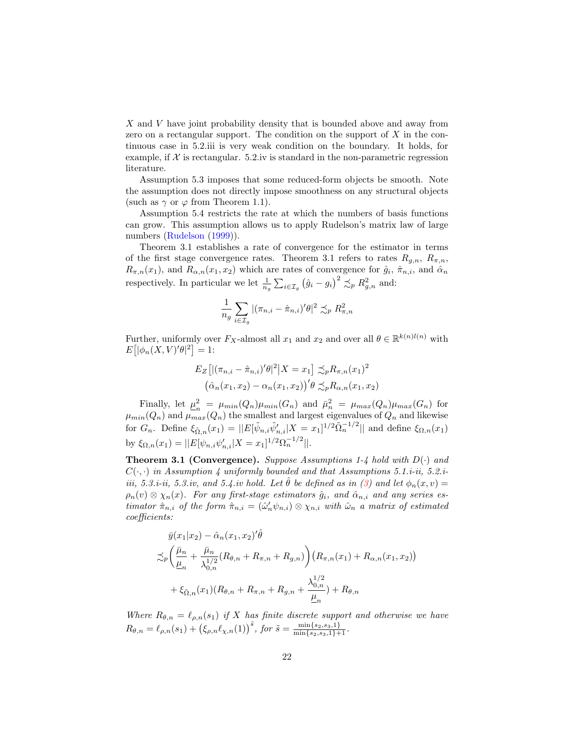X and V have joint probability density that is bounded above and away from zero on a rectangular support. The condition on the support of  $X$  in the continuous case in 5.2.iii is very weak condition on the boundary. It holds, for example, if  $\mathcal X$  is rectangular. 5.2.iv is standard in the non-parametric regression literature.

Assumption 5.3 imposes that some reduced-form objects be smooth. Note the assumption does not directly impose smoothness on any structural objects (such as  $\gamma$  or  $\varphi$  from Theorem 1.1).

Assumption 5.4 restricts the rate at which the numbers of basis functions can grow. This assumption allows us to apply Rudelson's matrix law of large numbers [\(Rudelson](#page-32-10) [\(1999\)](#page-32-10)).

Theorem 3.1 establishes a rate of convergence for the estimator in terms of the first stage convergence rates. Theorem 3.1 refers to rates  $R_{g,n}$ ,  $R_{\pi,n}$ ,  $R_{\pi,n}(x_1)$ , and  $R_{\alpha,n}(x_1,x_2)$  which are rates of convergence for  $\hat{g}_i$ ,  $\hat{\pi}_{n,i}$ , and  $\hat{\alpha}_n$ respectively. In particular we let  $\frac{1}{n_g} \sum_{i \in \mathcal{I}_g} (\hat{g}_i - g_i)^2 \precsim_p R_{g,n}^2$  and:

$$
\frac{1}{n_g}\sum_{i\in\mathcal{I}_g}|(\pi_{n,i}-\hat{\pi}_{n,i})'\theta|^2\precsim_pR^2_{\pi,n}
$$

Further, uniformly over  $F_X$ -almost all  $x_1$  and  $x_2$  and over all  $\theta \in \mathbb{R}^{k(n)l(n)}$  with  $E\big[|\phi_n(X,V)'\theta|^2\big] = 1:$ 

$$
E_Z\left[\left|\left(\pi_{n,i} - \hat{\pi}_{n,i}\right)'\theta\right|^2 \middle| X = x_1\right] \preceq_p R_{\pi,n}(x_1)^2
$$

$$
\left(\hat{\alpha}_n(x_1, x_2) - \alpha_n(x_1, x_2)\right)' \theta \preceq_p R_{\alpha,n}(x_1, x_2)
$$

Finally, let  $\mu^2$  $\mu_n^2 = \mu_{min}(Q_n)\mu_{min}(G_n)$  and  $\bar{\mu}_n^2 = \mu_{max}(Q_n)\mu_{max}(G_n)$  for  $\mu_{min}(Q_n)$  and  $\mu_{max}(Q_n)$  the smallest and largest eigenvalues of  $Q_n$  and likewise for  $G_n$ . Define  $\xi_{\tilde{\Omega},n}(x_1) = ||E[\tilde{\psi}_{n,i}\tilde{\psi}'_{n,i}|X=x_1]^{1/2}\tilde{\Omega}_n^{-1/2}||$  and define  $\xi_{\Omega,n}(x_1)$ by  $\xi_{\Omega,n}(x_1) = ||E[\psi_{n,i}\psi'_{n,i}|X=x_1]^{1/2}\Omega_n^{-1/2}||.$ 

**Theorem 3.1 (Convergence).** Suppose Assumptions 1-4 hold with  $D(\cdot)$  and  $C(\cdot, \cdot)$  in Assumption 4 uniformly bounded and that Assumptions 5.1.i-ii, 5.2.iiii, 5.3.i-ii, 5.3.iv, and 5.4.iv hold. Let  $\hat{\theta}$  be defined as in [\(3\)](#page-18-1) and let  $\phi_n(x, v) =$  $\rho_n(v) \otimes \chi_n(x)$ . For any first-stage estimators  $\hat{g}_i$ , and  $\hat{\alpha}_{n,i}$  and any series estimator  $\hat{\pi}_{n,i}$  of the form  $\hat{\pi}_{n,i} = (\hat{\omega}'_n \psi_{n,i}) \otimes \chi_{n,i}$  with  $\hat{\omega}_n$  a matrix of estimated coefficients:

$$
\bar{y}(x_1|x_2) - \hat{\alpha}_n(x_1, x_2)'\hat{\theta} \n\lesssim_p \left( \frac{\bar{\mu}_n}{\underline{\mu}_n} + \frac{\bar{\mu}_n}{\lambda_{0,n}^{1/2}} (R_{\theta,n} + R_{\pi,n} + R_{g,n}) \right) \left( R_{\pi,n}(x_1) + R_{\alpha,n}(x_1, x_2) \right) \n+ \xi_{\tilde{\Omega},n}(x_1) (R_{\theta,n} + R_{\pi,n} + R_{g,n} + \frac{\lambda_{0,n}^{1/2}}{\underline{\mu}_n}) + R_{\theta,n}
$$

Where  $R_{\theta,n} = \ell_{\rho,n}(s_1)$  if X has finite discrete support and otherwise we have  $R_{\theta,n} = \ell_{\rho,n}(s_1) + (\xi_{\rho,n}\ell_{\chi,n}(1))^{\tilde{s}},$  for  $\tilde{s} = \frac{\min\{s_2,s_3,1\}}{\min\{s_2,s_3,1\}+1}.$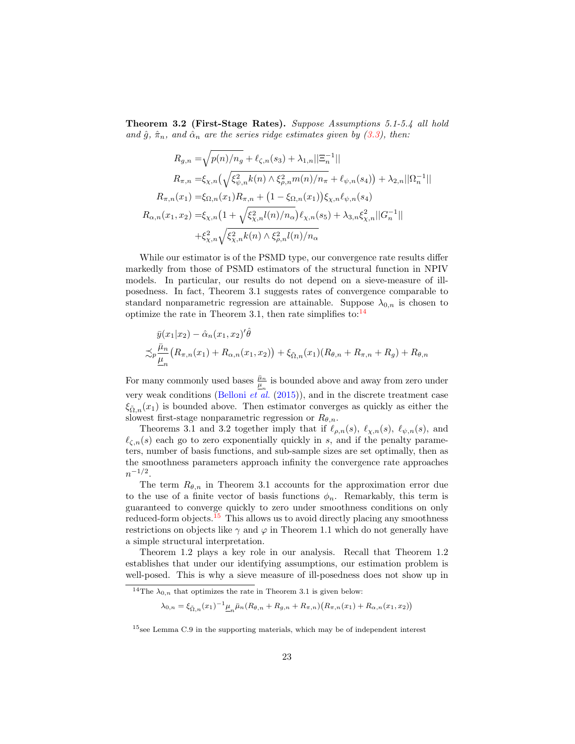Theorem 3.2 (First-Stage Rates). Suppose Assumptions 5.1-5.4 all hold and  $\hat{g}, \hat{\pi}_n$ , and  $\hat{\alpha}_n$  are the series ridge estimates given by [\(3.3\)](#page-19-0), then:

$$
R_{g,n} = \sqrt{p(n)/n_g} + \ell_{\zeta,n}(s_3) + \lambda_{1,n}||\Xi_n^{-1}||
$$
  
\n
$$
R_{\pi,n} = \xi_{\chi,n} \left( \sqrt{\xi_{\psi,n}^2 k(n) \wedge \xi_{\rho,n}^2 m(n)/n_\pi} + \ell_{\psi,n}(s_4) \right) + \lambda_{2,n}||\Omega_n^{-1}||
$$
  
\n
$$
R_{\pi,n}(x_1) = \xi_{\Omega,n}(x_1)R_{\pi,n} + (1 - \xi_{\Omega,n}(x_1))\xi_{\chi,n}\ell_{\psi,n}(s_4)
$$
  
\n
$$
R_{\alpha,n}(x_1, x_2) = \xi_{\chi,n} \left(1 + \sqrt{\xi_{\chi,n}^2 l(n)/n_\alpha}\right) \ell_{\chi,n}(s_5) + \lambda_{3,n}\xi_{\chi,n}^2||G_n^{-1}||
$$
  
\n
$$
+ \xi_{\chi,n}^2 \sqrt{\xi_{\chi,n}^2 k(n) \wedge \xi_{\rho,n}^2 l(n)/n_\alpha}
$$

While our estimator is of the PSMD type, our convergence rate results differ markedly from those of PSMD estimators of the structural function in NPIV models. In particular, our results do not depend on a sieve-measure of illposedness. In fact, Theorem 3.1 suggests rates of convergence comparable to standard nonparametric regression are attainable. Suppose  $\lambda_{0,n}$  is chosen to optimize the rate in Theorem 3.1, then rate simplifies to: $^{14}$  $^{14}$  $^{14}$ 

$$
\bar{y}(x_1|x_2) - \hat{\alpha}_n(x_1, x_2)'\hat{\theta} \n\lesssim_P \frac{\bar{\mu}_n}{\underline{\mu}_n} (R_{\pi,n}(x_1) + R_{\alpha,n}(x_1, x_2)) + \xi_{\tilde{\Omega},n}(x_1)(R_{\theta,n} + R_{\pi,n} + R_g) + R_{\theta,n}
$$

For many commonly used bases  $\frac{\bar{\mu}_n}{\mu_n}$  is bounded above and away from zero under very weak conditions [\(Belloni](#page-30-10) *et*  $\ddot{a}l$ *.* [\(2015\)](#page-30-10)), and in the discrete treatment case  $\xi_{\tilde{\Omega},n}(x_1)$  is bounded above. Then estimator converges as quickly as either the slowest first-stage nonparametric regression or  $R_{\theta,n}$ .

Theorems 3.1 and 3.2 together imply that if  $\ell_{\rho,n}(s)$ ,  $\ell_{\chi,n}(s)$ ,  $\ell_{\psi,n}(s)$ , and  $\ell_{\mathcal{L},n}(s)$  each go to zero exponentially quickly in s, and if the penalty parameters, number of basis functions, and sub-sample sizes are set optimally, then as the smoothness parameters approach infinity the convergence rate approaches  $n^{-1/2}$ .

The term  $R_{\theta,n}$  in Theorem 3.1 accounts for the approximation error due to the use of a finite vector of basis functions  $\phi_n$ . Remarkably, this term is guaranteed to converge quickly to zero under smoothness conditions on only reduced-form objects.<sup>[15](#page-22-1)</sup> This allows us to avoid directly placing any smoothness restrictions on objects like  $\gamma$  and  $\varphi$  in Theorem 1.1 which do not generally have a simple structural interpretation.

Theorem 1.2 plays a key role in our analysis. Recall that Theorem 1.2 establishes that under our identifying assumptions, our estimation problem is well-posed. This is why a sieve measure of ill-posedness does not show up in

 $\lambda_{0,n} = \xi_{\tilde{\Omega},n}(x_1)^{-1} \underline{\mu}_n \bar{\mu}_n (R_{\theta,n} + R_{g,n} + R_{\pi,n}) (R_{\pi,n}(x_1) + R_{\alpha,n}(x_1, x_2))$ 

<span id="page-22-0"></span><sup>&</sup>lt;sup>14</sup>The  $\lambda_{0,n}$  that optimizes the rate in Theorem 3.1 is given below:

<span id="page-22-1"></span> $15$ see Lemma C.9 in the supporting materials, which may be of independent interest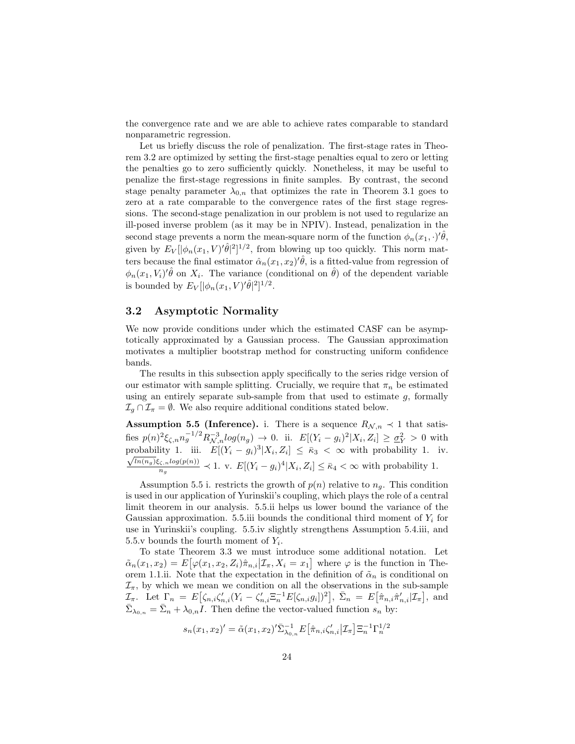the convergence rate and we are able to achieve rates comparable to standard nonparametric regression.

Let us briefly discuss the role of penalization. The first-stage rates in Theorem 3.2 are optimized by setting the first-stage penalties equal to zero or letting the penalties go to zero sufficiently quickly. Nonetheless, it may be useful to penalize the first-stage regressions in finite samples. By contrast, the second stage penalty parameter  $\lambda_{0,n}$  that optimizes the rate in Theorem 3.1 goes to zero at a rate comparable to the convergence rates of the first stage regressions. The second-stage penalization in our problem is not used to regularize an ill-posed inverse problem (as it may be in NPIV). Instead, penalization in the second stage prevents a norm the mean-square norm of the function  $\phi_n(x_1, \cdot)'\hat{\theta}$ , given by  $E_V[|\phi_n(x_1, V)'\hat{\theta}|^2]^{1/2}$ , from blowing up too quickly. This norm matters because the final estimator  $\hat{\alpha}_n(x_1, x_2)'\hat{\theta}$ , is a fitted-value from regression of  $\phi_n(x_1, V_i)'\hat{\theta}$  on  $X_i$ . The variance (conditional on  $\hat{\theta}$ ) of the dependent variable is bounded by  $E_V[|\phi_n(x_1, V)' \hat{\theta}|^2]^{1/2}$ .

### 3.2 Asymptotic Normality

We now provide conditions under which the estimated CASF can be asymptotically approximated by a Gaussian process. The Gaussian approximation motivates a multiplier bootstrap method for constructing uniform confidence bands.

The results in this subsection apply specifically to the series ridge version of our estimator with sample splitting. Crucially, we require that  $\pi_n$  be estimated using an entirely separate sub-sample from that used to estimate  $g$ , formally  $\mathcal{I}_g \cap \mathcal{I}_{\pi} = \emptyset$ . We also require additional conditions stated below.

Assumption 5.5 (Inference). i. There is a sequence  $R_{\mathcal{N},n} \prec 1$  that satisfies  $p(n)^2 \xi_{\zeta,n} n_g^{-1/2} R_{\mathcal{N},n}^{-3} log(n_g) \to 0$ . ii.  $E[(Y_i - g_i)^2 | X_i, Z_i] \ge \underline{\sigma}_Y^2 > 0$  with probability 1. iii.  $E[(Y_i - g_i)^3 | X_i, Z_i] \leq \bar{\kappa}_3 < \infty$  with probability 1. iv.  $ln(n_g) \xi_{\zeta,n} log(p(n))$  $\frac{\zeta_{i} n \log(p(n))}{n_g} \prec 1$ . v.  $E[(Y_i - g_i)^4 | X_i, Z_i] \leq \bar{\kappa}_4 < \infty$  with probability 1.

Assumption 5.5 i. restricts the growth of  $p(n)$  relative to  $n<sub>g</sub>$ . This condition is used in our application of Yurinskii's coupling, which plays the role of a central limit theorem in our analysis. 5.5.ii helps us lower bound the variance of the Gaussian approximation. 5.5.iii bounds the conditional third moment of  $Y_i$  for use in Yurinskii's coupling. 5.5.iv slightly strengthens Assumption 5.4.iii, and 5.5.v bounds the fourth moment of  $Y_i$ .

To state Theorem 3.3 we must introduce some additional notation. Let  $\tilde{\alpha}_n(x_1, x_2) = E\big[\varphi(x_1, x_2, Z_i)\hat{\pi}_{n,i} | \mathcal{I}_\pi, X_i = x_1\big]$  where  $\varphi$  is the function in Theorem 1.1.ii. Note that the expectation in the definition of  $\tilde{\alpha}_n$  is conditional on  $\mathcal{I}_{\pi}$ , by which we mean we condition on all the observations in the sub-sample  $\mathcal{I}_{\pi}$ . Let  $\Gamma_n = E\big[\zeta_{n,i}\zeta'_{n,i}(Y_i - \zeta'_{n,i}\Xi_n^{-1}E[\zeta_{n,i}g_i])^2\big], \ \bar{\Sigma}_n = E\big[\hat{\pi}_{n,i}\hat{\pi}'_{n,i}|\mathcal{I}_{\pi}\big],$  and  $\bar{\Sigma}_{\lambda_{0,n}} = \bar{\Sigma}_n + \lambda_{0,n}I$ . Then define the vector-valued function  $s_n$  by:

$$
s_n(x_1, x_2)' = \tilde{\alpha}(x_1, x_2)' \bar{\Sigma}_{\lambda_{0,n}}^{-1} E\big[\hat{\pi}_{n,i} \zeta'_{n,i} \big| \mathcal{I}_{\pi} \big] \Xi_n^{-1} \Gamma_n^{1/2}
$$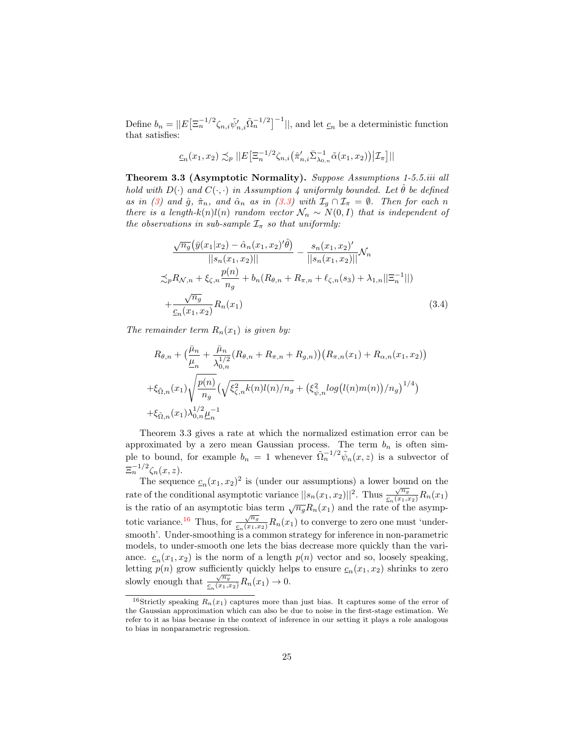Define  $b_n = ||E\left[\Xi_n^{-1/2} \zeta_{n,i} \tilde{\psi}'_{n,i} \tilde{\Omega}_n^{-1/2}\right]^{-1}||$ , and let  $\underline{c}_n$  be a deterministic function that satisfies:

$$
\underline{c}_n(x_1, x_2) \precsim_p ||E\big[\Xi_n^{-1/2} \zeta_{n,i}(\hat{\pi}'_{n,i} \bar{\Sigma}_{\lambda_{0,n}}^{-1} \tilde{\alpha}(x_1, x_2)) | \mathcal{I}_{\pi} \big] ||
$$

Theorem 3.3 (Asymptotic Normality). Suppose Assumptions 1-5.5.iii all hold with  $D(\cdot)$  and  $C(\cdot, \cdot)$  in Assumption 4 uniformly bounded. Let  $\hat{\theta}$  be defined as in [\(3\)](#page-18-1) and  $\hat{g}$ ,  $\hat{\pi}_n$ , and  $\hat{\alpha}_n$  as in [\(3.3\)](#page-19-0) with  $\mathcal{I}_q \cap \mathcal{I}_\pi = \emptyset$ . Then for each n there is a length-k(n)l(n) random vector  $\mathcal{N}_n \sim N(0, I)$  that is independent of the observations in sub-sample  $\mathcal{I}_{\pi}$  so that uniformly:

<span id="page-24-1"></span>
$$
\frac{\sqrt{n_g}(\bar{y}(x_1|x_2) - \hat{\alpha}_n(x_1, x_2)'\hat{\theta})}{||s_n(x_1, x_2)||} - \frac{s_n(x_1, x_2)'}{||s_n(x_1, x_2)||} \mathcal{N}_n
$$
  

$$
\lesssim_p R_{\mathcal{N}, n} + \xi_{\zeta, n} \frac{p(n)}{n_g} + b_n(R_{\theta, n} + R_{\pi, n} + \ell_{\zeta, n}(s_3) + \lambda_{1, n}||\Xi_n^{-1}||)
$$
  

$$
+ \frac{\sqrt{n_g}}{\underline{c}_n(x_1, x_2)} R_n(x_1) \tag{3.4}
$$

The remainder term  $R_n(x_1)$  is given by:

$$
R_{\theta,n} + \left(\frac{\bar{\mu}_n}{\underline{\mu}_n} + \frac{\bar{\mu}_n}{\lambda_{0,n}^{1/2}} (R_{\theta,n} + R_{\pi,n} + R_{g,n})\right) \left(R_{\pi,n}(x_1) + R_{\alpha,n}(x_1, x_2)\right)
$$
  
+
$$
\xi_{\tilde{\Omega},n}(x_1) \sqrt{\frac{p(n)}{n_g}} \left(\sqrt{\xi_{\zeta,n}^2 k(n)l(n)/n_g} + \left(\xi_{\tilde{\psi},n}^2 log(l(n)m(n))/n_g\right)^{1/4}\right)
$$
  
+
$$
\xi_{\tilde{\Omega},n}(x_1) \lambda_{0,n}^{1/2} \underline{\mu}_n^{-1}
$$

Theorem 3.3 gives a rate at which the normalized estimation error can be approximated by a zero mean Gaussian process. The term  $b_n$  is often simple to bound, for example  $b_n = 1$  whenever  $\tilde{\Omega}_n^{-1/2} \tilde{\psi}_n(x, z)$  is a subvector of  $\Xi_n^{-1/2}\zeta_n(x,z).$ 

The sequence  $\underline{c}_n(x_1, x_2)^2$  is (under our assumptions) a lower bound on the rate of the conditional asymptotic variance  $||s_n(x_1, x_2)||^2$ . Thus  $\frac{\sqrt{n_g}}{c_n(x_1, x_2)}R_n(x_1)$ is the ratio of an asymptotic bias term  $\sqrt{n_g}R_n(x_1)$  and the rate of the asymp-totic variance.<sup>[16](#page-24-0)</sup> Thus, for  $\frac{\sqrt{n_g}}{c_n(x_1,x_2)}R_n(x_1)$  to converge to zero one must 'undersmooth'. Under-smoothing is a common strategy for inference in non-parametric models, to under-smooth one lets the bias decrease more quickly than the variance.  $c_n(x_1, x_2)$  is the norm of a length  $p(n)$  vector and so, loosely speaking, letting  $p(n)$  grow sufficiently quickly helps to ensure  $c_n(x_1, x_2)$  shrinks to zero slowly enough that  $\frac{\sqrt{n_g}}{6\sqrt{x_g}}$  $\frac{\sqrt{n_g}}{c_n(x_1,x_2)}R_n(x_1) \to 0.$ 

<span id="page-24-0"></span><sup>&</sup>lt;sup>16</sup>Strictly speaking  $R_n(x_1)$  captures more than just bias. It captures some of the error of the Gaussian approximation which can also be due to noise in the first-stage estimation. We refer to it as bias because in the context of inference in our setting it plays a role analogous to bias in nonparametric regression.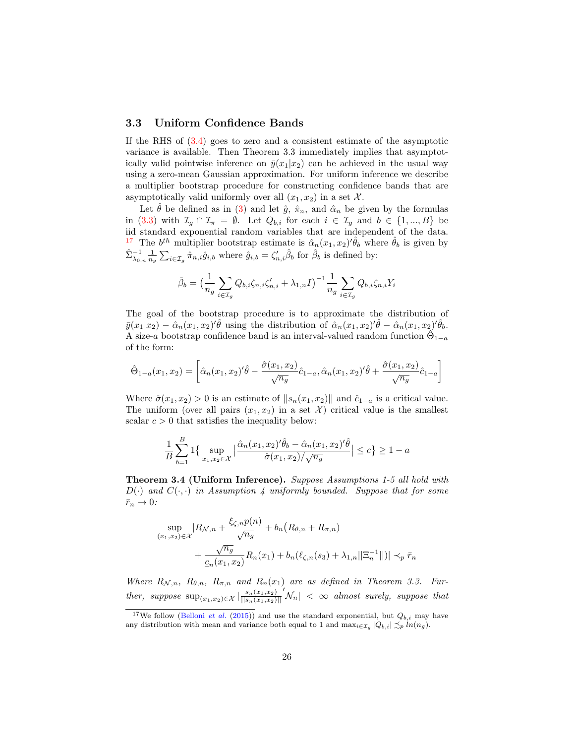#### 3.3 Uniform Confidence Bands

If the RHS of [\(3.4\)](#page-24-1) goes to zero and a consistent estimate of the asymptotic variance is available. Then Theorem 3.3 immediately implies that asymptotically valid pointwise inference on  $\bar{y}(x_1|x_2)$  can be achieved in the usual way using a zero-mean Gaussian approximation. For uniform inference we describe a multiplier bootstrap procedure for constructing confidence bands that are asymptotically valid uniformly over all  $(x_1, x_2)$  in a set X.

Let  $\hat{\theta}$  be defined as in [\(3\)](#page-18-1) and let  $\hat{g}$ ,  $\hat{\pi}_n$ , and  $\hat{\alpha}_n$  be given by the formulas in [\(3.3\)](#page-19-0) with  $\mathcal{I}_g \cap \mathcal{I}_{\pi} = \emptyset$ . Let  $Q_{b,i}$  for each  $i \in \mathcal{I}_g$  and  $b \in \{1, ..., B\}$  be iid standard exponential random variables that are independent of the data. <sup>[17](#page-25-0)</sup> The  $b^{th}$  multiplier bootstrap estimate is  $\hat{\alpha}_n(x_1, x_2)'\hat{\theta}_b$  where  $\hat{\theta}_b$  is given by  $\hat{\Sigma}_{\lambda_{0,n}}^{-1} \frac{1}{n_q} \sum_{i \in \mathcal{I}_g} \hat{\pi}_{n,i} \hat{g}_{i,b}$  where  $\hat{g}_{i,b} = \zeta'_{n,i} \hat{\beta}_b$  for  $\hat{\beta}_b$  is defined by:

$$
\hat{\beta}_b = \left(\frac{1}{n_g} \sum_{i \in \mathcal{I}_g} Q_{b,i} \zeta_{n,i} \zeta'_{n,i} + \lambda_{1,n} I\right)^{-1} \frac{1}{n_g} \sum_{i \in \mathcal{I}_g} Q_{b,i} \zeta_{n,i} Y_i
$$

The goal of the bootstrap procedure is to approximate the distribution of  $\bar{y}(x_1|x_2) - \hat{\alpha}_n(x_1,x_2)'\hat{\theta}$  using the distribution of  $\hat{\alpha}_n(x_1,x_2)'\hat{\theta} - \hat{\alpha}_n(x_1,x_2)'\hat{\theta}_b$ . A size-a bootstrap confidence band is an interval-valued random function  $\hat{\Theta}_{1-a}$ of the form:

$$
\hat{\Theta}_{1-a}(x_1, x_2) = \left[ \hat{\alpha}_n(x_1, x_2)' \hat{\theta} - \frac{\hat{\sigma}(x_1, x_2)}{\sqrt{n_g}} \hat{c}_{1-a}, \hat{\alpha}_n(x_1, x_2)' \hat{\theta} + \frac{\hat{\sigma}(x_1, x_2)}{\sqrt{n_g}} \hat{c}_{1-a} \right]
$$

Where  $\hat{\sigma}(x_1, x_2) > 0$  is an estimate of  $||s_n(x_1, x_2)||$  and  $\hat{c}_{1-a}$  is a critical value. The uniform (over all pairs  $(x_1, x_2)$  in a set X) critical value is the smallest scalar  $c > 0$  that satisfies the inequality below:

$$
\frac{1}{B} \sum_{b=1}^{B} 1 \Big\{ \sup_{x_1, x_2 \in \mathcal{X}} \Big| \frac{\hat{\alpha}_n(x_1, x_2)'\hat{\theta}_b - \hat{\alpha}_n(x_1, x_2)'\hat{\theta}}{\hat{\sigma}(x_1, x_2) / \sqrt{n_g}} \Big| \le c \Big\} \ge 1 - a
$$

Theorem 3.4 (Uniform Inference). Suppose Assumptions 1-5 all hold with  $D(\cdot)$  and  $C(\cdot, \cdot)$  in Assumption 4 uniformly bounded. Suppose that for some  $\bar{r}_n \to 0$ :

$$
\sup_{(x_1,x_2)\in\mathcal{X}} |R_{\mathcal{N},n} + \frac{\xi_{\zeta,n}p(n)}{\sqrt{n_g}} + b_n (R_{\theta,n} + R_{\pi,n}) + \frac{\sqrt{n_g}}{\underline{c}_n(x_1,x_2)} R_n(x_1) + b_n(\ell_{\zeta,n}(s_3) + \lambda_{1,n}||\Xi_n^{-1}||)| \prec_p \bar{r}_n
$$

Where  $R_{\mathcal{N},n}$ ,  $R_{\theta,n}$ ,  $R_{\pi,n}$  and  $R_n(x_1)$  are as defined in Theorem 3.3. Further, suppose  $\sup_{(x_1,x_2)\in\mathcal{X}}\left|\frac{s_n(x_1,x_2)}{\left|\left|s_n(x_1,x_2)\right|\right|}\right|$  $||s_n(x_1,x_2)||$  $\left|\mathcal{N}_n\right| \, < \, \infty$  almost surely, suppose that

<span id="page-25-0"></span><sup>&</sup>lt;sup>17</sup>We follow [\(Belloni](#page-30-10) *et al.* [\(2015\)](#page-30-10)) and use the standard exponential, but  $Q_{b,i}$  may have any distribution with mean and variance both equal to 1 and  $\max_{i \in \mathcal{I}_g} |Q_{b,i}| \lesssim_p ln(n_g)$ .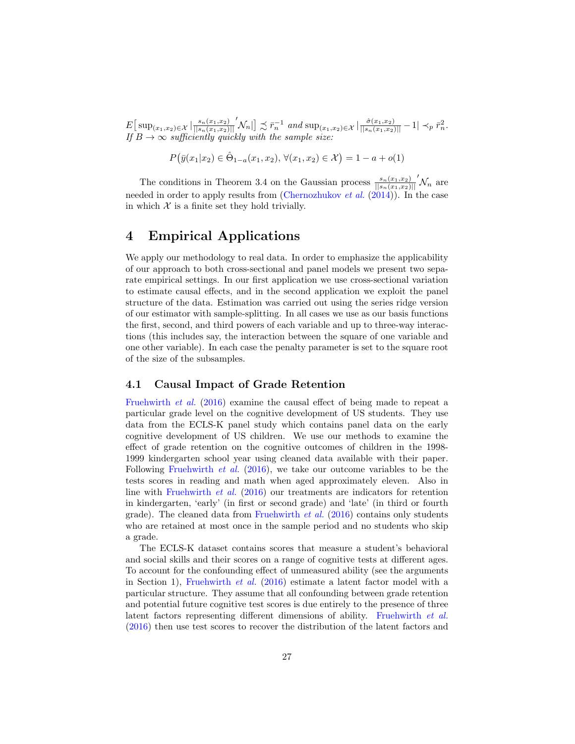$E\left[\sup_{(x_1,x_2)\in\mathcal{X}}\left|\frac{s_n(x_1,x_2)}{\|s_n(x_1,x_2)\right|\right]$  $||s_n(x_1,x_2)||$  $\left[\mathcal{N}_n\right] \precsim \bar{r}_n^{-1}$  and  $\sup_{(x_1,x_2)\in\mathcal{X}}\left|\frac{\hat{\sigma}(x_1,x_2)}{||s_n(x_1,x_2)||}-1\right| \prec_p \bar{r}_n^2$ . If  $B \to \infty$  sufficiently quickly with the sample size:

$$
P(\bar{y}(x_1|x_2) \in \hat{\Theta}_{1-a}(x_1, x_2), \forall (x_1, x_2) \in \mathcal{X}) = 1 - a + o(1)
$$

The conditions in Theorem 3.4 on the Gaussian process  $\frac{s_n(x_1,x_2)}{||s_n(x_1,x_2)||}$  $N_n$  are needed in order to apply results from [\(Chernozhukov](#page-30-11) *et al.* [\(2014\)](#page-30-11)). In the case in which  $\mathcal X$  is a finite set they hold trivially.

## 4 Empirical Applications

We apply our methodology to real data. In order to emphasize the applicability of our approach to both cross-sectional and panel models we present two separate empirical settings. In our first application we use cross-sectional variation to estimate causal effects, and in the second application we exploit the panel structure of the data. Estimation was carried out using the series ridge version of our estimator with sample-splitting. In all cases we use as our basis functions the first, second, and third powers of each variable and up to three-way interactions (this includes say, the interaction between the square of one variable and one other variable). In each case the penalty parameter is set to the square root of the size of the subsamples.

### 4.1 Causal Impact of Grade Retention

[Fruehwirth](#page-31-1) et al. [\(2016\)](#page-31-1) examine the causal effect of being made to repeat a particular grade level on the cognitive development of US students. They use data from the ECLS-K panel study which contains panel data on the early cognitive development of US children. We use our methods to examine the effect of grade retention on the cognitive outcomes of children in the 1998- 1999 kindergarten school year using cleaned data available with their paper. Following [Fruehwirth](#page-31-1) et al. [\(2016\)](#page-31-1), we take our outcome variables to be the tests scores in reading and math when aged approximately eleven. Also in line with [Fruehwirth](#page-31-1) et al. [\(2016\)](#page-31-1) our treatments are indicators for retention in kindergarten, 'early' (in first or second grade) and 'late' (in third or fourth grade). The cleaned data from [Fruehwirth](#page-31-1) *et al.*  $(2016)$  contains only students who are retained at most once in the sample period and no students who skip a grade.

The ECLS-K dataset contains scores that measure a student's behavioral and social skills and their scores on a range of cognitive tests at different ages. To account for the confounding effect of unmeasured ability (see the arguments in Section 1), [Fruehwirth](#page-31-1) *et al.* [\(2016\)](#page-31-1) estimate a latent factor model with a particular structure. They assume that all confounding between grade retention and potential future cognitive test scores is due entirely to the presence of three latent factors representing different dimensions of ability. [Fruehwirth](#page-31-1) et al. [\(2016\)](#page-31-1) then use test scores to recover the distribution of the latent factors and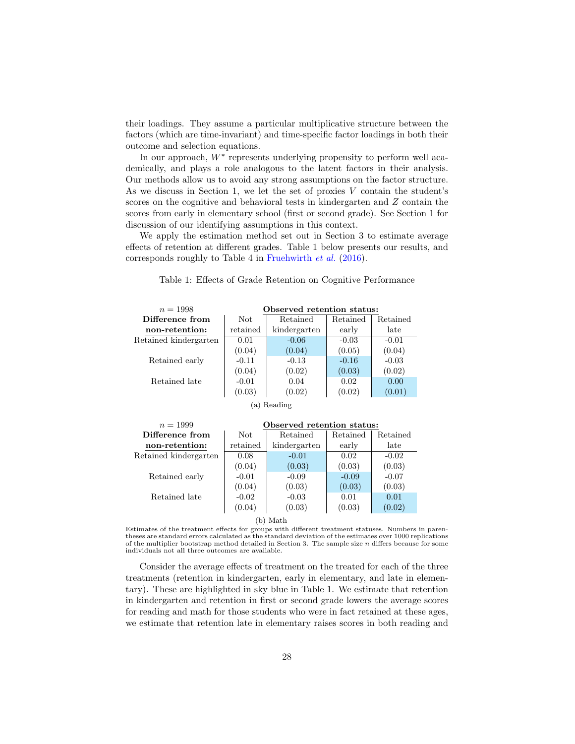their loadings. They assume a particular multiplicative structure between the factors (which are time-invariant) and time-specific factor loadings in both their outcome and selection equations.

In our approach,  $W^*$  represents underlying propensity to perform well academically, and plays a role analogous to the latent factors in their analysis. Our methods allow us to avoid any strong assumptions on the factor structure. As we discuss in Section 1, we let the set of proxies  $V$  contain the student's scores on the cognitive and behavioral tests in kindergarten and Z contain the scores from early in elementary school (first or second grade). See Section 1 for discussion of our identifying assumptions in this context.

We apply the estimation method set out in Section 3 to estimate average effects of retention at different grades. Table 1 below presents our results, and corresponds roughly to Table 4 in [Fruehwirth](#page-31-1) et al. [\(2016\)](#page-31-1).

| $n = 1998$            | Observed retention status: |              |          |          |  |  |
|-----------------------|----------------------------|--------------|----------|----------|--|--|
| Difference from       | Not                        | Retained     | Retained | Retained |  |  |
| non-retention:        | retained                   | kindergarten | early    | late     |  |  |
| Retained kindergarten | 0.01                       | $-0.06$      | $-0.03$  | $-0.01$  |  |  |
|                       | (0.04)                     | (0.04)       | (0.05)   | (0.04)   |  |  |
| Retained early        | $-0.11$                    | $-0.13$      | $-0.16$  | $-0.03$  |  |  |
|                       | (0.04)                     | (0.02)       | (0.03)   | (0.02)   |  |  |
| Retained late         | $-0.01$                    | 0.04         | 0.02     | 0.00     |  |  |
|                       | (0.03)                     | (0.02)       | (0.02)   | (0.01)   |  |  |
| Reading<br>'a)        |                            |              |          |          |  |  |

Table 1: Effects of Grade Retention on Cognitive Performance

| $n = 1999$            | Observed retention status: |              |          |          |  |
|-----------------------|----------------------------|--------------|----------|----------|--|
| Difference from       | Not                        | Retained     | Retained | Retained |  |
| non-retention:        | retained                   | kindergarten | early    | late     |  |
| Retained kindergarten | 0.08                       | $-0.01$      | 0.02     | $-0.02$  |  |
|                       | (0.04)                     | (0.03)       | (0.03)   | (0.03)   |  |
| Retained early        | $-0.01$                    | $-0.09$      | $-0.09$  | $-0.07$  |  |
|                       | (0.04)                     | (0.03)       | (0.03)   | (0.03)   |  |
| Retained late         | $-0.02$                    | $-0.03$      | 0.01     | 0.01     |  |
|                       | (0.04)                     | (0.03)       | (0.03)   | (0.02)   |  |

#### (b) Math

Estimates of the treatment effects for groups with different treatment statuses. Numbers in parentheses are standard errors calculated as the standard deviation of the estimates over 1000 replications of the multiplier bootstrap method detailed in Section 3. The sample size  $n$  differs because for some individuals not all three outcomes are available.

Consider the average effects of treatment on the treated for each of the three treatments (retention in kindergarten, early in elementary, and late in elementary). These are highlighted in sky blue in Table 1. We estimate that retention in kindergarten and retention in first or second grade lowers the average scores for reading and math for those students who were in fact retained at these ages, we estimate that retention late in elementary raises scores in both reading and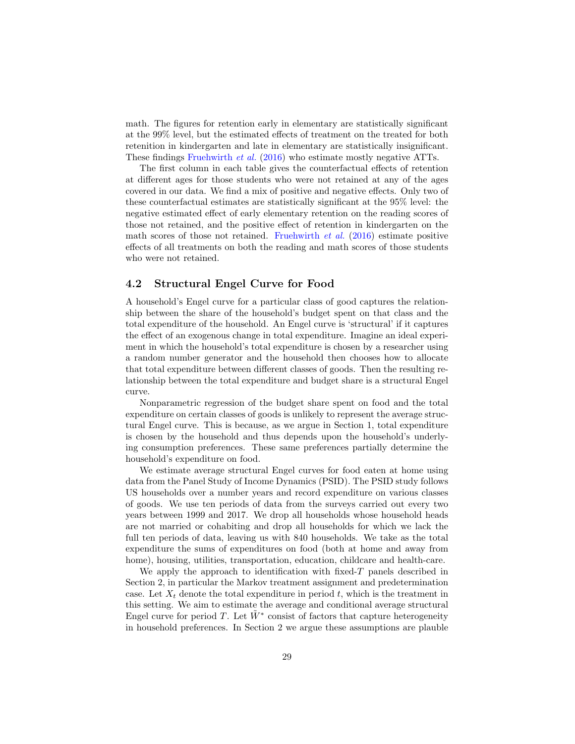math. The figures for retention early in elementary are statistically significant at the 99% level, but the estimated effects of treatment on the treated for both retenition in kindergarten and late in elementary are statistically insignificant. These findings [Fruehwirth](#page-31-1) et al. [\(2016\)](#page-31-1) who estimate mostly negative ATTs.

The first column in each table gives the counterfactual effects of retention at different ages for those students who were not retained at any of the ages covered in our data. We find a mix of positive and negative effects. Only two of these counterfactual estimates are statistically significant at the 95% level: the negative estimated effect of early elementary retention on the reading scores of those not retained, and the positive effect of retention in kindergarten on the math scores of those not retained. [Fruehwirth](#page-31-1)  $et \, al.$  [\(2016\)](#page-31-1) estimate positive effects of all treatments on both the reading and math scores of those students who were not retained.

### 4.2 Structural Engel Curve for Food

A household's Engel curve for a particular class of good captures the relationship between the share of the household's budget spent on that class and the total expenditure of the household. An Engel curve is 'structural' if it captures the effect of an exogenous change in total expenditure. Imagine an ideal experiment in which the household's total expenditure is chosen by a researcher using a random number generator and the household then chooses how to allocate that total expenditure between different classes of goods. Then the resulting relationship between the total expenditure and budget share is a structural Engel curve.

Nonparametric regression of the budget share spent on food and the total expenditure on certain classes of goods is unlikely to represent the average structural Engel curve. This is because, as we argue in Section 1, total expenditure is chosen by the household and thus depends upon the household's underlying consumption preferences. These same preferences partially determine the household's expenditure on food.

We estimate average structural Engel curves for food eaten at home using data from the Panel Study of Income Dynamics (PSID). The PSID study follows US households over a number years and record expenditure on various classes of goods. We use ten periods of data from the surveys carried out every two years between 1999 and 2017. We drop all households whose household heads are not married or cohabiting and drop all households for which we lack the full ten periods of data, leaving us with 840 households. We take as the total expenditure the sums of expenditures on food (both at home and away from home), housing, utilities, transportation, education, childcare and health-care.

We apply the approach to identification with fixed- $T$  panels described in Section 2, in particular the Markov treatment assignment and predetermination case. Let  $X_t$  denote the total expenditure in period t, which is the treatment in this setting. We aim to estimate the average and conditional average structural Engel curve for period T. Let  $\tilde{W}^*$  consist of factors that capture heterogeneity in household preferences. In Section 2 we argue these assumptions are plauble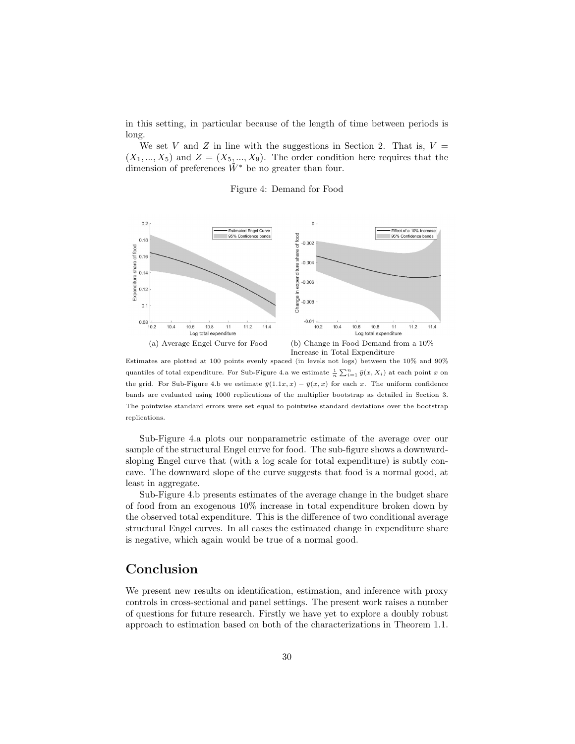in this setting, in particular because of the length of time between periods is long.

We set V and Z in line with the suggestions in Section 2. That is,  $V =$  $(X_1, ..., X_5)$  and  $Z = (X_5, ..., X_9)$ . The order condition here requires that the dimension of preferences  $\tilde{W}^*$  be no greater than four.

#### Figure 4: Demand for Food



Estimates are plotted at 100 points evenly spaced (in levels not logs) between the 10% and 90% quantiles of total expenditure. For Sub-Figure 4.a we estimate  $\frac{1}{n} \sum_{i=1}^{n} \bar{y}(x, X_i)$  at each point x on the grid. For Sub-Figure 4.b we estimate  $\bar{y}(1.1x, x) - \bar{y}(x, x)$  for each x. The uniform confidence bands are evaluated using 1000 replications of the multiplier bootstrap as detailed in Section 3. The pointwise standard errors were set equal to pointwise standard deviations over the bootstrap replications.

Sub-Figure 4.a plots our nonparametric estimate of the average over our sample of the structural Engel curve for food. The sub-figure shows a downwardsloping Engel curve that (with a log scale for total expenditure) is subtly concave. The downward slope of the curve suggests that food is a normal good, at least in aggregate.

Sub-Figure 4.b presents estimates of the average change in the budget share of food from an exogenous 10% increase in total expenditure broken down by the observed total expenditure. This is the difference of two conditional average structural Engel curves. In all cases the estimated change in expenditure share is negative, which again would be true of a normal good.

### Conclusion

We present new results on identification, estimation, and inference with proxy controls in cross-sectional and panel settings. The present work raises a number of questions for future research. Firstly we have yet to explore a doubly robust approach to estimation based on both of the characterizations in Theorem 1.1.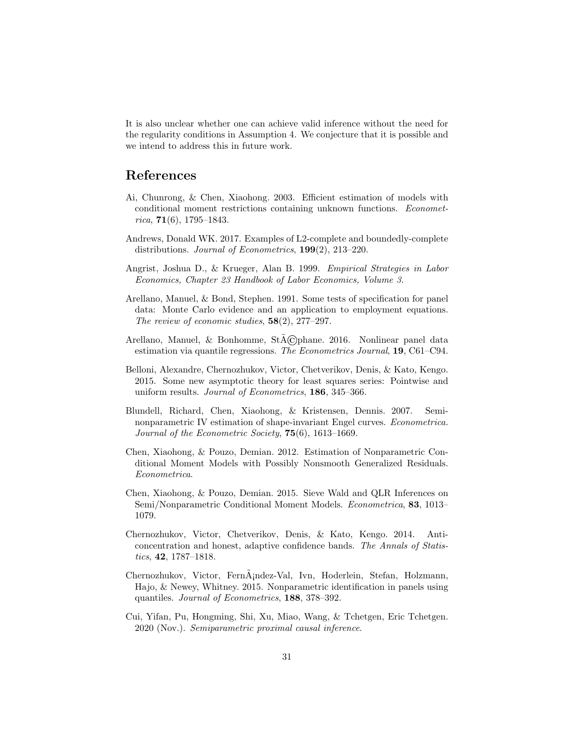It is also unclear whether one can achieve valid inference without the need for the regularity conditions in Assumption 4. We conjecture that it is possible and we intend to address this in future work.

### References

- <span id="page-30-1"></span>Ai, Chunrong, & Chen, Xiaohong. 2003. Efficient estimation of models with conditional moment restrictions containing unknown functions. Econometrica,  $71(6)$ , 1795–1843.
- <span id="page-30-7"></span>Andrews, Donald WK. 2017. Examples of L2-complete and boundedly-complete distributions. Journal of Econometrics, 199(2), 213–220.
- <span id="page-30-0"></span>Angrist, Joshua D., & Krueger, Alan B. 1999. Empirical Strategies in Labor Economics, Chapter 23 Handbook of Labor Economics, Volume 3.
- <span id="page-30-4"></span>Arellano, Manuel, & Bond, Stephen. 1991. Some tests of specification for panel data: Monte Carlo evidence and an application to employment equations. The review of economic studies,  $58(2)$ ,  $277-297$ .
- <span id="page-30-3"></span>Arellano, Manuel, & Bonhomme,  $StACD$ hane. 2016. Nonlinear panel data estimation via quantile regressions. The Econometrics Journal, 19, C61–C94.
- <span id="page-30-10"></span>Belloni, Alexandre, Chernozhukov, Victor, Chetverikov, Denis, & Kato, Kengo. 2015. Some new asymptotic theory for least squares series: Pointwise and uniform results. Journal of Econometrics, 186, 345–366.
- <span id="page-30-5"></span>Blundell, Richard, Chen, Xiaohong, & Kristensen, Dennis. 2007. Seminonparametric IV estimation of shape-invariant Engel curves. Econometrica. Journal of the Econometric Society, 75(6), 1613–1669.
- <span id="page-30-8"></span>Chen, Xiaohong, & Pouzo, Demian. 2012. Estimation of Nonparametric Conditional Moment Models with Possibly Nonsmooth Generalized Residuals. Econometrica.
- <span id="page-30-9"></span>Chen, Xiaohong, & Pouzo, Demian. 2015. Sieve Wald and QLR Inferences on Semi/Nonparametric Conditional Moment Models. Econometrica, 83, 1013– 1079.
- <span id="page-30-11"></span>Chernozhukov, Victor, Chetverikov, Denis, & Kato, Kengo. 2014. Anticoncentration and honest, adaptive confidence bands. The Annals of Statistics, 42, 1787–1818.
- <span id="page-30-6"></span>Chernozhukov, Victor, Fern $\hat{A}$ <sub>i</sub>ndez-Val, Ivn, Hoderlein, Stefan, Holzmann, Hajo, & Newey, Whitney. 2015. Nonparametric identification in panels using quantiles. Journal of Econometrics, 188, 378–392.
- <span id="page-30-2"></span>Cui, Yifan, Pu, Hongming, Shi, Xu, Miao, Wang, & Tchetgen, Eric Tchetgen. 2020 (Nov.). Semiparametric proximal causal inference.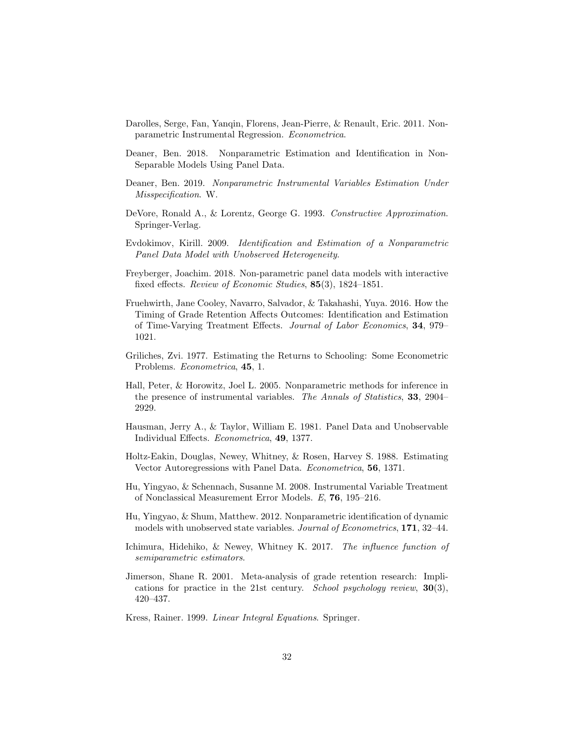- <span id="page-31-15"></span>Darolles, Serge, Fan, Yanqin, Florens, Jean-Pierre, & Renault, Eric. 2011. Nonparametric Instrumental Regression. Econometrica.
- <span id="page-31-3"></span>Deaner, Ben. 2018. Nonparametric Estimation and Identification in Non-Separable Models Using Panel Data.
- <span id="page-31-11"></span>Deaner, Ben. 2019. Nonparametric Instrumental Variables Estimation Under Misspecification. W.
- <span id="page-31-12"></span>DeVore, Ronald A., & Lorentz, George G. 1993. Constructive Approximation. Springer-Verlag.
- <span id="page-31-8"></span>Evdokimov, Kirill. 2009. Identification and Estimation of a Nonparametric Panel Data Model with Unobserved Heterogeneity.
- <span id="page-31-7"></span>Freyberger, Joachim. 2018. Non-parametric panel data models with interactive fixed effects. Review of Economic Studies, 85(3), 1824–1851.
- <span id="page-31-1"></span>Fruehwirth, Jane Cooley, Navarro, Salvador, & Takahashi, Yuya. 2016. How the Timing of Grade Retention Affects Outcomes: Identification and Estimation of Time-Varying Treatment Effects. Journal of Labor Economics, 34, 979– 1021.
- <span id="page-31-0"></span>Griliches, Zvi. 1977. Estimating the Returns to Schooling: Some Econometric Problems. Econometrica, 45, 1.
- <span id="page-31-14"></span>Hall, Peter, & Horowitz, Joel L. 2005. Nonparametric methods for inference in the presence of instrumental variables. The Annals of Statistics, 33, 2904– 2929.
- <span id="page-31-5"></span>Hausman, Jerry A., & Taylor, William E. 1981. Panel Data and Unobservable Individual Effects. Econometrica, 49, 1377.
- <span id="page-31-6"></span>Holtz-Eakin, Douglas, Newey, Whitney, & Rosen, Harvey S. 1988. Estimating Vector Autoregressions with Panel Data. Econometrica, 56, 1371.
- <span id="page-31-2"></span>Hu, Yingyao, & Schennach, Susanne M. 2008. Instrumental Variable Treatment of Nonclassical Measurement Error Models. E, 76, 195–216.
- <span id="page-31-4"></span>Hu, Yingyao, & Shum, Matthew. 2012. Nonparametric identification of dynamic models with unobserved state variables. Journal of Econometrics, 171, 32–44.
- <span id="page-31-10"></span>Ichimura, Hidehiko, & Newey, Whitney K. 2017. The influence function of semiparametric estimators.
- <span id="page-31-9"></span>Jimerson, Shane R. 2001. Meta-analysis of grade retention research: Implications for practice in the 21st century. School psychology review,  $30(3)$ , 420–437.
- <span id="page-31-13"></span>Kress, Rainer. 1999. Linear Integral Equations. Springer.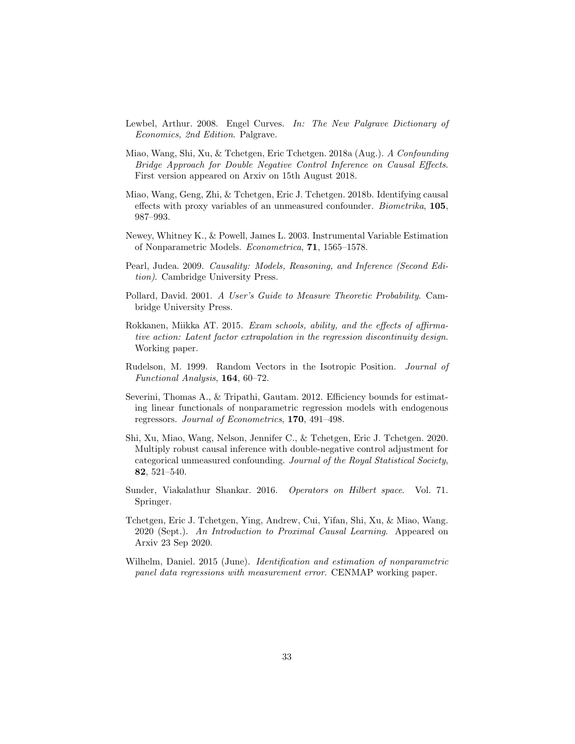- <span id="page-32-6"></span>Lewbel, Arthur. 2008. Engel Curves. In: The New Palgrave Dictionary of Economics, 2nd Edition. Palgrave.
- <span id="page-32-2"></span>Miao, Wang, Shi, Xu, & Tchetgen, Eric Tchetgen. 2018a (Aug.). A Confounding Bridge Approach for Double Negative Control Inference on Causal Effects. First version appeared on Arxiv on 15th August 2018.
- <span id="page-32-1"></span>Miao, Wang, Geng, Zhi, & Tchetgen, Eric J. Tchetgen. 2018b. Identifying causal effects with proxy variables of an unmeasured confounder. Biometrika, 105, 987–993.
- <span id="page-32-0"></span>Newey, Whitney K., & Powell, James L. 2003. Instrumental Variable Estimation of Nonparametric Models. Econometrica, 71, 1565–1578.
- <span id="page-32-8"></span>Pearl, Judea. 2009. Causality: Models, Reasoning, and Inference (Second Edition). Cambridge University Press.
- Pollard, David. 2001. A User's Guide to Measure Theoretic Probability. Cambridge University Press.
- <span id="page-32-7"></span>Rokkanen, Miikka AT. 2015. Exam schools, ability, and the effects of affirmative action: Latent factor extrapolation in the regression discontinuity design. Working paper.
- <span id="page-32-10"></span>Rudelson, M. 1999. Random Vectors in the Isotropic Position. Journal of Functional Analysis, 164, 60–72.
- <span id="page-32-9"></span>Severini, Thomas A., & Tripathi, Gautam. 2012. Efficiency bounds for estimating linear functionals of nonparametric regression models with endogenous regressors. Journal of Econometrics, 170, 491–498.
- <span id="page-32-3"></span>Shi, Xu, Miao, Wang, Nelson, Jennifer C., & Tchetgen, Eric J. Tchetgen. 2020. Multiply robust causal inference with double-negative control adjustment for categorical unmeasured confounding. Journal of the Royal Statistical Society, 82, 521–540.
- Sunder, Viakalathur Shankar. 2016. Operators on Hilbert space. Vol. 71. Springer.
- <span id="page-32-4"></span>Tchetgen, Eric J. Tchetgen, Ying, Andrew, Cui, Yifan, Shi, Xu, & Miao, Wang. 2020 (Sept.). An Introduction to Proximal Causal Learning. Appeared on Arxiv 23 Sep 2020.
- <span id="page-32-5"></span>Wilhelm, Daniel. 2015 (June). Identification and estimation of nonparametric panel data regressions with measurement error. CENMAP working paper.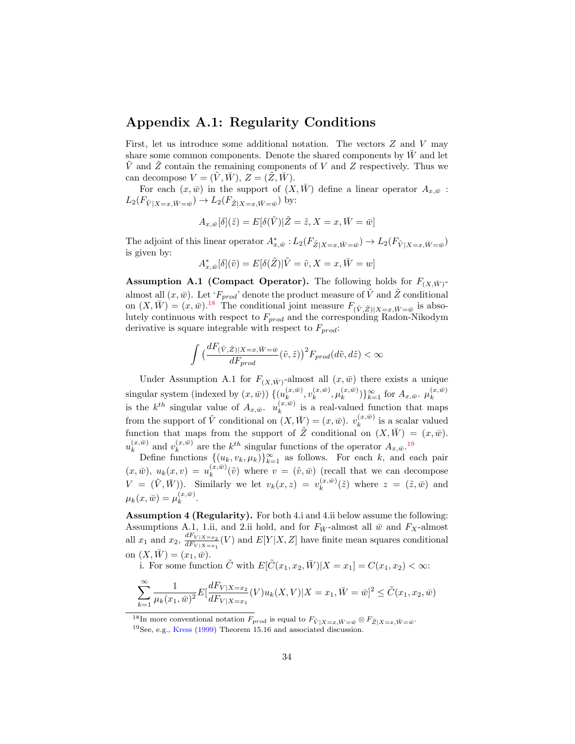### Appendix A.1: Regularity Conditions

First, let us introduce some additional notation. The vectors  $Z$  and  $V$  may share some common components. Denote the shared components by  $\bar{W}$  and let  $\tilde{V}$  and  $\tilde{Z}$  contain the remaining components of V and Z respectively. Thus we can decompose  $V = (V, W), Z = (Z, W)$ .

For each  $(x, \bar{w})$  in the support of  $(X, W)$  define a linear operator  $A_{x, \bar{w}}$ :  $L_2(F_{\tilde{V}|X=x,\bar{W}=\bar{w}}) \to L_2(F_{\tilde{Z}|X=x,\bar{W}=\bar{w}})$  by:

$$
A_{x,\bar{w}}[\delta](\tilde{z})=E[\delta(\tilde{V})|\tilde{Z}=\tilde{z},X=x,\bar{W}=\bar{w}]
$$

The adjoint of this linear operator  $A^*_{x,\bar{w}}: L_2(F_{\tilde{Z}|X=x,\bar{W}=\bar{w}}) \to L_2(F_{\tilde{V}|X=x,\bar{W}=\bar{w}})$ is given by:

$$
A^*_{x,\bar{w}}[\delta](\tilde{v}) = E[\delta(\tilde{Z}) | \tilde{V} = \tilde{v}, X = x, \bar{W} = w]
$$

**Assumption A.1 (Compact Operator).** The following holds for  $F_{(X,\bar{W})}$ almost all  $(x, \bar{w})$ . Let ' $F_{prod}$ ' denote the product measure of  $\tilde{V}$  and  $\tilde{Z}$  conditional on  $(X, \bar{W}) = (x, \bar{w})^{18}$  $(X, \bar{W}) = (x, \bar{w})^{18}$  $(X, \bar{W}) = (x, \bar{w})^{18}$  The conditional joint measure  $F_{(\tilde{V}, \tilde{Z})|X=x, \bar{W}=\bar{w}}$  is absolutely continuous with respect to  $F_{prod}$  and the corresponding Radon-Nikodym derivative is square integrable with respect to  $F_{prod}$ :

$$
\int \left(\frac{dF_{(\tilde{V},\tilde{Z})|X=x,\tilde{W}= \bar{w}}}{dF_{prod}}(\tilde{v},\tilde{z})\right)^2 F_{prod}(d\tilde{v},d\tilde{z}) < \infty
$$

Under Assumption A.1 for  $F_{(X,\bar{W})}$ -almost all  $(x,\bar{w})$  there exists a unique singular system (indexed by  $(x,\bar{w})$ )  $\{(u_k^{(x,\bar{w})})\}$  $_{k}^{(x,\bar{w})},v_{k}^{(x,\bar{w})}$  $_{k}^{(x,\bar{w})},\mu_{k}^{(x,\bar{w})}$  $_{k}^{(x,\bar{w})}$ } $_{k=1}^{\infty}$  for  $A_{x,\bar{w}}$ .  $\mu_{k}^{(x,\bar{w})}$ k is the  $k^{th}$  singular value of  $A_{x,\bar{w}}$ .  $u_k^{(x,\bar{w})}$  $\binom{x,w}{k}$  is a real-valued function that maps from the support of  $\tilde{V}$  conditional on  $(X, \bar{W}) = (x, \bar{w})$ .  $v_k^{(x, \bar{w})}$  $\binom{x,w}{k}$  is a scalar valued function that maps from the support of  $\tilde{Z}$  conditional on  $(X,\bar{W}) = (x,\bar{w})$ .  $u_k^{(x,\bar{w})}$  $\binom{(x,\bar{w})}{k}$  and  $v_k^{(x,\bar{w})}$  $\binom{x,\bar{w}}{k}$  are the  $k^{th}$  singular functions of the operator  $A_{x,\bar{w}}$ .<sup>[19](#page-33-1)</sup>

Define functions  $\{(u_k, v_k, \mu_k)\}_{k=1}^{\infty}$  as follows. For each k, and each pair  $(x, \bar{w}), u_k(x, v) = u_k^{(x, \bar{w})}$  $\binom{x,w}{k}(\tilde{v})$  where  $v = (\tilde{v}, \bar{w})$  (recall that we can decompose  $V = (\tilde{V}, \bar{W})$ . Similarly we let  $v_k(x, z) = v_k^{(x, \bar{w})}$  $\binom{x,w}{k}(\tilde{z})$  where  $z = (\tilde{z}, \bar{w})$  and  $\mu_k(x,\bar{w}) = \mu_k^{(x,\bar{w})}$  $\binom{x,w}{k}$ .

Assumption 4 (Regularity). For both 4.i and 4.ii below assume the following: Assumptions A.1, 1.ii, and 2.ii hold, and for  $F_{\bar{W}}$ -almost all  $\bar{w}$  and  $F_X$ -almost all  $x_1$  and  $x_2$ ,  $\frac{dF_{V|X=x_2}}{dF_{V|X=x_1}}$  $\frac{d d^T V |X=x_2}{d F_{V|X=x_1}}(V)$  and  $E[Y|X,Z]$  have finite mean squares conditional on  $(X, \bar{W}) = (x_1, \bar{w}).$ 

i. For some function  $\tilde{C}$  with  $E[\tilde{C}(x_1, x_2, \bar{W})|X=x_1] = C(x_1, x_2) < \infty$ :

$$
\sum_{k=1}^{\infty}\frac{1}{\mu_{k}(x_{1},\bar{w})^{2}}E[\frac{dF_{V|X=x_{2}}}{dF_{V|X=x_{1}}}(V)u_{k}(X,V)|X=x_{1},\bar{W}=\bar{w}]^{2}\leq \tilde{C}(x_{1},x_{2},\bar{w})
$$

<span id="page-33-0"></span><sup>&</sup>lt;sup>18</sup>In more conventional notation  $F_{prod}$  is equal to  $F_{\tilde{V}|X=x,\bar{W}=\bar{w}} \otimes F_{\tilde{Z}|X=x,\bar{W}=\bar{w}}$ .

<span id="page-33-1"></span><sup>19</sup>See, e.g., [Kress](#page-31-13) [\(1999\)](#page-31-13) Theorem 15.16 and associated discussion.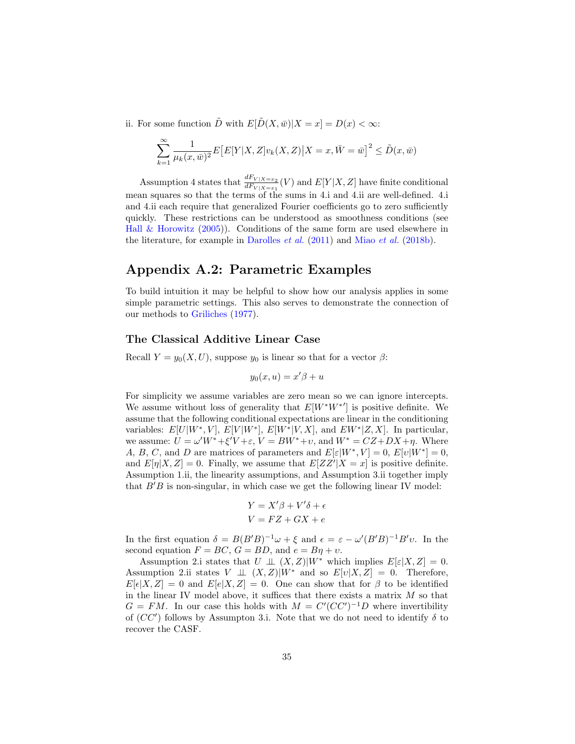ii. For some function  $\tilde{D}$  with  $E[\tilde{D}(X,\bar{w})|X=x] = D(x) < \infty$ :

$$
\sum_{k=1}^{\infty} \frac{1}{\mu_k(x, \bar{w})^2} E\big[E[Y|X, Z]v_k(X, Z)\big| X = x, \bar{W} = \bar{w}\big]^2 \le \tilde{D}(x, \bar{w})
$$

Assumption 4 states that  $\frac{dF_{V|X=x_2}}{dF_{V|X=x_1}}(V)$  and  $E[Y|X,Z]$  have finite conditional mean squares so that the terms of the sums in 4.i and 4.ii are well-defined. 4.i and 4.ii each require that generalized Fourier coefficients go to zero sufficiently quickly. These restrictions can be understood as smoothness conditions (see Hall  $\&$  Horowitz [\(2005\)](#page-31-14)). Conditions of the same form are used elsewhere in the literature, for example in [Darolles](#page-31-15) et al. [\(2011\)](#page-31-15) and Miao [et al.](#page-32-1) [\(2018b\)](#page-32-1).

## Appendix A.2: Parametric Examples

To build intuition it may be helpful to show how our analysis applies in some simple parametric settings. This also serves to demonstrate the connection of our methods to [Griliches](#page-31-0) [\(1977\)](#page-31-0).

### The Classical Additive Linear Case

Recall  $Y = y_0(X, U)$ , suppose  $y_0$  is linear so that for a vector  $\beta$ :

$$
y_0(x, u) = x'\beta + u
$$

For simplicity we assume variables are zero mean so we can ignore intercepts. We assume without loss of generality that  $E[W^*W^{*}]$  is positive definite. We assume that the following conditional expectations are linear in the conditioning variables:  $E[U|W^*,V], E[V|W^*], E[W^*|V,X],$  and  $EW^*[Z,X].$  In particular, we assume:  $U = \omega'W^* + \xi'V + \varepsilon$ ,  $V = BW^* + \nu$ , and  $W^* = CZ + DX + \eta$ . Where A, B, C, and D are matrices of parameters and  $E[\varepsilon|W^*,V]=0, E[v|W^*]=0$ , and  $E[\eta|X,Z] = 0$ . Finally, we assume that  $E[ZZ'|X=x]$  is positive definite. Assumption 1.ii, the linearity assumptions, and Assumption 3.ii together imply that  $B'B$  is non-singular, in which case we get the following linear IV model:

$$
Y = X'\beta + V'\delta + \epsilon
$$

$$
V = FZ + GX + e
$$

In the first equation  $\delta = B(B'B)^{-1}\omega + \xi$  and  $\epsilon = \varepsilon - \omega'(B'B)^{-1}B'v$ . In the second equation  $F = BC$ ,  $G = BD$ , and  $e = B\eta + v$ .

Assumption 2.i states that  $U \perp\!\!\!\perp (X,Z)|W^*$  which implies  $E[\varepsilon|X,Z] = 0$ . Assumption 2.ii states  $V \perp\!\!\!\perp (X,Z)|W^*$  and so  $E[v|X,Z] = 0$ . Therefore,  $E[\epsilon|X,Z] = 0$  and  $E[\epsilon|X,Z] = 0$ . One can show that for  $\beta$  to be identified in the linear IV model above, it suffices that there exists a matrix  $M$  so that  $G = FM$ . In our case this holds with  $M = C'(CC')^{-1}D$  where invertibility of  $(CC')$  follows by Assumpton 3.i. Note that we do not need to identify  $\delta$  to recover the CASF.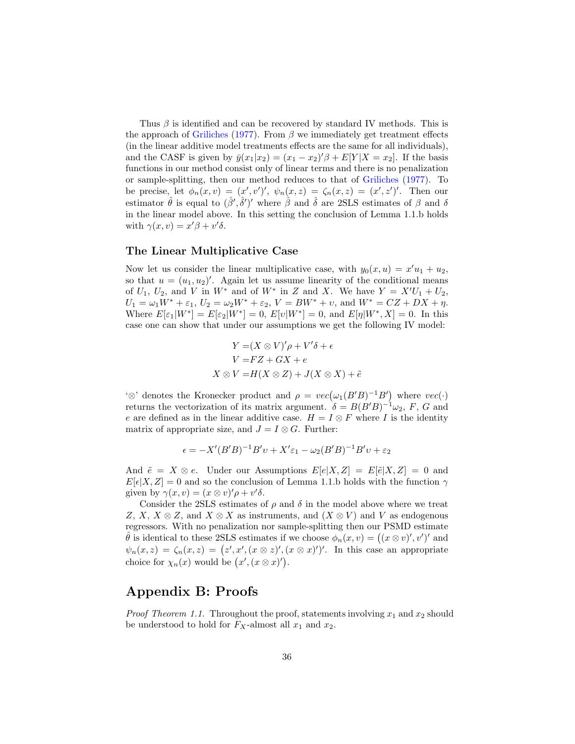Thus  $\beta$  is identified and can be recovered by standard IV methods. This is the approach of [Griliches](#page-31-0) [\(1977\)](#page-31-0). From  $\beta$  we immediately get treatment effects (in the linear additive model treatments effects are the same for all individuals), and the CASF is given by  $\bar{y}(x_1|x_2) = (x_1 - x_2)'\beta + E[Y|X = x_2]$ . If the basis functions in our method consist only of linear terms and there is no penalization or sample-splitting, then our method reduces to that of [Griliches](#page-31-0) [\(1977\)](#page-31-0). To be precise, let  $\phi_n(x, v) = (x', v')', \ \psi_n(x, z) = \zeta_n(x, z) = (x', z')'.$  Then our estimator  $\hat{\theta}$  is equal to  $(\hat{\beta}', \hat{\delta}')'$  where  $\hat{\beta}$  and  $\hat{\delta}$  are 2SLS estimates of  $\beta$  and  $\delta$ in the linear model above. In this setting the conclusion of Lemma 1.1.b holds with  $\gamma(x, v) = x'\beta + v'\delta$ .

### The Linear Multiplicative Case

Now let us consider the linear multiplicative case, with  $y_0(x, u) = x'u_1 + u_2$ , so that  $u = (u_1, u_2)'$ . Again let us assume linearity of the conditional means of  $U_1$ ,  $U_2$ , and  $V$  in  $W^*$  and of  $W^*$  in  $Z$  and  $X$ . We have  $Y = X'U_1 + U_2$ ,  $U_1 = \omega_1 W^* + \varepsilon_1$ ,  $U_2 = \omega_2 W^* + \varepsilon_2$ ,  $V = BW^* + v$ , and  $W^* = CZ + DX + \eta$ . Where  $E[\varepsilon_1|W^*] = E[\varepsilon_2|W^*] = 0$ ,  $E[v|W^*] = 0$ , and  $E[\eta|W^*, X] = 0$ . In this case one can show that under our assumptions we get the following IV model:

$$
Y = (X \otimes V)' \rho + V' \delta + \epsilon
$$
  
\n
$$
V = FZ + GX + e
$$
  
\n
$$
X \otimes V = H(X \otimes Z) + J(X \otimes X) + \tilde{e}
$$

 $\infty$ ' denotes the Kronecker product and  $\rho = vec(\omega_1(B'B)^{-1}B')$  where  $vec(\cdot)$ returns the vectorization of its matrix argument.  $\delta = B(B'B)^{-1}\omega_2$ , F, G and e are defined as in the linear additive case.  $H = I \otimes F$  where I is the identity matrix of appropriate size, and  $J = I \otimes G$ . Further:

$$
\epsilon = -X'(B'B)^{-1}B'v + X'\epsilon_1 - \omega_2(B'B)^{-1}B'v + \epsilon_2
$$

And  $\tilde{e} = X \otimes e$ . Under our Assumptions  $E[e|X, Z] = E[\tilde{e}|X, Z] = 0$  and  $E[\epsilon|X,Z] = 0$  and so the conclusion of Lemma 1.1.b holds with the function  $\gamma$ given by  $\gamma(x, v) = (x \otimes v)'\rho + v'\delta$ .

Consider the 2SLS estimates of  $\rho$  and  $\delta$  in the model above where we treat Z, X,  $X \otimes Z$ , and  $X \otimes X$  as instruments, and  $(X \otimes V)$  and V as endogenous regressors. With no penalization nor sample-splitting then our PSMD estimate  $\hat{\theta}$  is identical to these 2SLS estimates if we choose  $\phi_n(x, v) = ((x \otimes v)', v')'$  and  $\psi_n(x, z) = \zeta_n(x, z) = (z', x', (x \otimes z)', (x \otimes x)')'.$  In this case an appropriate choice for  $\chi_n(x)$  would be  $(x', (x \otimes x)')$ .

### Appendix B: Proofs

*Proof Theorem 1.1.* Throughout the proof, statements involving  $x_1$  and  $x_2$  should be understood to hold for  $F_X$ -almost all  $x_1$  and  $x_2$ .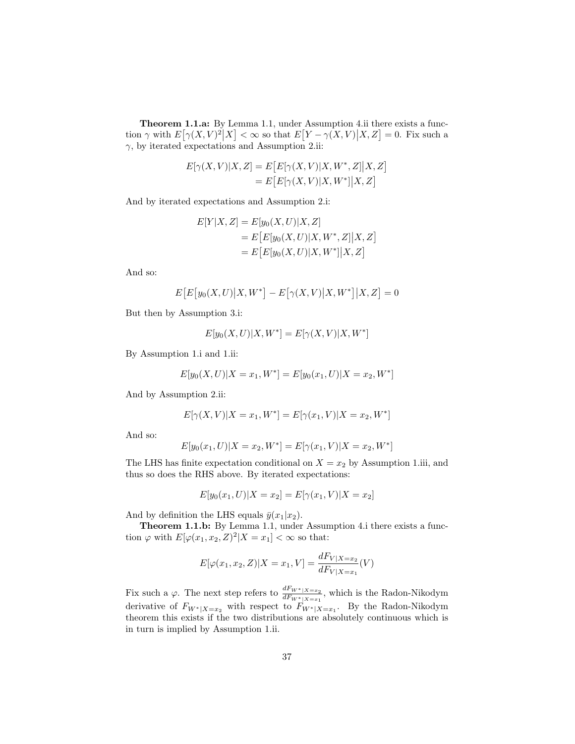Theorem 1.1.a: By Lemma 1.1, under Assumption 4.ii there exists a function  $\gamma$  with  $E[\gamma(X,V)^2|X] < \infty$  so that  $E[Y-\gamma(X,V)|X,Z] = 0$ . Fix such a  $\gamma$ , by iterated expectations and Assumption 2.ii:

$$
E[\gamma(X,V)|X,Z] = E\big[E[\gamma(X,V)|X,W^*,Z]\big|X,Z\big]
$$
  
= 
$$
E\big[E[\gamma(X,V)|X,W^*]\big|X,Z\big]
$$

And by iterated expectations and Assumption 2.i:

$$
E[Y|X, Z] = E[y_0(X, U)|X, Z]
$$
  
= 
$$
E[E[y_0(X, U)|X, W^*, Z]|X, Z]
$$
  
= 
$$
E[E[y_0(X, U)|X, W^*]|X, Z]
$$

And so:

$$
E[E[y_0(X, U)|X, W^*] - E[\gamma(X, V)|X, W^*]|X, Z] = 0
$$

But then by Assumption 3.i:

$$
E[y_0(X, U)|X, W^*] = E[\gamma(X, V)|X, W^*]
$$

By Assumption 1.i and 1.ii:

$$
E[y_0(X, U)|X = x_1, W^*] = E[y_0(x_1, U)|X = x_2, W^*]
$$

And by Assumption 2.ii:

$$
E[\gamma(X, V)|X = x_1, W^*] = E[\gamma(x_1, V)|X = x_2, W^*]
$$

And so:

$$
E[y_0(x_1, U)|X = x_2, W^*] = E[\gamma(x_1, V)|X = x_2, W^*]
$$

The LHS has finite expectation conditional on  $X = x_2$  by Assumption 1.iii, and thus so does the RHS above. By iterated expectations:

$$
E[y_0(x_1, U)|X = x_2] = E[\gamma(x_1, V)|X = x_2]
$$

And by definition the LHS equals  $\bar{y}(x_1|x_2)$ .

Theorem 1.1.b: By Lemma 1.1, under Assumption 4.i there exists a function  $\varphi$  with  $E[\varphi(x_1, x_2, Z)^2 | X = x_1] < \infty$  so that:

$$
E[\varphi(x_1, x_2, Z)|X = x_1, V] = \frac{dF_{V|X=x_2}}{dF_{V|X=x_1}}(V)
$$

Fix such a  $\varphi$ . The next step refers to  $\frac{dF_{W^*|X=x_2}}{dF_{W^*|X=x_1}}$ , which is the Radon-Nikodym derivative of  $F_{W^*|X=x_2}$  with respect to  $F_{W^*|X=x_1}$ . By the Radon-Nikodym theorem this exists if the two distributions are absolutely continuous which is in turn is implied by Assumption 1.ii.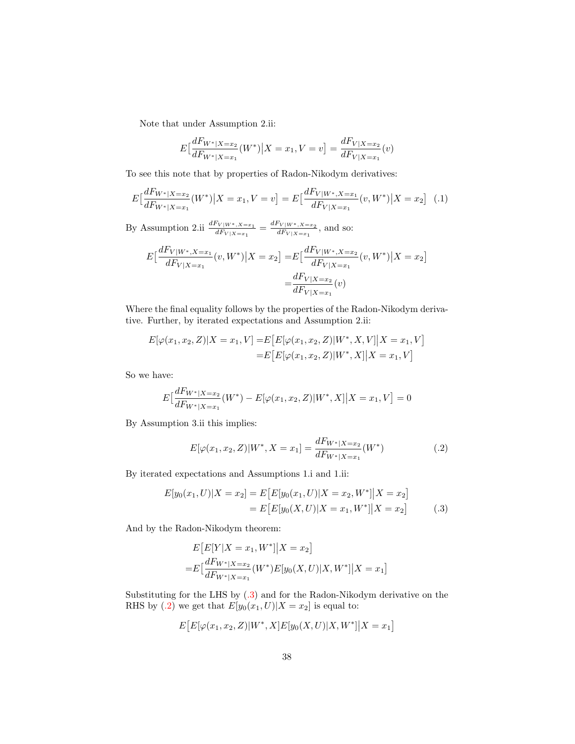Note that under Assumption 2.ii:

<span id="page-37-2"></span>
$$
E\left[\frac{dF_{W^*|X=x_2}}{dF_{W^*|X=x_1}}(W^*)\big|X=x_1, V=v\right] = \frac{dF_{V|X=x_2}}{dF_{V|X=x_1}}(v)
$$

To see this note that by properties of Radon-Nikodym derivatives:

$$
E\left[\frac{dF_{W^*|X=x_2}}{dF_{W^*|X=x_1}}(W^*)\big|X=x_1, V=v\right] = E\left[\frac{dF_{V|W^*,X=x_1}}{dF_{V|X=x_1}}(v, W^*)\big|X=x_2\right] \tag{.1}
$$

By Assumption 2.ii  $\frac{dF_{V|W^*,X=x_1}}{dF_{V|X=x_1}} = \frac{dF_{V|W^*,X=x_2}}{dF_{V|X=x_1}}$  $\frac{dF_{V|X=x_1}}{dF_{V|X=x_1}}$ , and so:

$$
E\left[\frac{dF_{V|W^*,X=x_1}}{dF_{V|X=x_1}}(v,W^*)\big|X=x_2\right] = E\left[\frac{dF_{V|W^*,X=x_2}}{dF_{V|X=x_1}}(v,W^*)\big|X=x_2\right]
$$

$$
=\frac{dF_{V|X=x_2}}{dF_{V|X=x_1}}(v)
$$

Where the final equality follows by the properties of the Radon-Nikodym derivative. Further, by iterated expectations and Assumption 2.ii:

$$
E[\varphi(x_1, x_2, Z)|X = x_1, V] = E[E[\varphi(x_1, x_2, Z)|W^*, X, V]|X = x_1, V]
$$
  
= 
$$
E[E[\varphi(x_1, x_2, Z)|W^*, X]|X = x_1, V]
$$

So we have:

$$
E\left[\frac{dF_{W^*|X=x_2}}{dF_{W^*|X=x_1}}(W^*) - E[\varphi(x_1, x_2, Z)|W^*, X]|X = x_1, V\right] = 0
$$

By Assumption 3.ii this implies:

<span id="page-37-1"></span><span id="page-37-0"></span>
$$
E[\varphi(x_1, x_2, Z)|W^*, X = x_1] = \frac{dF_{W^*|X=x_2}}{dF_{W^*|X=x_1}}(W^*)
$$
\n(.2)

By iterated expectations and Assumptions 1.i and 1.ii:

$$
E[y_0(x_1, U)|X = x_2] = E[E[y_0(x_1, U)|X = x_2, W^*]|X = x_2]
$$
  
= 
$$
E[E[y_0(X, U)|X = x_1, W^*]|X = x_2]
$$
 (.3)

And by the Radon-Nikodym theorem:

$$
E[E[Y|X = x_1, W^*]|X = x_2]
$$
  
=
$$
E\left[\frac{dF_{W^*|X = x_2}}{dF_{W^*|X = x_1}}(W^*)E[y_0(X, U)|X, W^*]|X = x_1\right]
$$

Substituting for the LHS by [\(.3\)](#page-37-0) and for the Radon-Nikodym derivative on the RHS by [\(.2\)](#page-37-1) we get that  $E[y_0(x_1, U)|X = x_2]$  is equal to:

$$
E\big[E[\varphi(x_1,x_2,Z)|W^*,X]E[y_0(X,U)|X,W^*]\big|X=x_1\big]
$$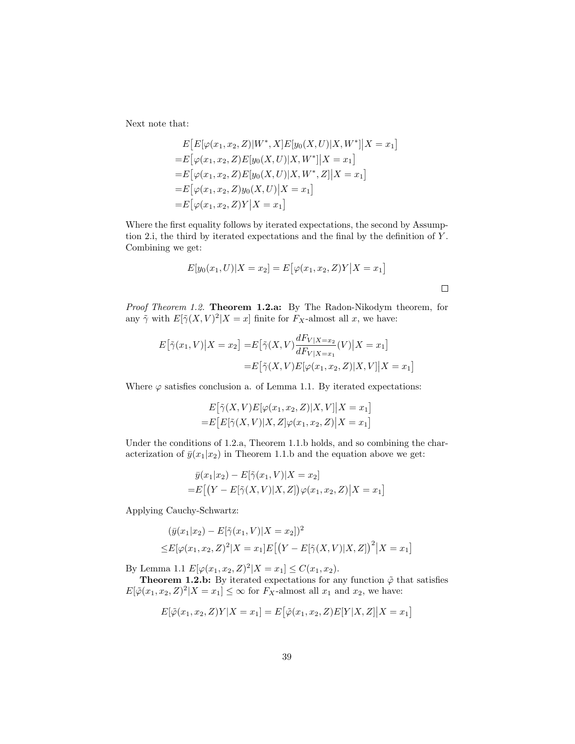Next note that:

$$
E\big[E[\varphi(x_1, x_2, Z)|W^*, X]E[y_0(X, U)|X, W^*]|X = x_1\big]
$$
  
=  $E\big[\varphi(x_1, x_2, Z)E[y_0(X, U)|X, W^*]|X = x_1\big]$   
=  $E\big[\varphi(x_1, x_2, Z)E[y_0(X, U)|X, W^*, Z]|X = x_1\big]$   
=  $E\big[\varphi(x_1, x_2, Z)y_0(X, U)|X = x_1\big]$   
=  $E\big[\varphi(x_1, x_2, Z)Y|X = x_1\big]$ 

Where the first equality follows by iterated expectations, the second by Assumption 2.i, the third by iterated expectations and the final by the definition of Y . Combining we get:

$$
E[y_0(x_1, U)|X = x_2] = E[\varphi(x_1, x_2, Z)Y|X = x_1]
$$

Proof Theorem 1.2. Theorem 1.2.a: By The Radon-Nikodym theorem, for any  $\tilde{\gamma}$  with  $E[\tilde{\gamma}(X,V)^2 | X = x]$  finite for  $F_X$ -almost all x, we have:

$$
E\big[\tilde{\gamma}(x_1, V) \big| X = x_2\big] = E\big[\tilde{\gamma}(X, V) \frac{dF_{V|X=x_2}}{dF_{V|X=x_1}}(V) \big| X = x_1\big]
$$

$$
= E\big[\tilde{\gamma}(X, V) E[\varphi(x_1, x_2, Z) \big| X, V] \big| X = x_1\big]
$$

Where  $\varphi$  satisfies conclusion a. of Lemma 1.1. By iterated expectations:

$$
E\big[\tilde{\gamma}(X,V)E[\varphi(x_1,x_2,Z)|X,V]|X=x_1\big]
$$
  
=
$$
E\big[E[\tilde{\gamma}(X,V)|X,Z]\varphi(x_1,x_2,Z)|X=x_1\big]
$$

Under the conditions of 1.2.a, Theorem 1.1.b holds, and so combining the characterization of  $\bar{y}(x_1|x_2)$  in Theorem 1.1.b and the equation above we get:

$$
\bar{y}(x_1|x_2) - E[\tilde{\gamma}(x_1, V)|X = x_2] \n= E[(Y - E[\tilde{\gamma}(X, V)|X, Z])\varphi(x_1, x_2, Z)|X = x_1]
$$

Applying Cauchy-Schwartz:

$$
(\bar{y}(x_1|x_2) - E[\tilde{\gamma}(x_1, V)|X = x_2])^2
$$
  
 
$$
\leq E[\varphi(x_1, x_2, Z)^2 | X = x_1] E[(Y - E[\tilde{\gamma}(X, V)|X, Z])^2 | X = x_1]
$$

By Lemma 1.1  $E[\varphi(x_1, x_2, Z)^2 | X = x_1] \leq C(x_1, x_2)$ .

**Theorem 1.2.b:** By iterated expectations for any function  $\tilde{\varphi}$  that satisfies  $E[\tilde{\varphi}(x_1, x_2, Z)^2 | X = x_1] \leq \infty$  for  $F_X$ -almost all  $x_1$  and  $x_2$ , we have:

$$
E[\tilde{\varphi}(x_1, x_2, Z)Y|X = x_1] = E[\tilde{\varphi}(x_1, x_2, Z)E[Y|X, Z]|X = x_1]
$$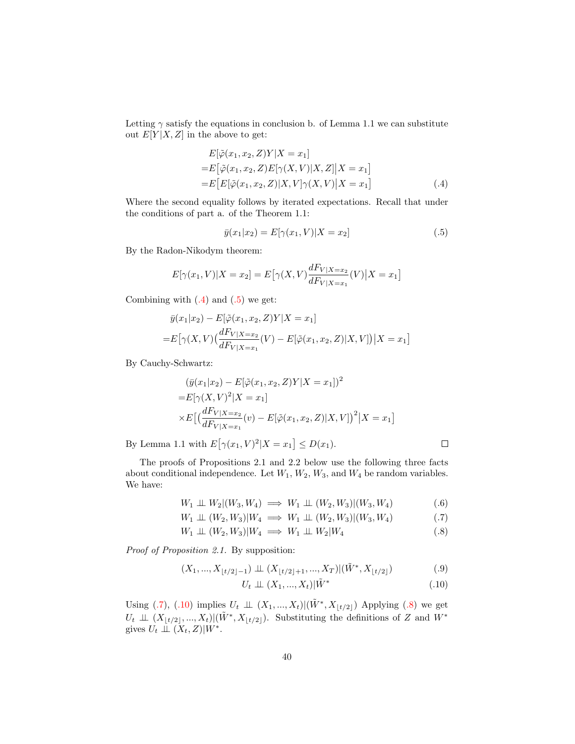Letting  $\gamma$  satisfy the equations in conclusion b. of Lemma 1.1 we can substitute out  $E[Y|X, Z]$  in the above to get:

$$
E[\tilde{\varphi}(x_1, x_2, Z)Y|X = x_1]
$$
  
=
$$
E[\tilde{\varphi}(x_1, x_2, Z)E[\gamma(X, V)|X, Z]|X = x_1]
$$
  
=
$$
E[E[\tilde{\varphi}(x_1, x_2, Z)|X, V]\gamma(X, V)|X = x_1]
$$
 (.4)

Where the second equality follows by iterated expectations. Recall that under the conditions of part a. of the Theorem 1.1:

<span id="page-39-1"></span><span id="page-39-0"></span>
$$
\bar{y}(x_1|x_2) = E[\gamma(x_1, V)|X = x_2]
$$
\n(.5)

By the Radon-Nikodym theorem:

$$
E[\gamma(x_1, V)|X = x_2] = E[\gamma(X, V)\frac{dF_{V|X=x_2}}{dF_{V|X=x_1}}(V)|X = x_1]
$$

Combining with  $(0.4)$  and  $(0.5)$  we get:

$$
\bar{y}(x_1|x_2) - E[\tilde{\varphi}(x_1, x_2, Z)Y|X = x_1]
$$
  
=  $E[\gamma(X, V) \left( \frac{dF_{V|X=x_2}}{dF_{V|X=x_1}} (V) - E[\tilde{\varphi}(x_1, x_2, Z)|X, V] \right) | X = x_1]$ 

By Cauchy-Schwartz:

$$
(\bar{y}(x_1|x_2) - E[\tilde{\varphi}(x_1, x_2, Z)Y|X = x_1])^2
$$
  
=  $E[\gamma(X, V)^2|X = x_1]$   

$$
\times E\left[\left(\frac{dF_{V|X=x_2}}{dF_{V|X=x_1}}(v) - E[\tilde{\varphi}(x_1, x_2, Z)|X, V]\right)^2|X = x_1\right]
$$

By Lemma 1.1 with  $E[\gamma(x_1, V)^2 | X = x_1] \leq D(x_1)$ .

The proofs of Propositions 2.1 and 2.2 below use the following three facts about conditional independence. Let  $W_1, W_2, W_3$ , and  $W_4$  be random variables. We have:

$$
W_1 \perp\!\!\!\perp W_2 | (W_3, W_4) \implies W_1 \perp\!\!\!\perp (W_2, W_3) | (W_3, W_4) \tag{.6}
$$

$$
W_1 \perp \!\!\!\perp (W_2, W_3)|W_4 \implies W_1 \perp \!\!\!\perp (W_2, W_3)|(W_3, W_4) \tag{.7}
$$

$$
W_1 \perp\!\!\!\perp (W_2, W_3)|W_4 \implies W_1 \perp\!\!\!\perp W_2|W_4 \tag{.8}
$$

Proof of Proposition 2.1. By supposition:

$$
(X_1, ..., X_{\lfloor t/2 \rfloor - 1}) \perp \perp (X_{\lfloor t/2 \rfloor + 1}, ..., X_T) | (\tilde{W}^*, X_{\lfloor t/2 \rfloor}) \tag{.9}
$$

$$
U_t \perp \!\!\!\perp (X_1, \ldots, X_t) | \tilde{W}^* \tag{.10}
$$

<span id="page-39-6"></span><span id="page-39-5"></span><span id="page-39-4"></span><span id="page-39-3"></span><span id="page-39-2"></span> $\Box$ 

Using [\(.7\)](#page-39-2), [\(.10\)](#page-39-3) implies  $U_t \perp \!\!\!\perp (X_1, ..., X_t) | (\tilde{W}^*, X_{\lfloor t/2 \rfloor})$  Applying [\(.8\)](#page-39-4) we get  $U_t \perp\!\!\!\perp (X_{\lfloor t/2 \rfloor},...,X_t)|(\tilde{W}^*, X_{\lfloor t/2 \rfloor}).$  Substituting the definitions of Z and  $W^*$ gives  $U_t \perp \perp (X_t, Z) |W^*$ .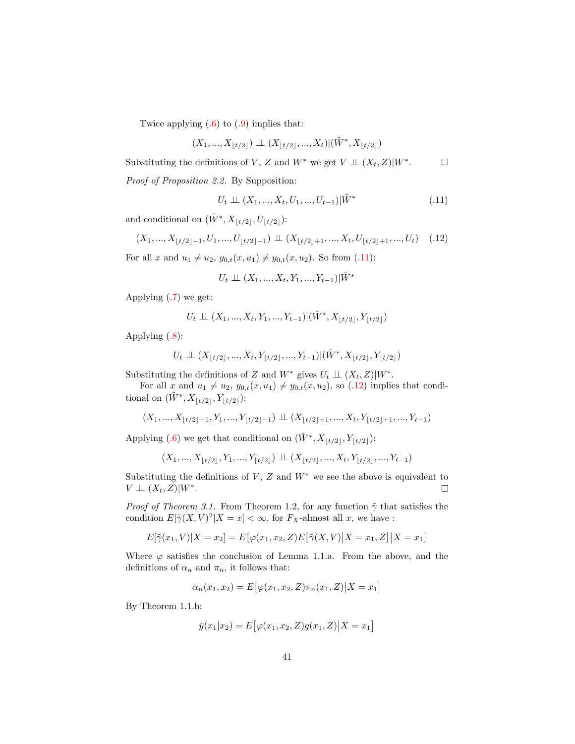Twice applying  $(.6)$  to  $(.9)$  implies that:

$$
(X_1,...,X_{\lfloor t/2 \rfloor})\perp \!\!\! \perp (X_{\lfloor t/2 \rfloor},...,X_t)|(\tilde W^*,X_{\lfloor t/2 \rfloor})
$$

Substituting the definitions of V, Z and  $W^*$  we get  $V \perp \!\!\!\perp (X_t, Z)|W^*$ .  $\Box$ 

Proof of Proposition 2.2. By Supposition:

<span id="page-40-1"></span><span id="page-40-0"></span>
$$
U_t \perp \!\!\!\perp (X_1, ..., X_t, U_1, ..., U_{t-1}) | \tilde{W}^* \tag{.11}
$$

and conditional on  $(\tilde{W}^*, X_{\lfloor t/2 \rfloor}, U_{\lfloor t/2 \rfloor})$ :

$$
(X_1, ..., X_{\lfloor t/2 \rfloor - 1}, U_1, ..., U_{\lfloor t/2 \rfloor - 1}) \perp (X_{\lfloor t/2 \rfloor + 1}, ..., X_t, U_{\lfloor t/2 \rfloor + 1}, ..., U_t) \quad (.12)
$$

For all x and  $u_1 \neq u_2$ ,  $y_{0,t}(x, u_1) \neq y_{0,t}(x, u_2)$ . So from [\(.11\)](#page-40-0):

$$
U_t \perp \!\!\! \perp (X_1,...,X_t,Y_1,...,Y_{t-1})|\tilde{W}^*
$$

Applying [\(.7\)](#page-39-2) we get:

$$
U_t \perp \!\!\! \perp (X_1,...,X_t,Y_1,...,Y_{t-1}) | (\tilde{W}^*,X_{\lfloor t/2 \rfloor},Y_{\lfloor t/2 \rfloor})
$$

Applying [\(.8\)](#page-39-4):

$$
U_t \perp \!\!\! \perp (X_{\lfloor t/2 \rfloor},...,X_t,Y_{\lfloor t/2 \rfloor},...,Y_{t-1})|(\tilde W^*,X_{\lfloor t/2 \rfloor},Y_{\lfloor t/2 \rfloor})
$$

Substituting the definitions of Z and  $W^*$  gives  $U_t \perp \!\!\!\perp (X_t, Z)|W^*$ .

For all x and  $u_1 \neq u_2$ ,  $y_{0,t}(x, u_1) \neq y_{0,t}(x, u_2)$ , so [\(.12\)](#page-40-1) implies that conditional on  $(\tilde{W}^*, X_{\lfloor t/2 \rfloor}, Y_{\lfloor t/2 \rfloor})$ :

$$
(X_1,...,X_{\lfloor t/2 \rfloor-1},Y_1,...,Y_{\lfloor t/2 \rfloor-1})\perp \!\!\! \perp (X_{\lfloor t/2 \rfloor+1},...,X_t,Y_{\lfloor t/2 \rfloor+1},...,Y_{t-1})
$$

Applying [\(.6\)](#page-39-5) we get that conditional on  $(\tilde{W}^*, X_{\lfloor t/2 \rfloor}, Y_{\lfloor t/2 \rfloor})$ :

$$
(X_1, ..., X_{\lfloor t/2 \rfloor}, Y_1, ..., Y_{\lfloor t/2 \rfloor}) \perp (X_{\lfloor t/2 \rfloor}, ..., X_t, Y_{\lfloor t/2 \rfloor}, ..., Y_{t-1})
$$

Substituting the definitions of  $V$ ,  $Z$  and  $W^*$  we see the above is equivalent to  $V \perp\!\!\!\perp (X_t, Z)|W^*$ .  $\Box$ 

*Proof of Theorem 3.1.* From Theorem 1.2, for any function  $\tilde{\gamma}$  that satisfies the condition  $E[\tilde{\gamma}(X, V)^2 | X = x] < \infty$ , for  $F_X$ -almost all x, we have :

$$
E[\tilde{\gamma}(x_1, V)|X = x_2] = E[\varphi(x_1, x_2, Z)E[\tilde{\gamma}(X, V)|X = x_1, Z]|X = x_1]
$$

Where  $\varphi$  satisfies the conclusion of Lemma 1.1.a. From the above, and the definitions of  $\alpha_n$  and  $\pi_n$ , it follows that:

$$
\alpha_n(x_1, x_2) = E[\varphi(x_1, x_2, Z)\pi_n(x_1, Z)|X = x_1]
$$

By Theorem 1.1.b:

$$
\bar{y}(x_1|x_2) = E[\varphi(x_1, x_2, Z)g(x_1, Z)|X = x_1]
$$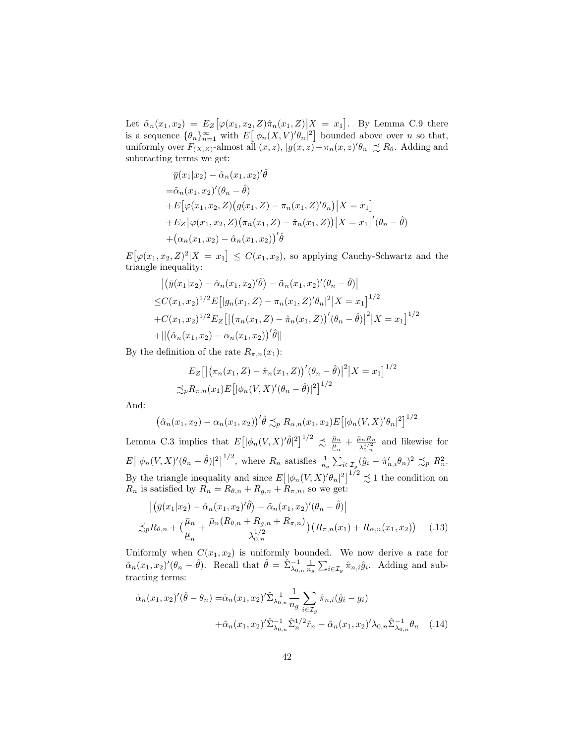Let  $\tilde{\alpha}_n(x_1, x_2) = E_Z \big[ \varphi(x_1, x_2, Z) \hat{\pi}_n(x_1, Z) \big] X = x_1 \big]$ . By Lemma C.9 there is a sequence  $\{\theta_n\}_{n=1}^{\infty}$  with  $E\left[ |\phi_n(X, V)' \theta_n|^2 \right]$  bounded above over n so that, uniformly over  $F_{(X,Z)}$ -almost all  $(x, z)$ ,  $|g(x, z) - \pi_n(x, z)' \theta_n| \precsim R_\theta$ . Adding and subtracting terms we get:

$$
\overline{y}(x_1|x_2) - \hat{\alpha}_n(x_1, x_2)'\hat{\theta}
$$
  
\n
$$
= \tilde{\alpha}_n(x_1, x_2)'(\theta_n - \hat{\theta})
$$
  
\n
$$
+ E\big[\varphi(x_1, x_2, Z)(g(x_1, Z) - \pi_n(x_1, Z)'\theta_n)\big|X = x_1\big]
$$
  
\n
$$
+ E_Z\big[\varphi(x_1, x_2, Z)(\pi_n(x_1, Z) - \hat{\pi}_n(x_1, Z))\big|X = x_1\big]'(\theta_n - \hat{\theta})
$$
  
\n
$$
+ (\alpha_n(x_1, x_2) - \hat{\alpha}_n(x_1, x_2))'\hat{\theta}
$$

 $E[\varphi(x_1, x_2, Z)^2 | X = x_1] \leq C(x_1, x_2)$ , so applying Cauchy-Schwartz and the triangle inequality:

$$
\begin{aligned} & \left| \left( \bar{y}(x_1|x_2) - \hat{\alpha}_n(x_1, x_2)'\hat{\theta} \right) - \tilde{\alpha}_n(x_1, x_2)'\left( \theta_n - \hat{\theta} \right) \right| \\ &\leq & C(x_1, x_2)^{1/2} E\left[ |g_n(x_1, Z) - \pi_n(x_1, Z)'\theta_n|^2 \right] X = x_1 \right]^{1/2} \\ & + C(x_1, x_2)^{1/2} E_Z\left[ \left| \left( \pi_n(x_1, Z) - \hat{\pi}_n(x_1, Z) \right)' \left( \theta_n - \hat{\theta} \right) \right|^2 \right] X = x_1 \right]^{1/2} \\ & + ||\left( \hat{\alpha}_n(x_1, x_2) - \alpha_n(x_1, x_2) \right)' \hat{\theta}|| \end{aligned}
$$

By the definition of the rate  $R_{\pi,n}(x_1)$ :

$$
E_Z\left[\left|\left(\pi_n(x_1, Z) - \hat{\pi}_n(x_1, Z)\right)'(\theta_n - \hat{\theta})\right|^2\right]X = x_1\right]^{1/2}
$$
  

$$
\lesssim_p R_{\pi, n}(x_1) E\left[\left|\phi_n(V, X)'(\theta_n - \hat{\theta})\right|^2\right]^{1/2}
$$

And:

$$
(\hat{\alpha}_n(x_1,x_2) - \alpha_n(x_1,x_2))'\hat{\theta} \preceq_p R_{\alpha,n}(x_1,x_2)E\big[|\phi_n(V,X)'\theta_n|^2\big]^{1/2}
$$

Lemma C.3 implies that  $E\left[ |\phi_n(V,X)'\hat{\theta}|^2 \right]^{1/2} \precsim \frac{\bar{\mu}_n}{\underline{\mu}_n} + \frac{\bar{\mu}_n R_n}{\lambda_{0,n}^{1/2}}$  $\frac{\lambda_1 R_n}{\lambda_0^{1/2}}$  and likewise for  $0, n$  $E\big[\big|\phi_n(V,X)'(\theta_n-\hat{\theta})|^2\big]^{1/2}$ , where  $R_n$  satisfies  $\frac{1}{n_g}\sum_{i\in\mathcal{I}_g}(\hat{g}_i-\hat{\pi}'_{n,i}\theta_n)^2 \precsim_p R_n^2$ . By the triangle inequality and since  $E[ |\phi_n(V, X)' \theta_n|^2 ]^{1/2} \precsim 1$  the condition on  $R_n$  is satisfied by  $R_n = R_{\theta,n} + R_{g,n} + R_{\pi,n}$ , so we get:

<span id="page-41-1"></span>
$$
\left| \left( \bar{y}(x_1|x_2) - \hat{\alpha}_n(x_1, x_2)' \hat{\theta} \right) - \tilde{\alpha}_n(x_1, x_2)' (\theta_n - \hat{\theta}) \right|
$$
  
\n
$$
\lesssim_p R_{\theta,n} + \left( \frac{\bar{\mu}_n}{\mu_n} + \frac{\bar{\mu}_n(R_{\theta,n} + R_{g,n} + R_{\pi,n})}{\lambda_{0,n}^{1/2}} \right) \left( R_{\pi,n}(x_1) + R_{\alpha,n}(x_1, x_2) \right) \quad (.13)
$$

Uniformly when  $C(x_1, x_2)$  is uniformly bounded. We now derive a rate for  $\tilde{\alpha}_n(x_1, x_2)'(\theta_n - \hat{\theta})$ . Recall that  $\hat{\theta} = \hat{\Sigma}_{\lambda_{0,n}}^{-1} \frac{1}{n_g} \sum_{i \in \mathcal{I}_g} \hat{\pi}_{n,i} \hat{g}_i$ . Adding and subtracting terms:

<span id="page-41-0"></span>
$$
\tilde{\alpha}_n(x_1, x_2)'(\hat{\theta} - \theta_n) = \tilde{\alpha}_n(x_1, x_2)' \hat{\Sigma}_{\lambda_{0,n}}^{-1} \frac{1}{n_g} \sum_{i \in \mathcal{I}_g} \hat{\pi}_{n,i}(\hat{g}_i - g_i) \n+ \tilde{\alpha}_n(x_1, x_2)' \hat{\Sigma}_{\lambda_{0,n}}^{-1} \hat{\Sigma}_n^{1/2} \tilde{r}_n - \tilde{\alpha}_n(x_1, x_2)' \lambda_{0,n} \hat{\Sigma}_{\lambda_{0,n}}^{-1} \theta_n
$$
\n(.14)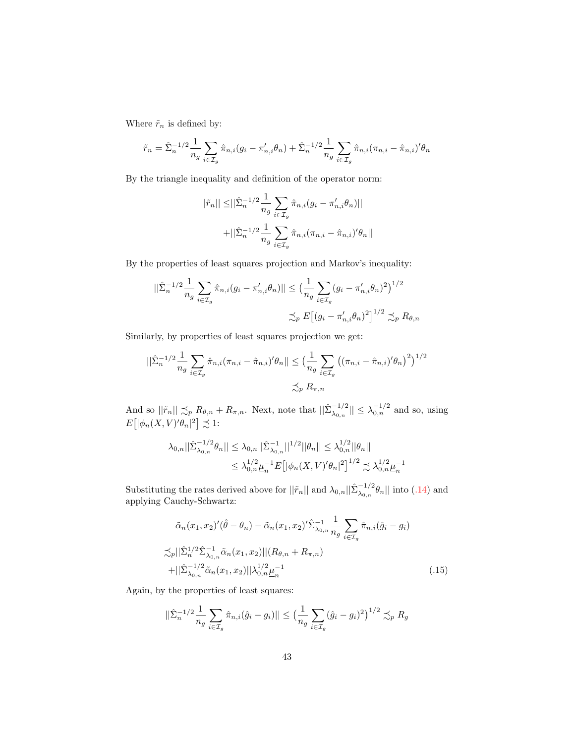Where  $\tilde{r}_n$  is defined by:

$$
\tilde{r}_n = \hat{\Sigma}_n^{-1/2} \frac{1}{n_g} \sum_{i \in \mathcal{I}_g} \hat{\pi}_{n,i}(g_i - \pi'_{n,i} \theta_n) + \hat{\Sigma}_n^{-1/2} \frac{1}{n_g} \sum_{i \in \mathcal{I}_g} \hat{\pi}_{n,i}(\pi_{n,i} - \hat{\pi}_{n,i})' \theta_n
$$

By the triangle inequality and definition of the operator norm:

$$
||\tilde{r}_n|| \leq ||\hat{\Sigma}_n^{-1/2} \frac{1}{n_g} \sum_{i \in \mathcal{I}_g} \hat{\pi}_{n,i}(g_i - \pi'_{n,i} \theta_n)||
$$
  
+ 
$$
||\hat{\Sigma}_n^{-1/2} \frac{1}{n_g} \sum_{i \in \mathcal{I}_g} \hat{\pi}_{n,i}(\pi_{n,i} - \hat{\pi}_{n,i})' \theta_n||
$$

By the properties of least squares projection and Markov's inequality:

$$
||\hat{\Sigma}_n^{-1/2} \frac{1}{n_g} \sum_{i \in \mathcal{I}_g} \hat{\pi}_{n,i}(g_i - \pi'_{n,i} \theta_n)|| \le \left(\frac{1}{n_g} \sum_{i \in \mathcal{I}_g} (g_i - \pi'_{n,i} \theta_n)^2\right)^{1/2}
$$

$$
\lesssim_p E\left[ (g_i - \pi'_{n,i} \theta_n)^2\right]^{1/2} \lesssim_p R_{\theta,n}
$$

Similarly, by properties of least squares projection we get:

$$
||\hat{\Sigma}_n^{-1/2} \frac{1}{n_g} \sum_{i \in \mathcal{I}_g} \hat{\pi}_{n,i} (\pi_{n,i} - \hat{\pi}_{n,i})' \theta_n || \leq \left(\frac{1}{n_g} \sum_{i \in \mathcal{I}_g} \left( (\pi_{n,i} - \hat{\pi}_{n,i})' \theta_n \right)^2 \right)^{1/2} \leq p R_{\pi,n}
$$

And so  $||\tilde{r}_n|| \precsim_p R_{\theta,n} + R_{\pi,n}$ . Next, note that  $||\tilde{\Sigma}_{\lambda_{0,n}}^{-1/2}|| \leq \lambda_{0,n}^{-1/2}$  and so, using  $E[|\phi_n(X,V)'\theta_n|^2] \precsim 1$ :

$$
\lambda_{0,n}||\hat{\Sigma}_{\lambda_{0,n}}^{-1/2}\theta_n|| \leq \lambda_{0,n}||\hat{\Sigma}_{\lambda_{0,n}}^{-1}||^{1/2}||\theta_n|| \leq \lambda_{0,n}^{1/2}||\theta_n||
$$
  

$$
\leq \lambda_{0,n}^{1/2}\underline{\mu}_n^{-1}E\big[|\phi_n(X,V)'\theta_n|^2\big]^{1/2} \precsim \lambda_{0,n}^{1/2}\underline{\mu}_n^{-1}
$$

Substituting the rates derived above for  $||\tilde{r}_n||$  and  $\lambda_{0,n}||\tilde{\Sigma}_{\lambda_{0,n}}^{-1/2}\theta_n||$  into [\(.14\)](#page-41-0) and applying Cauchy-Schwartz:

$$
\tilde{\alpha}_n(x_1, x_2)'(\hat{\theta} - \theta_n) - \tilde{\alpha}_n(x_1, x_2)' \hat{\Sigma}_{\lambda_{0,n}}^{-1} \frac{1}{n_g} \sum_{i \in \mathcal{I}_g} \hat{\pi}_{n,i}(\hat{g}_i - g_i)
$$
  
\n
$$
\lesssim_p ||\hat{\Sigma}_n^{1/2} \hat{\Sigma}_{\lambda_{0,n}}^{-1} \tilde{\alpha}_n(x_1, x_2)||(R_{\theta,n} + R_{\pi,n})
$$
  
\n
$$
+ ||\hat{\Sigma}_{\lambda_{0,n}}^{-1/2} \tilde{\alpha}_n(x_1, x_2)||\lambda_{0,n}^{1/2} \underline{\mu}_n^{-1}
$$
\n(.15)

Again, by the properties of least squares:

<span id="page-42-0"></span>
$$
||\hat{\Sigma}_n^{-1/2} \frac{1}{n_g} \sum_{i \in \mathcal{I}_g} \hat{\pi}_{n,i} (\hat{g}_i - g_i) || \le \left(\frac{1}{n_g} \sum_{i \in \mathcal{I}_g} (\hat{g}_i - g_i)^2\right)^{1/2} \lesssim_p R_g
$$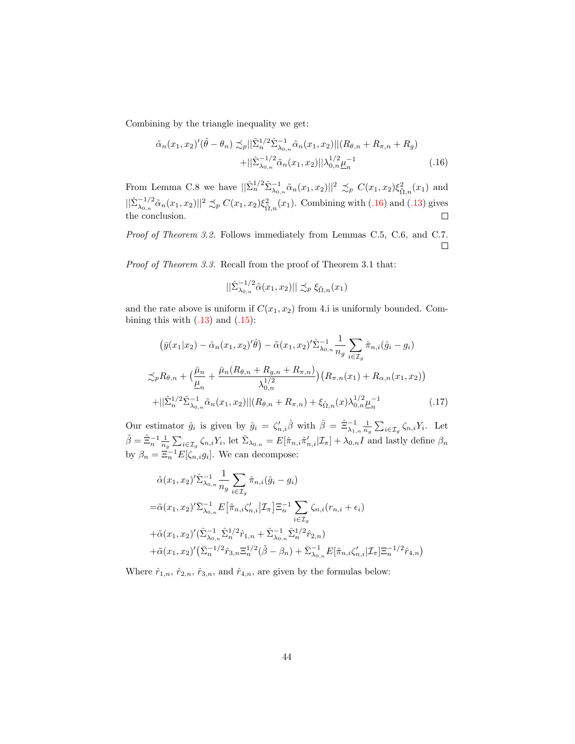Combining by the triangle inequality we get:

$$
\tilde{\alpha}_n(x_1, x_2)'(\hat{\theta} - \theta_n) \preceq_p ||\hat{\Sigma}_n^{1/2} \hat{\Sigma}_{\lambda_{0,n}}^{-1} \tilde{\alpha}_n(x_1, x_2)||(R_{\theta,n} + R_{\pi,n} + R_g) \n+ ||\hat{\Sigma}_{\lambda_{0,n}}^{-1/2} \tilde{\alpha}_n(x_1, x_2)||\lambda_{0,n}^{1/2} \underline{\mu}_n^{-1}
$$
\n(.16)

From Lemma C.8 we have  $||\hat{\Sigma}_n^{1/2} \hat{\Sigma}_{\lambda_{0,n}}^{-1} \tilde{\alpha}_n(x_1, x_2)||^2 \precsim_p C(x_1, x_2) \xi_{\tilde{\Omega},n}^2(x_1)$  and  $||\hat{\Sigma}_{\lambda_{0,n}}^{-1/2}\tilde{\alpha}_n(x_1,x_2)||^2 \precsim_p C(x_1,x_2)\xi_{\tilde{\Omega},n}^2(x_1)$ . Combining with [\(.16\)](#page-43-0) and [\(.13\)](#page-41-1) gives the conclusion.  $\Box$ 

Proof of Theorem 3.2. Follows immediately from Lemmas C.5, C.6, and C.7.  $\Box$ 

Proof of Theorem 3.3. Recall from the proof of Theorem 3.1 that:

<span id="page-43-1"></span><span id="page-43-0"></span>
$$
\left\|\hat{\Sigma}_{\lambda_{0,n}}^{-1/2}\tilde{\alpha}(x_1,x_2)\right\|\precsim_p \xi_{\tilde{\Omega},n}(x_1)
$$

and the rate above is uniform if  $C(x_1, x_2)$  from 4.i is uniformly bounded. Combining this with  $(.13)$  and  $(.15)$ :

$$
\left(\bar{y}(x_1|x_2) - \hat{\alpha}_n(x_1, x_2)'\hat{\theta}\right) - \tilde{\alpha}(x_1, x_2)'\hat{\Sigma}_{\lambda_{0,n}}^{-1} \frac{1}{n_g} \sum_{i \in \mathcal{I}_g} \hat{\pi}_{n,i}(\hat{g}_i - g_i)
$$
  

$$
\lesssim_p R_{\theta,n} + \left(\frac{\bar{\mu}_n}{\underline{\mu}_n} + \frac{\bar{\mu}_n(R_{\theta,n} + R_{g,n} + R_{\pi,n})}{\lambda_{0,n}^{1/2}}\right) \left(R_{\pi,n}(x_1) + R_{\alpha,n}(x_1, x_2)\right)
$$
  

$$
+ ||\hat{\Sigma}_n^{1/2}\hat{\Sigma}_{\lambda_{0,n}}^{-1}\tilde{\alpha}_n(x_1, x_2)||(R_{\theta,n} + R_{\pi,n}) + \xi_{\tilde{\Omega},n}(x)\lambda_{0,n}^{1/2}\underline{\mu}_n^{-1}
$$
(.17)

Our estimator  $\hat{g}_i$  is given by  $\hat{g}_i = \zeta'_{n,i} \hat{\beta}$  with  $\hat{\beta} = \hat{\Xi}_{\lambda_{1,n}}^{-1} \frac{1}{n_g} \sum_{i \in \mathcal{I}_g} \zeta_{n,i} Y_i$ . Let  $\tilde{\beta} = \hat{\Xi}_n^{-1} \frac{1}{n_g} \sum_{i \in \mathcal{I}_g} \zeta_{n,i} Y_i$ , let  $\bar{\Sigma}_{\lambda_{0,n}} = E[\hat{\pi}_{n,i} \hat{\pi}'_{n,i} | \mathcal{I}_\pi] + \lambda_{0,n} I$  and lastly define  $\beta_n$ by  $\beta_n = \Xi_n^{-1} E[\zeta_{n,i} g_i]$ . We can decompose:

$$
\tilde{\alpha}(x_1, x_2)' \hat{\Sigma}_{\lambda_0, n}^{-1} \frac{1}{n_g} \sum_{i \in \mathcal{I}_g} \hat{\pi}_{n, i} (\hat{g}_i - g_i)
$$
  
\n
$$
= \tilde{\alpha}(x_1, x_2)' \bar{\Sigma}_{\lambda_0, n}^{-1} E [\hat{\pi}_{n, i} \zeta'_{n, i}] \mathcal{I}_{\pi} \Big] \Xi_n^{-1} \sum_{i \in \mathcal{I}_g} \zeta_{n, i} (r_{n, i} + \epsilon_i)
$$
  
\n
$$
+ \tilde{\alpha}(x_1, x_2)' (\hat{\Sigma}_{\lambda_0, n}^{-1} \hat{\Sigma}_{n}^{1/2} \hat{r}_{1, n} + \hat{\Sigma}_{\lambda_0, n}^{-1} \hat{\Sigma}_{n}^{1/2} \hat{r}_{2, n})
$$
  
\n
$$
+ \tilde{\alpha}(x_1, x_2)' (\bar{\Sigma}_{n}^{-1/2} \hat{r}_{3, n} \Xi_{n}^{1/2} (\tilde{\beta} - \beta_n) + \bar{\Sigma}_{\lambda_0, n}^{-1} E [\hat{\pi}_{n, i} \zeta'_{n, i}] \mathcal{I}_{\pi} \Big] \Xi_n^{-1/2} \hat{r}_{4, n})
$$

Where  $\hat{r}_{1,n}$ ,  $\hat{r}_{2,n}$ ,  $\hat{r}_{3,n}$ , and  $\hat{r}_{4,n}$ , are given by the formulas below: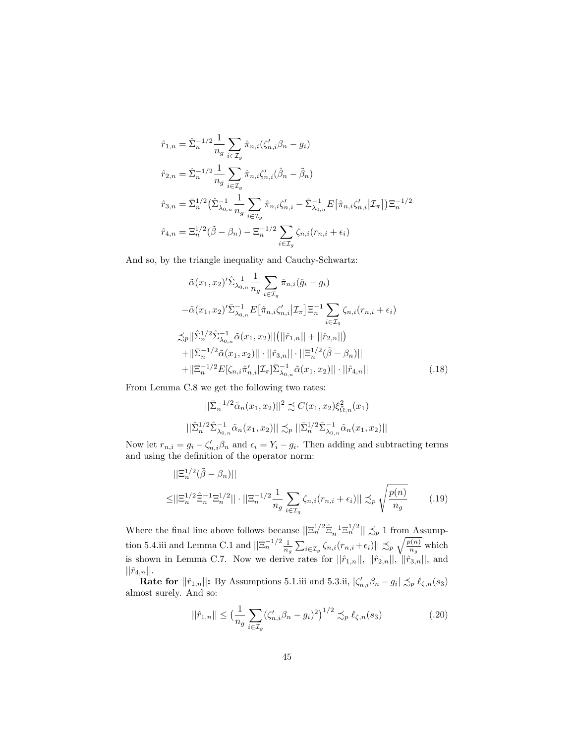$$
\hat{r}_{1,n} = \hat{\Sigma}_n^{-1/2} \frac{1}{n_g} \sum_{i \in \mathcal{I}_g} \hat{\pi}_{n,i} (\zeta'_{n,i} \beta_n - g_i)
$$
  
\n
$$
\hat{r}_{2,n} = \hat{\Sigma}_n^{-1/2} \frac{1}{n_g} \sum_{i \in \mathcal{I}_g} \hat{\pi}_{n,i} \zeta'_{n,i} (\hat{\beta}_n - \tilde{\beta}_n)
$$
  
\n
$$
\hat{r}_{3,n} = \bar{\Sigma}_n^{1/2} (\hat{\Sigma}_{\lambda_{0,n}}^{-1} \frac{1}{n_g} \sum_{i \in \mathcal{I}_g} \hat{\pi}_{n,i} \zeta'_{n,i} - \bar{\Sigma}_{\lambda_{0,n}}^{-1} E[\hat{\pi}_{n,i} \zeta'_{n,i} | \mathcal{I}_{\pi}]) \Xi_n^{-1/2}
$$
  
\n
$$
\hat{r}_{4,n} = \Xi_n^{1/2} (\tilde{\beta} - \beta_n) - \Xi_n^{-1/2} \sum_{i \in \mathcal{I}_g} \zeta_{n,i} (r_{n,i} + \epsilon_i)
$$

And so, by the triangle inequality and Cauchy-Schwartz:

$$
\tilde{\alpha}(x_1, x_2)' \hat{\Sigma}_{\lambda_0, n}^{-1} \frac{1}{n_g} \sum_{i \in \mathcal{I}_g} \hat{\pi}_{n, i} (\hat{g}_i - g_i)
$$
  
\n
$$
- \tilde{\alpha}(x_1, x_2)' \bar{\Sigma}_{\lambda_0, n}^{-1} E [\hat{\pi}_{n, i} \zeta'_{n, i}] \mathcal{I}_{\pi} ] \Xi_n^{-1} \sum_{i \in \mathcal{I}_g} \zeta_{n, i} (r_{n, i} + \epsilon_i)
$$
  
\n
$$
\lesssim_p ||\hat{\Sigma}_n^{1/2} \hat{\Sigma}_{\lambda_0, n}^{-1} \tilde{\alpha}(x_1, x_2)|| (||\hat{r}_{1, n}|| + ||\hat{r}_{2, n}||)
$$
  
\n
$$
+ ||\bar{\Sigma}_n^{-1/2} \tilde{\alpha}(x_1, x_2)|| \cdot ||\hat{r}_{3, n}|| \cdot ||\Xi_n^{1/2} (\tilde{\beta} - \beta_n)||
$$
  
\n
$$
+ ||\Xi_n^{-1/2} E[\zeta_{n, i} \hat{\pi}'_{n, i}] \mathcal{I}_{\pi}] \bar{\Sigma}_{\lambda_0, n}^{-1} \tilde{\alpha}(x_1, x_2)|| \cdot ||\hat{r}_{4, n}||
$$
\n(.18)

From Lemma C.8 we get the following two rates:

<span id="page-44-0"></span>
$$
||\bar{\Sigma}_n^{-1/2}\tilde{\alpha}_n(x_1, x_2)||^2 \precsim C(x_1, x_2)\xi_{\tilde{\Omega},n}^2(x_1)
$$
  

$$
||\tilde{\Sigma}_n^{1/2}\tilde{\Sigma}_{\lambda_{0,n}}^{-1}\tilde{\alpha}_n(x_1, x_2)|| \precsim_{P} ||\bar{\Sigma}_n^{1/2}\bar{\Sigma}_{\lambda_{0,n}}^{-1}\tilde{\alpha}_n(x_1, x_2)||
$$

Now let  $r_{n,i} = g_i - \zeta'_{n,i} \beta_n$  and  $\epsilon_i = Y_i - g_i$ . Then adding and subtracting terms and using the definition of the operator norm:

$$
||\Xi_n^{1/2}(\tilde{\beta} - \beta_n)||
$$
  
\n
$$
\leq ||\Xi_n^{1/2}\tilde{\Xi}_n^{-1}\Xi_n^{1/2}|| \cdot ||\Xi_n^{-1/2}\frac{1}{n_g}\sum_{i \in \mathcal{I}_g} \zeta_{n,i}(r_{n,i} + \epsilon_i)|| \precsim_p \sqrt{\frac{p(n)}{n_g}}
$$
 (.19)

Where the final line above follows because  $||\Xi_n^{1/2} \hat{\Xi}_n^{-1} \Xi_n^{1/2}|| \precsim_p 1$  from Assumption 5.4.iii and Lemma C.1 and  $||\Xi_n^{-1/2} \frac{1}{n_g} \sum_{i \in \mathcal{I}_g} \zeta_{n,i}(r_{n,i} + \epsilon_i)|| \precsim_p \sqrt{\frac{p(n)}{n_g}}$  which is shown in Lemma C.7. Now we derive rates for  $||\hat{r}_{1,n}||, ||\hat{r}_{2,n}||, ||\hat{r}_{3,n}||$ , and  $||\hat{r}_{4,n}||.$ 

**Rate for**  $||\hat{r}_{1,n}||$ : By Assumptions 5.1.iii and 5.3.ii,  $|\zeta'_{n,i}\beta_n - g_i| \precsim_p \ell_{\zeta,n}(s_3)$ almost surely. And so:

<span id="page-44-1"></span>
$$
||\hat{r}_{1,n}|| \le \left(\frac{1}{n_g} \sum_{i \in \mathcal{I}_g} (\zeta'_{n,i} \beta_n - g_i)^2\right)^{1/2} \precsim_p \ell_{\zeta,n}(s_3)
$$
 (.20)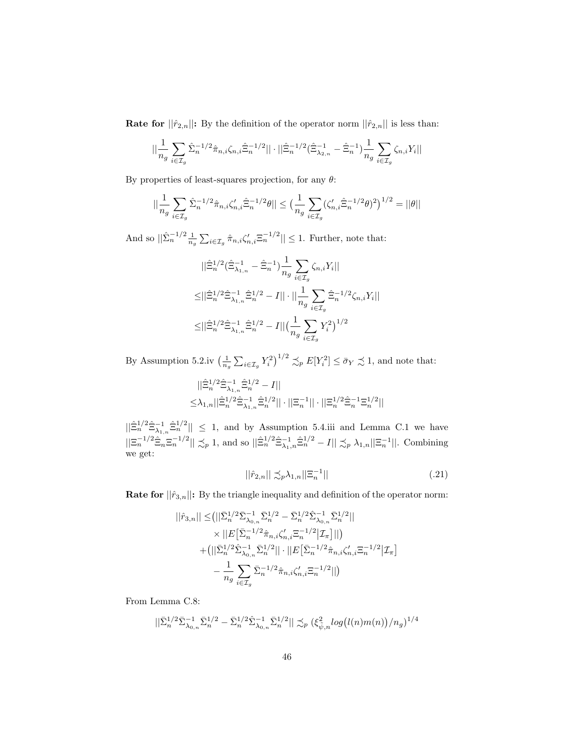**Rate for**  $||\hat{r}_{2,n}||$ : By the definition of the operator norm  $||\hat{r}_{2,n}||$  is less than:

$$
||\frac{1}{n_g} \sum_{i \in \mathcal{I}_g} \hat{\Sigma}_n^{-1/2} \hat{\pi}_{n,i} \zeta_{n,i} \hat{\Xi}_n^{-1/2} || \cdot ||\hat{\Xi}_n^{-1/2} (\hat{\Xi}_{\lambda_{2,n}}^{-1} - \hat{\Xi}_n^{-1}) \frac{1}{n_g} \sum_{i \in \mathcal{I}_g} \zeta_{n,i} Y_i ||
$$

By properties of least-squares projection, for any  $\theta$ :

$$
||\frac{1}{n_g} \sum_{i \in \mathcal{I}_g} \hat{\Sigma}_n^{-1/2} \hat{\pi}_{n,i} \zeta_{n,i}' \hat{\Xi}_n^{-1/2} \theta|| \le \left(\frac{1}{n_g} \sum_{i \in \mathcal{I}_g} (\zeta_{n,i}' \hat{\Xi}_n^{-1/2} \theta)^2\right)^{1/2} = ||\theta||
$$

And so  $||\hat{\Sigma}_n^{-1/2} \frac{1}{n_g} \sum_{i \in \mathcal{I}_g} \hat{\pi}_{n,i} \zeta'_{n,i} \overline{\Xi}_n^{-1/2}|| \leq 1$ . Further, note that:

$$
\begin{split} &||\hat{\Xi}_{n}^{1/2}(\hat{\Xi}_{\lambda_{1,n}}^{-1}-\hat{\Xi}_{n}^{-1})\frac{1}{n_{g}}\sum_{i\in\mathcal{I}_{g}}\zeta_{n,i}Y_{i}||\\ \leq&||\hat{\Xi}_{n}^{1/2}\hat{\Xi}_{\lambda_{1,n}}^{-1}\hat{\Xi}_{n}^{1/2}-I||\cdot||\frac{1}{n_{g}}\sum_{i\in\mathcal{I}_{g}}\hat{\Xi}_{n}^{-1/2}\zeta_{n,i}Y_{i}||\\ \leq&||\hat{\Xi}_{n}^{1/2}\hat{\Xi}_{\lambda_{1,n}}^{-1}\hat{\Xi}_{n}^{1/2}-I||\big(\frac{1}{n_{g}}\sum_{i\in\mathcal{I}_{g}}Y_{i}^{2}\big)^{1/2} \end{split}
$$

By Assumption 5.2.iv  $\left(\frac{1}{n_g}\sum_{i\in\mathcal{I}_g}Y_i^2\right)^{1/2}\lesssim_p E[Y_i^2]\leq \bar{\sigma}_Y\precsim 1$ , and note that:

$$
\begin{aligned} &||\hat{\Xi}_n^{1/2}\hat{\Xi}_{\lambda_{1,n}}^{-1}\hat{\Xi}_n^{1/2}-I||\\ \leq &\lambda_{1,n}||\hat{\Xi}_n^{1/2}\hat{\Xi}_{\lambda_{1,n}}^{-1}\hat{\Xi}_n^{1/2}||\cdot||\Xi_n^{-1}||\cdot||\Xi_n^{1/2}\hat{\Xi}_n^{-1}\Xi_n^{1/2}|| \end{aligned}
$$

 $||\hat{\Xi}_n^{1/2}\hat{\Xi}_{\lambda_{1,n}}^{-1}\hat{\Xi}_n^{1/2}|| \leq 1$ , and by Assumption 5.4.iii and Lemma C.1 we have  $||\Xi_n^{-1/2}\hat{\Xi}_n \Xi_n^{-1/2}|| \precsim_p 1$ , and so  $||\hat{\Xi}_n^{1/2}\hat{\Xi}_{\lambda_1,n}^{-1}\hat{\Xi}_n^{1/2} - I|| \precsim_p \lambda_{1,n}||\Xi_n^{-1}||$ . Combining we get:

<span id="page-45-0"></span>
$$
||\hat{r}_{2,n}|| \preceq_{p} \lambda_{1,n}||\Xi_{n}^{-1}|| \tag{.21}
$$

**Rate for**  $||\hat{r}_{3,n}||$ : By the triangle inequality and definition of the operator norm:

$$
\begin{split} ||\hat{r}_{3,n}|| \leq & \big(||\bar{\Sigma}_{n}^{1/2} \bar{\Sigma}_{\lambda_{0,n}}^{-1} \bar{\Sigma}_{n}^{1/2} - \bar{\Sigma}_{n}^{1/2} \hat{\Sigma}_{\lambda_{0,n}}^{-1} \bar{\Sigma}_{n}^{1/2}|| \\ & \qquad \times ||E\big[\bar{\Sigma}_{n}^{-1/2} \hat{\pi}_{n,i} \zeta'_{n,i} \Xi_{n}^{-1/2} |\mathcal{I}_{\pi} \big]|| \big) \\ & + \big(||\bar{\Sigma}_{n}^{1/2} \hat{\Sigma}_{\lambda_{0,n}}^{-1} \bar{\Sigma}_{n}^{1/2} || \cdot ||E\big[\bar{\Sigma}_{n}^{-1/2} \hat{\pi}_{n,i} \zeta'_{n,i} \Xi_{n}^{-1/2} |\mathcal{I}_{\pi} \big] \\ & - \frac{1}{n_{g}} \sum_{i \in \mathcal{I}_{g}} \bar{\Sigma}_{n}^{-1/2} \hat{\pi}_{n,i} \zeta'_{n,i} \Xi_{n}^{-1/2} || \big) \end{split}
$$

From Lemma C.8:

$$
||\bar{\Sigma}_{n}^{1/2} \bar{\Sigma}_{\lambda_{0,n}}^{-1} \bar{\Sigma}_{n}^{1/2} - \bar{\Sigma}_{n}^{1/2} \hat{\Sigma}_{\lambda_{0,n}}^{-1} \bar{\Sigma}_{n}^{1/2}|| \precsim_{p} (\xi_{\tilde{\psi},n}^{2} log(l(n)m(n))/n_g)^{1/4}
$$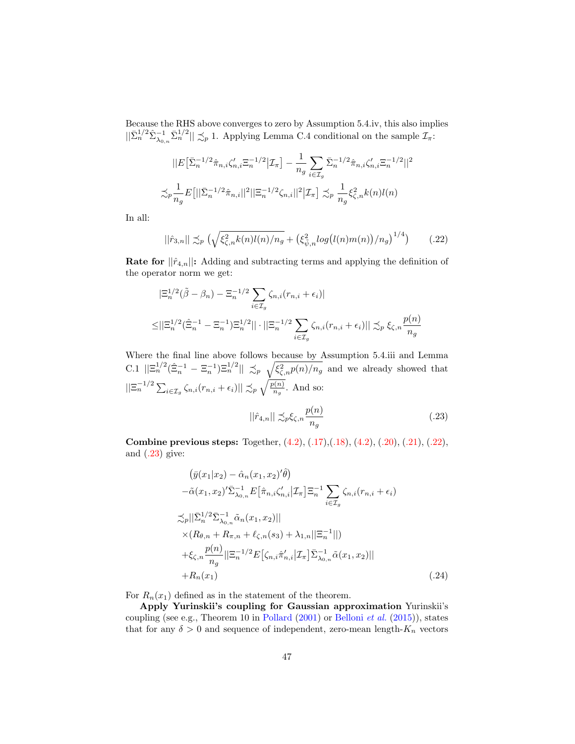Because the RHS above converges to zero by Assumption 5.4.iv, this also implies  $||\bar{\Sigma}_n^{1/2} \hat{\Sigma}_{\lambda_{0,n}}^{-1} \bar{\Sigma}_n^{1/2}|| \precsim_p 1$ . Applying Lemma C.4 conditional on the sample  $\mathcal{I}_{\pi}$ :

$$
||E\left[\bar{\Sigma}_n^{-1/2}\hat{\pi}_{n,i}\zeta'_{n,i}\Xi_n^{-1/2}\Big|\mathcal{I}_\pi\right] - \frac{1}{n_g}\sum_{i\in\mathcal{I}_g}\bar{\Sigma}_n^{-1/2}\hat{\pi}_{n,i}\zeta'_{n,i}\Xi_n^{-1/2}||^2
$$
  

$$
\lesssim_p \frac{1}{n_g}E\left[||\bar{\Sigma}_n^{-1/2}\hat{\pi}_{n,i}||^2||\Xi_n^{-1/2}\zeta_{n,i}||^2\Big|\mathcal{I}_\pi\right] \lesssim_p \frac{1}{n_g}\xi_{\zeta,n}^2k(n)l(n)
$$

In all:

$$
||\hat{r}_{3,n}|| \lesssim_{p} \left(\sqrt{\xi_{\zeta,n}^{2} k(n)l(n)/n_g} + \left(\xi_{\tilde{\psi},n}^{2} log(l(n)m(n))/n_g\right)^{1/4}\right) \tag{.22}
$$

**Rate for**  $||\hat{r}_{4,n}||$ : Adding and subtracting terms and applying the definition of the operator norm we get:

$$
|\Xi_n^{1/2}(\tilde{\beta} - \beta_n) - \Xi_n^{-1/2} \sum_{i \in \mathcal{I}_g} \zeta_{n,i}(r_{n,i} + \epsilon_i)|
$$
  

$$
\leq ||\Xi_n^{1/2}(\hat{\Xi}_n^{-1} - \Xi_n^{-1})\Xi_n^{1/2}|| \cdot ||\Xi_n^{-1/2} \sum_{i \in \mathcal{I}_g} \zeta_{n,i}(r_{n,i} + \epsilon_i)|| \precsim_p \xi_{\zeta,n} \frac{p(n)}{n_g}
$$

Where the final line above follows because by Assumption 5.4.iii and Lemma C.1  $\|\Xi_n^{1/2}(\hat{\Xi}_n^{-1} - \Xi_n^{-1})\Xi_n^{1/2}\| \preceq_p \sqrt{\xi_{\zeta,n}^2 p(n)/n_g}$  and we already showed that  $||\Xi_n^{-1/2}\sum_{i\in\mathcal{I}_g}\zeta_{n,i}(r_{n,i}+\epsilon_i)|| \precsim_p \sqrt{\frac{p(n)}{n_g}}.$  And so:

<span id="page-46-2"></span><span id="page-46-1"></span><span id="page-46-0"></span>
$$
||\hat{r}_{4,n}|| \precsim_{p} \xi_{\zeta,n} \frac{p(n)}{n_g} \tag{.23}
$$

Combine previous steps: Together, [\(4.2\)](#page-44-0), [\(.17\)](#page-43-1),[\(.18\)](#page-44-0), [\(4.2\)](#page-44-0), [\(.20\)](#page-44-1), [\(.21\)](#page-45-0), [\(.22\)](#page-46-0), and  $(.23)$  give:

$$
\begin{split}\n& (\bar{y}(x_{1}|x_{2}) - \hat{\alpha}_{n}(x_{1}, x_{2})'\hat{\theta}) \\
& - \tilde{\alpha}(x_{1}, x_{2})'\bar{\Sigma}_{\lambda_{0,n}}^{-1} E\big[\hat{\pi}_{n,i}\zeta'_{n,i} \big|\mathcal{I}_{\pi}\big]\Xi_{n}^{-1} \sum_{i \in \mathcal{I}_{g}} \zeta_{n,i}(r_{n,i} + \epsilon_{i}) \\
& \lesssim_{p} ||\bar{\Sigma}_{n}^{1/2}\bar{\Sigma}_{\lambda_{0,n}}^{-1}\tilde{\alpha}_{n}(x_{1}, x_{2})|| \\
& \times (R_{\theta,n} + R_{\pi,n} + \ell_{\zeta,n}(s_{3}) + \lambda_{1,n}||\Xi_{n}^{-1}||) \\
& + \xi_{\zeta,n} \frac{p(n)}{n_{g}} ||\Xi_{n}^{-1/2} E\big[\zeta_{n,i}\hat{\pi}'_{n,i} \big|\mathcal{I}_{\pi}\big]\bar{\Sigma}_{\lambda_{0,n}}^{-1}\tilde{\alpha}(x_{1}, x_{2})|| \\
& + R_{n}(x_{1})\n\end{split} \tag{24}
$$

For  $R_n(x_1)$  defined as in the statement of the theorem.

Apply Yurinskii's coupling for Gaussian approximation Yurinskii's coupling (see e.g., Theorem 10 in [Pollard](#page-32-0) [\(2001\)](#page-32-0) or [Belloni](#page-30-0) et al. [\(2015\)](#page-30-0)), states that for any  $\delta > 0$  and sequence of independent, zero-mean length- $K_n$  vectors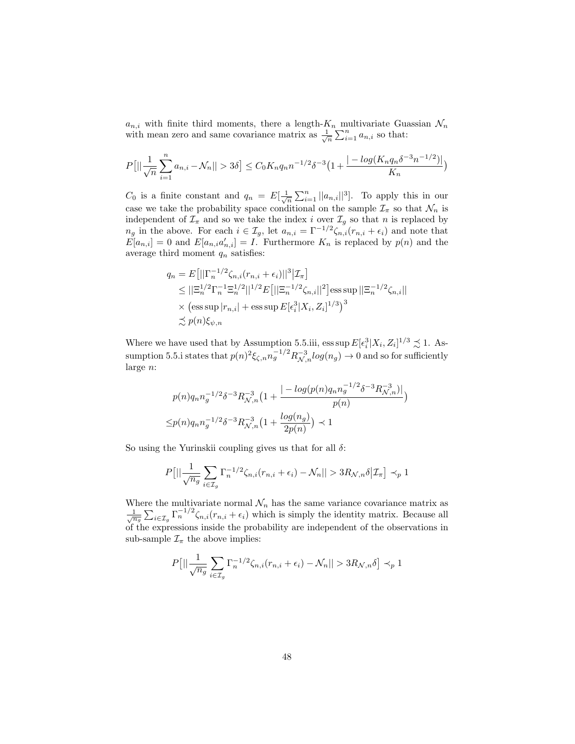$a_{n,i}$  with finite third moments, there a length- $K_n$  multivariate Guassian  $\mathcal{N}_n$ with mean zero and same covariance matrix as  $\frac{1}{\sqrt{n}} \sum_{i=1}^n a_{n,i}$  so that:

$$
P[||\frac{1}{\sqrt{n}}\sum_{i=1}^{n}a_{n,i}-\mathcal{N}_n||>3\delta] \leq C_0K_nq_n n^{-1/2}\delta^{-3}\left(1+\frac{|-\log(K_nq_n\delta^{-3}n^{-1/2})|}{K_n}\right)
$$

 $C_0$  is a finite constant and  $q_n = E[\frac{1}{\sqrt{n}}\sum_{i=1}^n ||a_{n,i}||^3]$ . To apply this in our case we take the probability space conditional on the sample  $\mathcal{I}_{\pi}$  so that  $\mathcal{N}_n$  is independent of  $\mathcal{I}_{\pi}$  and so we take the index i over  $\mathcal{I}_{g}$  so that n is replaced by  $n_g$  in the above. For each  $i \in \mathcal{I}_g$ , let  $a_{n,i} = \Gamma^{-1/2} \zeta_{n,i}(r_{n,i} + \epsilon_i)$  and note that  $E[a_{n,i}] = 0$  and  $E[a_{n,i}a'_{n,i}] = I$ . Furthermore  $K_n$  is replaced by  $p(n)$  and the average third moment  $q_n$  satisfies:

$$
q_n = E[||\Gamma_n^{-1/2}\zeta_{n,i}(r_{n,i} + \epsilon_i)||^3 | \mathcal{I}_{\pi}]
$$
  
\n
$$
\leq ||\Xi_n^{1/2}\Gamma_n^{-1}\Xi_n^{1/2}||^{1/2}E[||\Xi_n^{-1/2}\zeta_{n,i}||^2] \text{ess sup } ||\Xi_n^{-1/2}\zeta_{n,i}||
$$
  
\n
$$
\times (\text{ess sup } |r_{n,i}| + \text{ess sup } E[\epsilon_i^3|X_i, Z_i]^{1/3})^3
$$
  
\n
$$
\lesssim p(n)\xi_{\psi,n}
$$

Where we have used that by Assumption 5.5.iii, ess sup  $E[\epsilon_i^3 | X_i, Z_i]^{1/3} \precsim 1$ . Assumption 5.5.i states that  $p(n)^2 \xi_{\zeta,n} n_g^{-1/2} R_{\mathcal{N},n}^{-3} log(n_g) \to 0$  and so for sufficiently large n:

$$
p(n)q_n n_g^{-1/2} \delta^{-3} R_{\mathcal{N},n}^{-3} \left(1 + \frac{|-\log(p(n)q_n n_g^{-1/2} \delta^{-3} R_{\mathcal{N},n}^{-3})|}{p(n)}\right)
$$
  

$$
\leq p(n)q_n n_g^{-1/2} \delta^{-3} R_{\mathcal{N},n}^{-3} \left(1 + \frac{\log(n_g)}{2p(n)}\right) \prec 1
$$

So using the Yurinskii coupling gives us that for all  $\delta$ :

$$
P[||\frac{1}{\sqrt{n_g}}\sum_{i\in\mathcal{I}_g}\Gamma_n^{-1/2}\zeta_{n,i}(r_{n,i}+\epsilon_i)-\mathcal{N}_n||>3R_{\mathcal{N},n}\delta|\mathcal{I}_\pi]\prec_p 1
$$

Where the multivariate normal  $\mathcal{N}_n$  has the same variance covariance matrix as  $\frac{1}{\sqrt{n_g}} \sum_{i \in \mathcal{I}_g} \Gamma_n^{-1/2} \zeta_{n,i}(r_{n,i} + \epsilon_i)$  which is simply the identity matrix. Because all of the expressions inside the probability are independent of the observations in sub-sample  $\mathcal{I}_{\pi}$  the above implies:

$$
P[||\frac{1}{\sqrt{n_g}}\sum_{i\in\mathcal{I}_g}\Gamma_n^{-1/2}\zeta_{n,i}(r_{n,i}+\epsilon_i)-\mathcal{N}_n||>3R_{\mathcal{N},n}\delta]\prec_p 1
$$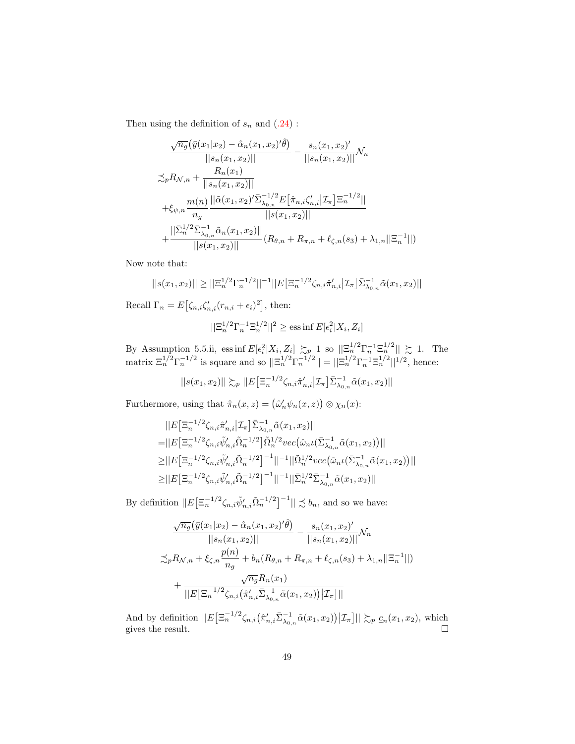Then using the definition of  $s_n$  and  $(.24)$ :

$$
\frac{\sqrt{n_g}(\bar{y}(x_1|x_2) - \hat{\alpha}_n(x_1, x_2)' \hat{\theta})}{||s_n(x_1, x_2)||} - \frac{s_n(x_1, x_2)'}{||s_n(x_1, x_2)||} \mathcal{N}_n
$$
  

$$
\lesssim_{p} R_{\mathcal{N}, n} + \frac{R_n(x_1)}{||s_n(x_1, x_2)||}
$$
  

$$
+ \xi_{\psi, n} \frac{m(n)}{n_g} \frac{||\tilde{\alpha}(x_1, x_2)' \bar{\Sigma}_{\lambda_{0,n}}^{-1/2} E[\hat{\pi}_{n,i} \zeta_{n,i}' | \mathcal{I}_{\pi}] \Xi_n^{-1/2}||}{||s(x_1, x_2)||}
$$
  

$$
+ \frac{||\bar{\Sigma}_n^{1/2} \bar{\Sigma}_{\lambda_{0,n}}^{-1} \tilde{\alpha}_n(x_1, x_2)||}{||s(x_1, x_2)||} (R_{\theta,n} + R_{\pi,n} + \ell_{\zeta,n}(s_3) + \lambda_{1,n}||\Xi_n^{-1}||)
$$

Now note that:

$$
||s(x_1, x_2)|| \ge ||\Xi_n^{1/2} \Gamma_n^{-1/2}||^{-1} ||E[\Xi_n^{-1/2} \zeta_{n,i} \hat{\pi}'_{n,i} | \mathcal{I}_{\pi}] \bar{\Sigma}_{\lambda_{0,n}}^{-1} \tilde{\alpha}(x_1, x_2)||
$$

Recall  $\Gamma_n = E\left[\zeta_{n,i}\zeta'_{n,i}(r_{n,i} + \epsilon_i)^2\right]$ , then:

$$
||\Xi_n^{1/2}\Gamma_n^{-1}\Xi_n^{1/2}||^2\geq \mathrm{ess}\inf E[\epsilon_i^2|X_i,Z_i]
$$

By Assumption 5.5.ii, ess inf  $E[\epsilon_i^2 | X_i, Z_i] \succsim_p 1$  so  $||\Xi_n^{1/2}\Gamma_n^{-1}\Xi_n^{1/2}|| \succsim 1$ . The matrix  $\Xi_n^{1/2} \Gamma_n^{-1/2}$  is square and so  $||\Xi_n^{1/2} \Gamma_n^{-1/2}|| = ||\Xi_n^{1/2} \Gamma_n^{-1} \Xi_n^{1/2}||^{1/2}$ , hence:

$$
||s(x_1, x_2)|| \sum_{p} ||E[\Xi_n^{-1/2} \zeta_{n,i} \hat{\pi}'_{n,i} | \mathcal{I}_{\pi}] \bar{\Sigma}_{\lambda_0, n}^{-1} \tilde{\alpha}(x_1, x_2)||
$$

Furthermore, using that  $\hat{\pi}_n(x, z) = (\hat{\omega}'_n \psi_n(x, z)) \otimes \chi_n(x)$ :

$$
||E[\Xi_n^{-1/2}\zeta_{n,i}\hat{\pi}'_{n,i}|\mathcal{I}_\pi]\bar{\Sigma}_{\lambda_{0,n}}^{-1}\tilde{\alpha}(x_1, x_2)||
$$
  
\n=||E[\Xi\_n^{-1/2}\zeta\_{n,i}\tilde{\psi}'\_{n,i}\tilde{\Omega}\_n^{-1/2}]\tilde{\Omega}\_n^{1/2}vec(\hat{\omega}\_n\iota(\bar{\Sigma}\_{\lambda\_{0,n}}^{-1}\tilde{\alpha}(x\_1, x\_2))||  
\n
$$
\geq ||E[\Xi_n^{-1/2}\zeta_{n,i}\tilde{\psi}'_{n,i}\tilde{\Omega}_n^{-1/2}]^{-1}||^{-1}||\tilde{\Omega}_n^{1/2}vec(\hat{\omega}_n\iota(\bar{\Sigma}_{\lambda_{0,n}}^{-1}\tilde{\alpha}(x_1, x_2))||
$$
  
\n
$$
\geq ||E[\Xi_n^{-1/2}\zeta_{n,i}\tilde{\psi}'_{n,i}\tilde{\Omega}_n^{-1/2}]^{-1}||^{-1}||\bar{\Sigma}_n^{1/2}\bar{\Sigma}_{\lambda_{0,n}}^{-1}\tilde{\alpha}(x_1, x_2)||
$$

By definition  $||E\left[\Xi_n^{-1/2}\zeta_{n,i}\tilde{\psi}'_{n,i}\tilde{\Omega}_n^{-1/2}\right]^{-1}|| \precsim b_n$ , and so we have:

$$
\frac{\sqrt{n_g}(\bar{y}(x_1|x_2) - \hat{\alpha}_n(x_1, x_2)'\hat{\theta})}{||s_n(x_1, x_2)||} - \frac{s_n(x_1, x_2)'}{||s_n(x_1, x_2)||} \mathcal{N}_n
$$
  

$$
\lesssim_p R_{\mathcal{N}, n} + \xi_{\zeta, n} \frac{p(n)}{n_g} + b_n(R_{\theta, n} + R_{\pi, n} + \ell_{\zeta, n}(s_3) + \lambda_{1, n}||\Xi_n^{-1}||)
$$
  

$$
+ \frac{\sqrt{n_g}R_n(x_1)}{||E[\Xi_n^{-1/2}\zeta_{n,i}(\hat{\pi}'_{n,i}\bar{\Sigma}_{\lambda_{0,n}}^{-1}\tilde{\alpha}(x_1, x_2))|\mathcal{I}_\pi]||}
$$

And by definition  $||E\left[\Xi_n^{-1/2}\zeta_{n,i}\left(\hat{\pi}'_{n,i}\bar{\Sigma}_{\lambda_{0,n}}^{-1}\tilde{\alpha}(x_1,x_2)\right)|\mathcal{I}_{\pi}\right]|| \succsim_p c_n(x_1,x_2)$ , which gives the result.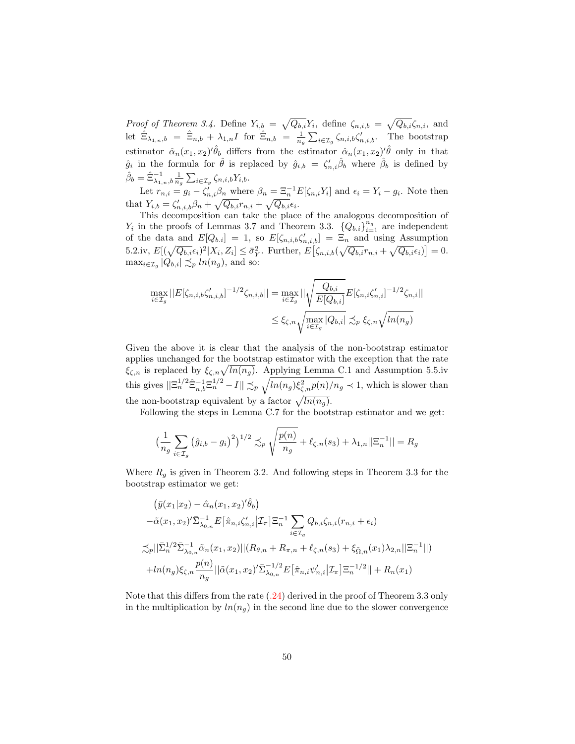Proof of Theorem 3.4. Define  $Y_{i,b} = \sqrt{Q_{b,i}} Y_i$ , define  $\zeta_{n,i,b} = \sqrt{Q_{b,i}} \zeta_{n,i}$ , and let  $\hat{\Xi}_{\lambda_{1,n},b} = \hat{\Xi}_{n,b} + \lambda_{1,n}I$  for  $\hat{\Xi}_{n,b} = \frac{1}{n_g}\sum_{i\in\mathcal{I}_g}\zeta_{n,i,b}\zeta'_{n,i,b}$ . The bootstrap estimator  $\hat{\alpha}_n(x_1, x_2)'\hat{\theta}_b$  differs from the estimator  $\hat{\alpha}_n(x_1, x_2)'\hat{\theta}$  only in that  $\hat{g}_i$  in the formula for  $\hat{\theta}$  is replaced by  $\hat{g}_{i,b} = \zeta'_{n,i} \hat{\beta}_b$  where  $\hat{\beta}_b$  is defined by  $\hat{\beta}_b = \hat{\Xi}_{\lambda_{1,n},b}^{-1} \frac{1}{n_g} \sum_{i \in \mathcal{I}_g} \zeta_{n,i,b} Y_{i,b}.$ 

Let  $r_{n,i} = g_i - \zeta'_{n,i} \beta_n$  where  $\beta_n = \Xi_n^{-1} E[\zeta_{n,i} Y_i]$  and  $\epsilon_i = Y_i - g_i$ . Note then that  $Y_{i,b} = \zeta'_{n,i,b}\beta_n + \sqrt{Q_{b,i}}r_{n,i} + \sqrt{Q_{b,i}}\epsilon_i.$ 

This decomposition can take the place of the analogous decomposition of  $Y_i$  in the proofs of Lemmas 3.7 and Theorem 3.3.  $\{Q_{b,i}\}_{i=1}^{n_g}$  are independent of the data and  $E[Q_{b,i}] = 1$ , so  $E[\zeta_{n,i,b}\zeta'_{n,i,b}] = \Xi_n$  and using Assumption 5.2.iv,  $E[(\sqrt{Q_{b,i}}\epsilon_i)^2 | X_i, Z_i] \leq \bar{\sigma}_Y^2$ . Further,  $E[\zeta_{n,i,b}(\sqrt{Q_{b,i}}r_{n,i} + \sqrt{Q_{b,i}}\epsilon_i)] = 0$ .  $\max_{i \in \mathcal{I}_g} |Q_{b,i}| \precsim_p ln(n_g)$ , and so:

$$
\max_{i \in \mathcal{I}_g} ||E[\zeta_{n,i,b}\zeta'_{n,i,b}]^{-1/2}\zeta_{n,i,b}|| = \max_{i \in \mathcal{I}_g} ||\sqrt{\frac{Q_{b,i}}{E[Q_{b,i}]}}E[\zeta_{n,i}\zeta'_{n,i}]^{-1/2}\zeta_{n,i}||
$$
  

$$
\leq \xi_{\zeta,n}\sqrt{\max_{i \in \mathcal{I}_g} |Q_{b,i}|} \precsim_p \xi_{\zeta,n}\sqrt{\ln(n_g)}
$$

Given the above it is clear that the analysis of the non-bootstrap estimator applies unchanged for the bootstrap estimator with the exception that the rate  $\xi_{\zeta,n}$  is replaced by  $\xi_{\zeta,n}\sqrt{\ln(n_g)}$ . Applying Lemma C.1 and Assumption 5.5.iv this gives  $||\Xi_n^{1/2}\hat{\Xi}_{n,b}^{-1}\Xi_n^{1/2} - I|| \precsim_p \sqrt{\ln(n_g)\xi_{\zeta,n}^2p(n)/n_g} \prec 1$ , which is slower than the non-bootstrap equivalent by a factor  $\sqrt{ln(n_g)}$ .

Following the steps in Lemma C.7 for the bootstrap estimator and we get:

$$
\left(\frac{1}{n_g} \sum_{i \in \mathcal{I}_g} \left(\hat{g}_{i,b} - g_i\right)^2\right)^{1/2} \lesssim_p \sqrt{\frac{p(n)}{n_g}} + \ell_{\zeta,n}(s_3) + \lambda_{1,n}||\Xi_n^{-1}|| = R_g
$$

Where  $R<sub>g</sub>$  is given in Theorem 3.2. And following steps in Theorem 3.3 for the bootstrap estimator we get:

$$
\begin{split}\n&\left(\bar{y}(x_1|x_2) - \hat{\alpha}_n(x_1, x_2)'\hat{\theta}_b\right) \\
&- \tilde{\alpha}(x_1, x_2)'\bar{\Sigma}_{\lambda_{0,n}}^{-1} E\big[\hat{\pi}_{n,i}\zeta'_{n,i}\big|\mathcal{I}_{\pi}\big]\Xi_n^{-1} \sum_{i \in \mathcal{I}_g} Q_{b,i}\zeta_{n,i}(r_{n,i} + \epsilon_i) \\
&\lesssim_p ||\bar{\Sigma}_n^{1/2} \bar{\Sigma}_{\lambda_{0,n}}^{-1} \tilde{\alpha}_n(x_1, x_2)||(R_{\theta,n} + R_{\pi,n} + \ell_{\zeta,n}(s_3) + \xi_{\tilde{\Omega},n}(x_1)\lambda_{2,n}||\Xi_n^{-1}||) \\
&+ \ln(n_g)\xi_{\zeta,n} \frac{p(n)}{n_g} ||\tilde{\alpha}(x_1, x_2)'\bar{\Sigma}_{\lambda_{0,n}}^{-1/2} E\big[\hat{\pi}_{n,i}\psi'_{n,i}\big|\mathcal{I}_{\pi}\big]\Xi_n^{-1/2}|| + R_n(x_1)\n\end{split}
$$

Note that this differs from the rate [\(.24\)](#page-46-2) derived in the proof of Theorem 3.3 only in the multiplication by  $ln(n_q)$  in the second line due to the slower convergence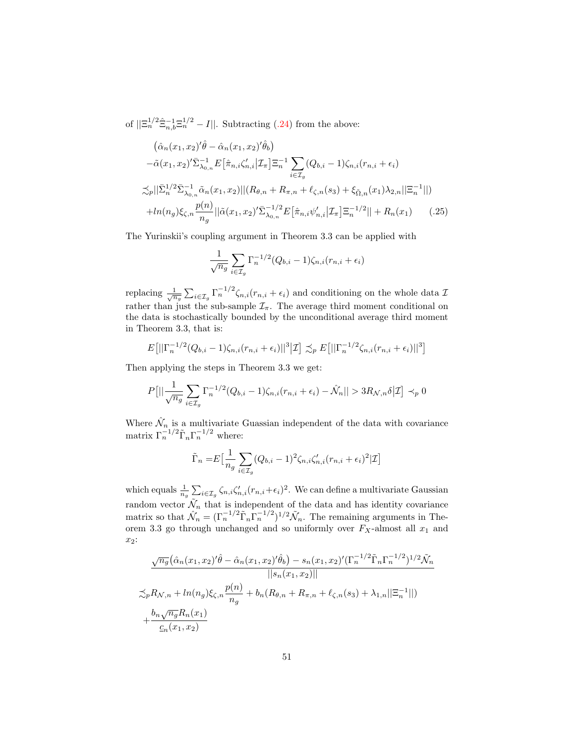of  $||\Xi_n^{1/2} \hat{\Xi}_{n,b}^{-1} \Xi_n^{1/2} - I||$ . Subtracting [\(.24\)](#page-46-2) from the above:

$$
(\hat{\alpha}_n(x_1, x_2)'\hat{\theta} - \hat{\alpha}_n(x_1, x_2)'\hat{\theta}_b)
$$
  
\n
$$
-\tilde{\alpha}(x_1, x_2)'\bar{\Sigma}_{\lambda_{0,n}}^{-1} E[\hat{\pi}_{n,i}\zeta'_{n,i}|\mathcal{I}_{\pi}] \Xi_n^{-1} \sum_{i \in \mathcal{I}_g} (Q_{b,i} - 1)\zeta_{n,i}(r_{n,i} + \epsilon_i)
$$
  
\n
$$
\lesssim_p ||\bar{\Sigma}_n^{1/2} \bar{\Sigma}_{\lambda_{0,n}}^{-1} \tilde{\alpha}_n(x_1, x_2)||(R_{\theta,n} + R_{\pi,n} + \ell_{\zeta,n}(s_3) + \xi_{\tilde{\Omega},n}(x_1)\lambda_{2,n}||\Xi_n^{-1}||)
$$
  
\n
$$
+ ln(n_g) \xi_{\zeta,n} \frac{p(n)}{n_g} ||\tilde{\alpha}(x_1, x_2)'\bar{\Sigma}_{\lambda_{0,n}}^{-1/2} E[\hat{\pi}_{n,i}\psi'_{n,i}|\mathcal{I}_{\pi}] \Xi_n^{-1/2}|| + R_n(x_1) \qquad (.25)
$$

The Yurinskii's coupling argument in Theorem 3.3 can be applied with

$$
\frac{1}{\sqrt{n_g}} \sum_{i \in \mathcal{I}_g} \Gamma_n^{-1/2} (Q_{b,i} - 1) \zeta_{n,i} (r_{n,i} + \epsilon_i)
$$

replacing  $\frac{1}{\sqrt{n_g}}\sum_{i\in\mathcal{I}_g}\Gamma_n^{-1/2}\zeta_{n,i}(r_{n,i}+\epsilon_i)$  and conditioning on the whole data  $\mathcal{I}$ rather than just the sub-sample  $\mathcal{I}_{\pi}$ . The average third moment conditional on the data is stochastically bounded by the unconditional average third moment in Theorem 3.3, that is:

$$
E[||\Gamma_n^{-1/2}(Q_{b,i}-1)\zeta_{n,i}(r_{n,i}+\epsilon_i)||^3|Z] \precsim_{p} E[||\Gamma_n^{-1/2}\zeta_{n,i}(r_{n,i}+\epsilon_i)||^3]
$$

Then applying the steps in Theorem 3.3 we get:

$$
P[||\frac{1}{\sqrt{n_g}}\sum_{i\in\mathcal{I}_g}\Gamma_n^{-1/2}(Q_{b,i}-1)\zeta_{n,i}(r_{n,i}+\epsilon_i)-\hat{\mathcal{N}}_n||>3R_{\mathcal{N},n}\delta|\mathcal{I}]\prec_p 0
$$

Where  $\hat{\mathcal{N}}_n$  is a multivariate Guassian independent of the data with covariance matrix  $\Gamma_n^{-1/2} \tilde{\Gamma}_n \Gamma_n^{-1/2}$  where:

$$
\tilde{\Gamma}_n = E\left[\frac{1}{n_g} \sum_{i \in \mathcal{I}_g} (Q_{b,i} - 1)^2 \zeta_{n,i} \zeta'_{n,i} (r_{n,i} + \epsilon_i)^2 | \mathcal{I}\right]
$$

which equals  $\frac{1}{n_g} \sum_{i \in \mathcal{I}_g} \zeta_{n,i} \zeta'_{n,i}(r_{n,i}+\epsilon_i)^2$ . We can define a multivariate Gaussian random vector  $\tilde{\mathcal{N}}_n$  that is independent of the data and has identity covariance matrix so that  $\hat{\mathcal{N}}_n = (\Gamma_n^{-1/2} \tilde{\Gamma}_n \Gamma_n^{-1/2})^{1/2} \tilde{\mathcal{N}}_n$ . The remaining arguments in Theorem 3.3 go through unchanged and so uniformly over  $F_X$ -almost all  $x_1$  and x2:

$$
\frac{\sqrt{n_g}(\hat{\alpha}_n(x_1, x_2)'\hat{\theta} - \hat{\alpha}_n(x_1, x_2)'\hat{\theta}_b) - s_n(x_1, x_2)'(\Gamma_n^{-1/2}\tilde{\Gamma}_n\Gamma_n^{-1/2})^{1/2}\tilde{\mathcal{N}}_n}{||s_n(x_1, x_2)||}
$$
  

$$
\lesssim_p R_{\mathcal{N}, n} + \ln(n_g) \xi_{\zeta, n} \frac{p(n)}{n_g} + b_n(R_{\theta, n} + R_{\pi, n} + \ell_{\zeta, n}(s_3) + \lambda_{1, n}||\Xi_n^{-1}||)
$$
  

$$
+ \frac{b_n \sqrt{n_g} R_n(x_1)}{\underline{c}_n(x_1, x_2)}
$$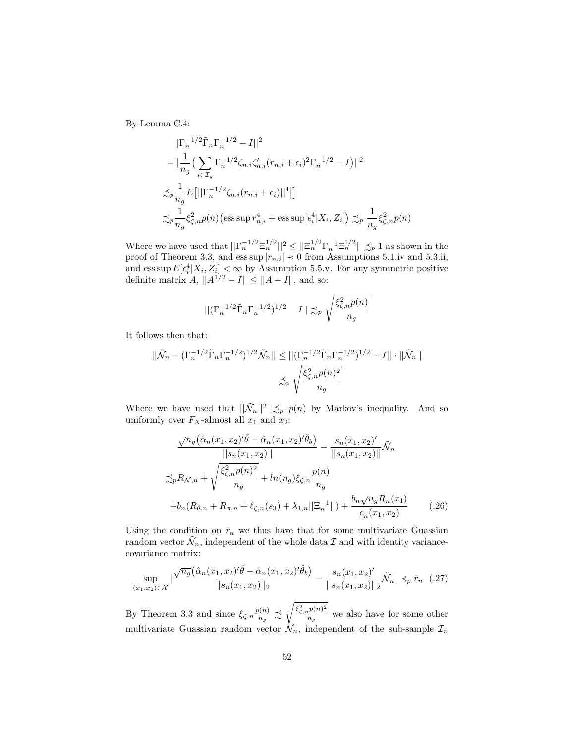By Lemma C.4:

$$
\begin{aligned}\n&||\Gamma_n^{-1/2} \tilde{\Gamma}_n \Gamma_n^{-1/2} - I||^2 \\
&= ||\frac{1}{n_g} \Big( \sum_{i \in \mathcal{I}_g} \Gamma_n^{-1/2} \zeta_{n,i} \zeta'_{n,i} (r_{n,i} + \epsilon_i)^2 \Gamma_n^{-1/2} - I \Big) ||^2 \\
&\lesssim_p \frac{1}{n_g} E\big[ ||\Gamma_n^{-1/2} \zeta_{n,i} (r_{n,i} + \epsilon_i) ||^4 \big| \big] \\
&\lesssim_p \frac{1}{n_g} \xi_{\zeta,n}^2 p(n) \Big( \text{ess} \sup r_{n,i}^4 + \text{ess} \sup [\epsilon_i^4 | X_i, Z_i] \Big) \lesssim_p \frac{1}{n_g} \xi_{\zeta,n}^2 p(n)\n\end{aligned}
$$

Where we have used that  $||\Gamma_n^{-1/2} \Xi_n^{1/2}||^2 \leq ||\Xi_n^{1/2} \Gamma_n^{-1} \Xi_n^{1/2}|| \precsim_p 1$  as shown in the proof of Theorem 3.3, and ess sup  $|r_{n,i}| \prec 0$  from Assumptions 5.1.iv and 5.3.ii, and ess sup  $E[\epsilon_i^4 | X_i, Z_i] < \infty$  by Assumption 5.5.v. For any symmetric positive definite matrix  $A$ ,  $||A^{1/2} - I|| \le ||A - I||$ , and so:

$$
\left\| \left( \Gamma_n^{-1/2} \tilde{\Gamma}_n \Gamma_n^{-1/2} \right)^{1/2} - I \right\| \lesssim_p \sqrt{\frac{\xi_{\zeta,n}^2 p(n)}{n_g}}
$$

It follows then that:

$$
||\tilde{\mathcal{N}}_n - (\Gamma_n^{-1/2} \tilde{\Gamma}_n \Gamma_n^{-1/2})^{1/2} \tilde{\mathcal{N}}_n|| \le ||(\Gamma_n^{-1/2} \tilde{\Gamma}_n \Gamma_n^{-1/2})^{1/2} - I|| \cdot ||\tilde{\mathcal{N}}_n||
$$
  

$$
\lesssim_p \sqrt{\frac{\xi_{\zeta,n}^2 p(n)^2}{n_g}}
$$

Where we have used that  $||\tilde{\mathcal{N}}_n||^2 \preceq_p p(n)$  by Markov's inequality. And so uniformly over  $F_X$ -almost all  $x_1$  and  $x_2$ :

$$
\frac{\sqrt{n_g}(\hat{\alpha}_n(x_1, x_2)'\hat{\theta} - \hat{\alpha}_n(x_1, x_2)'\hat{\theta}_b)}{||s_n(x_1, x_2)||} - \frac{s_n(x_1, x_2)'}{||s_n(x_1, x_2)||} \tilde{\mathcal{N}}_n
$$
  

$$
\lesssim_p R_{\mathcal{N}, n} + \sqrt{\frac{\xi_{\zeta, n}^2 p(n)^2}{n_g}} + \ln(n_g) \xi_{\zeta, n} \frac{p(n)}{n_g}
$$
  
+
$$
b_n(R_{\theta, n} + R_{\pi, n} + \ell_{\zeta, n}(s_3) + \lambda_{1, n} ||\Xi_n^{-1}||) + \frac{b_n \sqrt{n_g} R_n(x_1)}{c_n(x_1, x_2)}
$$
(.26)

Using the condition on  $\bar{r}_n$  we thus have that for some multivariate Guassian random vector  $\tilde{\mathcal{N}}_n$ , independent of the whole data  $\mathcal I$  and with identity variancecovariance matrix:

<span id="page-51-0"></span>
$$
\sup_{(x_1,x_2)\in\mathcal{X}}\left|\frac{\sqrt{n_g}\left(\hat{\alpha}_n(x_1,x_2)'\hat{\theta}-\hat{\alpha}_n(x_1,x_2)'\hat{\theta}_b\right)}{||s_n(x_1,x_2)||_2} - \frac{s_n(x_1,x_2)'}{||s_n(x_1,x_2)||_2}\tilde{\mathcal{N}}_n\right| \prec_p \bar{r}_n \quad (.27)
$$

By Theorem 3.3 and since  $\xi_{\zeta,n} \frac{p(n)}{n_a}$  $\frac{\rho(n)}{n_g} \precsim \sqrt{\frac{\xi^2_{\zeta,n}p(n)^2}{n_g}}$  $\frac{dP^{(n)}}{n_g}$  we also have for some other multivariate Guassian random vector  $\dot{\mathcal{N}}_n$ , independent of the sub-sample  $\mathcal{I}_{\pi}$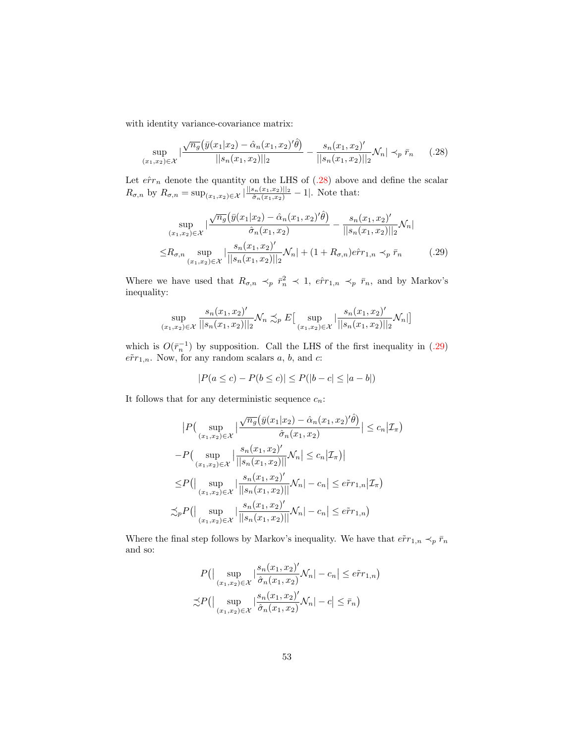with identity variance-covariance matrix:

<span id="page-52-0"></span>
$$
\sup_{(x_1,x_2)\in\mathcal{X}}\left|\frac{\sqrt{n_g}\left(\bar{y}(x_1|x_2)-\hat{\alpha}_n(x_1,x_2)'\hat{\theta}\right)}{||s_n(x_1,x_2)||_2} - \frac{s_n(x_1,x_2)'}{||s_n(x_1,x_2)||_2}\mathcal{N}_n\right| \prec_p \bar{r}_n \qquad (.28)
$$

Let  $\hat{err}_n$  denote the quantity on the LHS of [\(.28\)](#page-52-0) above and define the scalar  $R_{\sigma,n}$  by  $R_{\sigma,n} = \sup_{(x_1,x_2) \in \mathcal{X}} |\frac{||s_n(x_1,x_2)||_2}{\hat{\sigma}_n(x_1,x_2)} - 1|$ . Note that:

$$
\sup_{(x_1,x_2)\in\mathcal{X}}\left|\frac{\sqrt{n_g}\left(\bar{y}(x_1|x_2)-\hat{\alpha}_n(x_1,x_2)'\hat{\theta}\right)}{\hat{\sigma}_n(x_1,x_2)}-\frac{s_n(x_1,x_2)'}{\|s_n(x_1,x_2)\|_2}\mathcal{N}_n\right|
$$
  

$$
\leq R_{\sigma,n} \sup_{(x_1,x_2)\in\mathcal{X}}\left|\frac{s_n(x_1,x_2)'}{\|s_n(x_1,x_2)\|_2}\mathcal{N}_n\right|+(1+R_{\sigma,n})e\hat{r}r_{1,n} \prec_p \bar{r}_n
$$
 (.29)

Where we have used that  $R_{\sigma,n} \prec_p \bar{r}_n^2 \prec 1$ ,  $e\hat{r}_{1,n} \prec_p \bar{r}_n$ , and by Markov's inequality:

$$
\sup_{(x_1,x_2)\in\mathcal{X}}\frac{s_n(x_1,x_2)'}{||s_n(x_1,x_2)||_2}\mathcal{N}_n \precsim_{p} E\big[\sup_{(x_1,x_2)\in\mathcal{X}}\big|\frac{s_n(x_1,x_2)'}{||s_n(x_1,x_2)||_2}\mathcal{N}_n\big|\big]
$$

which is  $O(\bar{r}_n^{-1})$  by supposition. Call the LHS of the first inequality in [\(.29\)](#page-52-1)  $e\tilde{r}r_{1,n}$ . Now, for any random scalars a, b, and c:

<span id="page-52-1"></span>
$$
|P(a \le c) - P(b \le c)| \le P(|b - c| \le |a - b|)
$$

It follows that for any deterministic sequence  $c_n$ :

$$
|P\left(\sup_{(x_1,x_2)\in\mathcal{X}}\left|\frac{\sqrt{n_g}(\bar{y}(x_1|x_2)-\hat{\alpha}_n(x_1,x_2)'\hat{\theta})}{\hat{\sigma}_n(x_1,x_2)}\right| \leq c_n|\mathcal{I}_\pi) -P\left(\sup_{(x_1,x_2)\in\mathcal{X}}\left|\frac{s_n(x_1,x_2)'}{\|s_n(x_1,x_2)\|}\mathcal{N}_n\right| \leq c_n|\mathcal{I}_\pi)\right| \leq P(\left|\sup_{(x_1,x_2)\in\mathcal{X}}\left|\frac{s_n(x_1,x_2)'}{\|s_n(x_1,x_2)\|}\mathcal{N}_n\right| - c_n| \leq e\tilde{r}r_{1,n}|\mathcal{I}_\pi) \n\lesssim_P P(\left|\sup_{(x_1,x_2)\in\mathcal{X}}\left|\frac{s_n(x_1,x_2)'}{\|s_n(x_1,x_2)\|}\mathcal{N}_n\right| - c_n| \leq e\tilde{r}r_{1,n}\right)
$$

Where the final step follows by Markov's inequality. We have that  $\tilde{err}_{1,n} \prec_p \bar{r}_n$ and so:

$$
P\left(\left|\sup_{(x_1,x_2)\in\mathcal{X}}\left|\frac{s_n(x_1,x_2)'}{\hat{\sigma}_n(x_1,x_2)}\mathcal{N}_n\right|-c_n\right|\leq e\tilde{r}r_{1,n}\right)
$$

$$
\lesssim P\left(\left|\sup_{(x_1,x_2)\in\mathcal{X}}\left|\frac{s_n(x_1,x_2)'}{\hat{\sigma}_n(x_1,x_2)}\mathcal{N}_n\right|-c\right|\leq \bar{r}_n\right)
$$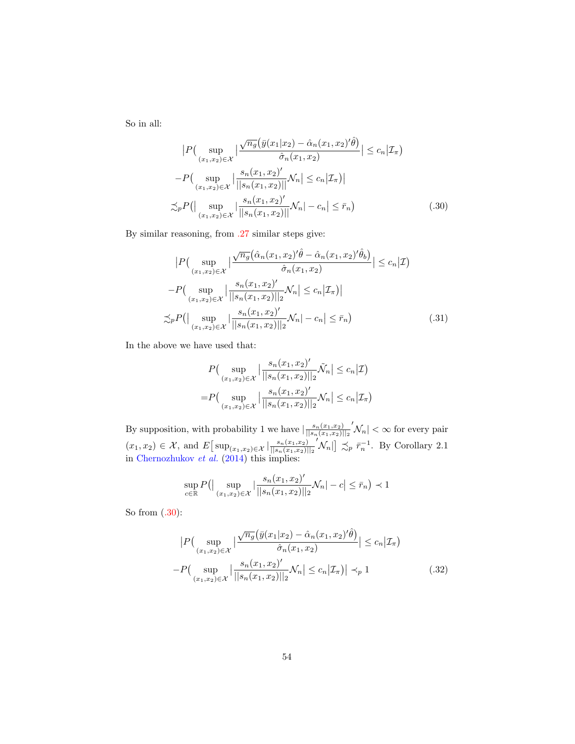So in all:

<span id="page-53-0"></span>
$$
\left| P\left(\sup_{(x_1,x_2)\in\mathcal{X}} \left| \frac{\sqrt{n_g} \left( \bar{y}(x_1|x_2) - \hat{\alpha}_n(x_1,x_2)'\hat{\theta} \right)}{\hat{\sigma}_n(x_1,x_2)} \right| \le c_n | \mathcal{I}_\pi \right) \right|
$$
  
-
$$
P\left(\sup_{(x_1,x_2)\in\mathcal{X}} \left| \frac{s_n(x_1,x_2)'}{\left| |s_n(x_1,x_2)| \right|} \mathcal{N}_n \right| \le c_n | \mathcal{I}_\pi \right) \right|
$$
  

$$
\lesssim_p P\left(\left| \sup_{(x_1,x_2)\in\mathcal{X}} \left| \frac{s_n(x_1,x_2)'}{\left| |s_n(x_1,x_2)| \right|} \mathcal{N}_n \right| - c_n \right| \le \bar{r}_n \right) \tag{30}
$$

By similar reasoning, from [.27](#page-51-0) similar steps give:

$$
|P\left(\sup_{(x_1,x_2)\in\mathcal{X}}\left|\frac{\sqrt{n_g}(\hat{\alpha}_n(x_1,x_2)'\hat{\theta}-\hat{\alpha}_n(x_1,x_2)'\hat{\theta}_b)}{\hat{\sigma}_n(x_1,x_2)}\right| \le c_n|\mathcal{I}\right)
$$

$$
-P\left(\sup_{(x_1,x_2)\in\mathcal{X}}\left|\frac{s_n(x_1,x_2)'}{||s_n(x_1,x_2)||_2}\mathcal{N}_n\right| \le c_n|\mathcal{I}_n\right)|
$$

$$
\lesssim_p P\left(\left|\sup_{(x_1,x_2)\in\mathcal{X}}\left|\frac{s_n(x_1,x_2)'}{||s_n(x_1,x_2)||_2}\mathcal{N}_n|-c_n\right| \le \bar{r}_n\right) \tag{.31}
$$

In the above we have used that:

<span id="page-53-1"></span>
$$
P\left(\sup_{(x_1,x_2)\in\mathcal{X}}\left|\frac{s_n(x_1,x_2)'}{||s_n(x_1,x_2)||_2}\tilde{\mathcal{N}}_n\right|\le c_n|\mathcal{I}\right)
$$
  
=
$$
P\left(\sup_{(x_1,x_2)\in\mathcal{X}}\left|\frac{s_n(x_1,x_2)'}{||s_n(x_1,x_2)||_2}\mathcal{N}_n\right|\le c_n|\mathcal{I}_\pi\right)
$$

By supposition, with probability 1 we have  $\frac{s_n(x_1,x_2)}{\prod_{s} (x_s-x_s)}$  $||s_n(x_1,x_2)||_2$  $|\mathcal{N}_n| < \infty$  for every pair  $(x_1, x_2) \in \mathcal{X}$ , and  $E\left[\sup_{(x_1, x_2) \in \mathcal{X}} |\frac{s_n(x_1, x_2)}{||s_n(x_1, x_2)||} \right]$  $||s_n(x_1,x_2)||_2$  $\left[\mathcal{N}_n\right] \preceq_p \bar{r}_n^{-1}$ . By Corollary 2.1 in [Chernozhukov](#page-30-1)  $et \ al. (2014)$  $et \ al. (2014)$  this implies:

<span id="page-53-2"></span>
$$
\sup_{c \in \mathbb{R}} P(|\sup_{(x_1, x_2) \in \mathcal{X}} |\frac{s_n(x_1, x_2)'}{||s_n(x_1, x_2)||_2} \mathcal{N}_n| - c| \leq \bar{r}_n) \prec 1
$$

So from [\(.30\)](#page-53-0):

$$
\left| P\left(\sup_{(x_1, x_2) \in \mathcal{X}} \left| \frac{\sqrt{n_g} \left( \bar{y}(x_1 | x_2) - \hat{\alpha}_n(x_1, x_2)' \hat{\theta} \right)}{\hat{\sigma}_n(x_1, x_2)} \right| \le c_n |\mathcal{I}_\pi \right) \right|
$$
  
-
$$
P\left(\sup_{(x_1, x_2) \in \mathcal{X}} \left| \frac{s_n(x_1, x_2)'}{\|s_n(x_1, x_2)\|_2} \mathcal{N}_n \right| \le c_n |\mathcal{I}_\pi| \right| \prec_p 1 \qquad (32)
$$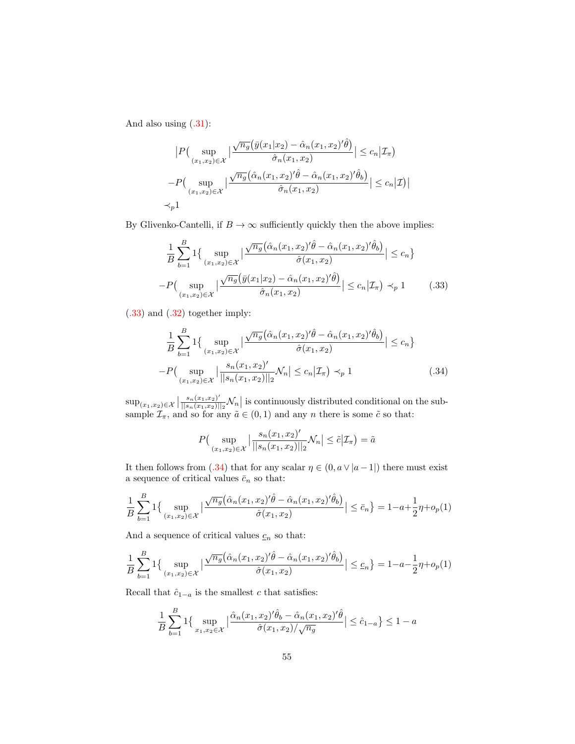And also using  $(.31)$ :

$$
|P\left(\sup_{(x_1,x_2)\in\mathcal{X}}\left|\frac{\sqrt{n_g}\left(\bar{y}(x_1|x_2)-\hat{\alpha}_n(x_1,x_2)'\hat{\theta}\right)}{\hat{\sigma}_n(x_1,x_2)}\right| \leq c_n|\mathcal{I}_\pi\right)
$$

$$
-P\left(\sup_{(x_1,x_2)\in\mathcal{X}}\left|\frac{\sqrt{n_g}\left(\hat{\alpha}_n(x_1,x_2)'\hat{\theta}-\hat{\alpha}_n(x_1,x_2)'\hat{\theta}_b\right)}{\hat{\sigma}_n(x_1,x_2)}\right| \leq c_n|\mathcal{I}\right)|
$$

$$
\prec_p 1
$$

By Glivenko-Cantelli, if  $B \to \infty$  sufficiently quickly then the above implies:

<span id="page-54-0"></span>
$$
\frac{1}{B} \sum_{b=1}^{B} 1 \{ \sup_{(x_1, x_2) \in \mathcal{X}} \left| \frac{\sqrt{n_g} (\hat{\alpha}_n(x_1, x_2)' \hat{\theta} - \hat{\alpha}_n(x_1, x_2)' \hat{\theta}_b)}{\hat{\sigma}(x_1, x_2)} \right| \leq c_n \}
$$

$$
-P \Big( \sup_{(x_1, x_2) \in \mathcal{X}} \left| \frac{\sqrt{n_g} (\bar{y}(x_1 | x_2) - \hat{\alpha}_n(x_1, x_2)') \hat{\theta}}{\hat{\sigma}_n(x_1, x_2)} \right| \leq c_n | \mathcal{I}_\pi) \prec_p 1 \qquad (.33)
$$

[\(.33\)](#page-54-0) and [\(.32\)](#page-53-2) together imply:

$$
\frac{1}{B} \sum_{b=1}^{B} 1 \{ \sup_{(x_1, x_2) \in \mathcal{X}} \left| \frac{\sqrt{n_g} (\hat{\alpha}_n(x_1, x_2)' \hat{\theta} - \hat{\alpha}_n(x_1, x_2)' \hat{\theta}_b)}{\hat{\sigma}(x_1, x_2)} \right| \le c_n \}
$$

$$
-P \Big( \sup_{(x_1, x_2) \in \mathcal{X}} \left| \frac{s_n(x_1, x_2)'}{\|s_n(x_1, x_2)\|_2} \mathcal{N}_n \right| \le c_n \left| \mathcal{I}_n \right| \prec_p 1 \tag{34}
$$

 $\sup_{(x_1,x_2)\in\mathcal{X}}\left|\frac{s_n(x_1,x_2)'}{||s_n(x_1,x_2)||}\right|$  $\frac{s_n(x_1,x_2)}{||s_n(x_1,x_2)||_2} \mathcal{N}_n$  is continuously distributed conditional on the subsample  $\mathcal{I}_{\pi}$ , and so for any  $\tilde{a} \in (0,1)$  and any n there is some  $\tilde{c}$  so that:

<span id="page-54-1"></span>
$$
P\left(\sup_{(x_1,x_2)\in\mathcal{X}}\left|\frac{s_n(x_1,x_2)'}{||s_n(x_1,x_2)||_2}\mathcal{N}_n\right|\leq \tilde{c}|\mathcal{I}_\pi\right)=\tilde{a}
$$

It then follows from [\(.34\)](#page-54-1) that for any scalar  $\eta \in (0, a \vee |a-1|)$  there must exist a sequence of critical values  $\bar{c}_n$  so that:

$$
\frac{1}{B} \sum_{b=1}^{B} 1 \left\{ \sup_{(x_1, x_2) \in \mathcal{X}} \left| \frac{\sqrt{n_g} \left( \hat{\alpha}_n(x_1, x_2)' \hat{\theta} - \hat{\alpha}_n(x_1, x_2)' \hat{\theta}_b \right)}{\hat{\sigma}(x_1, x_2)} \right| \leq \bar{c}_n \right\} = 1 - a + \frac{1}{2} \eta + o_p(1)
$$

And a sequence of critical values  $c_n$  so that:

$$
\frac{1}{B} \sum_{b=1}^{B} 1 \left\{ \sup_{(x_1, x_2) \in \mathcal{X}} \left| \frac{\sqrt{n_g} \left( \hat{\alpha}_n(x_1, x_2)' \hat{\theta} - \hat{\alpha}_n(x_1, x_2)' \hat{\theta}_b \right)}{\hat{\sigma}(x_1, x_2)} \right| \leq \underline{c}_n \right\} = 1 - a - \frac{1}{2} \eta + o_p(1)
$$

Recall that  $\hat{c}_{1-a}$  is the smallest c that satisfies:

$$
\frac{1}{B} \sum_{b=1}^{B} 1 \left\{ \sup_{x_1, x_2 \in \mathcal{X}} \left| \frac{\hat{\alpha}_n(x_1, x_2)' \hat{\theta}_b - \hat{\alpha}_n(x_1, x_2)' \hat{\theta}}{\hat{\sigma}(x_1, x_2) / \sqrt{n_g}} \right| \leq \hat{c}_{1-a} \right\} \leq 1 - a
$$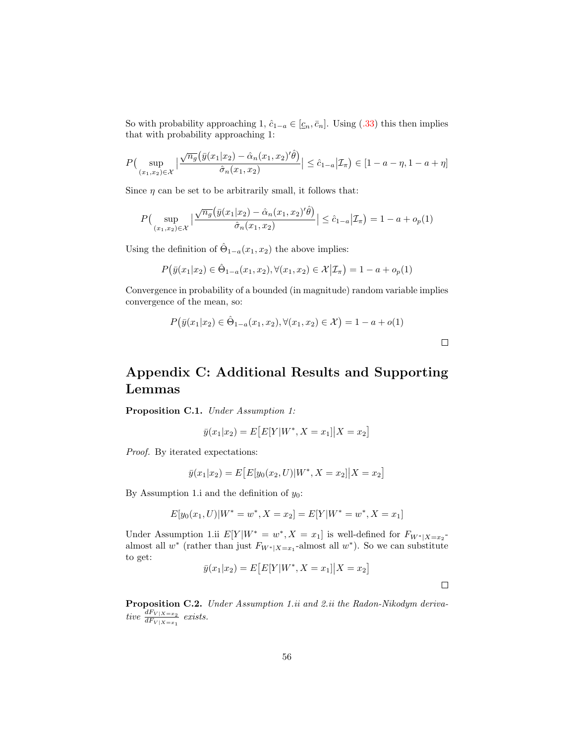So with probability approaching 1,  $\hat{c}_{1-a} \in [\underline{c}_n, \overline{c}_n]$ . Using [\(.33\)](#page-54-0) this then implies that with probability approaching 1:

$$
P\left(\sup_{(x_1,x_2)\in\mathcal{X}}\left|\frac{\sqrt{n_g}\left(\bar{y}(x_1|x_2)-\hat{\alpha}_n(x_1,x_2)'\hat{\theta}\right)}{\hat{\sigma}_n(x_1,x_2)}\right|\leq \hat{c}_{1-a}\left|\mathcal{I}_\pi\right) \in [1-a-\eta,1-a+\eta]
$$

Since  $\eta$  can be set to be arbitrarily small, it follows that:

$$
P\Big(\sup_{(x_1,x_2)\in\mathcal{X}}\Big|\frac{\sqrt{n_g}\big(\bar{y}(x_1|x_2)-\hat{\alpha}_n(x_1,x_2)'\hat{\theta}\big)}{\hat{\sigma}_n(x_1,x_2)}\Big|\leq \hat{c}_{1-a}\big|\mathcal{I}_\pi\Big)=1-a+o_p(1)
$$

Using the definition of  $\hat{\Theta}_{1-a}(x_1, x_2)$  the above implies:

$$
P(\bar{y}(x_1|x_2) \in \hat{\Theta}_{1-a}(x_1, x_2), \forall (x_1, x_2) \in \mathcal{X} | \mathcal{I}_{\pi}) = 1 - a + o_p(1)
$$

Convergence in probability of a bounded (in magnitude) random variable implies convergence of the mean, so:

$$
P(\bar{y}(x_1|x_2) \in \hat{\Theta}_{1-a}(x_1, x_2), \forall (x_1, x_2) \in \mathcal{X}) = 1 - a + o(1)
$$

## Appendix C: Additional Results and Supporting Lemmas

Proposition C.1. Under Assumption 1:

$$
\bar{y}(x_1|x_2) = E\big[E[Y|W^*, X = x_1]|X = x_2\big]
$$

Proof. By iterated expectations:

$$
\bar{y}(x_1|x_2) = E\big[E[y_0(x_2, U)|W^*, X = x_2]\big|X = x_2\big]
$$

By Assumption 1.i and the definition of  $y_0$ :

$$
E[y_0(x_1, U)|W^* = w^*, X = x_2] = E[Y|W^* = w^*, X = x_1]
$$

Under Assumption 1.ii  $E[Y|W^* = w^*, X = x_1]$  is well-defined for  $F_{W^*|X=x_2}$ almost all  $w^*$  (rather than just  $F_{W^*|X=x_1}$ -almost all  $w^*$ ). So we can substitute to get:

$$
\bar{y}(x_1|x_2) = E[E[Y|W^*, X = x_1]|X = x_2]
$$

Proposition C.2. Under Assumption 1.ii and 2.ii the Radon-Nikodym derivative  $\frac{dF_{V|X=x_2}}{dF_{V|X=x_1}}$  exists.

 $\Box$ 

 $\Box$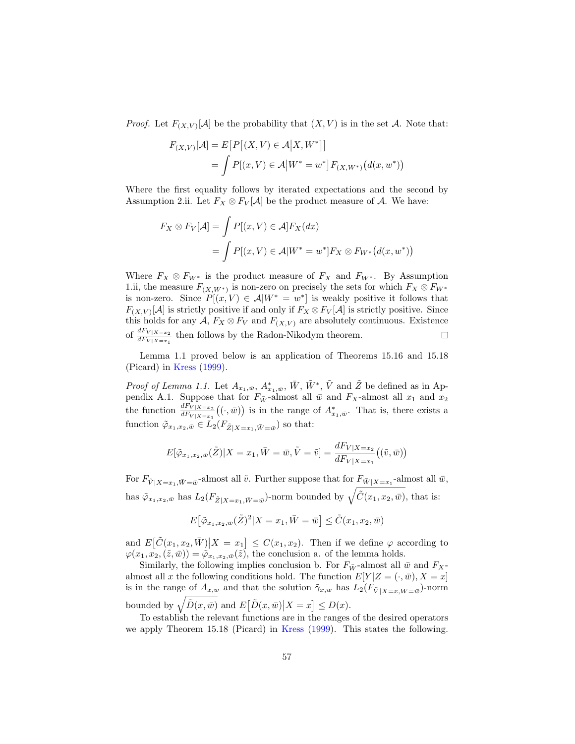*Proof.* Let  $F_{(X,V)}[A]$  be the probability that  $(X, V)$  is in the set A. Note that:

$$
F_{(X,V)}[A] = E[P[(X,V) \in A | X, W^*]]
$$
  
=  $\int P[(x,V) \in A | W^* = w^*] F_{(X,W^*)}(d(x, w^*))$ 

Where the first equality follows by iterated expectations and the second by Assumption 2.ii. Let  $F_X \otimes F_V[A]$  be the product measure of A. We have:

$$
F_X \otimes F_V[\mathcal{A}] = \int P[(x, V) \in \mathcal{A}] F_X(dx)
$$
  
= 
$$
\int P[(x, V) \in \mathcal{A}] W^* = w^*] F_X \otimes F_{W^*}(d(x, w^*))
$$

Where  $F_X \otimes F_{W^*}$  is the product measure of  $F_X$  and  $F_{W^*}$ . By Assumption 1.ii, the measure  $F_{(X,W^*)}$  is non-zero on precisely the sets for which  $F_X \otimes F_{W^*}$ is non-zero. Since  $P[(x, V) \in A | W^* = w^*]$  is weakly positive it follows that  $F_{(X,V)}[\mathcal{A}]$  is strictly positive if and only if  $F_X \otimes F_V[\mathcal{A}]$  is strictly positive. Since this holds for any  $A$ ,  $F_X \otimes F_V$  and  $F_{(X,V)}$  are absolutely continuous. Existence of  $\frac{dF_{V|X=x_2}}{dF_{V|X=x_1}}$  then follows by the Radon-Nikodym theorem.  $\Box$ 

Lemma 1.1 proved below is an application of Theorems 15.16 and 15.18 (Picard) in [Kress](#page-31-0) [\(1999\)](#page-31-0).

*Proof of Lemma 1.1.* Let  $A_{x_1,\bar{w}}, A^*_{x_1,\bar{w}}, \bar{W}, \tilde{W}^*, \tilde{V}$  and  $\tilde{Z}$  be defined as in Appendix A.1. Suppose that for  $F_{\bar{W}}$ -almost all  $\bar{w}$  and  $F_X$ -almost all  $x_1$  and  $x_2$ the function  $\frac{dF_{V|X=x_2}}{dF_{V|X=x_1}}((\cdot,\bar{w}))$  is in the range of  $A^*_{x_1,\bar{w}}$ . That is, there exists a function  $\tilde{\varphi}_{x_1,x_2,\bar{w}} \in L_2(F_{\tilde{Z}|X=x_1,\bar{W}=\bar{w}})$  so that:

$$
E[\tilde{\varphi}_{x_1,x_2,\bar{w}}(\tilde{Z})|X=x_1,\bar{W}=\bar{w},\tilde{V}=\tilde{v}]=\frac{dF_{V|X=x_2}}{dF_{V|X=x_1}}((\tilde{v},\bar{w}))
$$

For  $F_{\tilde{V}|X=x_1,\bar{W}=\bar{w}}$ -almost all  $\tilde{v}$ . Further suppose that for  $F_{\bar{W}|X=x_1}$ -almost all  $\bar{w}$ , has  $\tilde{\varphi}_{x_1,x_2,\bar{w}}$  has  $L_2(F_{\tilde{Z}|X=x_1,\bar{W}=\bar{w}})$ -norm bounded by  $\sqrt{\tilde{C}(x_1,x_2,\bar{w})}$ , that is:

$$
E\big[\tilde{\varphi}_{x_1,x_2,\bar{w}}(\tilde{Z})^2|X=x_1,\bar{W}=\bar{w}\big]\leq \tilde{C}(x_1,x_2,\bar{w})
$$

and  $E\big[\tilde{C}(x_1, x_2, \bar{W})\big|X = x_1\big] \leq C(x_1, x_2)$ . Then if we define  $\varphi$  according to  $\varphi(x_1, x_2, (\tilde{z}, \bar{w})) = \tilde{\varphi}_{x_1, x_2, \bar{w}}(\tilde{z})$ , the conclusion a. of the lemma holds.

Similarly, the following implies conclusion b. For  $F_{\bar{W}}$ -almost all  $\bar{w}$  and  $F_X$ almost all x the following conditions hold. The function  $E[Y|Z=(\cdot,\bar{w}), X=x]$ is in the range of  $A_{x,\bar{w}}$  and that the solution  $\tilde{\gamma}_{x,\bar{w}}$  has  $L_2(F_{\tilde{V}|X=x,\bar{W}=\bar{w}})$ -norm bounded by  $\sqrt{\tilde{D}(x,\bar{w})}$  and  $E[\tilde{D}(x,\bar{w})|X=x] \leq D(x)$ .

To establish the relevant functions are in the ranges of the desired operators we apply Theorem 15.18 (Picard) in [Kress](#page-31-0) [\(1999\)](#page-31-0). This states the following.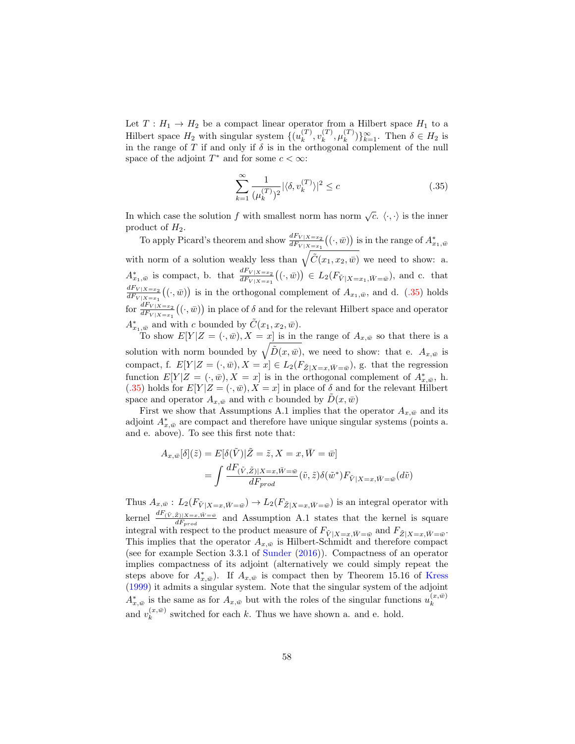Let  $T: H_1 \to H_2$  be a compact linear operator from a Hilbert space  $H_1$  to a Hilbert space  $H_2$  with singular system  $\{(u_k^{(T)}\)}$  $\binom{T}{k}, v_k^{(T)}$  $_{k}^{(T)}, \mu_{k}^{(T)}$  $\binom{T}{k}$ } $\}_{k=1}^{\infty}$ . Then  $\delta \in H_2$  is in the range of T if and only if  $\delta$  is in the orthogonal complement of the null space of the adjoint  $T^*$  and for some  $c < \infty$ :

<span id="page-57-0"></span>
$$
\sum_{k=1}^{\infty} \frac{1}{(\mu_k^{(T)})^2} |\langle \delta, v_k^{(T)} \rangle|^2 \le c \tag{.35}
$$

In which case the solution f with smallest norm has norm  $\sqrt{c}$ .  $\langle \cdot, \cdot \rangle$  is the inner product of  $H_2$ .

To apply Picard's theorem and show  $\frac{dF_{V|X=x_2}}{dF_{V|X=x_1}}((\cdot,\bar{w}))$  is in the range of  $A^*_{x_1,\bar{w}}$ with norm of a solution weakly less than  $\sqrt{\tilde{C}(x_1, x_2, \bar{w})}$  we need to show: a.  $A^*_{x_1,\bar{w}}$  is compact, b. that  $\frac{dF_{V|X=x_2}}{dF_{V|X=x_1}}((\cdot,\bar{w})) \in L_2(F_{\tilde{V}|X=x_1,\bar{W}=\bar{w}})$ , and c. that  $dF_{V|X=x_2}$  $\frac{d^F V|X=x_2}{d^F V|X=x_1}((\cdot,\bar{w}))$  is in the orthogonal complement of  $A_{x_1,\bar{w}}$ , and d. [\(.35\)](#page-57-0) holds for  $\frac{dF_{V|X=x_2}}{dF_{V|X=x_1}}((\cdot,\bar{w}))$  in place of  $\delta$  and for the relevant Hilbert space and operator  $A^*_{x_1,\bar{w}}$  and with c bounded by  $\tilde{C}(x_1, x_2, \bar{w})$ .

To show  $E[Y|Z=(.,\bar{w}), X=x]$  is in the range of  $A_{x,\bar{w}}$  so that there is a solution with norm bounded by  $\sqrt{\tilde{D}(x,\bar{w})}$ , we need to show: that e.  $A_{x,\bar{w}}$  is compact, f.  $E[Y|Z=(\cdot,\bar{w}),X=x] \in L_2(F_{\tilde{Z}|X=x,\bar{W}=\bar{w}})$ , g. that the regression function  $E[Y|Z = (\cdot, \bar{w}), X = x]$  is in the orthogonal complement of  $A^*_{x, \bar{w}},$  h.  $(.35)$  holds for  $E[Y|Z=(\cdot,\bar{w}), X=x]$  in place of  $\delta$  and for the relevant Hilbert space and operator  $A_{x,\bar{w}}$  and with c bounded by  $\bar{D}(x,\bar{w})$ 

First we show that Assumptions A.1 implies that the operator  $A_{x,\bar{w}}$  and its adjoint  $A^*_{x,\bar{w}}$  are compact and therefore have unique singular systems (points a. and e. above). To see this first note that:

$$
A_{x,\bar{w}}[\delta](\tilde{z}) = E[\delta(\tilde{V})|\tilde{Z} = \tilde{z}, X = x, \bar{W} = \bar{w}]
$$
  
= 
$$
\int \frac{dF(\tilde{V}, \tilde{Z})|X=x, \bar{W} = \bar{w}}{dF_{prod}}(\tilde{v}, \tilde{z})\delta(\tilde{w}^*)F_{\tilde{V}|X=x, \bar{W} = \bar{w}}(d\tilde{v})
$$

Thus  $A_{x,\bar{w}}: L_2(F_{\tilde{V}|X=x,\bar{W}=\bar{w}}) \to L_2(F_{\tilde{Z}|X=x,\bar{W}=\bar{w}})$  is an integral operator with kernel  $\frac{dF(\tilde{V},\tilde{Z})|X=x,\tilde{W}=w}{dF_{prod}}$  and Assumption A.1 states that the kernel is square integral with respect to the product measure of  $F_{\tilde{V}|X=x, \bar{W}=\bar{w}}$  and  $F_{\tilde{Z}|X=x, \bar{W}=\bar{w}}$ . This implies that the operator  $A_{x,\bar{w}}$  is Hilbert-Schmidt and therefore compact (see for example Section 3.3.1 of [Sunder](#page-32-1) [\(2016\)](#page-32-1)). Compactness of an operator implies compactness of its adjoint (alternatively we could simply repeat the steps above for  $A^*_{x,\bar{w}}$ . If  $A_{x,\bar{w}}$  is compact then by Theorem 15.16 of [Kress](#page-31-0) [\(1999\)](#page-31-0) it admits a singular system. Note that the singular system of the adjoint  $A_{x,\bar{w}}^*$  is the same as for  $A_{x,\bar{w}}$  but with the roles of the singular functions  $u_k^{(x,\bar{w})}$ k and  $v_k^{(x,\bar{w})}$  $\binom{x,w}{k}$  switched for each k. Thus we have shown a. and e. hold.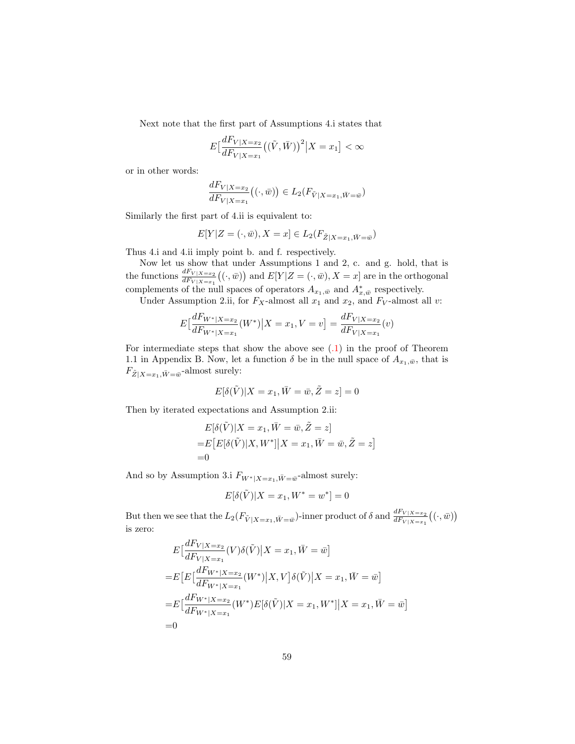Next note that the first part of Assumptions 4.i states that

$$
E\left[\frac{dF_{V|X=x_2}}{dF_{V|X=x_1}}\left((\tilde{V},\bar{W})\right)^2|X=x_1\right]<\infty
$$

or in other words:

$$
\frac{dF_{V|X=x_2}}{dF_{V|X=x_1}}((\cdot,\overline{w})) \in L_2(F_{\tilde{V}|X=x_1,\overline{W}=\overline{w}})
$$

Similarly the first part of 4.ii is equivalent to:

$$
E[Y|Z=(\cdot,\bar{w}),X=x]\in L_2(F_{\tilde{Z}|X=x_1,\bar{W}=\bar{w}})
$$

Thus 4.i and 4.ii imply point b. and f. respectively.

Now let us show that under Assumptions 1 and 2, c. and g. hold, that is the functions  $\frac{dF_{V|X=x_2}}{dF_{V|X=x_1}}((\cdot,\bar{w}))$  and  $E[Y|Z=(\cdot,\bar{w}),X=x]$  are in the orthogonal complements of the null spaces of operators  $A_{x_1,\bar{w}}$  and  $A_{x,\bar{w}}^*$  respectively.

Under Assumption 2.ii, for  $F_X$ -almost all  $x_1$  and  $x_2$ , and  $F_V$ -almost all v:

$$
E\left[\frac{dF_{W^*|X=x_2}}{dF_{W^*|X=x_1}}(W^*)\big|X=x_1, V=v\right] = \frac{dF_{V|X=x_2}}{dF_{V|X=x_1}}(v)
$$

For intermediate steps that show the above see [\(.1\)](#page-37-2) in the proof of Theorem 1.1 in Appendix B. Now, let a function  $\delta$  be in the null space of  $A_{x_1,\bar{w}}$ , that is  $F_{\tilde{Z}|X=x_1,\bar{W}=\bar{w}}$ -almost surely:

$$
E[\delta(\tilde{V})|X=x_1,\bar{W}=\bar{w},\tilde{Z}=z]=0
$$

Then by iterated expectations and Assumption 2.ii:

$$
E[\delta(\tilde{V})|X = x_1, \overline{W} = \overline{w}, \tilde{Z} = z]
$$
  
=
$$
E[E[\delta(\tilde{V})|X, W^*]|X = x_1, \overline{W} = \overline{w}, \tilde{Z} = z]
$$
  
=0

And so by Assumption 3.i  $F_{W^*|X=x_1,\bar{W}=\bar{w}}$ -almost surely:

$$
E[\delta(\tilde{V})|X = x_1, W^* = w^*] = 0
$$

But then we see that the  $L_2(F_{\tilde{V} | X=x_1, \bar{W}=\bar{w}})$ -inner product of  $\delta$  and  $\frac{dF_{V | X=x_2}}{dF_{V | X=x_1}}((\cdot, \bar{w}))$ is zero:

$$
E\left[\frac{dF_{V|X=x_2}}{dF_{V|X=x_1}}(V)\delta(\tilde{V})|X=x_1, \bar{W}=\bar{w}\right]
$$
  
=
$$
E\left[E\left[\frac{dF_{W^*|X=x_2}}{dF_{W^*|X=x_1}}(W^*)|X, V\right]\delta(\tilde{V})|X=x_1, \bar{W}=\bar{w}\right]
$$
  
=
$$
E\left[\frac{dF_{W^*|X=x_2}}{dF_{W^*|X=x_1}}(W^*)E[\delta(\tilde{V})|X=x_1, W^*]|X=x_1, \bar{W}=\bar{w}\right]
$$
  
=0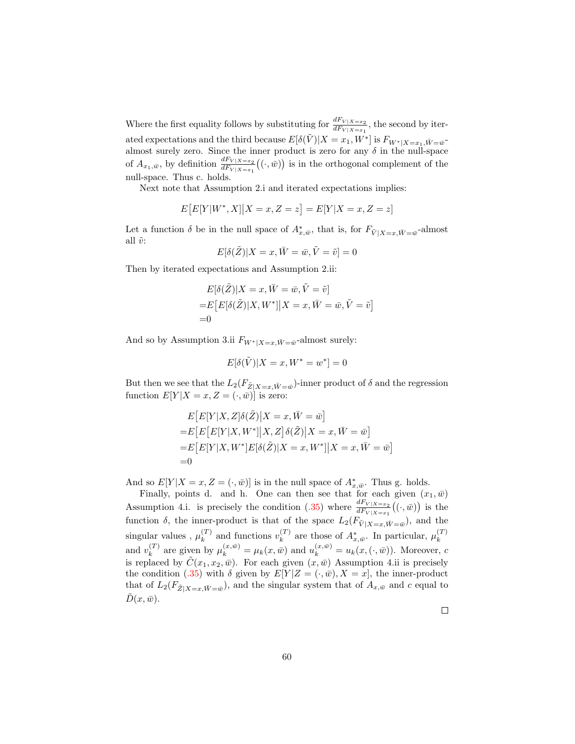Where the first equality follows by substituting for  $\frac{dF_{V|X=x_2}}{dF_{V|X=x_1}}$ , the second by iterated expectations and the third because  $E[\delta(\tilde{V})|X=x_1, W^*]$  is  $F_{W^*|X=x_1, \bar{W}=\bar{w}}$ almost surely zero. Since the inner product is zero for any  $\delta$  in the null-space of  $A_{x_1,\bar{w}}$ , by definition  $\frac{dF_{V|X=x_2}}{dF_{V|X=x_1}}((\cdot,\bar{w}))$  is in the orthogonal complement of the null-space. Thus c. holds.

Next note that Assumption 2.i and iterated expectations implies:

$$
E[E[Y|W^*, X]|X = x, Z = z] = E[Y|X = x, Z = z]
$$

Let a function  $\delta$  be in the null space of  $A^*_{x,\bar{w}}$ , that is, for  $F_{\tilde{V}|X=x,\bar{W}=\bar{w}}$ -almost all  $\tilde{v}$ :

$$
E[\delta(\tilde{Z})|X=x,\bar{W}=\bar{w},\tilde{V}=\tilde{v}]=0
$$

Then by iterated expectations and Assumption 2.ii:

$$
E[\delta(\tilde{Z})|X=x,\bar{W}=\bar{w},\tilde{V}=\tilde{v}]
$$
  
=
$$
E[E[\delta(\tilde{Z})|X,W^*]|X=x,\bar{W}=\bar{w},\tilde{V}=\tilde{v}]
$$
  
=0

And so by Assumption 3.ii  $F_{W^*|X=x,\bar{W}=\bar{w}}$ -almost surely:

$$
E[\delta(\tilde{V})|X=x, W^* = w^*] = 0
$$

But then we see that the  $L_2(F_{\tilde{Z}|X=x,\tilde{W}=\tilde{w}})$ -inner product of  $\delta$  and the regression function  $E[Y|X=x, Z=(\cdot, \bar{w})]$  is zero:

$$
E\big[E[Y|X,Z]\delta(\tilde{Z})|X=x,\bar{W}=\bar{w}\big]
$$
  
=
$$
E\big[E\big[E[Y|X,W^*]|X,Z\big]\delta(\tilde{Z})|X=x,\bar{W}=\bar{w}\big]
$$
  
=
$$
E\big[E[Y|X,W^*]E[\delta(\tilde{Z})|X=x,W^*]|X=x,\bar{W}=\bar{w}\big]
$$
  
=0

And so  $E[Y|X=x, Z=(.,\bar{w})]$  is in the null space of  $A^*_{x,\bar{w}}$ . Thus g. holds.

Finally, points d. and h. One can then see that for each given  $(x_1, \bar{w})$ Assumption 4.i. is precisely the condition [\(.35\)](#page-57-0) where  $\frac{dF_{V|X=x_2}}{dF_{V|X=x_1}}((\cdot,\bar{w}))$  is the function  $\delta$ , the inner-product is that of the space  $L_2(F_{\tilde{V}|X=x,\bar{W}=\bar{w}})$ , and the singular values,  $\mu_k^{(T)}$  $\binom{T}{k}$  and functions  $v_k^{(T)}$  $\mu_k^{(T)}$  are those of  $A^*_{x,\bar{w}}$ . In particular,  $\mu_k^{(T)}$ k and  $v_k^{(T)}$  $\mu_k^{(T)}$  are given by  $\mu_k^{(x,\bar{w})} = \mu_k(x,\bar{w})$  and  $u_k^{(x,\bar{w})} = u_k(x,(\cdot,\bar{w}))$ . Moreover, c is replaced by  $\tilde{C}(x_1, x_2, \bar{w})$ . For each given  $(x, \bar{w})$  Assumption 4.ii is precisely the condition [\(.35\)](#page-57-0) with  $\delta$  given by  $E[Y|Z=(\cdot,\bar{w}),X=x]$ , the inner-product that of  $L_2(F_{\tilde{Z}|X=x,\bar{W}=\bar{w}})$ , and the singular system that of  $A_{x,\bar{w}}$  and c equal to  $D(x,\bar{w}).$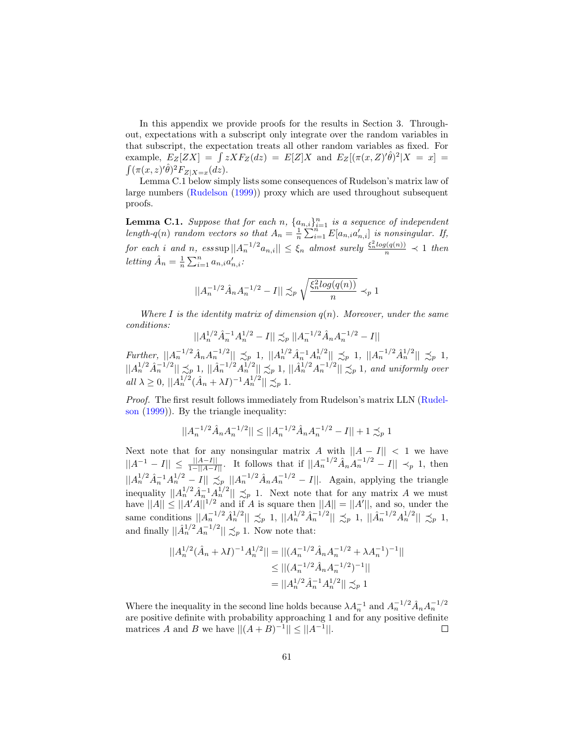In this appendix we provide proofs for the results in Section 3. Throughout, expectations with a subscript only integrate over the random variables in that subscript, the expectation treats all other random variables as fixed. For example,  $E_Z[ZX] = \int z X F_Z(dz) = E[Z]X$  and  $E_Z[(\pi(x, Z)'\hat{\theta})^2 | X = x] =$  $\int (\pi(x,z)'\hat{\theta})^2 F_{Z|X=x}(dz).$ 

Lemma C.1 below simply lists some consequences of Rudelson's matrix law of large numbers [\(Rudelson](#page-32-2) [\(1999\)](#page-32-2)) proxy which are used throughout subsequent proofs.

**Lemma C.1.** Suppose that for each n,  $\{a_{n,i}\}_{i=1}^n$  is a sequence of independent length-q(n) random vectors so that  $A_n = \frac{1}{n} \sum_{i=1}^{n} E[a_{n,i}a'_{n,i}]$  is nonsingular. If, for each i and n, ess sup  $||A_n^{-1/2}a_{n,i}|| \leq \xi_n$  almost surely  $\frac{\xi_n^2 log(q(n))}{n} \prec 1$  then letting  $\hat{A}_n = \frac{1}{n} \sum_{i=1}^n a_{n,i} a'_{n,i}$ :

$$
||A_n^{-1/2} \hat{A}_n A_n^{-1/2} - I|| \precsim_p \sqrt{\frac{\xi_n^2 log(q(n))}{n}} \prec_p 1
$$

Where I is the identity matrix of dimension  $q(n)$ . Moreover, under the same conditions:

$$
||A_n^{1/2}\hat{A}_n^{-1}A_n^{1/2} - I|| \preceq_p ||A_n^{-1/2}\hat{A}_nA_n^{-1/2} - I||
$$

Further,  $||A_n^{-1/2}\hat{A}_nA_n^{-1/2}|| \preceq_p 1$ ,  $||A_n^{1/2}\hat{A}_n^{-1}A_n^{1/2}|| \preceq_p 1$ ,  $||A_n^{-1/2}\hat{A}_n^{1/2}|| \preceq_p 1$ ,  $||A_n^{1/2} \hat{A}_n^{-1/2}|| \precsim_p 1$ ,  $||\hat{A}_n^{-1/2} A_n^{1/2}|| \precsim_p 1$ ,  $||\hat{A}_n^{1/2} A_n^{-1/2}|| \precsim_p 1$ , and uniformly over all  $\lambda \geq 0$ ,  $||A_n^{1/2}(\hat{A}_n + \lambda I)^{-1}A_n^{1/2}|| \preceq_p 1$ .

Proof. The first result follows immediately from Rudelson's matrix LLN [\(Rudel](#page-32-2)[son](#page-32-2) [\(1999\)](#page-32-2)). By the triangle inequality:

$$
||A_n^{-1/2}\hat{A}_n A_n^{-1/2}|| \le ||A_n^{-1/2}\hat{A}_n A_n^{-1/2} - I|| + 1 \preceq_p 1
$$

Next note that for any nonsingular matrix A with  $||A - I|| < 1$  we have  $||A^{-1} - I|| \le \frac{||A-I||}{1-||A-I||}$ . It follows that if  $||A_n^{-1/2}A_nA_n^{-1/2} - I|| \prec_p 1$ , then  $||A_n^{1/2} \hat{A}_n^{-1} A_n^{1/2} - I|| \precsim_p ||A_n^{-1/2} \hat{A}_n A_n^{-1/2} - I||.$  Again, applying the triangle inequality  $||A_n^{1/2}A_n^{-1}A_n^{1/2}|| \preceq_p 1$ . Next note that for any matrix A we must have  $||A|| \leq ||A'A||^{1/2}$  and if A is square then  $||A|| = ||A'||$ , and so, under the same conditions  $||A_n^{-1/2}\hat{A}_n^{1/2}|| \precsim_p 1$ ,  $||A_n^{1/2}\hat{A}_n^{-1/2}|| \precsim_p 1$ ,  $||\hat{A}_n^{-1/2}A_n^{1/2}|| \precsim_p 1$ , and finally  $\|\hat{A}_n^{1/2} A_n^{-1/2}\| \preceq_p 1$ . Now note that:

$$
||A_n^{1/2}(\hat{A}_n + \lambda I)^{-1}A_n^{1/2}|| = ||(A_n^{-1/2}\hat{A}_nA_n^{-1/2} + \lambda A_n^{-1})^{-1}||
$$
  
\n
$$
\leq ||(A_n^{-1/2}\hat{A}_nA_n^{-1/2})^{-1}||
$$
  
\n
$$
= ||A_n^{1/2}\hat{A}_n^{-1}A_n^{1/2}|| \preceq_p 1
$$

Where the inequality in the second line holds because  $\lambda A_n^{-1}$  and  $A_n^{-1/2} \hat{A}_n A_n^{-1/2}$ are positive definite with probability approaching 1 and for any positive definite matrices A and B we have  $||(A + B)^{-1}|| \le ||A^{-1}||$ .  $\Box$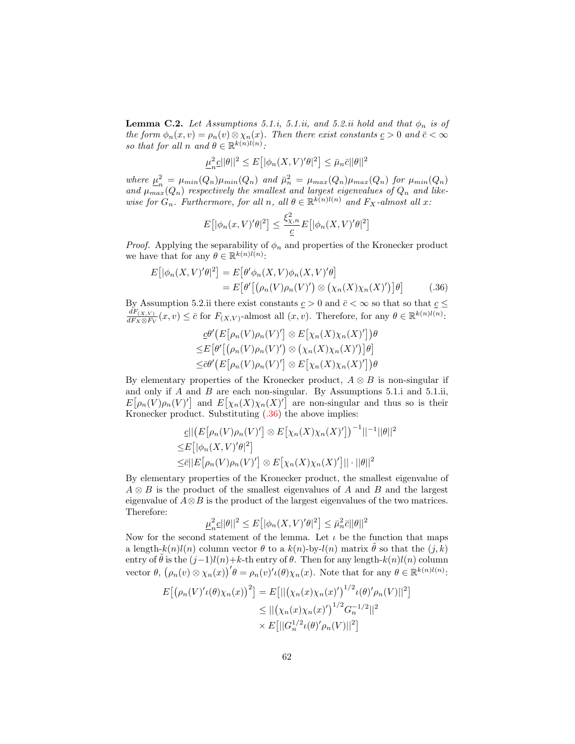**Lemma C.2.** Let Assumptions 5.1.i, 5.1.ii, and 5.2.ii hold and that  $\phi_n$  is of the form  $\phi_n(x, v) = \rho_n(v) \otimes \chi_n(x)$ . Then there exist constants  $\underline{c} > 0$  and  $\overline{c} < \infty$ so that for all n and  $\theta \in \mathbb{R}^{k(n)l(n)}$ .

$$
\underline{\mu}_n^2 \underline{c} ||\theta||^2 \le E\big[ |\phi_n(X, V)' \theta|^2 \big] \le \bar{\mu}_n \bar{c} ||\theta||^2
$$

where  $\mu^2$  $\mu_n^2 = \mu_{min}(Q_n)\mu_{min}(Q_n)$  and  $\bar{\mu}_n^2 = \mu_{max}(Q_n)\mu_{max}(Q_n)$  for  $\mu_{min}(Q_n)$ and  $\mu_{max}(Q_n)$  respectively the smallest and largest eigenvalues of  $Q_n$  and likewise for  $G_n$ . Furthermore, for all n, all  $\theta \in \mathbb{R}^{k(n)l(n)}$  and  $F_X$ -almost all x:

<span id="page-61-0"></span>
$$
E\big[|\phi_n(x,V)'\theta|^2\big] \le \frac{\xi_{\chi,n}^2}{\underline{c}} E\big[|\phi_n(X,V)'\theta|^2\big]
$$

*Proof.* Applying the separability of  $\phi_n$  and properties of the Kronecker product we have that for any  $\theta \in \mathbb{R}^{k(n)l(n)}$ :

$$
E\big[|\phi_n(X,V)'\theta|^2\big] = E\big[\theta'\phi_n(X,V)\phi_n(X,V)'\theta\big] = E\big[\theta'\big[\big(\rho_n(V)\rho_n(V)'\big) \otimes \big(\chi_n(X)\chi_n(X)'\big)\big]\theta\big] \tag{.36}
$$

By Assumption 5.2.ii there exist constants  $\underline{c} > 0$  and  $\overline{c} < \infty$  so that so that  $\underline{c} \leq$  $dF_{(X,V)}$  $\frac{dF_{(X,V)}}{dF_X \otimes F_V}(x, v) \leq \bar{c}$  for  $F_{(X,V)}$ -almost all  $(x, v)$ . Therefore, for any  $\theta \in \mathbb{R}^{k(n)l(n)}$ :

$$
\underline{c} \theta' \big( E[\rho_n(V)\rho_n(V)'] \otimes E[\chi_n(X)\chi_n(X)'] \big) \theta
$$
  
\n
$$
\leq E[\theta' [(\rho_n(V)\rho_n(V)') \otimes (\chi_n(X)\chi_n(X)')] \theta]
$$
  
\n
$$
\leq \overline{c} \theta' \big( E[\rho_n(V)\rho_n(V)'] \otimes E[\chi_n(X)\chi_n(X)'] \big) \theta
$$

By elementary properties of the Kronecker product,  $A \otimes B$  is non-singular if and only if  $A$  and  $B$  are each non-singular. By Assumptions 5.1.i and 5.1.ii,  $E[\rho_n(V)\rho_n(V)']$  and  $E[\chi_n(X)\chi_n(X)']$  are non-singular and thus so is their Kronecker product. Substituting [\(.36\)](#page-61-0) the above implies:

$$
\begin{aligned} \n\underline{c} \|\big(E\big[\rho_n(V)\rho_n(V)'\big] \otimes E\big[\chi_n(X)\chi_n(X)'\big]\big)^{-1}\|\big|^{-1}\|\theta\|^2\\ \n\leq &E\big[\big|\phi_n(X,V)'\theta\big|^2\big] \\ \n\leq & \bar{c} \|\big(E\big[\rho_n(V)\rho_n(V)'\big] \otimes E\big[\chi_n(X)\chi_n(X)'\big]\|\cdot\|\theta\|^2 \n\end{aligned}
$$

By elementary properties of the Kronecker product, the smallest eigenvalue of  $A \otimes B$  is the product of the smallest eigenvalues of A and B and the largest eigenvalue of  $A \otimes B$  is the product of the largest eigenvalues of the two matrices. Therefore:

$$
\underline{\mu}_n^2 \underline{c} ||\theta||^2 \leq E\big[ |\phi_n(X,V)^\prime \theta|^2 \big] \leq \bar{\mu}_n^2 \bar{c} ||\theta||^2
$$

Now for the second statement of the lemma. Let  $\iota$  be the function that maps a length- $k(n)l(n)$  column vector  $\theta$  to a  $k(n)$ -by- $l(n)$  matrix  $\theta$  so that the  $(j, k)$ entry of  $\theta$  is the  $(j-1)l(n)+k$ -th entry of  $\theta$ . Then for any length- $k(n)l(n)$  column vector  $\theta$ ,  $(\rho_n(v) \otimes \chi_n(x))' \theta = \rho_n(v)'\iota(\theta)\chi_n(x)$ . Note that for any  $\theta \in \mathbb{R}^{k(n)l(n)}$ :

$$
E[(\rho_n(V)' \iota(\theta) \chi_n(x))^2] = E[||(\chi_n(x) \chi_n(x)')^{1/2} \iota(\theta)' \rho_n(V)||^2]
$$
  
\n
$$
\leq ||(\chi_n(x) \chi_n(x)')^{1/2} G_n^{-1/2}||^2
$$
  
\n
$$
\times E[||G_n^{1/2} \iota(\theta)' \rho_n(V)||^2]
$$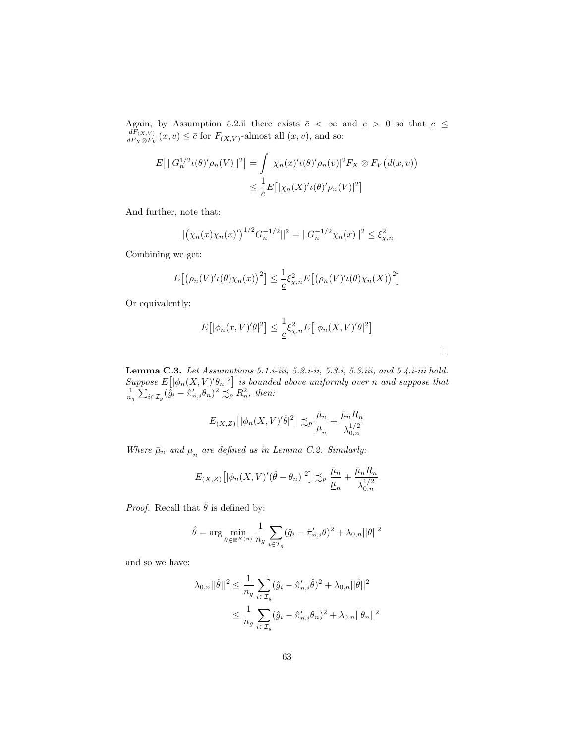Again, by Assumption 5.2.ii there exists  $\bar{c} < \infty$  and  $\underline{c} > 0$  so that  $\underline{c} \leq$  $dF_{(X,V)}$  $\frac{dF(X,V)}{dF_X\otimes F_V}(x,v) \leq \bar{c}$  for  $F_{(X,V)}$ -almost all  $(x,v)$ , and so:

$$
E[||G_n^{1/2}\iota(\theta)'\rho_n(V)||^2] = \int |\chi_n(x)'\iota(\theta)'\rho_n(v)|^2 F_X \otimes F_V(d(x,v))
$$
  

$$
\leq \frac{1}{\underline{c}} E[|\chi_n(X)'\iota(\theta)'\rho_n(V)|^2]
$$

And further, note that:

$$
\|(\chi_n(x)\chi_n(x)')^{1/2}G_n^{-1/2}\|^2 = ||G_n^{-1/2}\chi_n(x)||^2 \le \xi_{\chi,n}^2
$$

Combining we get:

$$
E\big[\big(\rho_n(V)'\iota(\theta)\chi_n(x)\big)^2\big] \leq \frac{1}{\underline{c}}\xi_{\chi,n}^2 E\big[\big(\rho_n(V)'\iota(\theta)\chi_n(X)\big)^2\big]
$$

Or equivalently:

$$
E\left[|\phi_n(x,V)'\theta|^2\right] \le \frac{1}{c}\xi_{\chi,n}^2 E\left[|\phi_n(X,V)'\theta|^2\right]
$$

 $\Box$ 

**Lemma C.3.** Let Assumptions 5.1.*i*-iii, 5.2.*i*-ii, 5.3.*i*, 5.3.*iii*, and 5.4.*i*-iii hold. Suppose  $E\left[ |\phi_n(X, V)' \theta_n|^2 \right]$  is bounded above uniformly over n and suppose that  $\frac{1}{n_g} \sum_{i \in \mathcal{I}_g} (\hat{g}_i - \hat{\pi}'_{n,i} \theta_n)^2 \precsim_P R_n^2$ , then:

$$
E_{(X,Z)}\left[|\phi_n(X,V)'\hat{\theta}|^2\right] \lesssim_p \frac{\bar{\mu}_n}{\underline{\mu}_n} + \frac{\bar{\mu}_n R_n}{\lambda_{0,n}^{1/2}}
$$

Where  $\bar{\mu}_n$  and  $\underline{\mu}_n$  are defined as in Lemma C.2. Similarly:

$$
E_{(X,Z)}\left[|\phi_n(X,V)'(\hat{\theta}-\theta_n)|^2\right] \lesssim_p \frac{\bar{\mu}_n}{\underline{\mu}_n} + \frac{\bar{\mu}_n R_n}{\lambda_{0,n}^{1/2}}
$$

*Proof.* Recall that  $\hat{\theta}$  is defined by:

$$
\hat{\theta} = \arg \min_{\theta \in \mathbb{R}^{K(n)}} \frac{1}{n_g} \sum_{i \in \mathcal{I}_g} (\hat{g}_i - \hat{\pi}'_{n,i} \theta)^2 + \lambda_{0,n} ||\theta||^2
$$

and so we have:

$$
\lambda_{0,n} ||\hat{\theta}||^2 \le \frac{1}{n_g} \sum_{i \in \mathcal{I}_g} (\hat{g}_i - \hat{\pi}'_{n,i} \hat{\theta})^2 + \lambda_{0,n} ||\hat{\theta}||^2
$$
  

$$
\le \frac{1}{n_g} \sum_{i \in \mathcal{I}_g} (\hat{g}_i - \hat{\pi}'_{n,i} \theta_n)^2 + \lambda_{0,n} ||\theta_n||^2
$$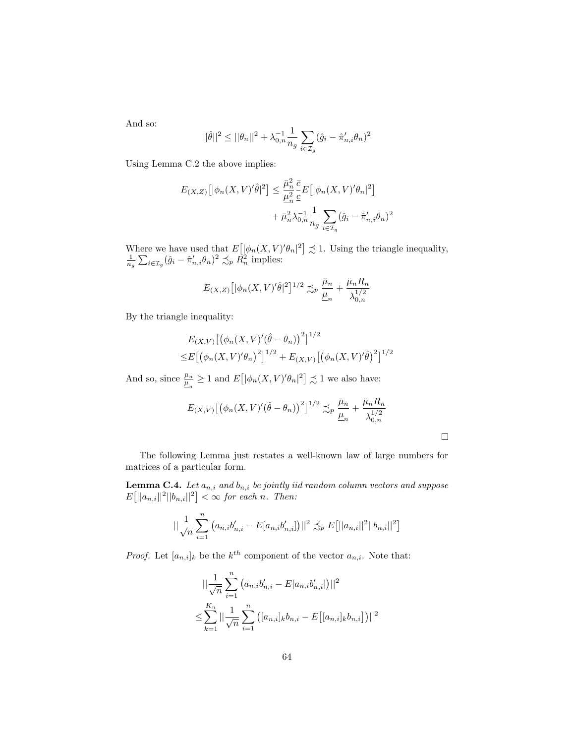And so:

$$
||\hat{\theta}||^2 \le ||\theta_n||^2 + \lambda_{0,n}^{-1} \frac{1}{n_g} \sum_{i \in \mathcal{I}_g} (\hat{g}_i - \hat{\pi}'_{n,i} \theta_n)^2
$$

Using Lemma C.2 the above implies:

$$
E_{(X,Z)}\left[|\phi_n(X,V)'\hat{\theta}|^2\right] \leq \frac{\bar{\mu}_n^2}{\underline{\mu}_n^2} \frac{\bar{c}}{\underline{c}} E\left[|\phi_n(X,V)'\theta_n|^2\right] + \bar{\mu}_n^2 \lambda_{0,n}^{-1} \frac{1}{n_g} \sum_{i \in \mathcal{I}_g} (\hat{g}_i - \hat{\pi}_{n,i}'\theta_n)^2
$$

Where we have used that  $E\left[ |\phi_n(X, V)' \theta_n|^2 \right] \precsim 1$ . Using the triangle inequality,  $\frac{1}{n_g} \sum_{i \in \mathcal{I}_g} (\hat{g}_i - \hat{\pi}'_{n,i} \theta_n)^2 \precsim_P R_n^2$  implies:

$$
E_{(X,Z)}\left[|\phi_n(X,V)'\hat{\theta}|^2\right]^{1/2} \lesssim_p \frac{\bar{\mu}_n}{\underline{\mu}_n} + \frac{\bar{\mu}_n R_n}{\lambda_{0,n}^{1/2}}
$$

By the triangle inequality:

$$
E_{(X,V)}[(\phi_n(X,V)'(\hat{\theta}-\theta_n))^2]^{1/2}
$$
  
\n
$$
\leq E[(\phi_n(X,V)'\theta_n)^2]^{1/2} + E_{(X,V)}[(\phi_n(X,V)'\hat{\theta})^2]^{1/2}
$$

And so, since  $\frac{\bar{\mu}_n}{\underline{\mu}_n} \geq 1$  and  $E\left[ |\phi_n(X, V)' \theta_n|^2 \right] \precsim 1$  we also have:

$$
E_{(X,V)}\left[\left(\phi_n(X,V)'(\hat{\theta}-\theta_n)\right)^2\right]^{1/2} \lesssim_p \frac{\bar{\mu}_n}{\underline{\mu}_n} + \frac{\bar{\mu}_n R_n}{\lambda_{0,n}^{1/2}}
$$

 $\Box$ 

The following Lemma just restates a well-known law of large numbers for matrices of a particular form.

**Lemma C.4.** Let  $a_{n,i}$  and  $b_{n,i}$  be jointly iid random column vectors and suppose  $E[||a_{n,i}||^2||b_{n,i}||^2] < \infty$  for each n. Then:

$$
\left\|\frac{1}{\sqrt{n}}\sum_{i=1}^{n}\left(a_{n,i}b'_{n,i}-E[a_{n,i}b'_{n,i}]\right)\right\|^{2} \lesssim_{p} E\left[\left|\left|a_{n,i}\right|\right|^{2}\right]\left|b_{n,i}\right|^{2}\right]
$$

*Proof.* Let  $[a_{n,i}]_k$  be the  $k^{th}$  component of the vector  $a_{n,i}$ . Note that:

$$
\begin{aligned} &\|\frac{1}{\sqrt{n}}\sum_{i=1}^n (a_{n,i}b'_{n,i} - E[a_{n,i}b'_{n,i}])\|^2\\ \leq &\sum_{k=1}^{K_n} \|\frac{1}{\sqrt{n}}\sum_{i=1}^n \left([a_{n,i}]_k b_{n,i} - E\big[[a_{n,i}]_k b_{n,i}\big]\right)\|^2 \end{aligned}
$$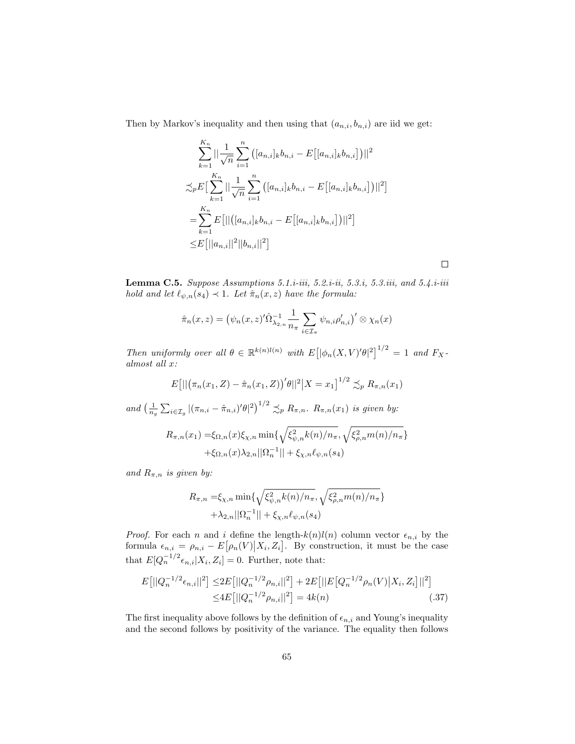Then by Markov's inequality and then using that  $(a_{n,i}, b_{n,i})$  are iid we get:

$$
\sum_{k=1}^{K_n} ||\frac{1}{\sqrt{n}} \sum_{i=1}^n ([a_{n,i}]_k b_{n,i} - E[[a_{n,i}]_k b_{n,i}])||^2
$$
  

$$
\lesssim_{p} E\left[\sum_{k=1}^{K_n} ||\frac{1}{\sqrt{n}} \sum_{i=1}^n ([a_{n,i}]_k b_{n,i} - E[[a_{n,i}]_k b_{n,i}])||^2\right]
$$
  

$$
= \sum_{k=1}^{K_n} E[||([a_{n,i}]_k b_{n,i} - E[[a_{n,i}]_k b_{n,i}])||^2]
$$
  

$$
\leq E[||a_{n,i}||^2||b_{n,i}||^2]
$$

 $\Box$ 

**Lemma C.5.** Suppose Assumptions 5.1.*i*-iii, 5.2.*i*-ii, 5.3.*i*, 5.3.iii, and 5.4.*i*-iii hold and let  $\ell_{\psi,n}(s_4) \prec 1$ . Let  $\hat{\pi}_n(x, z)$  have the formula:

$$
\hat{\pi}_n(x, z) = \left(\psi_n(x, z)'\hat{\Omega}_{\lambda_{2,n}}^{-1} \frac{1}{n_{\pi}} \sum_{i \in \mathcal{I}_{\pi}} \psi_{n,i} \rho'_{n,i}\right)' \otimes \chi_n(x)
$$

Then uniformly over all  $\theta \in \mathbb{R}^{k(n)l(n)}$  with  $E[|\phi_n(X, V)' \theta|^2]^{1/2} = 1$  and  $F_X$ almost all x:

$$
E[||(\pi_n(x_1,Z) - \hat{\pi}_n(x_1,Z))^{\prime}\theta||^2|X = x_1]^{1/2} \preceq_p R_{\pi,n}(x_1)
$$

and  $\left(\frac{1}{n_q}\sum_{i\in\mathcal{I}_g}\left|(\pi_{n,i}-\hat{\pi}_{n,i})'\theta\right|^2\right)^{1/2}\lesssim_p R_{\pi,n}.$   $R_{\pi,n}(x_1)$  is given by:

$$
R_{\pi,n}(x_1) = \xi_{\Omega,n}(x)\xi_{\chi,n} \min\{\sqrt{\xi_{\psi,n}^2 k(n)/n_\pi}, \sqrt{\xi_{\rho,n}^2 m(n)/n_\pi}\} + \xi_{\Omega,n}(x)\lambda_{2,n}||\Omega_n^{-1}|| + \xi_{\chi,n}\ell_{\psi,n}(s_4)
$$

and  $R_{\pi,n}$  is given by:

<span id="page-64-0"></span>
$$
R_{\pi,n} = \xi_{\chi,n} \min \{ \sqrt{\xi_{\psi,n}^2 k(n)/n_{\pi}}, \sqrt{\xi_{\rho,n}^2 m(n)/n_{\pi}} \} + \lambda_{2,n} ||\Omega_n^{-1}|| + \xi_{\chi,n} \ell_{\psi,n}(s_4)
$$

*Proof.* For each n and i define the length- $k(n)l(n)$  column vector  $\epsilon_{n,i}$  by the formula  $\epsilon_{n,i} = \rho_{n,i} - E[\rho_n(V)|X_i, Z_i]$ . By construction, it must be the case that  $E[Q_n^{-1/2} \epsilon_{n,i}|X_i, Z_i] = 0$ . Further, note that:

$$
E[||Q_n^{-1/2}\epsilon_{n,i}||^2] \le 2E[||Q_n^{-1/2}\rho_{n,i}||^2] + 2E[||E[Q_n^{-1/2}\rho_n(V)|X_i, Z_i]||^2]
$$
  

$$
\le 4E[||Q_n^{-1/2}\rho_{n,i}||^2] = 4k(n)
$$
 (37)

The first inequality above follows by the definition of  $\epsilon_{n,i}$  and Young's inequality and the second follows by positivity of the variance. The equality then follows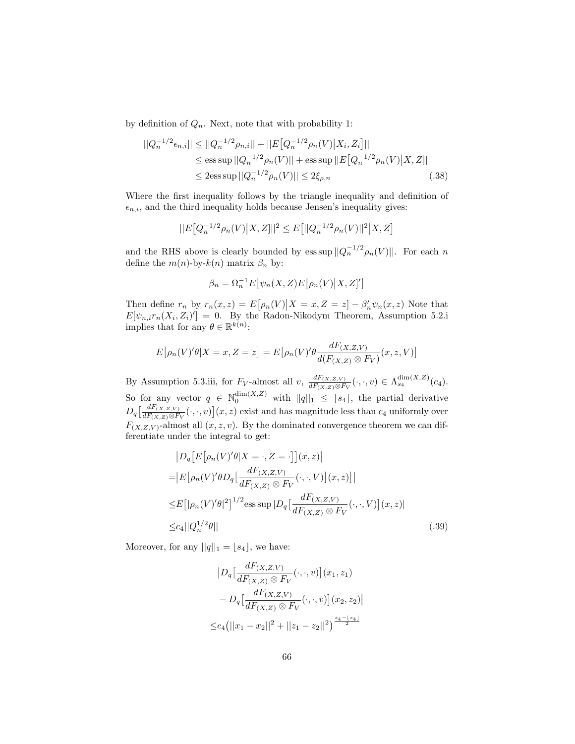by definition of  $Q_n$ . Next, note that with probability 1:

$$
||Q_n^{-1/2}\epsilon_{n,i}|| \le ||Q_n^{-1/2}\rho_{n,i}|| + ||E\big[Q_n^{-1/2}\rho_n(V)\big|X_i, Z_i\big]||
$$
  
\n
$$
\le \text{ess}\sup ||Q_n^{-1/2}\rho_n(V)|| + \text{ess}\sup ||E\big[Q_n^{-1/2}\rho_n(V)\big|X, Z\big]||
$$
  
\n
$$
\le 2\text{ess}\sup ||Q_n^{-1/2}\rho_n(V)|| \le 2\xi_{\rho,n}.
$$
 (.38)

Where the first inequality follows by the triangle inequality and definition of  $\epsilon_{n,i}$ , and the third inequality holds because Jensen's inequality gives:

$$
||E[Q_n^{-1/2}\rho_n(V)|X,Z]||^2 \le E[||Q_n^{-1/2}\rho_n(V)||^2|X,Z]
$$

and the RHS above is clearly bounded by ess sup  $||Q_n^{-1/2} \rho_n(V)||$ . For each n define the  $m(n)$ -by- $k(n)$  matrix  $\beta_n$  by:

<span id="page-65-1"></span>
$$
\beta_n = \Omega_n^{-1} E[\psi_n(X, Z) E[\rho_n(V) | X, Z]']
$$

Then define  $r_n$  by  $r_n(x, z) = E[\rho_n(V)|X = x, Z = z] - \beta'_n \psi_n(x, z)$  Note that  $E[\psi_{n,i}r_n(X_i,Z_i)'] = 0$ . By the Radon-Nikodym Theorem, Assumption 5.2.i implies that for any  $\theta \in \mathbb{R}^{k(n)}$ :

$$
E[\rho_n(V)'\theta|X=x,Z=z] = E[\rho_n(V)'\theta \frac{dF_{(X,Z,V)}}{d(F_{(X,Z)} \otimes F_V)}(x,z,V)]
$$

By Assumption 5.3.iii, for  $F_V$ -almost all v,  $\frac{dF(x,z,v)}{dF(x,z)\otimes F}$  $\frac{dF_{(X,Z,V)}}{dF_{(X,Z)}\otimes F_V}(\cdot,\cdot,v) \in \Lambda^{\dim(X,Z)}_{s_4}(c_4).$ So for any vector  $q \in \mathbb{N}_0^{\dim(X,Z)}$  with  $||q||_1 \leq [s_4]$ , the partial derivative  $D_q\left[\frac{dF_{(X,Z,V)}}{dF_{(X,Z)}\otimes F}\right]$  $\frac{dF(X,Z,V)}{dF(X,Z)\otimes F_V}(\cdot,\cdot,v)(x,z)$  exist and has magnitude less than  $c_4$  uniformly over  $F_{(X,Z,V)}$ -almost all  $(x, z, v)$ . By the dominated convergence theorem we can differentiate under the integral to get:

$$
|D_q[E[\rho_n(V)'\theta|X = \cdot, Z = \cdot][(x, z)]
$$
  
\n
$$
= |E[\rho_n(V)'\theta D_q[\frac{dF(x, z, v)}{dF(x, z) \otimes F_V}(\cdot, \cdot, V)](x, z)]|
$$
  
\n
$$
\leq E[|\rho_n(V)'\theta|^2]^{1/2} \text{ess} \sup |D_q[\frac{dF(x, z, v)}{dF(x, z) \otimes F_V}(\cdot, \cdot, V)](x, z)|
$$
  
\n
$$
\leq c_4 ||Q_n^{1/2}\theta|| \qquad (.39)
$$

Moreover, for any  $||q||_1 = [s_4]$ , we have:

<span id="page-65-0"></span>
$$
|D_q\left[\frac{dF_{(X,Z,V)}}{dF_{(X,Z)} \otimes F_V}(\cdot,\cdot,v)\right](x_1,z_1) - D_q\left[\frac{dF_{(X,Z,V)}}{dF_{(X,Z)} \otimes F_V}(\cdot,\cdot,v)\right](x_2,z_2)|
$$
  

$$
\leq c_4(||x_1 - x_2||^2 + ||z_1 - z_2||^2)^{\frac{s_4 - \lfloor s_4 \rfloor}{2}}
$$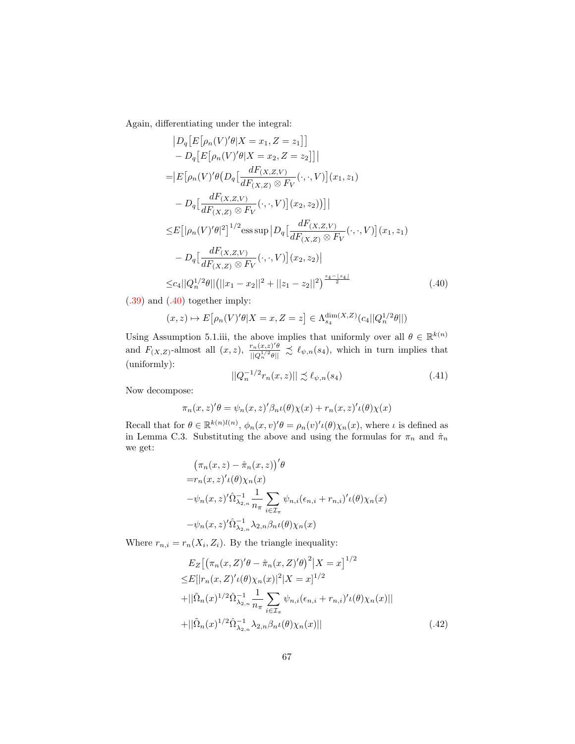Again, differentiating under the integral:

$$
|D_q[E[\rho_n(V)'\theta|X = x_1, Z = z_1]]
$$
  
\n
$$
- D_q[E[\rho_n(V)'\theta|X = x_2, Z = z_2]]|
$$
  
\n
$$
= |E[\rho_n(V)'\theta(D_q[\frac{dF(x, z, v)}{dF(x, z) \otimes F_V}(\cdot, \cdot, V)](x_1, z_1))
$$
  
\n
$$
- D_q[\frac{dF(x, z, v)}{dF(x, z) \otimes F_V}(\cdot, \cdot, V)](x_2, z_2))]|
$$
  
\n
$$
\leq E[|\rho_n(V)'\theta|^2]^{1/2} \text{ess sup } |D_q[\frac{dF(x, z, v)}{dF(x, z) \otimes F_V}(\cdot, \cdot, V)](x_1, z_1)
$$
  
\n
$$
- D_q[\frac{dF(x, z, v)}{dF(x, z) \otimes F_V}(\cdot, \cdot, V)](x_2, z_2)|
$$
  
\n
$$
\leq c_4 ||Q_n^{1/2}\theta||(||x_1 - x_2||^2 + ||z_1 - z_2||^2)^{\frac{s_4 - |s_4|}{2}}
$$
(.40)

[\(.39\)](#page-65-0) and [\(.40\)](#page-66-0) together imply:

$$
(x, z) \mapsto E[\rho_n(V)'\theta | X = x, Z = z] \in \Lambda_{s_4}^{\dim(X, Z)}(c_4 || Q_n^{1/2}\theta ||)
$$

Using Assumption 5.1.iii, the above implies that uniformly over all  $\theta \in \mathbb{R}^{k(n)}$ and  $F_{(X,Z)}$ -almost all  $(x, z)$ ,  $\frac{r_n(x,z)'\theta}{\ln\theta^{1/2}a\ln\theta}$  $\frac{r_n(x,z)'\theta}{\|\bar{Q}_n^{1/2}\theta\|} \precsim \ell_{\psi,n}(s_4)$ , which in turn implies that (uniformly):

<span id="page-66-1"></span><span id="page-66-0"></span>
$$
||Q_n^{-1/2}r_n(x,z)|| \precsim \ell_{\psi,n}(s_4)
$$
\n
$$
(.41)
$$

Now decompose:

$$
\pi_n(x, z)' \theta = \psi_n(x, z)' \beta_n \iota(\theta) \chi(x) + r_n(x, z)' \iota(\theta) \chi(x)
$$

Recall that for  $\theta \in \mathbb{R}^{k(n)l(n)}$ ,  $\phi_n(x, v)'\theta = \rho_n(v)'\iota(\theta)\chi_n(x)$ , where  $\iota$  is defined as in Lemma C.3. Substituting the above and using the formulas for  $\pi_n$  and  $\hat{\pi}_n$ we get:

$$
\begin{aligned}\n&\left(\pi_n(x,z) - \hat{\pi}_n(x,z)\right)^{\prime}\theta \\
&= r_n(x,z)^{\prime}\iota(\theta)\chi_n(x) \\
&\quad - \psi_n(x,z)^{\prime}\hat{\Omega}_{\lambda_{2,n}}^{-1} \frac{1}{n_{\pi}} \sum_{i \in \mathcal{I}_{\pi}} \psi_{n,i}(\epsilon_{n,i} + r_{n,i})^{\prime}\iota(\theta)\chi_n(x) \\
&\quad - \psi_n(x,z)^{\prime}\hat{\Omega}_{\lambda_{2,n}}^{-1} \lambda_{2,n} \beta_n \iota(\theta)\chi_n(x)\n\end{aligned}
$$

Where  $r_{n,i} = r_n(X_i, Z_i)$ . By the triangle inequality:

<span id="page-66-2"></span>
$$
E_Z[(\pi_n(x, Z)'\theta - \hat{\pi}_n(x, Z)'\theta)^2 | X = x]^{1/2}
$$
  
\n
$$
\leq E[|r_n(x, Z)'\iota(\theta)\chi_n(x)|^2 | X = x]^{1/2}
$$
  
\n
$$
+ ||\tilde{\Omega}_n(x)^{1/2} \hat{\Omega}_{\lambda_{2,n}}^{-1} \frac{1}{n_\pi} \sum_{i \in \mathcal{I}_\pi} \psi_{n,i}(\epsilon_{n,i} + r_{n,i})'\iota(\theta)\chi_n(x)||
$$
  
\n
$$
+ ||\tilde{\Omega}_n(x)^{1/2} \hat{\Omega}_{\lambda_{2,n}}^{-1} \lambda_{2,n} \beta_n \iota(\theta)\chi_n(x)||
$$
\n(.42)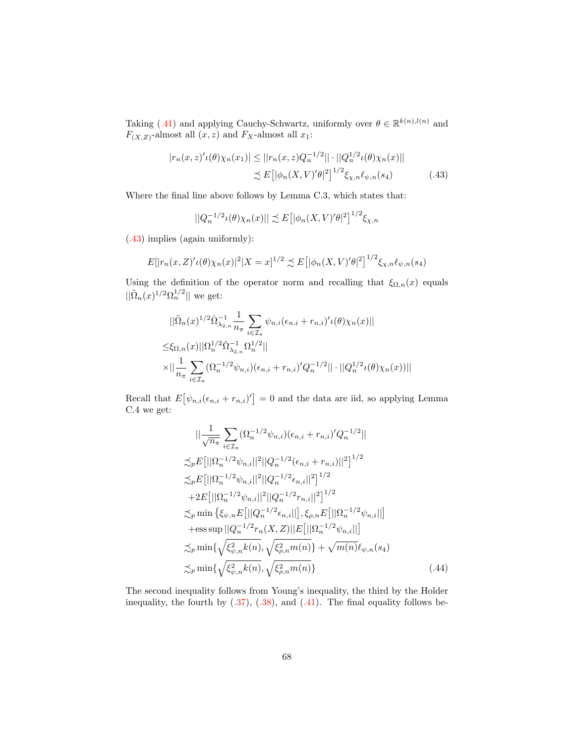Taking [\(.41\)](#page-66-1) and applying Cauchy-Schwartz, uniformly over  $\theta \in \mathbb{R}^{k(n),l(n)}$  and  $F_{(X,Z)}$ -almost all  $(x, z)$  and  $F_X$ -almost all  $x_1$ :

$$
|r_n(x,z)' \iota(\theta) \chi_n(x_1)| \le ||r_n(x,z)Q_n^{-1/2}|| \cdot ||Q_n^{1/2} \iota(\theta) \chi_n(x)||
$$
  

$$
\lesssim E\big[ |\phi_n(X,V)' \theta|^2 \big]^{1/2} \xi_{\chi,n} \ell_{\psi,n}(s_4) \tag{.43}
$$

Where the final line above follows by Lemma C.3, which states that:

<span id="page-67-0"></span>
$$
||Q_n^{-1/2} \iota(\theta) \chi_n(x)|| \precsim E\big[|\phi_n(X, V)'\theta|^2\big]^{1/2} \xi_{\chi,n}
$$

[\(.43\)](#page-67-0) implies (again uniformly):

$$
E[|r_n(x,Z)'(\theta)\chi_n(x)|^2|X=x]^{1/2} \precsim E[|\phi_n(X,V)'\theta|^2]^{1/2}\xi_{\chi,n}\ell_{\psi,n}(s_4)
$$

Using the definition of the operator norm and recalling that  $\xi_{\Omega,n}(x)$  equals  $\|\tilde{\Omega}_n(x)^{1/2}\Omega_n^{1/2}\|$  we get:

$$
\begin{split} &||\tilde{\Omega}_n(x)^{1/2}\hat{\Omega}_{\lambda_{2,n}}^{-1}\frac{1}{n_\pi}\sum_{i\in\mathcal{I}_\pi}\psi_{n,i}(\epsilon_{n,i}+r_{n,i})'\iota(\theta)\chi_n(x)||\\ \leq &\xi_{\Omega,n}(x)||\Omega_n^{1/2}\hat{\Omega}_{\lambda_{2,n}}^{-1}\Omega_n^{1/2}||\\ &\times||\frac{1}{n_\pi}\sum_{i\in\mathcal{I}_\pi}(\Omega_n^{-1/2}\psi_{n,i})(\epsilon_{n,i}+r_{n,i})'Q_n^{-1/2}||\cdot||Q_n^{1/2}\iota(\theta)\chi_n(x))|| \end{split}
$$

Recall that  $E[\psi_{n,i}(\epsilon_{n,i}+r_{n,i})]=0$  and the data are iid, so applying Lemma C.4 we get:

<span id="page-67-1"></span>
$$
\|\frac{1}{\sqrt{n_{\pi}}}\sum_{i\in\mathcal{I}_{\pi}}(\Omega_{n}^{-1/2}\psi_{n,i})(\epsilon_{n,i}+r_{n,i})'Q_{n}^{-1/2}\|
$$
  
\n
$$
\precsim_{p} E\big[||\Omega_{n}^{-1/2}\psi_{n,i}||^{2}||Q_{n}^{-1/2}(\epsilon_{n,i}+r_{n,i})||^{2}\big]^{1/2}
$$
  
\n
$$
\precsim_{p} E\big[||\Omega_{n}^{-1/2}\psi_{n,i}||^{2}||Q_{n}^{-1/2}\epsilon_{n,i}||^{2}\big]^{1/2}
$$
  
\n
$$
+2E\big[||\Omega_{n}^{-1/2}\psi_{n,i}||^{2}||Q_{n}^{-1/2}r_{n,i}||^{2}\big]^{1/2}
$$
  
\n
$$
\precsim_{p} \min\big\{\xi_{\psi,n} E\big[||Q_{n}^{-1/2}\epsilon_{n,i}||\big],\xi_{\rho,n} E\big[||\Omega_{n}^{-1/2}\psi_{n,i}||\big]
$$
  
\n
$$
+\text{ess} \sup\big||Q_{n}^{-1/2}r_{n}(X,Z)||E\big[||\Omega_{n}^{-1/2}\psi_{n,i}||\big]
$$
  
\n
$$
\precsim_{p} \min\big\{\sqrt{\xi_{\psi,n}^{2}k(n)},\sqrt{\xi_{\rho,n}^{2}m(n)}\big\}+\sqrt{m(n)}\ell_{\psi,n}(s_{4})
$$
  
\n
$$
\precsim_{p} \min\big\{\sqrt{\xi_{\psi,n}^{2}k(n)},\sqrt{\xi_{\rho,n}^{2}m(n)}\big\}
$$
  
\n(.44)

The second inequality follows from Young's inequality, the third by the Holder inequality, the fourth by  $(.37)$ ,  $(.38)$ , and  $(.41)$ . The final equality follows be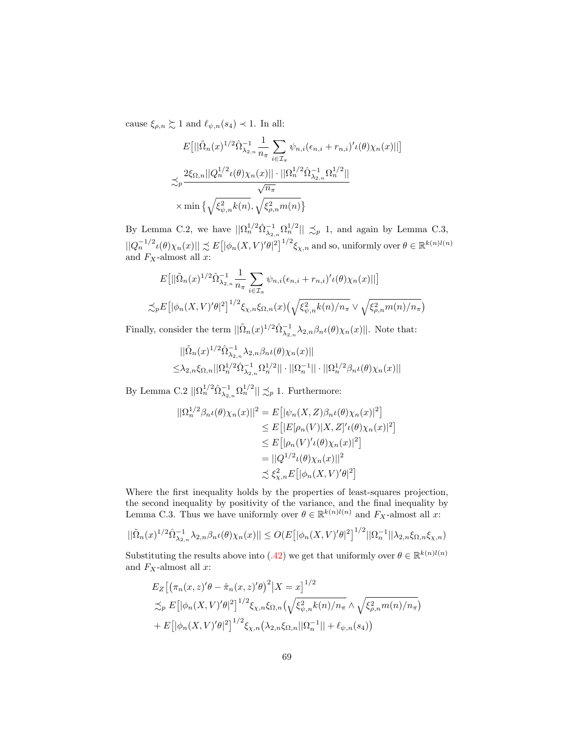cause  $\xi_{\rho,n} \gtrsim 1$  and  $\ell_{\psi,n}(s_4) \prec 1$ . In all:

$$
E[||\tilde{\Omega}_n(x)^{1/2}\hat{\Omega}_{\lambda_{2,n}}^{-1}\frac{1}{n_{\pi}}\sum_{i\in\mathcal{I}_{\pi}}\psi_{n,i}(\epsilon_{n,i}+r_{n,i})'\iota(\theta)\chi_n(x)||]
$$
  

$$
\precsim_p \frac{2\xi_{\Omega,n}||Q_n^{1/2}\iota(\theta)\chi_n(x)||\cdot||\Omega_n^{1/2}\hat{\Omega}_{\lambda_{2,n}}^{-1}\Omega_n^{1/2}||}{\sqrt{n_{\pi}}}
$$
  

$$
\times \min\left\{\sqrt{\xi_{\psi,n}^2k(n)},\sqrt{\xi_{\rho,n}^2m(n)}\right\}
$$

By Lemma C.2, we have  $||\Omega_n^{1/2} \hat{\Omega}_{\lambda_{2,n}}^{-1} \Omega_n^{1/2}|| \precsim_p 1$ , and again by Lemma C.3,  $||Q_n^{-1/2}\iota(\theta)\chi_n(x)|| \precsim E[|\phi_n(X,V)'\theta|^2]^{1/2}\xi_{\chi,n}$  and so, uniformly over  $\theta \in \mathbb{R}^{k(n)l(n)}$ and  $F_X$ -almost all x:

$$
E[||\tilde{\Omega}_n(x)^{1/2}\hat{\Omega}_{\lambda_{2,n}}^{-1}\frac{1}{n_{\pi}}\sum_{i\in\mathcal{I}_{\pi}}\psi_{n,i}(\epsilon_{n,i}+r_{n,i})'\iota(\theta)\chi_n(x)||]
$$
  

$$
\precsim_{p} E[|\phi_n(X,V)'\theta|^2]^{1/2}\xi_{\chi,n}\xi_{\Omega,n}(x)\left(\sqrt{\xi_{\psi,n}^2k(n)/n_{\pi}}\vee\sqrt{\xi_{\rho,n}^2m(n)/n_{\pi}}\right)
$$

Finally, consider the term  $||\tilde{\Omega}_n(x)^{1/2} \hat{\Omega}_{\lambda_{2,n}}^{-1} \lambda_{2,n} \beta_n \iota(\theta) \chi_n(x)||$ . Note that:

$$
\begin{aligned}\n&||\tilde{\Omega}_n(x)^{1/2}\hat{\Omega}_{\lambda_{2,n}}^{-1}\lambda_{2,n}\beta_n\iota(\theta)\chi_n(x)|| \\
&\leq &\lambda_{2,n}\xi_{\Omega,n}||\Omega_n^{1/2}\hat{\Omega}_{\lambda_{2,n}}^{-1}\Omega_n^{1/2}||\cdot||\Omega_n^{-1}||\cdot||\Omega_n^{1/2}\beta_n\iota(\theta)\chi_n(x)||\n\end{aligned}
$$

By Lemma C.2  $||\Omega_n^{1/2} \hat{\Omega}_{\lambda_{2,n}}^{-1} \Omega_n^{1/2}|| \precsim_p 1$ . Furthermore:

$$
\begin{aligned} ||\Omega_n^{1/2}\beta_n\iota(\theta)\chi_n(x)||^2 &= E\big[|\psi_n(X,Z)\beta_n\iota(\theta)\chi_n(x)|^2\big] \\ &\le E\big[|E[\rho_n(V)|X,Z]'\iota(\theta)\chi_n(x)|^2\big] \\ &\le E\big[|\rho_n(V)'\iota(\theta)\chi_n(x)|^2\big] \\ &= ||Q^{1/2}\iota(\theta)\chi_n(x)||^2 \\ &\precsim \xi_{\chi,n}^2 E\big[|\phi_n(X,V)'\theta|^2\big] \end{aligned}
$$

Where the first inequality holds by the properties of least-squares projection, the second inequality by positivity of the variance, and the final inequality by Lemma C.3. Thus we have uniformly over  $\theta \in \mathbb{R}^{k(n)l(n)}$  and  $F_X$ -almost all x:

$$
||\tilde{\Omega}_n(x)^{1/2}\hat{\Omega}_{\lambda_{2,n}}^{-1}\lambda_{2,n}\beta_n\iota(\theta)\chi_n(x)|| \le O(E\big[|\phi_n(X,V)'\theta|^2\big]^{1/2}||\Omega_n^{-1}||\lambda_{2,n}\xi_{\Omega,n}\xi_{\chi,n})
$$

Substituting the results above into [\(.42\)](#page-66-2) we get that uniformly over  $\theta \in \mathbb{R}^{k(n)l(n)}$ and  $F_X$ -almost all  $x$ :

$$
E_Z[(\pi_n(x, z)'\theta - \hat{\pi}_n(x, z)'\theta)^2 | X = x]^{1/2}
$$
  
\n
$$
\lesssim_P E[|\phi_n(X, V)'\theta|^2]^{1/2} \xi_{X,n} \xi_{\Omega,n} (\sqrt{\xi_{\psi,n}^2 k(n)/n_\pi} \wedge \sqrt{\xi_{\rho,n}^2 m(n)/n_\pi})
$$
  
\n+  $E[|\phi_n(X, V)'\theta|^2]^{1/2} \xi_{X,n} (\lambda_{2,n} \xi_{\Omega,n} || \Omega_n^{-1} || + \ell_{\psi,n}(s_4))$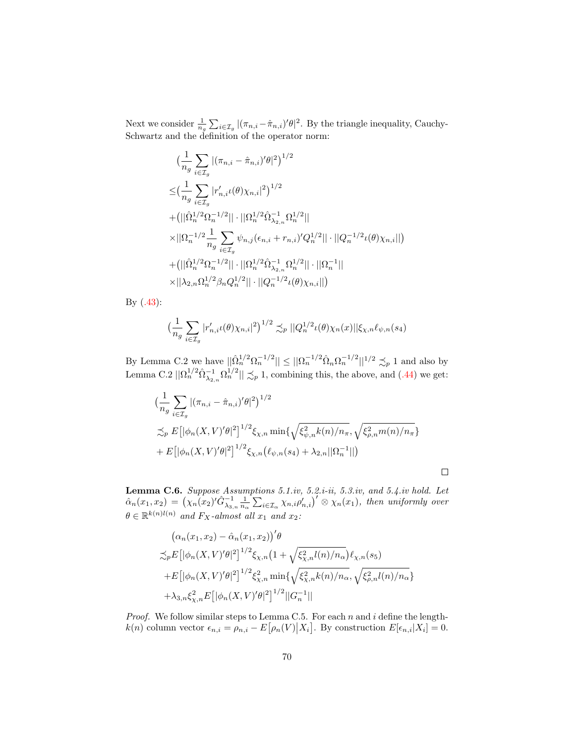Next we consider  $\frac{1}{n_g} \sum_{i \in \mathcal{I}_g} |(\pi_{n,i} - \hat{\pi}_{n,i})' \theta|^2$ . By the triangle inequality, Cauchy-Schwartz and the definition of the operator norm:

$$
\begin{aligned} &\big(\frac{1}{n_g}\sum_{i\in\mathcal{I}_g}|(\pi_{n,i}-\hat{\pi}_{n,i})'\theta|^2\big)^{1/2}\\ \leq& \big(\frac{1}{n_g}\sum_{i\in\mathcal{I}_g}|r'_{n,i}\iota(\theta)\chi_{n,i}|^2\big)^{1/2}\\ +&\big(||\hat{\Omega}_{n}^{1/2}\Omega_{n}^{-1/2}||\cdot||\Omega_{n}^{1/2}\hat{\Omega}_{\lambda_{2,n}}^{-1}\Omega_{n}^{1/2}||\\ \times&||\Omega_{n}^{-1/2}\frac{1}{n_g}\sum_{i\in\mathcal{I}_g}\psi_{n,j}(\epsilon_{n,i}+r_{n,i})'Q_{n}^{1/2}||\cdot||Q_{n}^{-1/2}\iota(\theta)\chi_{n,i}||\big)\\ +&\big(||\hat{\Omega}_{n}^{1/2}\Omega_{n}^{-1/2}||\cdot||\Omega_{n}^{1/2}\hat{\Omega}_{\lambda_{2,n}}^{-1}\Omega_{n}^{1/2}||\cdot||\Omega_{n}^{-1}||\\ \times&||\lambda_{2,n}\Omega_{n}^{1/2}\beta_{n}Q_{n}^{1/2}||\cdot||Q_{n}^{-1/2}\iota(\theta)\chi_{n,i}||\big) \end{aligned}
$$

By [\(.43\)](#page-67-0):

$$
\left(\frac{1}{n_g} \sum_{i \in \mathcal{I}_g} |r'_{n,i}\iota(\theta)\chi_{n,i}|^2\right)^{1/2} \lesssim_p ||Q_n^{1/2}\iota(\theta)\chi_n(x)||\xi_{\chi,n}\ell_{\psi,n}(s_4)
$$

By Lemma C.2 we have  $||\hat{\Omega}_n^{1/2} \Omega_n^{-1/2}|| \le ||\Omega_n^{-1/2} \hat{\Omega}_n \Omega_n^{-1/2}||^{1/2} \precsim_p 1$  and also by Lemma C.2  $||\Omega_n^{1/2} \hat{\Omega}_{\lambda_{2,n}}^{-1} \Omega_n^{1/2}|| \precsim_p 1$ , combining this, the above, and [\(.44\)](#page-67-1) we get:

$$
\left(\frac{1}{n_g} \sum_{i \in \mathcal{I}_g} |(\pi_{n,i} - \hat{\pi}_{n,i})'\theta|^2\right)^{1/2} \n\lesssim_p E\left[|\phi_n(X, V)'\theta|^2\right]^{1/2} \xi_{\chi,n} \min\{\sqrt{\xi_{\psi,n}^2 k(n)/n_\pi}, \sqrt{\xi_{\rho,n}^2 m(n)/n_\pi}\} + E\left[|\phi_n(X, V)'\theta|^2\right]^{1/2} \xi_{\chi,n}(\ell_{\psi,n}(s_4) + \lambda_{2,n}||\Omega_n^{-1}||)
$$

 $\Box$ 

**Lemma C.6.** Suppose Assumptions 5.1.iv, 5.2.i-ii, 5.3.iv, and 5.4.iv hold. Let  $\hat{\alpha}_n(x_1, x_2) = (\chi_n(x_2)'\hat{G}_{\lambda_{3,n}}^{-1} \frac{1}{n_\alpha} \sum_{i \in \mathcal{I}_\alpha} \chi_{n,i} \rho'_{n,i})' \otimes \chi_n(x_1),$  then uniformly over  $\theta \in \mathbb{R}^{k(n)l(n)}$  and  $F_X$ -almost all  $x_1$  and  $x_2$ :

$$
(\alpha_n(x_1, x_2) - \hat{\alpha}_n(x_1, x_2))'\theta
$$
  
\n
$$
\precsim_{p} E\left[|\phi_n(X, V)'\theta|^2\right]^{1/2} \xi_{\chi,n}\left(1 + \sqrt{\xi_{\chi,n}^2 l(n)/n_\alpha}\right) \ell_{\chi,n}(s_5)
$$
  
\n
$$
+ E\left[|\phi_n(X, V)'\theta|^2\right]^{1/2} \xi_{\chi,n}^2 \min\left\{\sqrt{\xi_{\chi,n}^2 k(n)/n_\alpha}, \sqrt{\xi_{\rho,n}^2 l(n)/n_\alpha}\right\}
$$
  
\n
$$
+ \lambda_{3,n} \xi_{\chi,n}^2 E\left[|\phi_n(X, V)'\theta|^2\right]^{1/2} ||G_n^{-1}||
$$

*Proof.* We follow similar steps to Lemma C.5. For each n and i define the length $k(n)$  column vector  $\epsilon_{n,i} = \rho_{n,i} - E\big[\rho_n(V) \big| X_i\big]$ . By construction  $E[\epsilon_{n,i}|X_i] = 0$ .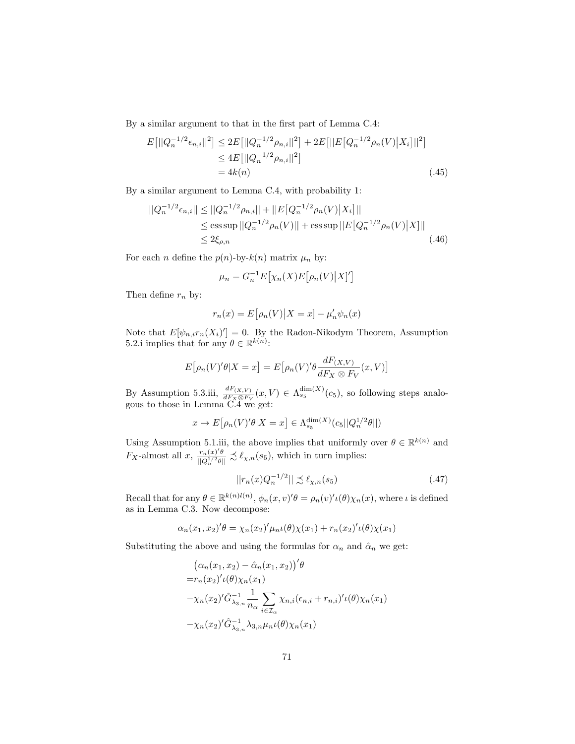By a similar argument to that in the first part of Lemma C.4:

$$
E[||Q_n^{-1/2}\epsilon_{n,i}||^2] \le 2E[||Q_n^{-1/2}\rho_{n,i}||^2] + 2E[||E[Q_n^{-1/2}\rho_n(V)|X_i]||^2]
$$
  
\n
$$
\le 4E[||Q_n^{-1/2}\rho_{n,i}||^2]
$$
  
\n
$$
= 4k(n)
$$
\n(.45)

By a similar argument to Lemma C.4, with probability 1:

$$
||Q_n^{-1/2}\epsilon_{n,i}|| \le ||Q_n^{-1/2}\rho_{n,i}|| + ||E[Q_n^{-1/2}\rho_n(V)|X_i]||
$$
  
\n
$$
\le \text{ess}\sup ||Q_n^{-1/2}\rho_n(V)|| + \text{ess}\sup ||E[Q_n^{-1/2}\rho_n(V)|X]||
$$
  
\n
$$
\le 2\xi_{\rho,n} \tag{.46}
$$

For each *n* define the  $p(n)$ -by- $k(n)$  matrix  $\mu_n$  by:

<span id="page-70-2"></span><span id="page-70-1"></span>
$$
\mu_n = G_n^{-1} E[\chi_n(X) E[\rho_n(V) | X]']
$$

Then define  $r_n$  by:

$$
r_n(x) = E[\rho_n(V)|X = x] - \mu'_n \psi_n(x)
$$

Note that  $E[\psi_{n,i}r_n(X_i)'] = 0$ . By the Radon-Nikodym Theorem, Assumption 5.2.i implies that for any  $\theta \in \mathbb{R}^{k(n)}$ :

$$
E[\rho_n(V)'\theta|X=x] = E[\rho_n(V)'\theta \frac{dF_{(X,V)}}{dF_X \otimes F_V}(x,V)]
$$

By Assumption 5.3.iii,  $\frac{dF_{(X,V)}}{dE_X \otimes F_V}(x, V) \in \Lambda_{s_5}^{\dim(X)}(c_5)$ , so following steps analogous to those in Lemma C.4 we get:

$$
x \mapsto E\big[\rho_n(V)'\theta|X=x\big] \in \Lambda_{s_5}^{\dim(X)}(c_5||Q_n^{1/2}\theta||)
$$

Using Assumption 5.1.iii, the above implies that uniformly over  $\theta \in \mathbb{R}^{k(n)}$  and  $F_X$ -almost all  $x$ ,  $\frac{r_n(x)'\theta}{\ln(1/2\theta)}$  $\frac{r_n(x)'\theta}{\|Q_n^{1/2}\theta\|} \precsim \ell_{\chi,n}(s_5)$ , which in turn implies:

<span id="page-70-0"></span>
$$
||r_n(x)Q_n^{-1/2}|| \precsim \ell_{\chi,n}(s_5) \tag{.47}
$$

Recall that for any  $\theta \in \mathbb{R}^{k(n)l(n)}$ ,  $\phi_n(x, v)'\theta = \rho_n(v)'\iota(\theta)\chi_n(x)$ , where  $\iota$  is defined as in Lemma C.3. Now decompose:

$$
\alpha_n(x_1, x_2)' \theta = \chi_n(x_2)' \mu_n \iota(\theta) \chi(x_1) + r_n(x_2)' \iota(\theta) \chi(x_1)
$$

Substituting the above and using the formulas for  $\alpha_n$  and  $\hat{\alpha}_n$  we get:

$$
\begin{aligned}\n&\left(\alpha_n(x_1, x_2) - \hat{\alpha}_n(x_1, x_2)\right)^{\prime} \theta \\
&= r_n(x_2)^{\prime} \iota(\theta) \chi_n(x_1) \\
&- \chi_n(x_2)^{\prime} \hat{G}_{\lambda_{3,n}}^{-1} \frac{1}{n_{\alpha}} \sum_{i \in \mathcal{I}_{\alpha}} \chi_{n,i}(\epsilon_{n,i} + r_{n,i})^{\prime} \iota(\theta) \chi_n(x_1) \\
&- \chi_n(x_2)^{\prime} \hat{G}_{\lambda_{3,n}}^{-1} \lambda_{3,n} \mu_n \iota(\theta) \chi_n(x_1)\n\end{aligned}
$$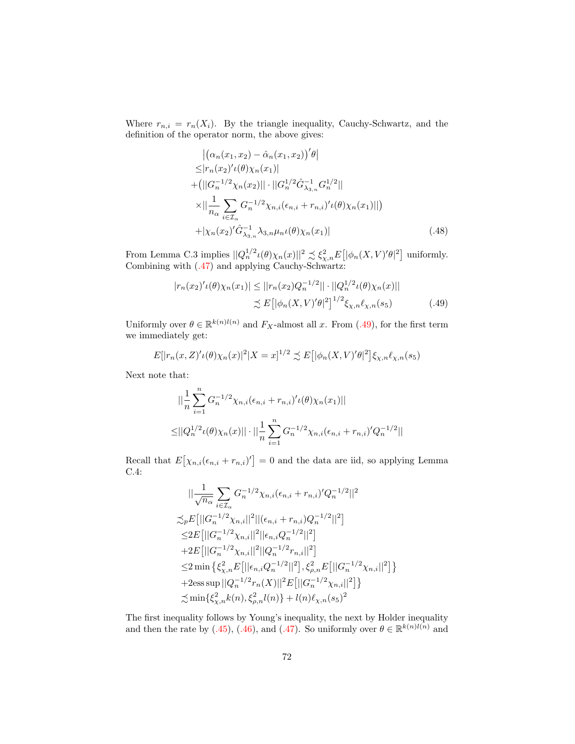Where  $r_{n,i} = r_n(X_i)$ . By the triangle inequality, Cauchy-Schwartz, and the definition of the operator norm, the above gives:

$$
\begin{aligned}\n&|\left(\alpha_{n}(x_{1}, x_{2}) - \hat{\alpha}_{n}(x_{1}, x_{2})\right)' \theta| \\
&\leq |r_{n}(x_{2})' \iota(\theta) \chi_{n}(x_{1})| \\
&+ \left(||G_{n}^{-1/2} \chi_{n}(x_{2})|| \cdot ||G_{n}^{1/2} \hat{G}_{\lambda_{3,n}}^{-1} G_{n}^{1/2}||\right. \\
&\times \left|\left|\frac{1}{n_{\alpha}} \sum_{i \in \mathcal{I}_{\alpha}} G_{n}^{-1/2} \chi_{n,i}(\epsilon_{n,i} + r_{n,i})' \iota(\theta) \chi_{n}(x_{1})||\right.\right) \\
&+ |\chi_{n}(x_{2})' \hat{G}_{\lambda_{3,n}}^{-1} \lambda_{3,n} \mu_{n} \iota(\theta) \chi_{n}(x_{1})|\n\end{aligned} \tag{.48}
$$

From Lemma C.3 implies  $||Q_n^{1/2} \iota(\theta)\chi_n(x)||^2 \precsim \xi_{\chi,n}^2 E[ |\phi_n(X,V)'\theta|^2]$  uniformly. Combining with [\(.47\)](#page-70-0) and applying Cauchy-Schwartz:

<span id="page-71-0"></span>
$$
|r_n(x_2)' \iota(\theta) \chi_n(x_1)| \le ||r_n(x_2)Q_n^{-1/2}|| \cdot ||Q_n^{1/2} \iota(\theta) \chi_n(x)||
$$
  

$$
\lesssim E\big[ |\phi_n(X, V)'\theta|^2 \big]^{1/2} \xi_{\chi,n} \ell_{\chi,n}(s_5) \tag{.49}
$$

Uniformly over  $\theta \in \mathbb{R}^{k(n)l(n)}$  and  $F_X$ -almost all x. From [\(.49\)](#page-71-0), for the first term we immediately get:

$$
E[|r_n(x,Z)' \iota(\theta) \chi_n(x)|^2 | X = x]^{1/2} \precsim E[|\phi_n(X,V)' \theta|^2] \xi_{\chi,n} \ell_{\chi,n}(s_5)
$$

Next note that:

$$
\| \frac{1}{n} \sum_{i=1}^{n} G_n^{-1/2} \chi_{n,i}(\epsilon_{n,i} + r_{n,i})' \iota(\theta) \chi_n(x_1) \|
$$
  

$$
\leq ||Q_n^{1/2} \iota(\theta) \chi_n(x)|| \cdot || \frac{1}{n} \sum_{i=1}^{n} G_n^{-1/2} \chi_{n,i}(\epsilon_{n,i} + r_{n,i})' Q_n^{-1/2} ||
$$

Recall that  $E[\chi_{n,i}(\epsilon_{n,i} + r_{n,i})] = 0$  and the data are iid, so applying Lemma C.4:

$$
\| \frac{1}{\sqrt{n_{\alpha}}} \sum_{i \in \mathcal{I}_{\alpha}} G_n^{-1/2} \chi_{n,i}(\epsilon_{n,i} + r_{n,i})' Q_n^{-1/2} ||^2
$$
  
\n
$$
\lesssim_{P} E \left[ ||G_n^{-1/2} \chi_{n,i}||^2 ||(\epsilon_{n,i} + r_{n,i}) Q_n^{-1/2} ||^2 \right]
$$
  
\n
$$
\leq 2 E \left[ ||G_n^{-1/2} \chi_{n,i}||^2 ||\epsilon_{n,i} Q_n^{-1/2} ||^2 \right]
$$
  
\n
$$
+ 2 E \left[ ||G_n^{-1/2} \chi_{n,i}||^2 ||Q_n^{-1/2} r_{n,i} ||^2 \right]
$$
  
\n
$$
\leq 2 \min \left\{ \xi_{\chi,n}^2 E \left[ ||\epsilon_{n,i} Q_n^{-1/2} ||^2 \right], \xi_{\rho,n}^2 E \left[ ||G_n^{-1/2} \chi_{n,i}||^2 \right] \right\}
$$
  
\n
$$
+ 2 \text{ess} \sup ||Q_n^{-1/2} r_n(X)||^2 E \left[ ||G_n^{-1/2} \chi_{n,i}||^2 \right] \right\}
$$
  
\n
$$
\lesssim \min \{ \xi_{\chi,n}^2 k(n), \xi_{\rho,n}^2 l(n) \} + l(n) \ell_{\chi,n} (s_5)^2
$$

The first inequality follows by Young's inequality, the next by Holder inequality and then the rate by [\(.45\)](#page-70-1), [\(.46\)](#page-70-2), and [\(.47\)](#page-70-0). So uniformly over  $\theta \in \mathbb{R}^{k(n)l(n)}$  and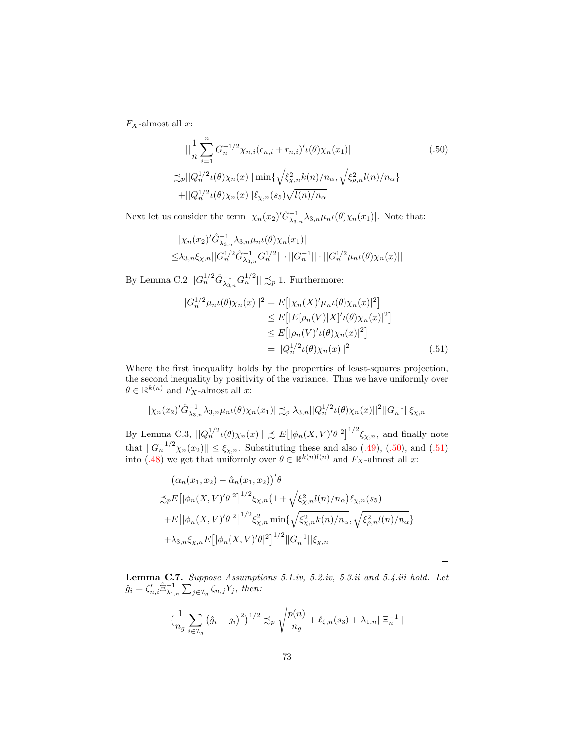$\mathcal{F}_X\text{-almost all }x$  :

<span id="page-72-0"></span>
$$
\|\frac{1}{n}\sum_{i=1}^{n} G_n^{-1/2} \chi_{n,i}(\epsilon_{n,i} + r_{n,i})' \iota(\theta) \chi_n(x_1)\|
$$
\n
$$
\|\chi_p\| Q_n^{1/2} \iota(\theta) \chi_n(x)\| \min \{ \sqrt{\xi_{\chi,n}^2 k(n) / n_\alpha}, \sqrt{\xi_{\rho,n}^2 l(n) / n_\alpha} \}
$$
\n
$$
+ \|Q_n^{1/2} \iota(\theta) \chi_n(x)\| \ell_{\chi,n}(s_5) \sqrt{l(n) / n_\alpha}
$$
\n(.50)

Next let us consider the term  $|\chi_n(x_2)' \hat{G}_{\lambda_{3,n}}^{-1} \lambda_{3,n} \mu_n \iota(\theta) \chi_n(x_1)|$ . Note that:

$$
\begin{aligned} &|\chi_n(x_2)'\hat{G}_{\lambda_3,n}^{-1}\lambda_{3,n}\mu_n\iota(\theta)\chi_n(x_1)|\\ \leq &\lambda_{3,n}\xi_{\chi,n}||G_n^{1/2}\hat{G}_{\lambda_3,n}^{-1}G_n^{1/2}||\cdot||G_n^{-1}||\cdot||G_n^{1/2}\mu_n\iota(\theta)\chi_n(x)||\end{aligned}
$$

By Lemma C.2  $||G_n^{1/2}\hat{G}_{\lambda_{3,n}}^{-1}G_n^{1/2}|| \precsim_p 1$ . Furthermore:

$$
||G_n^{1/2}\mu_n\iota(\theta)\chi_n(x)||^2 = E[|\chi_n(X)'\mu_n\iota(\theta)\chi_n(x)|^2] \n\leq E[|E[\rho_n(V)|X]'\iota(\theta)\chi_n(x)|^2] \n\leq E[|\rho_n(V)'\iota(\theta)\chi_n(x)|^2] \n= ||Q_n^{1/2}\iota(\theta)\chi_n(x)||^2
$$
\n(.51)

Where the first inequality holds by the properties of least-squares projection, the second inequality by positivity of the variance. Thus we have uniformly over  $\theta \in \mathbb{R}^{k(n)}$  and  $F_X$ -almost all x:

$$
|\chi_n(x_2)'\hat{G}_{\lambda_3,n}^{-1}\lambda_{3,n}\mu_n\iota(\theta)\chi_n(x_1)| \lesssim_p \lambda_{3,n} ||Q_n^{1/2}\iota(\theta)\chi_n(x)||^2 ||G_n^{-1}||\xi_{\chi,n}
$$

By Lemma C.3,  $||Q_n^{1/2} \iota(\theta) \chi_n(x)|| \precsim E[|\phi_n(X, V)' \theta|^2]^{1/2} \xi_{\chi,n}$ , and finally note that  $||G_n^{-1/2}\chi_n(x_2)|| \leq \xi_{\chi,n}$ . Substituting these and also [\(.49\)](#page-71-0), [\(.50\)](#page-72-0), and [\(.51\)](#page-72-1) into [\(.48\)](#page-71-1) we get that uniformly over  $\theta \in \mathbb{R}^{k(n)l(n)}$  and  $F_X$ -almost all x:

$$
(\alpha_n(x_1, x_2) - \hat{\alpha}_n(x_1, x_2))'\theta
$$
  
\n
$$
\lesssim_{p} E\left[|\phi_n(X, V)'\theta|^2\right]^{1/2} \xi_{\chi,n}\left(1 + \sqrt{\xi_{\chi,n}^2 l(n)/n_\alpha}\right) \ell_{\chi,n}(s_5)
$$
  
\n
$$
+ E\left[|\phi_n(X, V)'\theta|^2\right]^{1/2} \xi_{\chi,n}^2 \min\{\sqrt{\xi_{\chi,n}^2 k(n)/n_\alpha}, \sqrt{\xi_{\rho,n}^2 l(n)/n_\alpha}\}
$$
  
\n
$$
+ \lambda_{3,n} \xi_{\chi,n} E\left[|\phi_n(X, V)'\theta|^2\right]^{1/2} ||G_n^{-1}|| \xi_{\chi,n}
$$

<span id="page-72-1"></span> $\Box$ 

**Lemma C.7.** Suppose Assumptions 5.1.iv, 5.2.iv, 5.3.ii and 5.4.iii hold. Let  $\hat{g}_i = \zeta_{n,i}' \hat{\Xi}_{\lambda_{1,n}}^{-1} \sum_{j \in \mathcal{I}_g} \zeta_{n,j} Y_j$ , then:

$$
\left(\frac{1}{n_g} \sum_{i \in \mathcal{I}_g} (\hat{g}_i - g_i)^2\right)^{1/2} \lesssim_p \sqrt{\frac{p(n)}{n_g}} + \ell_{\zeta, n}(s_3) + \lambda_{1, n} ||\Xi_n^{-1}||
$$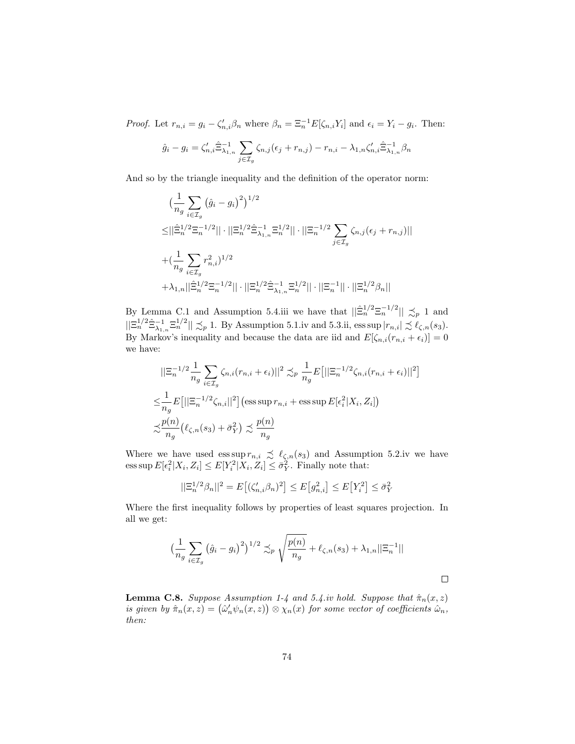*Proof.* Let  $r_{n,i} = g_i - \zeta'_{n,i}\beta_n$  where  $\beta_n = \Xi_n^{-1}E[\zeta_{n,i}Y_i]$  and  $\epsilon_i = Y_i - g_i$ . Then:

$$
\hat{g}_i - g_i = \zeta'_{n,i} \hat{\Xi}_{\lambda_{1,n}}^{-1} \sum_{j \in \mathcal{I}_g} \zeta_{n,j} (\epsilon_j + r_{n,j}) - r_{n,i} - \lambda_{1,n} \zeta'_{n,i} \hat{\Xi}_{\lambda_{1,n}}^{-1} \beta_n
$$

And so by the triangle inequality and the definition of the operator norm:

$$
\begin{split} &\big(\frac{1}{n_g}\sum_{i\in\mathcal{I}_g}\left(\hat{g}_i-g_i\right)^2\big)^{1/2}\\ \leq&||\hat{\Xi}_n^{1/2}\Xi_n^{-1/2}||\cdot||\Xi_n^{1/2}\hat{\Xi}_{\lambda_{1,n}}^{-1}\Xi_n^{1/2}||\cdot||\Xi_n^{-1/2}\sum_{j\in\mathcal{I}_g}\zeta_{n,j}(\epsilon_j+r_{n,j})||\\ &+(\frac{1}{n_g}\sum_{i\in\mathcal{I}_g}r_{n,i}^2)^{1/2}\\ &+\lambda_{1,n}||\hat{\Xi}_n^{1/2}\Xi_n^{-1/2}||\cdot||\Xi_n^{1/2}\hat{\Xi}_{\lambda_{1,n}}^{-1}\Xi_n^{1/2}||\cdot||\Xi_n^{-1}||\cdot||\Xi_n^{1/2}\beta_n|| \end{split}
$$

By Lemma C.1 and Assumption 5.4.iii we have that  $\|\hat{\Xi}_{n}^{1/2}\Xi_{n}^{-1/2}\| \preceq_{p} 1$  and  $||\Xi_n^{1/2}\hat{\Xi}_{\lambda_{1,n}}^{-1}\Xi_n^{1/2}|| \precsim_p 1$ . By Assumption 5.1.iv and 5.3.ii, ess sup  $|r_{n,i}| \precsim \ell_{\zeta,n}(s_3)$ . By Markov's inequality and because the data are iid and  $E[\zeta_{n,i}(r_{n,i} + \epsilon_i)] = 0$ we have:

$$
\begin{split}\n&\|\Xi_n^{-1/2}\frac{1}{n_g}\sum_{i\in\mathcal{I}_g}\zeta_{n,i}(r_{n,i}+\epsilon_i)\|^2 \precsim_p \frac{1}{n_g}E\big[\|\Xi_n^{-1/2}\zeta_{n,i}(r_{n,i}+\epsilon_i)\|^2\big] \\
&\leq &\frac{1}{n_g}E\big[\|\Xi_n^{-1/2}\zeta_{n,i}\|^2\big]\big(\text{ess}\sup r_{n,i}+\text{ess}\sup E[\epsilon_i^2|X_i,Z_i]\big) \\
&\precsim\frac{p(n)}{n_g}\big(\ell_{\zeta,n}(s_3)+\bar{\sigma}_Y^2\big) \precsim \frac{p(n)}{n_g}\n\end{split}
$$

Where we have used ess sup  $r_{n,i} \precsim \ell_{\zeta,n}(s_3)$  and Assumption 5.2.iv we have ess sup  $E[\epsilon_i^2 | X_i, Z_i] \le E[Y_i^2 | X_i, Z_i] \le \bar{\sigma}_Y^2$ . Finally note that:

$$
||\Xi_n^{1/2}\beta_n||^2 = E[(\zeta_{n,i}'\beta_n)^2] \le E[g_{n,i}^2] \le E[Y_i^2] \le \bar{\sigma}_Y^2
$$

Where the first inequality follows by properties of least squares projection. In all we get:

$$
\left(\frac{1}{n_g} \sum_{i \in \mathcal{I}_g} (\hat{g}_i - g_i)^2\right)^{1/2} \lesssim_p \sqrt{\frac{p(n)}{n_g}} + \ell_{\zeta,n}(s_3) + \lambda_{1,n} ||\Xi_n^{-1}||
$$

 $\Box$ 

**Lemma C.8.** Suppose Assumption 1-4 and 5.4.iv hold. Suppose that  $\hat{\pi}_n(x, z)$ is given by  $\hat{\pi}_n(x, z) = (\hat{\omega}'_n \psi_n(x, z)) \otimes \chi_n(x)$  for some vector of coefficients  $\hat{\omega}_n$ , then: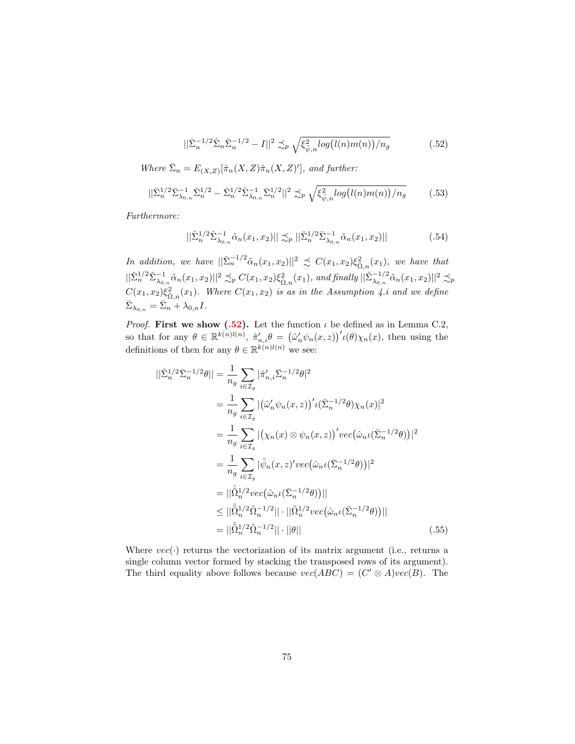<span id="page-74-0"></span>
$$
||\bar{\Sigma}_n^{-1/2}\hat{\Sigma}_n \bar{\Sigma}_n^{-1/2} - I||^2 \preceq_p \sqrt{\xi_{\bar{\psi},n}^2 \log(l(n)m(n))/n_g}
$$
 (.52)

Where  $\bar{\Sigma}_n = E_{(X,Z)}[\hat{\pi}_n(X,Z)\hat{\pi}_n(X,Z)']$ , and further:

<span id="page-74-1"></span>
$$
||\bar{\Sigma}_{n}^{1/2}\bar{\Sigma}_{\lambda_{0,n}}^{-1}\bar{\Sigma}_{n}^{1/2} - \bar{\Sigma}_{n}^{1/2}\hat{\Sigma}_{\lambda_{0,n}}^{-1}\bar{\Sigma}_{n}^{1/2}||^{2} \precsim_{p} \sqrt{\xi_{\tilde{\psi},n}^{2}log(l(n)m(n))/n_{g}} \qquad (.53)
$$

Furthermore:

<span id="page-74-2"></span>
$$
\|\hat{\Sigma}_{n}^{1/2}\hat{\Sigma}_{\lambda_{0,n}}^{-1}\tilde{\alpha}_{n}(x_{1},x_{2})\| \preceq_{p} \|\bar{\Sigma}_{n}^{1/2}\bar{\Sigma}_{\lambda_{0,n}}^{-1}\tilde{\alpha}_{n}(x_{1},x_{2})\|
$$
\n(.54)

In addition, we have  $||\bar{\Sigma}_n^{-1/2}\tilde{\alpha}_n(x_1,x_2)||^2 \precsim C(x_1,x_2)\xi_{\tilde{\Omega},n}^2(x_1)$ , we have that  $||\hat{\Sigma}_{n}^{1/2} \hat{\Sigma}_{\lambda_{0,n}}^{-1} \tilde{\alpha}_{n}(x_{1}, x_{2})||^{2} \precsim_{p} C(x_{1}, x_{2}) \xi_{\tilde{\Omega},n}^{2}(x_{1}),$  and finally  $||\hat{\Sigma}_{\lambda_{0,n}}^{-1/2} \tilde{\alpha}_{n}(x_{1}, x_{2})||^{2} \precsim_{p} C(x_{1}, x_{2})$  $C(x_1, x_2) \xi_{\tilde{\Omega},n}^2(x_1)$ . Where  $C(x_1, x_2)$  is as in the Assumption 4.i and we define  $\bar{\Sigma}_{\lambda_{0,n}} = \bar{\Sigma}_n + \lambda_{0,n} I.$ 

*Proof.* First we show  $(.52)$ . Let the function  $\iota$  be defined as in Lemma C.2, so that for any  $\theta \in \mathbb{R}^{k(n)l(n)}$ ,  $\hat{\pi}'_{n,i}\theta = (\hat{\omega}'_n\psi_n(x,z))^{\prime}(\theta)\chi_n(x)$ , then using the definitions of then for any  $\theta \in \mathbb{R}^{k(n)l(n)}$  we see:

$$
\begin{split}\n||\hat{\Sigma}_{n}^{1/2}\bar{\Sigma}_{n}^{-1/2}\theta|| &= \frac{1}{n_{g}}\sum_{i\in\mathcal{I}_{g}}|\hat{\pi}'_{n,i}\bar{\Sigma}_{n}^{-1/2}\theta|^{2} \\
&= \frac{1}{n_{g}}\sum_{i\in\mathcal{I}_{g}}|\left(\hat{\omega}'_{n}\psi_{n}(x,z)\right)' \iota(\bar{\Sigma}_{n}^{-1/2}\theta)\chi_{n}(x)|^{2} \\
&= \frac{1}{n_{g}}\sum_{i\in\mathcal{I}_{g}}|\left(\chi_{n}(x)\otimes\psi_{n}(x,z)\right)' vec\left(\hat{\omega}_{n}\iota(\bar{\Sigma}_{n}^{-1/2}\theta)\right)|^{2} \\
&= \frac{1}{n_{g}}\sum_{i\in\mathcal{I}_{g}}|\tilde{\psi}_{n}(x,z)' vec\left(\hat{\omega}_{n}\iota(\bar{\Sigma}_{n}^{-1/2}\theta)\right)|^{2} \\
&= ||\hat{\Omega}_{n}^{1/2} vec\left(\hat{\omega}_{n}\iota(\bar{\Sigma}_{n}^{-1/2}\theta)\right)|| \\
&\leq ||\hat{\Omega}_{n}^{1/2}\tilde{\Omega}_{n}^{-1/2}||\cdot||\tilde{\Omega}_{n}^{1/2} vec\left(\hat{\omega}_{n}\iota(\bar{\Sigma}_{n}^{-1/2}\theta)\right)|| \\
&= ||\hat{\Omega}_{n}^{1/2}\tilde{\Omega}_{n}^{-1/2}||\cdot||\theta||\n\end{split} \tag{55}
$$

<span id="page-74-3"></span>Where  $vec(\cdot)$  returns the vectorization of its matrix argument (i.e., returns a single column vector formed by stacking the transposed rows of its argument). The third equality above follows because  $vec(ABC) = (C' \otimes A)vec(B)$ . The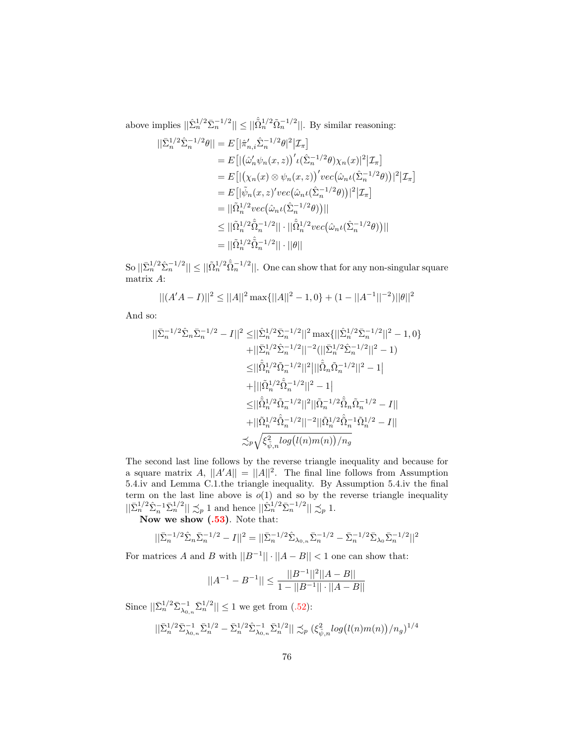above implies  $||\hat{\Sigma}_n^{1/2} \bar{\Sigma}_n^{-1/2}|| \leq ||\hat{\Omega}_n^{1/2} \tilde{\Omega}_n^{-1/2}||$ . By similar reasoning:

$$
\begin{split} ||\bar{\Sigma}_{n}^{1/2} \hat{\Sigma}_{n}^{-1/2} \theta|| &= E\big[ |\hat{\pi}'_{n,i} \hat{\Sigma}_{n}^{-1/2} \theta|^{2} | \mathcal{I}_{\pi} \big] \\ &= E\big[ | \big( \hat{\omega}'_{n} \psi_{n}(x,z) \big)' \iota(\hat{\Sigma}_{n}^{-1/2} \theta) \chi_{n}(x) |^{2} | \mathcal{I}_{\pi} \big] \\ &= E\big[ | \big( \chi_{n}(x) \otimes \psi_{n}(x,z) \big)' vec\big( \hat{\omega}_{n} \iota(\hat{\Sigma}_{n}^{-1/2} \theta) \big) |^{2} | \mathcal{I}_{\pi} \big] \\ &= E\big[ |\tilde{\psi}_{n}(x,z)' vec\big( \hat{\omega}_{n} \iota(\hat{\Sigma}_{n}^{-1/2} \theta) \big) |^{2} | \mathcal{I}_{\pi} \big] \\ &= ||\tilde{\Omega}_{n}^{1/2} vec\big( \hat{\omega}_{n} \iota(\hat{\Sigma}_{n}^{-1/2} \theta) \big) || \\ &\leq ||\tilde{\Omega}_{n}^{1/2} \hat{\Omega}_{n}^{-1/2} || \cdot ||\hat{\Omega}_{n}^{1/2} vec\big( \hat{\omega}_{n} \iota(\hat{\Sigma}_{n}^{-1/2} \theta) \big) || \\ &= ||\tilde{\Omega}_{n}^{1/2} \hat{\Omega}_{n}^{-1/2} || \cdot ||\theta || \end{split}
$$

 $\text{So } ||\bar{\Sigma}_n^{1/2} \hat{\Sigma}_n^{-1/2}|| \leq ||\tilde{\Omega}_n^{1/2} \hat{\tilde{\Omega}}_n^{-1/2}||.$  One can show that for any non-singular square matrix A:

$$
||(A'A - I)||^2 \le ||A||^2 \max\{||A||^2 - 1, 0\} + (1 - ||A^{-1}||^{-2})||\theta||^2
$$

And so:

$$
\begin{aligned} ||\bar{\Sigma}_n^{-1/2}\hat{\Sigma}_n\bar{\Sigma}_n^{-1/2} - I||^2 &\leq ||\hat{\Sigma}_n^{1/2}\bar{\Sigma}_n^{-1/2}||^2 \max\{||\hat{\Sigma}_n^{1/2}\bar{\Sigma}_n^{-1/2}||^2 - 1, 0\} \\ &\quad + ||\bar{\Sigma}_n^{1/2}\hat{\Sigma}_n^{-1/2}||^{-2} (||\bar{\Sigma}_n^{1/2}\hat{\Sigma}_n^{-1/2}||^2 - 1) \\ &\leq ||\hat{\Omega}_n^{1/2}\hat{\Omega}_n^{-1/2}||^2 ||||\hat{\Omega}_n\tilde{\Omega}_n^{-1/2}||^2 - 1| \\ &\quad + ||||\tilde{\Omega}_n^{1/2}\hat{\Omega}_n^{-1/2}||^2 - 1| \\ &\leq ||\hat{\Omega}_n^{1/2}\hat{\Omega}_n^{-1/2}||^2 |||\tilde{\Omega}_n^{-1/2}\hat{\Omega}_n\tilde{\Omega}_n^{-1/2} - I|| \\ &\quad + ||\tilde{\Omega}_n^{1/2}\hat{\Omega}_n^{-1/2}||^{-2} ||\tilde{\Omega}_n^{1/2}\hat{\Omega}_n^{-1}\tilde{\Omega}_n^{1/2} - I|| \\ &\quad + ||\tilde{\Omega}_n^{1/2}\hat{\Omega}_n^{-1/2}||^{-2} ||\tilde{\Omega}_n^{1/2}\hat{\Omega}_n^{-1}\tilde{\Omega}_n^{1/2} - I|| \\ &\lesssim_{p} \sqrt{\xi_{\tilde{\psi},n}^2 log(l(n)m(n))/n_g} \end{aligned}
$$

The second last line follows by the reverse triangle inequality and because for a square matrix A,  $||A'A|| = ||A||^2$ . The final line follows from Assumption 5.4.iv and Lemma C.1.the triangle inequality. By Assumption 5.4.iv the final term on the last line above is  $o(1)$  and so by the reverse triangle inequality  $||\bar{\Sigma}_n^{1/2} \hat{\Sigma}_n^{-1} \bar{\Sigma}_n^{1/2}|| \preceq_p 1$  and hence  $||\hat{\Sigma}_n^{1/2} \bar{\Sigma}_n^{-1/2}|| \preceq_p 1$ .

Now we show  $(.53)$ . Note that:

$$
||\bar{\Sigma}_n^{-1/2}\hat{\Sigma}_n \bar{\Sigma}_n^{-1/2} - I||^2 = ||\bar{\Sigma}_n^{-1/2}\hat{\Sigma}_{\lambda_{0,n}} \bar{\Sigma}_n^{-1/2} - \bar{\Sigma}_n^{-1/2} \bar{\Sigma}_{\lambda_0} \bar{\Sigma}_n^{-1/2}||^2
$$

For matrices A and B with  $||B^{-1}|| \cdot ||A - B|| < 1$  one can show that:

$$
||A^{-1}-B^{-1}||\leq \frac{||B^{-1}||^2||A-B||}{1-||B^{-1}||\cdot||A-B||}
$$

Since  $||\bar{\Sigma}_n^{1/2} \bar{\Sigma}_{\lambda_{0,n}}^{-1} \bar{\Sigma}_n^{1/2}|| \leq 1$  we get from [\(.52\)](#page-74-0):

$$
||\bar{\Sigma}_{n}^{1/2}\bar{\Sigma}_{\lambda_{0,n}}^{-1}\bar{\Sigma}_{n}^{1/2}-\bar{\Sigma}_{n}^{1/2}\hat{\Sigma}_{\lambda_{0,n}}^{-1}\bar{\Sigma}_{n}^{1/2}|| \precsim_{p}(\xi_{\tilde{\psi},n}^{2}log(l(n)m(n))/n_{g})^{1/4}
$$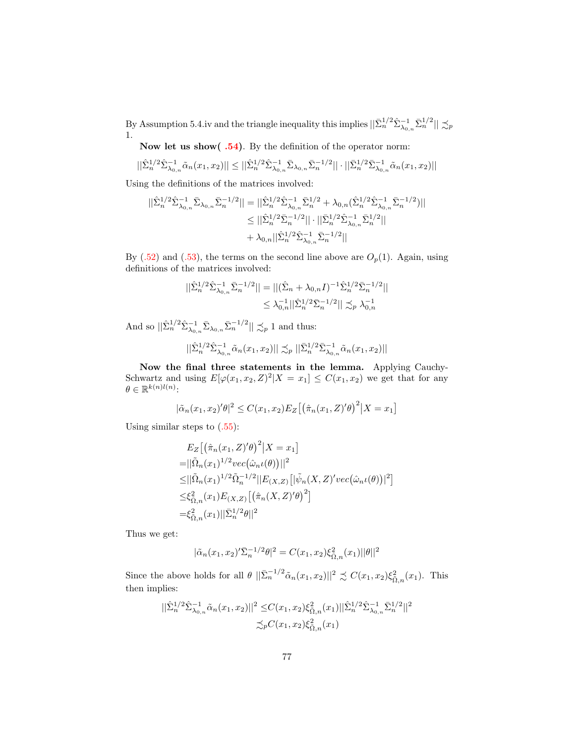By Assumption 5.4.iv and the triangle inequality this implies  $||\bar{\Sigma}_{n}^{1/2} \hat{\Sigma}_{\lambda_{0,n}}^{-1} \bar{\Sigma}_{n}^{1/2}|| \precsim_{p}$ 1.

Now let us show( [.54\)](#page-74-2). By the definition of the operator norm:

$$
||\hat{\Sigma}_{n}^{1/2} \hat{\Sigma}_{\lambda_{0,n}}^{-1} \tilde{\alpha}_{n}(x_{1}, x_{2})|| \leq ||\hat{\Sigma}_{n}^{1/2} \hat{\Sigma}_{\lambda_{0,n}}^{-1} \bar{\Sigma}_{\lambda_{0,n}} \bar{\Sigma}_{n}^{-1/2}|| \cdot ||\bar{\Sigma}_{n}^{1/2} \bar{\Sigma}_{\lambda_{0,n}}^{-1} \tilde{\alpha}_{n}(x_{1}, x_{2})||
$$

Using the definitions of the matrices involved:

$$
\begin{aligned} ||\hat{\Sigma}_{n}^{1/2}\hat{\Sigma}_{\lambda_{0,n}}^{-1}\bar{\Sigma}_{\lambda_{0,n}}\bar{\Sigma}_{n}^{-1/2}||&=||\hat{\Sigma}_{n}^{1/2}\hat{\Sigma}_{\lambda_{0,n}}^{-1}\bar{\Sigma}_{n}^{1/2}+\lambda_{0,n}(\hat{\Sigma}_{n}^{1/2}\hat{\Sigma}_{\lambda_{0,n}}^{-1}\bar{\Sigma}_{n}^{-1/2})||\\ &\leq ||\hat{\Sigma}_{n}^{1/2}\bar{\Sigma}_{n}^{-1/2}||\cdot||\bar{\Sigma}_{n}^{1/2}\hat{\Sigma}_{\lambda_{0,n}}^{-1}\bar{\Sigma}_{n}^{1/2}||\\ &\qquad\qquad+\lambda_{0,n}||\hat{\Sigma}_{n}^{1/2}\hat{\Sigma}_{\lambda_{0,n}}^{-1}\bar{\Sigma}_{n}^{-1/2}||\end{aligned}
$$

By  $(.52)$  and  $(.53)$ , the terms on the second line above are  $O_p(1)$ . Again, using definitions of the matrices involved:

$$
\begin{aligned} ||\hat{\Sigma}_{n}^{1/2} \hat{\Sigma}_{\lambda_{0,n}}^{-1} \bar{\Sigma}_{n}^{-1/2}|| &= ||(\hat{\Sigma}_{n} + \lambda_{0,n} I)^{-1} \hat{\Sigma}_{n}^{1/2} \bar{\Sigma}_{n}^{-1/2}|| \\ &\leq \lambda_{0,n}^{-1} ||\hat{\Sigma}_{n}^{1/2} \bar{\Sigma}_{n}^{-1/2}|| \precsim_{p} \lambda_{0,n}^{-1} \end{aligned}
$$

And so  $||\hat{\Sigma}_n^{1/2} \hat{\Sigma}_{\lambda_{0,n}}^{-1} \bar{\Sigma}_{\lambda_{0,n}} \bar{\Sigma}_n^{-1/2}|| \precsim_p 1$  and thus:

$$
||\hat{\Sigma}_{n}^{1/2} \hat{\Sigma}_{\lambda_{0,n}}^{-1} \tilde{\alpha}_{n}(x_{1}, x_{2})|| \precsim_{p} ||\bar{\Sigma}_{n}^{1/2} \bar{\Sigma}_{\lambda_{0,n}}^{-1} \tilde{\alpha}_{n}(x_{1}, x_{2})||
$$

Now the final three statements in the lemma. Applying Cauchy-Schwartz and using  $E[\varphi(x_1, x_2, Z)^2 | X = x_1] \leq C(x_1, x_2)$  we get that for any  $\theta \in \mathbb{R}^{k(n)l(n)}$ :

$$
|\tilde{\alpha}_n(x_1, x_2)' \theta|^2 \le C(x_1, x_2) E_Z [(\hat{\pi}_n(x_1, Z)' \theta)^2 | X = x_1]
$$

Using similar steps to  $(.55)$ :

$$
E_Z\left[\left(\hat{\pi}_n(x_1, Z)'\theta\right)^2 | X = x_1\right]
$$
  
\n=
$$
||\tilde{\Omega}_n(x_1)^{1/2}vec(\hat{\omega}_n\iota(\theta))||^2
$$
  
\n
$$
\leq ||\tilde{\Omega}_n(x_1)^{1/2}\tilde{\Omega}_n^{-1/2}||E_{(X,Z)}\left[|\tilde{\psi}_n(X, Z)'vec(\hat{\omega}_n\iota(\theta))|^2\right]
$$
  
\n
$$
\leq \xi_{\tilde{\Omega},n}^2(x_1)E_{(X,Z)}\left[\left(\hat{\pi}_n(X, Z)'\theta\right)^2\right]
$$
  
\n
$$
=\xi_{\tilde{\Omega},n}^2(x_1)||\bar{\Sigma}_n^{1/2}\theta||^2
$$

Thus we get:

$$
|\tilde{\alpha}_n(x_1,x_2)'\bar{\Sigma}_n^{-1/2}\theta|^2 = C(x_1,x_2)\xi_{\bar{\Omega},n}^2(x_1)||\theta||^2
$$

Since the above holds for all  $\theta$   $||\bar{\Sigma}_n^{-1/2}\tilde{\alpha}_n(x_1, x_2)||^2 \precsim C(x_1, x_2)\xi_{\tilde{\Omega},n}^2(x_1)$ . This then implies:

$$
||\hat{\Sigma}_{n}^{1/2}\hat{\Sigma}_{\lambda_{0,n}}^{-1}\tilde{\alpha}_{n}(x_{1},x_{2})||^{2} \leq C(x_{1},x_{2})\xi_{\tilde{\Omega},n}^{2}(x_{1})||\hat{\Sigma}_{n}^{1/2}\hat{\Sigma}_{\lambda_{0,n}}^{-1}\bar{\Sigma}_{n}^{1/2}||^{2} \n\lesssim_{p}C(x_{1},x_{2})\xi_{\tilde{\Omega},n}^{2}(x_{1})
$$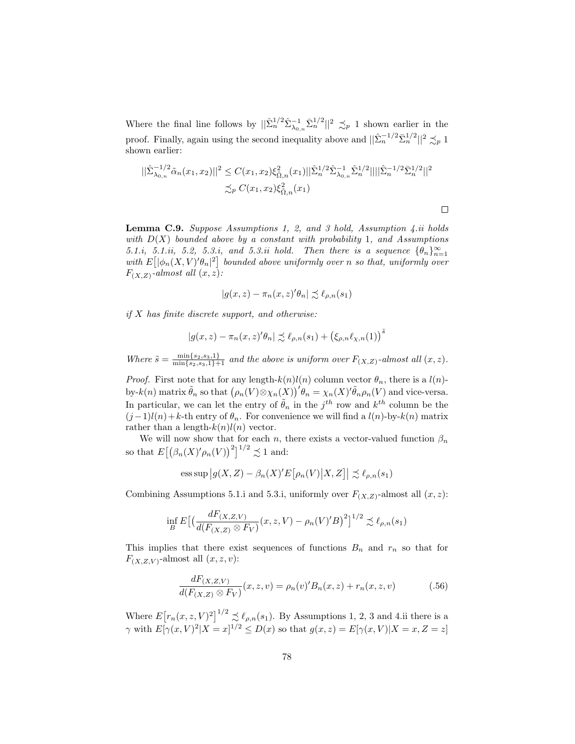Where the final line follows by  $||\hat{\Sigma}_n^{1/2} \hat{\Sigma}_{\lambda_{0,n}}^{-1} \bar{\Sigma}_n^{1/2}||^2 \precsim_p 1$  shown earlier in the proof. Finally, again using the second inequality above and  $||\hat{\Sigma}_n^{-1/2} \bar{\Sigma}_n^{1/2}||^2 \precsim_p 1$ shown earlier:

$$
\begin{aligned} ||\hat{\Sigma}_{\lambda_{0,n}}^{-1/2}\tilde{\alpha}_n(x_1,x_2)||^2 &\leq C(x_1,x_2)\xi_{\tilde{\Omega},n}^2(x_1)||\hat{\Sigma}_n^{1/2}\hat{\Sigma}_{\lambda_{0,n}}^{-1}\hat{\Sigma}_n^{1/2}||||\hat{\Sigma}_n^{-1/2}\bar{\Sigma}_n^{1/2}||^2\\ &\leq_p C(x_1,x_2)\xi_{\tilde{\Omega},n}^2(x_1) \end{aligned}
$$

**Lemma C.9.** Suppose Assumptions 1, 2, and 3 hold, Assumption 4.*ii* holds with  $D(X)$  bounded above by a constant with probability 1, and Assumptions 5.1.i, 5.1.ii, 5.2, 5.3.i, and 5.3.ii hold. Then there is a sequence  $\{\theta_n\}_{n=1}^{\infty}$ with  $E\left[ |\phi_n(X, V)' \theta_n|^2 \right]$  bounded above uniformly over n so that, uniformly over  $F_{(X,Z)}$ -almost all  $(x,z)$ :

$$
|g(x,z) - \pi_n(x,z)' \theta_n| \precsim \ell_{\rho,n}(s_1)
$$

 $if X$  has finite discrete support, and otherwise:

$$
|g(x,z) - \pi_n(x,z)' \theta_n| \precsim \ell_{\rho,n}(s_1) + (\xi_{\rho,n} \ell_{\chi,n}(1))^{\tilde{s}}
$$

Where  $\tilde{s} = \frac{\min\{s_2, s_3, 1\}}{\min\{s_2, s_3, 1\}+1}$  and the above is uniform over  $F_{(X,Z)}$ -almost all  $(x, z)$ .

*Proof.* First note that for any length- $k(n)l(n)$  column vector  $\theta_n$ , there is a  $l(n)$ by-k(n) matrix  $\tilde{\theta}_n$  so that  $(\rho_n(V)\otimes \chi_n(X))^{\prime} \theta_n = \chi_n(X)^{\prime} \tilde{\theta}_n \rho_n(V)$  and vice-versa. In particular, we can let the entry of  $\tilde{\theta}_n$  in the  $j^{th}$  row and  $k^{th}$  column be the  $(j-1)l(n)+k$ -th entry of  $\theta_n$ . For convenience we will find a  $l(n)$ -by- $k(n)$  matrix rather than a length- $k(n)l(n)$  vector.

We will now show that for each n, there exists a vector-valued function  $\beta_n$ so that  $E\left[\left(\beta_n(X)'(\rho_n(V))\right)^2\right]^{1/2} \precsim 1$  and:

ess sup 
$$
|g(X, Z) - \beta_n(X)'E[\rho_n(V)|X, Z]| \preceq \ell_{\rho,n}(s_1)
$$

Combining Assumptions 5.1.i and 5.3.i, uniformly over  $F_{(X,Z)}$ -almost all  $(x, z)$ :

$$
\inf_{B} E\big[\big(\frac{dF_{(X,Z,V)}}{d(F_{(X,Z)} \otimes F_V)}(x,z,V) - \rho_n(V)'B\big)^2\big]^{1/2} \precsim \ell_{\rho,n}(s_1)
$$

This implies that there exist sequences of functions  $B_n$  and  $r_n$  so that for  $F_{(X,Z,V)}$ -almost all  $(x, z, v)$ :

<span id="page-77-0"></span>
$$
\frac{dF_{(X,Z,V)}}{d(F_{(X,Z)} \otimes F_V)}(x,z,v) = \rho_n(v)'B_n(x,z) + r_n(x,z,v)
$$
\n(.56)

Where  $E[r_n(x, z, V)^2]^{1/2} \precsim \ell_{\rho,n}(s_1)$ . By Assumptions 1, 2, 3 and 4.ii there is a  $\gamma$  with  $E[\gamma(x,V)^2|X=x]^{1/2} \leq D(x)$  so that  $g(x,z) = E[\gamma(x,V)|X=x,Z=z]$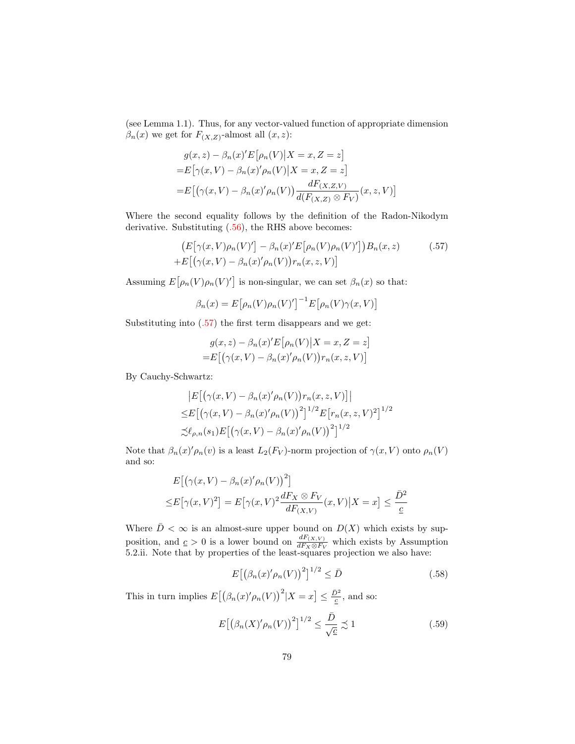(see Lemma 1.1). Thus, for any vector-valued function of appropriate dimension  $\beta_n(x)$  we get for  $F_{(X,Z)}$ -almost all  $(x, z)$ :

$$
g(x, z) - \beta_n(x)'E[\rho_n(V)|X = x, Z = z]
$$
  
=
$$
E[\gamma(x, V) - \beta_n(x)'\rho_n(V)|X = x, Z = z]
$$
  
=
$$
E[(\gamma(x, V) - \beta_n(x)'\rho_n(V))\frac{dF(x, Z, V)}{d(F(x, Z) \otimes F_V)}(x, z, V)]
$$

Where the second equality follows by the definition of the Radon-Nikodym derivative. Substituting [\(.56\)](#page-77-0), the RHS above becomes:

$$
\left(E\big[\gamma(x,V)\rho_n(V)'\big] - \beta_n(x)'E\big[\rho_n(V)\rho_n(V)'\big]\right)B_n(x,z) \tag{.57}
$$
  
+
$$
E\big[\big(\gamma(x,V) - \beta_n(x)'\rho_n(V)\big)r_n(x,z,V)\big]
$$

Assuming  $E[\rho_n(V)\rho_n(V)']$  is non-singular, we can set  $\beta_n(x)$  so that:

<span id="page-78-0"></span>
$$
\beta_n(x) = E\big[\rho_n(V)\rho_n(V)'\big]^{-1} E\big[\rho_n(V)\gamma(x,V)\big]
$$

Substituting into [\(.57\)](#page-78-0) the first term disappears and we get:

$$
g(x, z) - \beta_n(x)'E[\rho_n(V)|X = x, Z = z]
$$
  
=
$$
E[(\gamma(x, V) - \beta_n(x)'\rho_n(V))r_n(x, z, V)]
$$

By Cauchy-Schwartz:

$$
\begin{aligned} & \left| E\big[\big(\gamma(x,V) - \beta_n(x)'\rho_n(V)\big)r_n(x,z,V)\big] \right| \\ \leq & E\big[\big(\gamma(x,V) - \beta_n(x)'\rho_n(V)\big)^2\big]^{1/2} E\big[r_n(x,z,V)^2\big]^{1/2} \\ & \preceq \ell_{\rho,n}(s_1) E\big[\big(\gamma(x,V) - \beta_n(x)'\rho_n(V)\big)^2\big]^{1/2} \end{aligned}
$$

Note that  $\beta_n(x)'\rho_n(v)$  is a least  $L_2(F_V)$ -norm projection of  $\gamma(x, V)$  onto  $\rho_n(V)$ and so:

$$
E[(\gamma(x,V) - \beta_n(x)'\rho_n(V))^2]
$$
  

$$
\leq E[\gamma(x,V)^2] = E[\gamma(x,V)^2 \frac{dF_X \otimes F_V}{dF_{(X,V)}}(x,V)|X=x] \leq \frac{\bar{D}^2}{\underline{c}}
$$

Where  $\overline{D} < \infty$  is an almost-sure upper bound on  $D(X)$  which exists by supposition, and  $c > 0$  is a lower bound on  $\frac{dF(x, v)}{dF_X \otimes F_V}$  which exists by Assumption 5.2.ii. Note that by properties of the least-squares projection we also have:

<span id="page-78-2"></span>
$$
E\left[\left(\beta_n(x)'\rho_n(V)\right)^2\right]^{1/2} \le \bar{D} \tag{.58}
$$

This in turn implies  $E[(\beta_n(x)' \rho_n(V))^2 | X = x] \leq \frac{\bar{D}^2}{\varepsilon}$ , and so:

<span id="page-78-1"></span>
$$
E\left[\left(\beta_n(X)'\rho_n(V)\right)^2\right]^{1/2} \le \frac{\bar{D}}{\sqrt{\underline{c}}} \precsim 1\tag{.59}
$$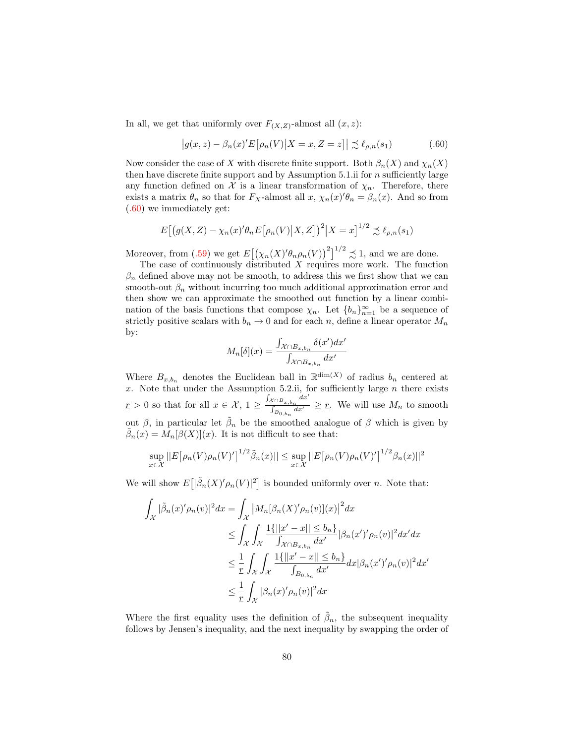In all, we get that uniformly over  $F_{(X,Z)}$ -almost all  $(x, z)$ :

<span id="page-79-0"></span>
$$
\left|g(x,z) - \beta_n(x)'E\big[\rho_n(V)\big|X=x,Z=z\big|\right| \lesssim \ell_{\rho,n}(s_1)
$$
\n(.60)

Now consider the case of X with discrete finite support. Both  $\beta_n(X)$  and  $\chi_n(X)$ then have discrete finite support and by Assumption 5.1.ii for  $n$  sufficiently large any function defined on  $\mathcal X$  is a linear transformation of  $\chi_n$ . Therefore, there exists a matrix  $\theta_n$  so that for  $F_X$ -almost all  $x$ ,  $\chi_n(x)$ ' $\theta_n = \beta_n(x)$ . And so from [\(.60\)](#page-79-0) we immediately get:

$$
E\big[\big(g(X,Z) - \chi_n(x)'\theta_n E\big[\rho_n(V)\big|X,Z\big]\big)^2\big|X=x\big]^{1/2} \precsim \ell_{\rho,n}(s_1)
$$

Moreover, from [\(.59\)](#page-78-1) we get  $E[(\chi_n(X)'\theta_n\rho_n(V))]^2|^{1/2} \precsim 1$ , and we are done.

The case of continuously distributed  $X$  requires more work. The function  $\beta_n$  defined above may not be smooth, to address this we first show that we can smooth-out  $\beta_n$  without incurring too much additional approximation error and then show we can approximate the smoothed out function by a linear combination of the basis functions that compose  $\chi_n$ . Let  $\{b_n\}_{n=1}^{\infty}$  be a sequence of strictly positive scalars with  $b_n \to 0$  and for each n, define a linear operator  $M_n$ by:

$$
M_n[\delta](x) = \frac{\int_{\mathcal{X} \cap B_{x,b_n}} \delta(x') dx'}{\int_{\mathcal{X} \cap B_{x,b_n}} dx'}
$$

Where  $B_{x,b_n}$  denotes the Euclidean ball in  $\mathbb{R}^{\dim(X)}$  of radius  $b_n$  centered at x. Note that under the Assumption 5.2.ii, for sufficiently large  $n$  there exists  $\underline{r} > 0$  so that for all  $x \in \mathcal{X}$ ,  $1 \geq \frac{\int_{\mathcal{X} \cap B_x, b_n} dx'}{\int_{\mathcal{X}} dx'}$  $\frac{\sum_{i=1}^{n} B_{x_i, b_n}}{\int_{B_{0, b_n}} dx'} \geq \underline{r}$ . We will use  $M_n$  to smooth out  $\beta$ , in particular let  $\tilde{\beta}_n$  be the smoothed analogue of  $\beta$  which is given by  $\tilde{\beta}_n(x) = M_n[\beta(X)](x)$ . It is not difficult to see that:

$$
\sup_{x \in \mathcal{X}} ||E[\rho_n(V)\rho_n(V)']^{1/2} \tilde{\beta}_n(x)|| \leq \sup_{x \in \mathcal{X}} ||E[\rho_n(V)\rho_n(V)']^{1/2} \beta_n(x)||^2
$$

We will show  $E[|\tilde{\beta}_n(X)' \rho_n(V)|^2]$  is bounded uniformly over n. Note that:

$$
\int_{\mathcal{X}} |\tilde{\beta}_n(x)' \rho_n(v)|^2 dx = \int_{\mathcal{X}} \left| M_n[\beta_n(X)' \rho_n(v)](x) \right|^2 dx
$$
  
\n
$$
\leq \int_{\mathcal{X}} \int_{\mathcal{X}} \frac{1\{||x' - x|| \leq b_n\}}{\int_{\mathcal{X} \cap B_{x,b_n}} dx'} |\beta_n(x')' \rho_n(v)|^2 dx' dx
$$
  
\n
$$
\leq \frac{1}{r} \int_{\mathcal{X}} \int_{\mathcal{X}} \frac{1\{||x' - x|| \leq b_n\}}{\int_{B_{0,b_n}} dx'} dx |\beta_n(x')' \rho_n(v)|^2 dx'
$$
  
\n
$$
\leq \frac{1}{r} \int_{\mathcal{X}} |\beta_n(x)' \rho_n(v)|^2 dx
$$

Where the first equality uses the definition of  $\tilde{\beta}_n$ , the subsequent inequality follows by Jensen's inequality, and the next inequality by swapping the order of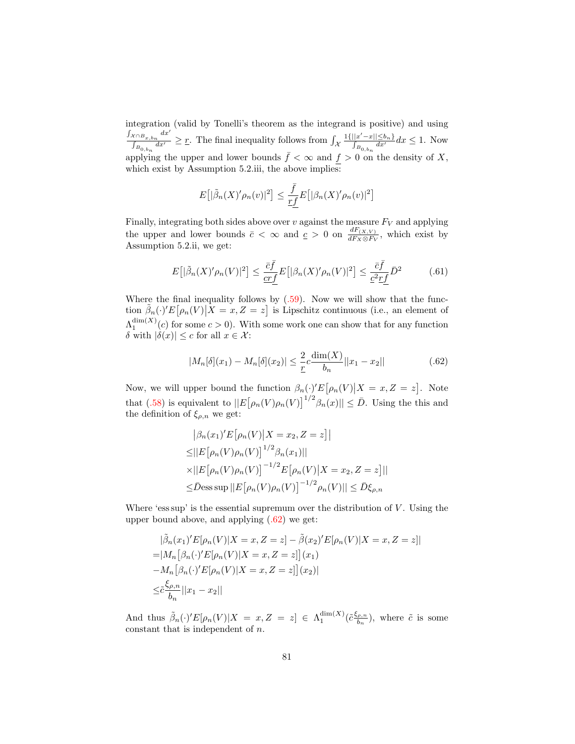integration (valid by Tonelli's theorem as the integrand is positive) and using  $\int_{\mathcal{X}\cap B_{x,b_n}} dx'$  $\frac{\partial \zeta \cap B_{x,b_n}}{\partial B_{0,b_n} dx'} \geq \underline{r}$ . The final inequality follows from  $\int_{\mathcal{X}}$  $\frac{1\{||x'-x|| \leq b_n\}}{\int_{B_{0,b_n}} dx'} dx \leq 1$ . Now applying the upper and lower bounds  $\bar{f} < \infty$  and  $f > 0$  on the density of X, which exist by Assumption 5.2.iii, the above implies:

$$
E\big[|\tilde{\beta}_n(X)'\rho_n(v)|^2\big] \le \frac{\bar{f}}{\underline{rf}}E\big[|\beta_n(X)'\rho_n(v)|^2\big]
$$

Finally, integrating both sides above over  $v$  against the measure  $F_V$  and applying the upper and lower bounds  $\bar{c} < \infty$  and  $\underline{c} > 0$  on  $\frac{dF(x, V)}{dF_X \otimes F_V}$ , which exist by Assumption 5.2.ii, we get:

<span id="page-80-1"></span>
$$
E\left[|\tilde{\beta}_n(X)'\rho_n(V)|^2\right] \le \frac{\bar{c}\bar{f}}{\underline{cr}\underline{f}}E\left[|\beta_n(X)'\rho_n(V)|^2\right] \le \frac{\bar{c}\bar{f}}{\underline{c}^2\underline{r}\underline{f}}\bar{D}^2\tag{61}
$$

Where the final inequality follows by  $(.59)$ . Now we will show that the function  $\tilde{\beta}_n(\cdot)'E[\rho_n(V)|X=x,Z=z]$  is Lipschitz continuous (i.e., an element of  $\Lambda_1^{\dim(X)}(c)$  for some  $c > 0$ ). With some work one can show that for any function δ with  $|\delta(x)|$  ≤ c for all  $x \in \mathcal{X}$ :

<span id="page-80-0"></span>
$$
|M_n[\delta](x_1) - M_n[\delta](x_2)| \le \frac{2}{r} c \frac{\dim(X)}{b_n} ||x_1 - x_2|| \tag{62}
$$

Now, we will upper bound the function  $\beta_n(\cdot)^{\prime}E[\rho_n(V)|X=x,Z=z]$ . Note that [\(.58\)](#page-78-2) is equivalent to  $||E[\rho_n(V)\rho_n(V)]^{1/2}\beta_n(x)|| \leq \overline{D}$ . Using the this and the definition of  $\xi_{\rho,n}$  we get:

$$
|\beta_n(x_1)'E[\rho_n(V)|X = x_2, Z = z]|
$$
  
\n
$$
\leq ||E[\rho_n(V)\rho_n(V)]^{1/2}\beta_n(x_1)||
$$
  
\n
$$
\times ||E[\rho_n(V)\rho_n(V)]^{-1/2}E[\rho_n(V)|X = x_2, Z = z]||
$$
  
\n
$$
\leq \bar{D}ess \sup ||E[\rho_n(V)\rho_n(V)]^{-1/2}\rho_n(V)|| \leq \bar{D}\xi_{\rho,n}
$$

Where 'ess sup' is the essential supremum over the distribution of  $V$ . Using the upper bound above, and applying [\(.62\)](#page-80-0) we get:

$$
\begin{aligned}\n|\tilde{\beta}_n(x_1)'E[\rho_n(V)|X=x,Z=z] - \tilde{\beta}(x_2)'E[\rho_n(V)|X=x,Z=z] \\
= |M_n[\beta_n(\cdot)'E[\rho_n(V)|X=x,Z=z]](x_1) \\
-M_n[\beta_n(\cdot)'E[\rho_n(V)|X=x,Z=z]](x_2)| \\
\leq & \frac{\xi_{\rho,n}}{b_n}||x_1 - x_2||\n\end{aligned}
$$

And thus  $\tilde{\beta}_n(\cdot)'E[\rho_n(V)|X = x, Z = z] \in \Lambda_1^{\dim(X)}(\tilde{c}\frac{\xi_{\rho,n}}{b_n})$  $(\frac{\rho,n}{b_n})$ , where  $\tilde{c}$  is some constant that is independent of n.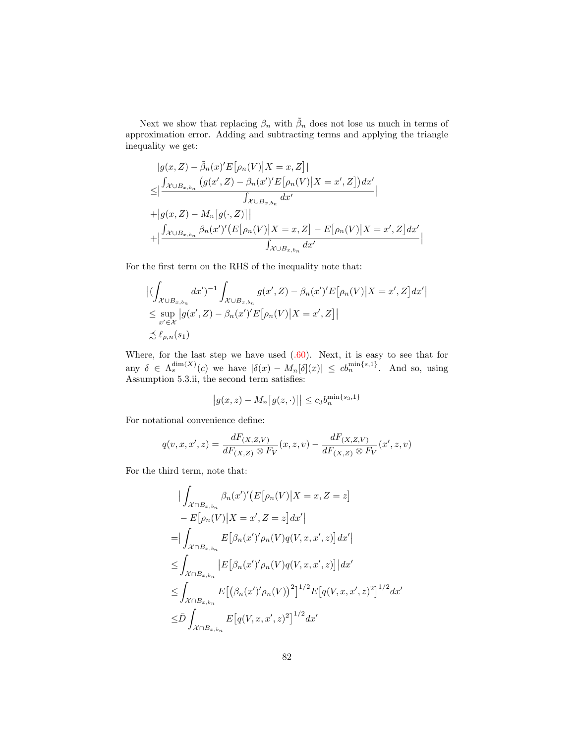Next we show that replacing  $\beta_n$  with  $\tilde{\beta}_n$  does not lose us much in terms of approximation error. Adding and subtracting terms and applying the triangle inequality we get:

$$
|g(x, Z) - \tilde{\beta}_n(x)'E[\rho_n(V)|X = x, Z]|
$$
  
\n
$$
\leq |\frac{\int_{\mathcal{X}\cup B_{x, b_n}} (g(x', Z) - \beta_n(x')E[\rho_n(V)|X = x', Z])dx'}{\int_{\mathcal{X}\cup B_{x, b_n}} dx'}|
$$
  
\n
$$
+ |g(x, Z) - M_n[g(\cdot, Z)]|
$$
  
\n
$$
+ |\frac{\int_{\mathcal{X}\cup B_{x, b_n}} \beta_n(x')'\big(E[\rho_n(V)|X = x, Z] - E[\rho_n(V)|X = x', Z]dx'}{\int_{\mathcal{X}\cup B_{x, b_n}} dx'}
$$

For the first term on the RHS of the inequality note that:

$$
\left| \left( \int_{\mathcal{X} \cup B_{x,b_n}} dx' \right)^{-1} \int_{\mathcal{X} \cup B_{x,b_n}} g(x', Z) - \beta_n(x')' E\left[\rho_n(V) \middle| X = x', Z\right] dx' \right|
$$
  
\n
$$
\leq \sup_{x' \in \mathcal{X}} \left| g(x', Z) - \beta_n(x')' E\left[\rho_n(V) \middle| X = x', Z\right] \right|
$$
  
\n
$$
\precsim \ell_{\rho,n}(s_1)
$$

Where, for the last step we have used  $(.60)$ . Next, it is easy to see that for any  $\delta \in \Lambda_s^{\dim(X)}(c)$  we have  $|\delta(x) - M_n[\delta](x)| \leq cb_n^{\min\{s,1\}}$ . And so, using Assumption 5.3.ii, the second term satisfies:

$$
\left|g(x,z) - M_n\big[g(z,\cdot)\big]\right| \le c_3 b_n^{\min\{s_3,1\}}
$$

For notational convenience define:

$$
q(v,x,x',z) = \frac{dF(x,z,v)}{dF(x,z) \otimes F_V}(x,z,v) - \frac{dF(x,z,v)}{dF(x,z) \otimes F_V}(x',z,v)
$$

For the third term, note that:

$$
\begin{split}\n&\qquad|\int_{\mathcal{X}\cap B_{x,b_n}} \beta_n(x')'(E[\rho_n(V)|X=x,Z=z] \\
&\qquad - E[\rho_n(V)|X=x',Z=z]dx'| \\
&=|\int_{\mathcal{X}\cap B_{x,b_n}} E[\beta_n(x')'\rho_n(V)q(V,x,x',z)]dx'| \\
&\leq \int_{\mathcal{X}\cap B_{x,b_n}} |E[\beta_n(x')'\rho_n(V)q(V,x,x',z)]|dx' \\
&\leq \int_{\mathcal{X}\cap B_{x,b_n}} E[(\beta_n(x')'\rho_n(V))^2]^{1/2} E[q(V,x,x',z)^2]^{1/2}dx' \\
&\leq \bar{D} \int_{\mathcal{X}\cap B_{x,b_n}} E[q(V,x,x',z)^2]^{1/2}dx'\n\end{split}
$$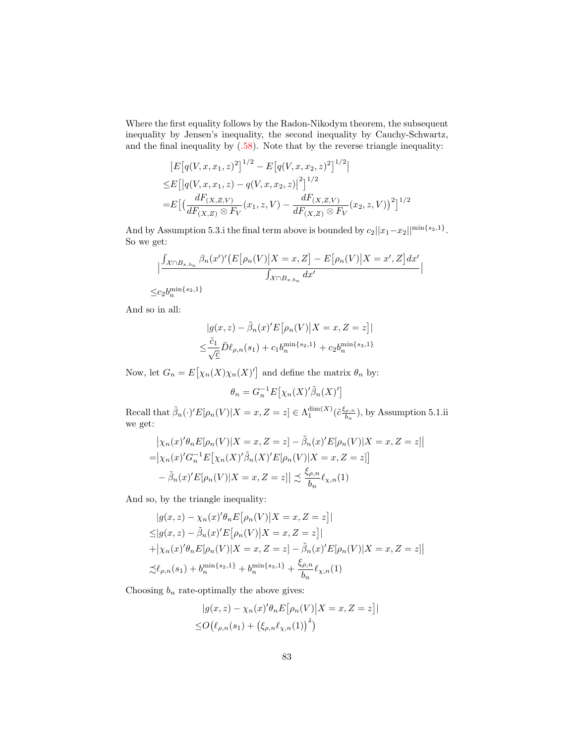Where the first equality follows by the Radon-Nikodym theorem, the subsequent inequality by Jensen's inequality, the second inequality by Cauchy-Schwartz, and the final inequality by [\(.58\)](#page-78-2). Note that by the reverse triangle inequality:

$$
|E[q(V, x, x_1, z)^{2}]^{1/2} - E[q(V, x, x_2, z)^{2}]^{1/2}|
$$
  
\n
$$
\leq E[|q(V, x, x_1, z) - q(V, x, x_2, z)|^{2}]^{1/2}
$$
  
\n
$$
= E\left[\left(\frac{dF(x, z, v)}{dF(x, z) \otimes F_V}(x_1, z, V) - \frac{dF(x, z, v)}{dF(x, z) \otimes F_V}(x_2, z, V)\right)^{2}\right]^{1/2}
$$

And by Assumption 5.3.i the final term above is bounded by  $c_2||x_1-x_2||^{\min\{s_2,1\}}$ . So we get:

$$
\frac{\int_{\mathcal{X}\cap B_{x,b_n}}\beta_n(x')'\big(E\big[\rho_n(V)\big|X=x,Z\big]-E\big[\rho_n(V)\big|X=x',Z\big]dx'}{\int_{\mathcal{X}\cap B_{x,b_n}}dx'}\Big|
$$
  

$$
\leq c_2b_n^{\min\{s_2,1\}}
$$

And so in all:

$$
|g(x, z) - \tilde{\beta}_n(x)'E[\rho_n(V)|X = x, Z = z]|
$$
  

$$
\leq \frac{\tilde{c}_1}{\sqrt{c}}\bar{D}\ell_{\rho,n}(s_1) + c_1b_n^{\min\{s_2, 1\}} + c_2b_n^{\min\{s_3, 1\}}
$$

Now, let  $G_n = E[\chi_n(X)\chi_n(X)']$  and define the matrix  $\theta_n$  by:

$$
\theta_n = G_n^{-1} E[\chi_n(X)'\tilde{\beta}_n(X)']
$$

Recall that  $\tilde{\beta}_n(\cdot)' E[\rho_n(V)|X=x, Z=z] \in \Lambda_1^{\dim(X)}(\tilde{c}\frac{\xi_{\rho,n}}{b_n})$  $\frac{(\rho,n)}{b_n}$ ), by Assumption 5.1.ii we get:

$$
\begin{aligned} \left| \chi_n(x)'\theta_n E[\rho_n(V)|X=x, Z=z] - \tilde{\beta}_n(x)'E[\rho_n(V)|X=x, Z=z] \right| \\ = \left| \chi_n(x)'\overline{G}_n^{-1}E\big[\chi_n(X)'\tilde{\beta}_n(X)'E[\rho_n(V)|X=x, Z=z] \big] \\ - \tilde{\beta}_n(x)'E[\rho_n(V)|X=x, Z=z] \right| \lesssim \frac{\xi_{\rho,n}}{b_n} \ell_{\chi,n}(1) \end{aligned}
$$

And so, by the triangle inequality:

$$
|g(x, z) - \chi_n(x)'\theta_n E[\rho_n(V)|X = x, Z = z]|
$$
  
\n
$$
\leq |g(x, z) - \tilde{\beta}_n(x)'E[\rho_n(V)|X = x, Z = z]|
$$
  
\n
$$
+ |\chi_n(x)'\theta_n E[\rho_n(V)|X = x, Z = z] - \tilde{\beta}_n(x)'E[\rho_n(V)|X = x, Z = z]|
$$
  
\n
$$
\precsim \ell_{\rho,n}(s_1) + b_n^{\min\{s_2, 1\}} + b_n^{\min\{s_3, 1\}} + \frac{\xi_{\rho,n}}{b_n}\ell_{\chi,n}(1)
$$

Choosing  $b_n$  rate-optimally the above gives:

$$
|g(x, z) - \chi_n(x)'\theta_n E[\rho_n(V)|X = x, Z = z]|
$$
  

$$
\leq O(\ell_{\rho,n}(s_1) + (\xi_{\rho,n}\ell_{\chi,n}(1))^{\tilde{s}})
$$